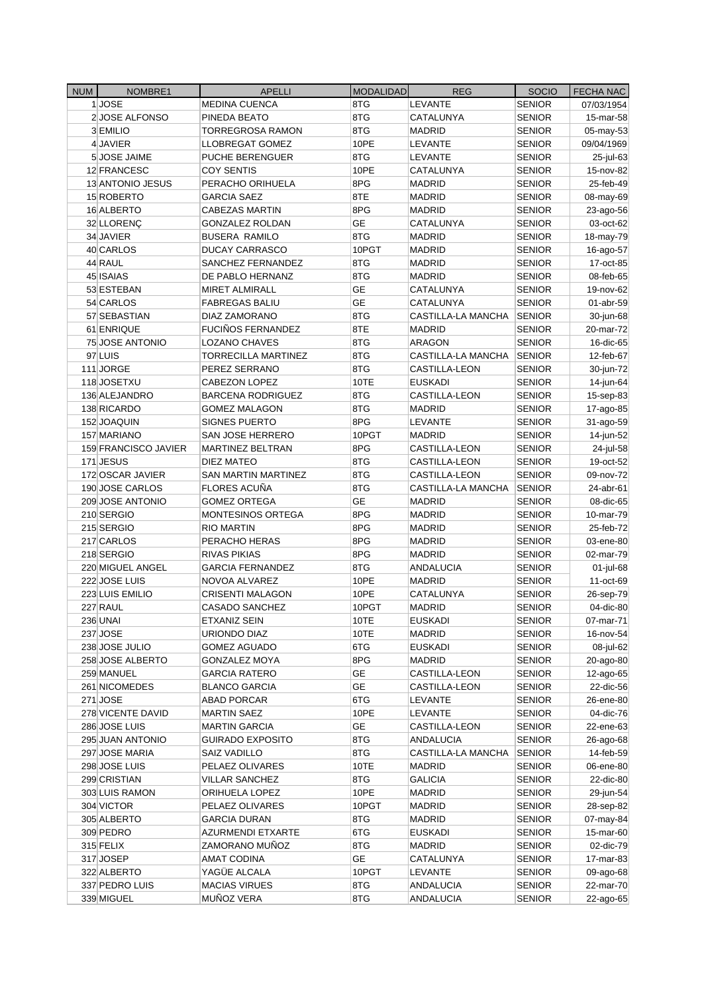| <b>NUM</b> | NOMBRE1              | <b>APELLI</b>                                     | <b>MODALIDAD</b> | <b>REG</b>                          | <b>SOCIO</b>  | <b>FECHA NAC</b> |
|------------|----------------------|---------------------------------------------------|------------------|-------------------------------------|---------------|------------------|
|            | 1JOSE                | <b>MEDINA CUENCA</b>                              | 8TG              | <b>LEVANTE</b>                      | <b>SENIOR</b> | 07/03/1954       |
|            | 2JOSE ALFONSO        | PINEDA BEATO                                      | 8TG              | CATALUNYA                           | <b>SENIOR</b> | 15-mar-58        |
|            | 3 EMILIO             | <b>TORREGROSA RAMON</b>                           | 8TG              | <b>MADRID</b>                       | <b>SENIOR</b> | 05-may-53        |
|            | 4 JAVIER             | LLOBREGAT GOMEZ                                   | 10PE             | LEVANTE                             | <b>SENIOR</b> | 09/04/1969       |
|            | 5 JOSE JAIME         | PUCHE BERENGUER                                   | 8TG              | LEVANTE                             | <b>SENIOR</b> | 25-jul-63        |
|            | 12 FRANCESC          | <b>COY SENTIS</b>                                 | 10PE             | CATALUNYA                           | <b>SENIOR</b> | 15-nov-82        |
|            | 13 ANTONIO JESUS     | PERACHO ORIHUELA                                  | 8PG              | <b>MADRID</b>                       | <b>SENIOR</b> | 25-feb-49        |
|            | 15 ROBERTO           | <b>GARCIA SAEZ</b>                                | 8TE              | <b>MADRID</b>                       | SENIOR        | 08-may-69        |
|            | 16 ALBERTO           | <b>CABEZAS MARTIN</b>                             | 8PG              | <b>MADRID</b>                       | <b>SENIOR</b> | 23-ago-56        |
|            | 32 LLORENÇ           | <b>GONZALEZ ROLDAN</b>                            | <b>GE</b>        | CATALUNYA                           | <b>SENIOR</b> | 03-oct-62        |
|            | 34 JAVIER            | <b>BUSERA RAMILO</b>                              | 8TG              | <b>MADRID</b>                       | <b>SENIOR</b> | 18-may-79        |
|            | 40 CARLOS            | <b>DUCAY CARRASCO</b>                             | 10PGT            | MADRID                              | SENIOR        | 16-ago-57        |
|            | 44 RAUL              | SANCHEZ FERNANDEZ                                 | 8TG              | <b>MADRID</b>                       | <b>SENIOR</b> | 17-oct-85        |
|            | 45 ISAIAS            | DE PABLO HERNANZ                                  | 8TG              | <b>MADRID</b>                       | <b>SENIOR</b> | 08-feb-65        |
|            | 53 ESTEBAN           | <b>MIRET ALMIRALL</b>                             | <b>GE</b>        | CATALUNYA                           | <b>SENIOR</b> | 19-nov-62        |
|            | 54 CARLOS            | <b>FABREGAS BALIU</b>                             | <b>GE</b>        | CATALUNYA                           | <b>SENIOR</b> | 01-abr-59        |
|            | 57 SEBASTIAN         | DIAZ ZAMORANO                                     | 8TG              | CASTILLA-LA MANCHA                  | <b>SENIOR</b> | 30-jun-68        |
|            | 61 ENRIQUE           | <b>FUCIÑOS FERNANDEZ</b>                          | 8TE              | <b>MADRID</b>                       | <b>SENIOR</b> | 20-mar-72        |
|            | 75 JOSE ANTONIO      | <b>LOZANO CHAVES</b>                              | 8TG              | <b>ARAGON</b>                       | <b>SENIOR</b> | 16-dic-65        |
|            | 97 LUIS              | <b>TORRECILLA MARTINEZ</b>                        | 8TG              | CASTILLA-LA MANCHA                  | <b>SENIOR</b> | 12-feb-67        |
|            | 111 JORGE            | PEREZ SERRANO                                     | 8TG              | <b>CASTILLA-LEON</b>                | <b>SENIOR</b> | 30-jun-72        |
|            | 118 JOSETXU          | CABEZON LOPEZ                                     | 10TE             | <b>EUSKADI</b>                      | <b>SENIOR</b> | 14-jun-64        |
|            | 136 ALEJANDRO        | <b>BARCENA RODRIGUEZ</b>                          | 8TG              | CASTILLA-LEON                       | <b>SENIOR</b> | 15-sep-83        |
|            | 138 RICARDO          | <b>GOMEZ MALAGON</b>                              | 8TG              | <b>MADRID</b>                       | <b>SENIOR</b> | 17-ago-85        |
|            | 152 JOAQUIN          | <b>SIGNES PUERTO</b>                              | 8PG              | <b>LEVANTE</b>                      | <b>SENIOR</b> | 31-ago-59        |
|            | 157 MARIANO          | SAN JOSE HERRERO                                  | 10PGT            | <b>MADRID</b>                       | <b>SENIOR</b> | 14-jun-52        |
|            | 159 FRANCISCO JAVIER | <b>MARTINEZ BELTRAN</b>                           | 8PG              | CASTILLA-LEON                       | <b>SENIOR</b> | 24-jul-58        |
|            | 171 JESUS            | DIEZ MATEO                                        | 8TG              | CASTILLA-LEON                       | <b>SENIOR</b> | 19-oct-52        |
|            | 172 OSCAR JAVIER     |                                                   | 8TG              |                                     |               |                  |
|            | 190 JOSE CARLOS      | <b>SAN MARTIN MARTINEZ</b><br><b>FLORES ACUÑA</b> | 8TG              | CASTILLA-LEON<br>CASTILLA-LA MANCHA | <b>SENIOR</b> | 09-nov-72        |
|            |                      |                                                   |                  |                                     | <b>SENIOR</b> | 24-abr-61        |
|            | 209 JOSE ANTONIO     | <b>GOMEZ ORTEGA</b>                               | GE               | <b>MADRID</b>                       | <b>SENIOR</b> | 08-dic-65        |
|            | 210 SERGIO           | MONTESINOS ORTEGA                                 | 8PG<br>8PG       | <b>MADRID</b>                       | <b>SENIOR</b> | 10-mar-79        |
|            | 215 SERGIO           | <b>RIO MARTIN</b>                                 |                  | <b>MADRID</b>                       | <b>SENIOR</b> | 25-feb-72        |
|            | 217 CARLOS           | PERACHO HERAS                                     | 8PG              | <b>MADRID</b>                       | <b>SENIOR</b> | 03-ene-80        |
|            | 218 SERGIO           | <b>RIVAS PIKIAS</b>                               | 8PG              | <b>MADRID</b>                       | SENIOR        | 02-mar-79        |
|            | 220 MIGUEL ANGEL     | <b>GARCIA FERNANDEZ</b>                           | 8TG              | <b>ANDALUCIA</b>                    | <b>SENIOR</b> | 01-jul-68        |
|            | 222 JOSE LUIS        | NOVOA ALVAREZ                                     | 10PE             | <b>MADRID</b>                       | <b>SENIOR</b> | 11-oct-69        |
|            | 223 LUIS EMILIO      | <b>CRISENTI MALAGON</b>                           | 10PE             | CATALUNYA                           | <b>SENIOR</b> | 26-sep-79        |
|            | 227 RAUL             | <b>CASADO SANCHEZ</b>                             | 10PGT            | <b>MADRID</b>                       | <b>SENIOR</b> | 04-dic-80        |
|            | <b>236 UNAI</b>      | ETXANIZ SEIN                                      | 10TE             | <b>EUSKADI</b>                      | <b>SENIOR</b> | 07-mar-71        |
|            | 237 JOSE             | URIONDO DIAZ                                      | 10TE             | MADRID                              | <b>SENIOR</b> | 16-nov-54        |
|            | 238 JOSE JULIO       | <b>GOMEZ AGUADO</b>                               | 6TG              | <b>EUSKADI</b>                      | <b>SENIOR</b> | 08-jul-62        |
|            | 258 JOSE ALBERTO     | <b>GONZALEZ MOYA</b>                              | 8PG              | <b>MADRID</b>                       | <b>SENIOR</b> | 20-ago-80        |
|            | 259 MANUEL           | <b>GARCIA RATERO</b>                              | GE               | CASTILLA-LEON                       | SENIOR        | 12-ago-65        |
|            | 261 NICOMEDES        | <b>BLANCO GARCIA</b>                              | GE               | CASTILLA-LEON                       | SENIOR        | 22-dic-56        |
|            | $271$ JOSE           | ABAD PORCAR                                       | 6TG              | LEVANTE                             | <b>SENIOR</b> | 26-ene-80        |
|            | 278 VICENTE DAVID    | <b>MARTIN SAEZ</b>                                | 10PE             | LEVANTE                             | <b>SENIOR</b> | 04-dic-76        |
|            | 286 JOSE LUIS        | <b>MARTIN GARCIA</b>                              | GE               | CASTILLA-LEON                       | <b>SENIOR</b> | 22-ene-63        |
|            | 295 JUAN ANTONIO     | <b>GUIRADO EXPOSITO</b>                           | 8TG              | <b>ANDALUCIA</b>                    | <b>SENIOR</b> | 26-ago-68        |
|            | 297 JOSE MARIA       | SAIZ VADILLO                                      | 8TG              | CASTILLA-LA MANCHA                  | <b>SENIOR</b> | 14-feb-59        |
|            | 298 JOSE LUIS        | PELAEZ OLIVARES                                   | 10TE             | <b>MADRID</b>                       | <b>SENIOR</b> | 06-ene-80        |
|            | 299 CRISTIAN         | <b>VILLAR SANCHEZ</b>                             | 8TG              | GALICIA                             | <b>SENIOR</b> | 22-dic-80        |
|            | 303 LUIS RAMON       | ORIHUELA LOPEZ                                    | 10PE             | MADRID                              | <b>SENIOR</b> | 29-jun-54        |
|            | 304 VICTOR           | PELAEZ OLIVARES                                   | 10PGT            | MADRID                              | <b>SENIOR</b> | 28-sep-82        |
|            | 305 ALBERTO          | <b>GARCIA DURAN</b>                               | 8TG              | <b>MADRID</b>                       | <b>SENIOR</b> | 07-may-84        |
|            | 309 PEDRO            | AZURMENDI ETXARTE                                 | 6TG              | EUSKADI                             | <b>SENIOR</b> | 15-mar-60        |
|            | 315 FELIX            | ZAMORANO MUÑOZ                                    | 8TG              | <b>MADRID</b>                       | <b>SENIOR</b> | 02-dic-79        |
|            | 317 JOSEP            | <b>AMAT CODINA</b>                                | GE               | CATALUNYA                           | SENIOR        | 17-mar-83        |
|            | 322 ALBERTO          | YAGÜE ALCALA                                      | 10PGT            | LEVANTE                             | <b>SENIOR</b> | 09-ago-68        |
|            | 337 PEDRO LUIS       | <b>MACIAS VIRUES</b>                              | 8TG              | ANDALUCIA                           | <b>SENIOR</b> | 22-mar-70        |
|            | 339 MIGUEL           | MUÑOZ VERA                                        | 8TG              | <b>ANDALUCIA</b>                    | <b>SENIOR</b> | 22-ago-65        |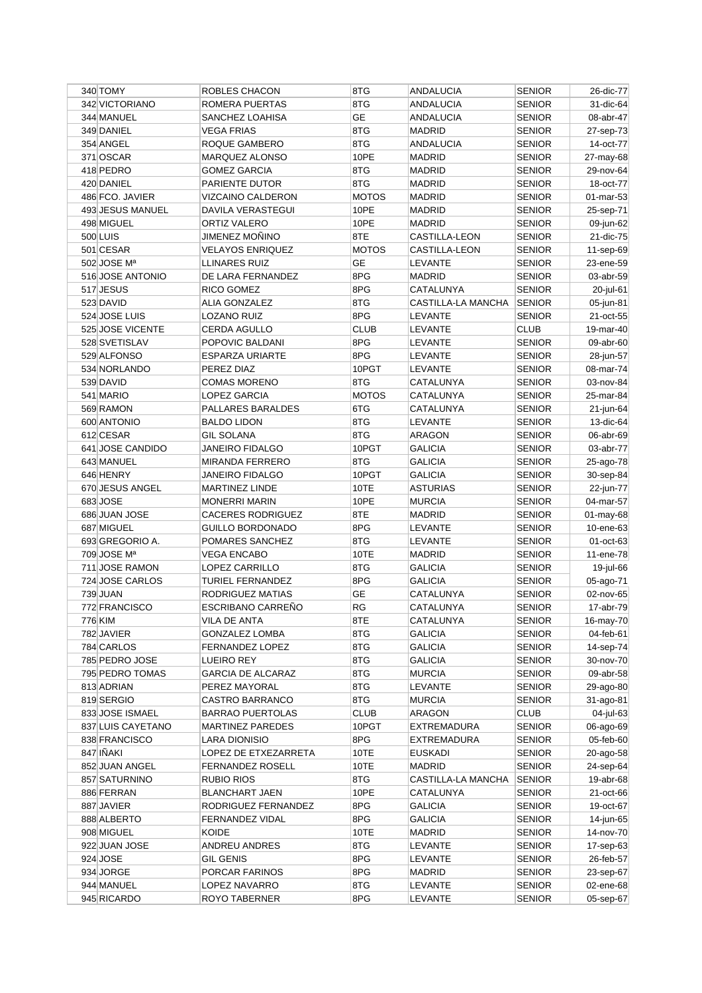| 340 TOMY                      | ROBLES CHACON            | 8TG                | ANDALUCIA                       | <b>SENIOR</b>                  | 26-dic-77              |
|-------------------------------|--------------------------|--------------------|---------------------------------|--------------------------------|------------------------|
| 342 VICTORIANO                | ROMERA PUERTAS           | 8TG                | <b>ANDALUCIA</b>                | <b>SENIOR</b>                  | 31-dic-64              |
| 344 MANUEL                    | SANCHEZ LOAHISA          | <b>GE</b>          | <b>ANDALUCIA</b>                | <b>SENIOR</b>                  | 08-abr-47              |
| 349 DANIEL                    | <b>VEGA FRIAS</b>        | 8TG                | <b>MADRID</b>                   | <b>SENIOR</b>                  | 27-sep-73              |
| 354 ANGEL                     | ROQUE GAMBERO            | 8TG                | ANDALUCIA                       | <b>SENIOR</b>                  | 14-oct-77              |
| 371 OSCAR                     | MARQUEZ ALONSO           | 10PE               | <b>MADRID</b>                   | <b>SENIOR</b>                  | 27-may-68              |
| 418 PEDRO                     | <b>GOMEZ GARCIA</b>      | 8TG                | <b>MADRID</b>                   | <b>SENIOR</b>                  | 29-nov-64              |
| 420 DANIEL                    | PARIENTE DUTOR           | 8TG                | <b>MADRID</b>                   | <b>SENIOR</b>                  | 18-oct-77              |
| 486 FCO. JAVIER               | VIZCAINO CALDERON        | <b>MOTOS</b>       | MADRID                          | <b>SENIOR</b>                  | 01-mar-53              |
| 493 JESUS MANUEL              | DAVILA VERASTEGUI        | 10PE               | MADRID                          | <b>SENIOR</b>                  | 25-sep-71              |
| 498 MIGUEL                    | ORTIZ VALERO             | 10PE               | MADRID                          | <b>SENIOR</b>                  | 09-jun-62              |
| 500 LUIS                      | JIMENEZ MOÑINO           | 8TE                | CASTILLA-LEON                   | <b>SENIOR</b>                  | 21-dic-75              |
| 501 CESAR                     | <b>VELAYOS ENRIQUEZ</b>  | <b>MOTOS</b>       | CASTILLA-LEON                   | <b>SENIOR</b>                  | 11-sep-69              |
| 502 JOSE Mª                   | LLINARES RUIZ            | GЕ                 | LEVANTE                         | <b>SENIOR</b>                  | 23-ene-59              |
| 516 JOSE ANTONIO              | DE LARA FERNANDEZ        | 8PG                | <b>MADRID</b>                   | <b>SENIOR</b>                  | 03-abr-59              |
| 517 JESUS                     | RICO GOMEZ               | 8PG                | CATALUNYA                       | <b>SENIOR</b>                  | 20-jul-61              |
| 523 DAVID                     | ALIA GONZALEZ            | 8TG                | CASTILLA-LA MANCHA              | <b>SENIOR</b>                  | 05-jun-81              |
| 524 JOSE LUIS                 | LOZANO RUIZ              | 8PG                | LEVANTE                         | <b>SENIOR</b>                  | 21-oct-55              |
| 525 JOSE VICENTE              | CERDA AGULLO             | <b>CLUB</b>        | LEVANTE                         | <b>CLUB</b>                    | 19-mar-40              |
| 528 SVETISLAV                 | POPOVIC BALDANI          | 8PG                | LEVANTE                         | <b>SENIOR</b>                  | 09-abr-60              |
| 529 ALFONSO                   | <b>ESPARZA URIARTE</b>   | 8PG                | LEVANTE                         | <b>SENIOR</b>                  | 28-jun-57              |
| 534 NORLANDO                  | PEREZ DIAZ               | 10PGT              | LEVANTE                         | <b>SENIOR</b>                  | 08-mar-74              |
| 539 DAVID                     | <b>COMAS MORENO</b>      | 8TG                | CATALUNYA                       | <b>SENIOR</b>                  | 03-nov-84              |
| 541 MARIO                     | LOPEZ GARCIA             | <b>MOTOS</b>       | CATALUNYA                       | <b>SENIOR</b>                  | 25-mar-84              |
| 569 RAMON                     | PALLARES BARALDES        | 6TG                | CATALUNYA                       | <b>SENIOR</b>                  | 21-jun-64              |
| 600 ANTONIO                   | <b>BALDO LIDON</b>       | 8TG                | LEVANTE                         | <b>SENIOR</b>                  | 13-dic-64              |
| 612 CESAR                     | <b>GIL SOLANA</b>        | 8TG                | ARAGON                          | <b>SENIOR</b>                  | 06-abr-69              |
| 641 JOSE CANDIDO              | <b>JANEIRO FIDALGO</b>   | 10PGT              | <b>GALICIA</b>                  | <b>SENIOR</b>                  | 03-abr-77              |
| 643 MANUEL                    | <b>MIRANDA FERRERO</b>   | 8TG                | <b>GALICIA</b>                  | <b>SENIOR</b>                  | 25-ago-78              |
| 646 HENRY                     | <b>JANEIRO FIDALGO</b>   | 10PGT              | <b>GALICIA</b>                  | <b>SENIOR</b>                  | 30-sep-84              |
| 670 JESUS ANGEL               | <b>MARTINEZ LINDE</b>    | 10TE               | <b>ASTURIAS</b>                 | <b>SENIOR</b>                  | 22-jun-77              |
| 683 JOSE                      | <b>MONERRI MARIN</b>     | 10PE               | <b>MURCIA</b>                   | <b>SENIOR</b>                  | 04-mar-57              |
| 686 JUAN JOSE                 | <b>CACERES RODRIGUEZ</b> | 8TE                | MADRID                          | <b>SENIOR</b>                  | 01-may-68              |
| 687 MIGUEL                    | GUILLO BORDONADO         | 8PG                | LEVANTE                         | <b>SENIOR</b>                  | 10-ene-63              |
| 693 GREGORIO A.               | POMARES SANCHEZ          | 8TG                | LEVANTE                         | <b>SENIOR</b>                  | $01$ -oct-63           |
| 709 JOSE Mª                   | VEGA ENCABO              | 10TE               | <b>MADRID</b>                   | <b>SENIOR</b>                  | 11-ene-78              |
| 711 JOSE RAMON                | LOPEZ CARRILLO           | 8TG                | <b>GALICIA</b>                  | <b>SENIOR</b>                  | 19-jul-66              |
| 724 JOSE CARLOS               | TURIEL FERNANDEZ         | 8PG                | <b>GALICIA</b>                  | <b>SENIOR</b>                  | 05-ago-71              |
| 739 JUAN                      | RODRIGUEZ MATIAS         | GЕ                 | CATALUNYA                       |                                |                        |
| 772 FRANCISCO                 | <b>ESCRIBANO CARRENO</b> | RG                 | CATALUNYA                       | <b>SENIOR</b><br><b>SENIOR</b> | 02-nov-65<br>17-abr-79 |
| 776 KIM                       |                          | 8TE                | CATALUNYA                       |                                |                        |
| 782 JAVIER                    | VILA DE ANTA             |                    | <b>GALICIA</b>                  | <b>SENIOR</b>                  | 16-may-70              |
| 784 CARLOS                    | <b>GONZALEZ LOMBA</b>    | 8TG                |                                 | <b>SENIOR</b>                  | $04$ -feb-61           |
| 785 PEDRO JOSE                | FERNANDEZ LOPEZ          | 8TG                | <b>GALICIA</b>                  | <b>SENIOR</b>                  | 14-sep-74              |
|                               | LUEIRO REY               | 8TG                | <b>GALICIA</b><br><b>MURCIA</b> | <b>SENIOR</b>                  | 30-nov-70<br>09-abr-58 |
| 795 PEDRO TOMAS               | <b>GARCIA DE ALCARAZ</b> | 8TG                |                                 | <b>SENIOR</b>                  |                        |
| 813 ADRIAN                    | PEREZ MAYORAL            | 8TG                | LEVANTE                         | <b>SENIOR</b>                  | 29-ago-80              |
| 819 SERGIO<br>833 JOSE ISMAEL | CASTRO BARRANCO          | 8TG<br><b>CLUB</b> | <b>MURCIA</b>                   | <b>SENIOR</b>                  | $31$ -ago-81           |
|                               | <b>BARRAO PUERTOLAS</b>  |                    | ARAGON                          | <b>CLUB</b>                    | 04-jul-63              |
| 837 LUIS CAYETANO             | <b>MARTINEZ PAREDES</b>  | 10PGT              | EXTREMADURA                     | <b>SENIOR</b>                  | 06-ago-69              |
| 838 FRANCISCO                 | LARA DIONISIO            | 8PG                | <b>EXTREMADURA</b>              | <b>SENIOR</b>                  | 05-feb-60              |
| 847 IÑAKI                     | LOPEZ DE ETXEZARRETA     | 10TE               | <b>EUSKADI</b>                  | <b>SENIOR</b>                  | 20-ago-58              |
| 852 JUAN ANGEL                | <b>FERNANDEZ ROSELL</b>  | 10TE               | MADRID                          | <b>SENIOR</b>                  | 24-sep-64              |
| 857 SATURNINO                 | <b>RUBIO RIOS</b>        | 8TG                | CASTILLA-LA MANCHA              | <b>SENIOR</b>                  | 19-abr-68              |
| 886 FERRAN                    | <b>BLANCHART JAEN</b>    | 10PE               | CATALUNYA                       | <b>SENIOR</b>                  | 21-oct-66              |
| 887 JAVIER                    | RODRIGUEZ FERNANDEZ      | 8PG                | <b>GALICIA</b>                  | <b>SENIOR</b>                  | 19-oct-67              |
| 888 ALBERTO                   | FERNANDEZ VIDAL          | 8PG                | <b>GALICIA</b>                  | <b>SENIOR</b>                  | 14-jun-65              |
| 908 MIGUEL                    | KOIDE                    | 10TE               | MADRID                          | <b>SENIOR</b>                  | 14-nov-70              |
| 922 JUAN JOSE                 | <b>ANDREU ANDRES</b>     | 8TG                | LEVANTE                         | <b>SENIOR</b>                  | 17-sep-63              |
| 924 JOSE                      | <b>GIL GENIS</b>         | 8PG                | LEVANTE                         | <b>SENIOR</b>                  | 26-feb-57              |
| 934 JORGE                     | PORCAR FARINOS           | 8PG                | <b>MADRID</b>                   | <b>SENIOR</b>                  | 23-sep-67              |
| 944 MANUEL                    | LOPEZ NAVARRO            | 8TG                | LEVANTE                         | <b>SENIOR</b>                  | 02-ene-68              |
| 945 RICARDO                   | ROYO TABERNER            | 8PG                | LEVANTE                         | <b>SENIOR</b>                  | 05-sep-67              |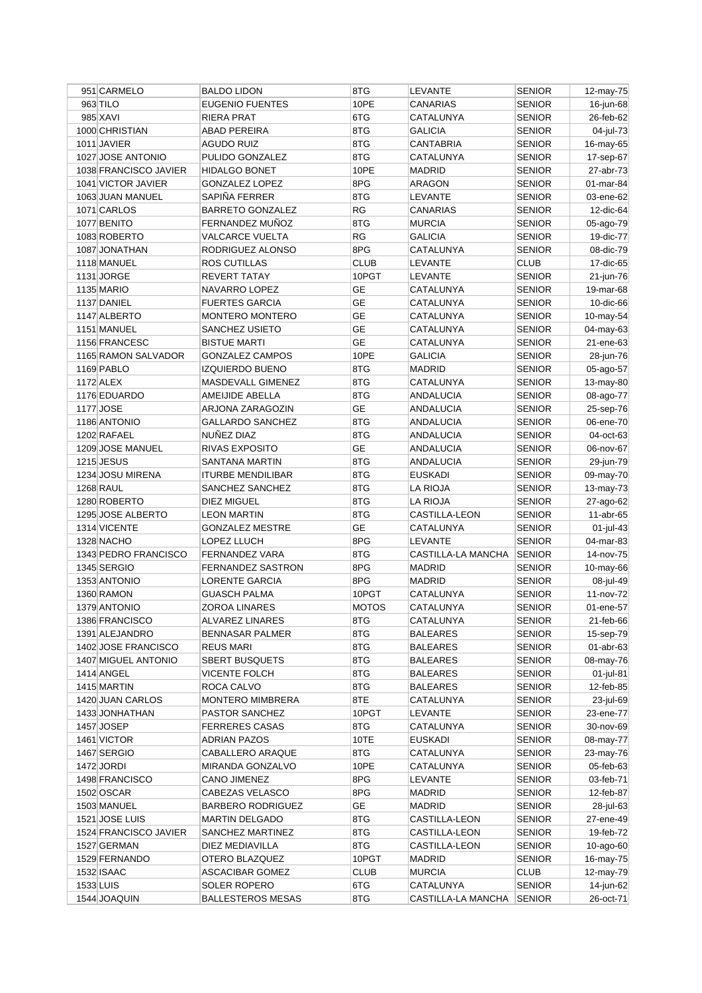| 951 CARMELO                     | <b>BALDO LIDON</b>       | 8TG          | LEVANTE                       | <b>SENIOR</b>                  | 12-may-75              |
|---------------------------------|--------------------------|--------------|-------------------------------|--------------------------------|------------------------|
| 963 TILO                        | <b>EUGENIO FUENTES</b>   | 10PE         | CANARIAS                      | <b>SENIOR</b>                  | 16-jun-68              |
| 985 XAVI                        | <b>RIERA PRAT</b>        | 6TG          | CATALUNYA                     | <b>SENIOR</b>                  | 26-feb-62              |
| 1000 CHRISTIAN                  | ABAD PEREIRA             | 8TG          | <b>GALICIA</b>                | <b>SENIOR</b>                  | 04-jul-73              |
| 1011 JAVIER                     | <b>AGUDO RUIZ</b>        | 8TG          | <b>CANTABRIA</b>              | <b>SENIOR</b>                  | 16-may-65              |
| 1027 JOSE ANTONIO               | PULIDO GONZALEZ          | 8TG          | CATALUNYA                     | <b>SENIOR</b>                  | 17-sep-67              |
| 1038 FRANCISCO JAVIER           | <b>HIDALGO BONET</b>     | 10PE         | <b>MADRID</b>                 | <b>SENIOR</b>                  | 27-abr-73              |
| 1041 VICTOR JAVIER              | GONZALEZ LOPEZ           | 8PG          | ARAGON                        | <b>SENIOR</b>                  | 01-mar-84              |
| 1063 JUAN MANUEL                | SAPIÑA FERRER            | 8TG          | LEVANTE                       | <b>SENIOR</b>                  | 03-ene-62              |
| 1071 CARLOS                     | <b>BARRETO GONZALEZ</b>  | <b>RG</b>    | CANARIAS                      | <b>SENIOR</b>                  | 12-dic-64              |
| 1077 BENITO                     | FERNANDEZ MUÑOZ          | 8TG          | <b>MURCIA</b>                 | <b>SENIOR</b>                  | 05-ago-79              |
| 1083 ROBERTO                    | <b>VALCARCE VUELTA</b>   | RG           | <b>GALICIA</b>                | <b>SENIOR</b>                  | 19-dic-77              |
| 1087 JONATHAN                   | RODRIGUEZ ALONSO         | 8PG          | CATALUNYA                     | <b>SENIOR</b>                  | 08-dic-79              |
| 1118 MANUEL                     | <b>ROS CUTILLAS</b>      | <b>CLUB</b>  | LEVANTE                       | <b>CLUB</b>                    | 17-dic-65              |
| 1131 JORGE                      | <b>REVERT TATAY</b>      | 10PGT        | LEVANTE                       | <b>SENIOR</b>                  | 21-jun-76              |
| 1135 MARIO                      | NAVARRO LOPEZ            | GЕ           | CATALUNYA                     | <b>SENIOR</b>                  | 19-mar-68              |
| 1137 DANIEL                     | <b>FUERTES GARCIA</b>    | <b>GE</b>    | CATALUNYA                     | <b>SENIOR</b>                  | 10-dic-66              |
| 1147 ALBERTO                    | <b>MONTERO MONTERO</b>   | <b>GE</b>    | CATALUNYA                     | <b>SENIOR</b>                  | 10-may-54              |
| 1151 MANUEL                     | SANCHEZ USIETO           | <b>GE</b>    | CATALUNYA                     | <b>SENIOR</b>                  | 04-may-63              |
| 1156 FRANCESC                   | <b>BISTUE MARTI</b>      | <b>GE</b>    | CATALUNYA                     | <b>SENIOR</b>                  | 21-ene-63              |
| 1165 RAMON SALVADOR             | <b>GONZALEZ CAMPOS</b>   | 10PE         | <b>GALICIA</b>                | <b>SENIOR</b>                  | 28-jun-76              |
| 1169 PABLO                      | <b>IZQUIERDO BUENO</b>   | 8TG          | <b>MADRID</b>                 | <b>SENIOR</b>                  | 05-ago-57              |
| 1172 ALEX                       | MASDEVALL GIMENEZ        | 8TG          | CATALUNYA                     | <b>SENIOR</b>                  | 13-may-80              |
| 1176 EDUARDO                    | AMEIJIDE ABELLA          | 8TG          | ANDALUCIA                     | <b>SENIOR</b>                  | 08-ago-77              |
| 1177 JOSE                       | ARJONA ZARAGOZIN         | <b>GE</b>    | ANDALUCIA                     | <b>SENIOR</b>                  | 25-sep-76              |
| 1186 ANTONIO                    | <b>GALLARDO SANCHEZ</b>  | 8TG          | <b>ANDALUCIA</b>              | <b>SENIOR</b>                  | 06-ene-70              |
|                                 | NUNEZ DIAZ               | 8TG          |                               |                                |                        |
| 1202 RAFAEL<br>1209 JOSE MANUEL | RIVAS EXPOSITO           | <b>GE</b>    | ANDALUCIA<br><b>ANDALUCIA</b> | <b>SENIOR</b><br><b>SENIOR</b> | 04-oct-63<br>06-nov-67 |
|                                 |                          |              |                               |                                |                        |
| 1215 JESUS                      | SANTANA MARTIN           | 8TG          | ANDALUCIA                     | <b>SENIOR</b>                  | 29-jun-79              |
| 1234 JOSU MIRENA                | <b>ITURBE MENDILIBAR</b> | 8TG          | <b>EUSKADI</b>                | <b>SENIOR</b>                  | 09-may-70              |
| <b>1268 RAUL</b>                | SANCHEZ SANCHEZ          | 8TG          | LA RIOJA                      | <b>SENIOR</b>                  | 13-may-73              |
|                                 |                          |              |                               |                                |                        |
| 1280 ROBERTO                    | DIEZ MIGUEL              | 8TG          | <b>LA RIOJA</b>               | <b>SENIOR</b>                  | 27-ago-62              |
| 1295 JOSE ALBERTO               | <b>LEON MARTIN</b>       | 8TG          | CASTILLA-LEON                 | <b>SENIOR</b>                  | 11-abr-65              |
| 1314 VICENTE                    | <b>GONZALEZ MESTRE</b>   | <b>GE</b>    | CATALUNYA                     | <b>SENIOR</b>                  | 01-jul-43              |
| 1328 NACHO                      | LOPEZ LLUCH              | 8PG          | <b>LEVANTE</b>                | <b>SENIOR</b>                  | 04-mar-83              |
| 1343 PEDRO FRANCISCO            | <b>FERNANDEZ VARA</b>    | 8TG          | CASTILLA-LA MANCHA            | <b>SENIOR</b>                  | 14-nov-75              |
| 1345 SERGIO                     | <b>FERNANDEZ SASTRON</b> | 8PG          | <b>MADRID</b>                 | <b>SENIOR</b>                  | 10-may-66              |
| 1353 ANTONIO                    | <b>LORENTE GARCIA</b>    | 8PG          | <b>MADRID</b>                 | <b>SENIOR</b>                  | 08-jul-49              |
| 1360 RAMON                      | <b>GUASCH PALMA</b>      | 10PGT        | CATALUNYA                     | <b>SENIOR</b>                  | 11-nov-72              |
| 1379 ANTONIO                    | ZOROA LINARES            | <b>MOTOS</b> | CATALUNYA                     | <b>SENIOR</b>                  | 01-ene-57              |
| 1386 FRANCISCO                  | ALVAREZ LINARES          | 8TG          | CATALUNYA                     | <b>SENIOR</b>                  | 21-feb-66              |
| 1391 ALEJANDRO                  | <b>BENNASAR PALMER</b>   | 8TG          | <b>BALEARES</b>               | <b>SENIOR</b>                  | 15-sep-79              |
| 1402 JOSE FRANCISCO             | <b>REUS MARI</b>         | 8TG          | <b>BALEARES</b>               | <b>SENIOR</b>                  | 01-abr-63              |
| 1407 MIGUEL ANTONIO             | <b>SBERT BUSQUETS</b>    | 8TG          | <b>BALEARES</b>               | <b>SENIOR</b>                  | 08-may-76              |
| 1414 ANGEL                      | <b>VICENTE FOLCH</b>     | 8TG          | <b>BALEARES</b>               | <b>SENIOR</b>                  | $01$ -jul-81           |
| 1415 MARTIN                     | ROCA CALVO               | 8TG          | <b>BALEARES</b>               | <b>SENIOR</b>                  | 12-feb-85              |
| 1420 JUAN CARLOS                | <b>MONTERO MIMBRERA</b>  | 8TE          | CATALUNYA                     | <b>SENIOR</b>                  | 23-jul-69              |
| 1433 JONHATHAN                  | PASTOR SANCHEZ           | 10PGT        | LEVANTE                       | <b>SENIOR</b>                  | 23-ene-77              |
| 1457 JOSEP                      | <b>FERRERES CASAS</b>    | 8TG          | CATALUNYA                     | <b>SENIOR</b>                  | 30-nov-69              |
| 1461 VICTOR                     | <b>ADRIAN PAZOS</b>      | 10TE         | <b>EUSKADI</b>                | <b>SENIOR</b>                  | 08-may-77              |
| 1467 SERGIO                     | CABALLERO ARAQUE         | 8TG          | CATALUNYA                     | <b>SENIOR</b>                  | 23-may-76              |
| 1472 JORDI                      | MIRANDA GONZALVO         | 10PE         | CATALUNYA                     | <b>SENIOR</b>                  | 05-feb-63              |
| 1498 FRANCISCO                  | CANO JIMENEZ             | 8PG          | LEVANTE                       | <b>SENIOR</b>                  | 03-feb-71              |
| 1502 OSCAR                      | CABEZAS VELASCO          | 8PG          | MADRID                        | <b>SENIOR</b>                  | 12-feb-87              |
| 1503 MANUEL                     | <b>BARBERO RODRIGUEZ</b> | GE           | MADRID                        | <b>SENIOR</b>                  | 28-jul-63              |
| 1521 JOSE LUIS                  | <b>MARTIN DELGADO</b>    | 8TG          | CASTILLA-LEON                 | <b>SENIOR</b>                  | 27-ene-49              |
| 1524 FRANCISCO JAVIER           | SANCHEZ MARTINEZ         | 8TG          | CASTILLA-LEON                 | <b>SENIOR</b>                  | 19-feb-72              |
| 1527 GERMAN                     | DIEZ MEDIAVILLA          | 8TG          | CASTILLA-LEON                 | <b>SENIOR</b>                  | $10$ -ago-60           |
| 1529 FERNANDO                   | OTERO BLAZQUEZ           | 10PGT        | MADRID                        | <b>SENIOR</b>                  | 16-may-75              |
| 1532 ISAAC                      | <b>ASCACIBAR GOMEZ</b>   | <b>CLUB</b>  | <b>MURCIA</b>                 | <b>CLUB</b>                    | 12-may-79              |
| 1533 LUIS                       | SOLER ROPERO             | 6TG          | CATALUNYA                     | <b>SENIOR</b>                  | 14-jun-62              |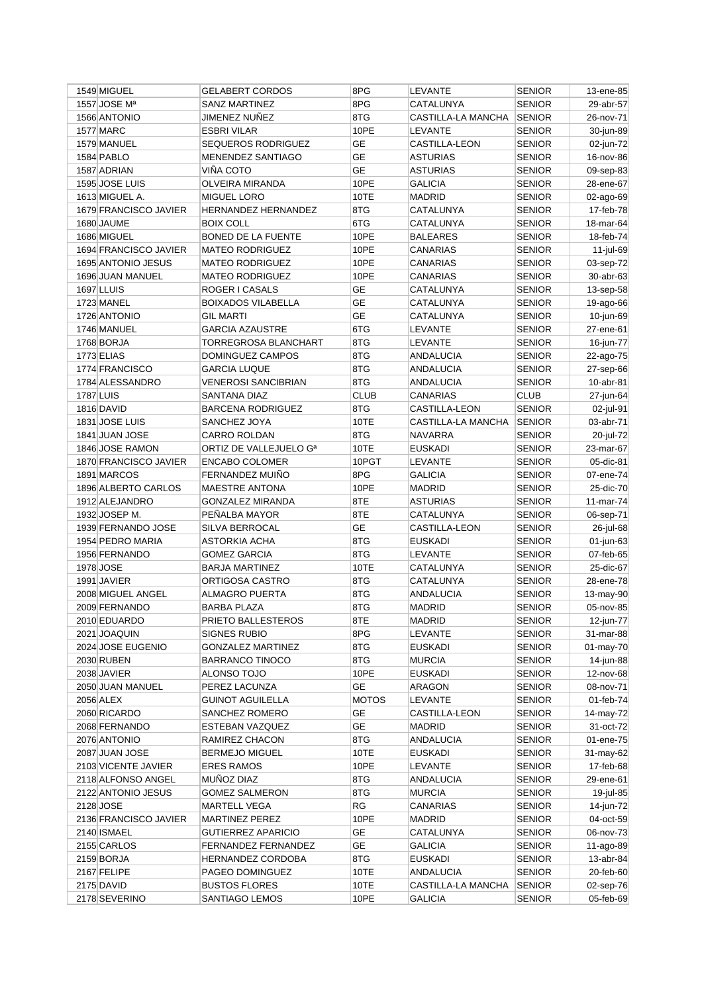| 1549 MIGUEL              | <b>GELABERT CORDOS</b>     | 8PG          | LEVANTE            | <b>SENIOR</b> | 13-ene-85    |
|--------------------------|----------------------------|--------------|--------------------|---------------|--------------|
| 1557 JOSE M <sup>a</sup> | <b>SANZ MARTINEZ</b>       | 8PG          | CATALUNYA          | <b>SENIOR</b> | 29-abr-57    |
| 1566 ANTONIO             | JIMENEZ NUÑEZ              | 8TG          | CASTILLA-LA MANCHA | <b>SENIOR</b> | 26-nov-71    |
| 1577 MARC                | <b>ESBRI VILAR</b>         | 10PE         | LEVANTE            | <b>SENIOR</b> | 30-jun-89    |
| 1579 MANUEL              | SEQUEROS RODRIGUEZ         | <b>GE</b>    | CASTILLA-LEON      | <b>SENIOR</b> | 02-jun-72    |
| 1584 PABLO               | MENENDEZ SANTIAGO          | GЕ           | <b>ASTURIAS</b>    | <b>SENIOR</b> | 16-nov-86    |
| 1587 ADRIAN              | <b>VIÑA COTO</b>           | <b>GE</b>    | <b>ASTURIAS</b>    | <b>SENIOR</b> | 09-sep-83    |
| 1595 JOSE LUIS           | OLVEIRA MIRANDA            | 10PE         | <b>GALICIA</b>     | <b>SENIOR</b> | 28-ene-67    |
| 1613 MIGUEL A.           | <b>MIGUEL LORO</b>         | 10TE         | <b>MADRID</b>      | <b>SENIOR</b> | 02-ago-69    |
| 1679 FRANCISCO JAVIER    | <b>HERNANDEZ HERNANDEZ</b> | 8TG          | CATALUNYA          | <b>SENIOR</b> | 17-feb-78    |
| 1680 JAUME               | <b>BOIX COLL</b>           | 6TG          | CATALUNYA          | <b>SENIOR</b> | 18-mar-64    |
| 1686 MIGUEL              | <b>BONED DE LA FUENTE</b>  | 10PE         | <b>BALEARES</b>    | <b>SENIOR</b> | 18-feb-74    |
| 1694 FRANCISCO JAVIER    | <b>MATEO RODRIGUEZ</b>     | 10PE         | <b>CANARIAS</b>    | <b>SENIOR</b> | 11-jul-69    |
| 1695 ANTONIO JESUS       | <b>MATEO RODRIGUEZ</b>     | 10PE         | <b>CANARIAS</b>    | <b>SENIOR</b> | 03-sep-72    |
| 1696 JUAN MANUEL         | <b>MATEO RODRIGUEZ</b>     | 10PE         | CANARIAS           | <b>SENIOR</b> | 30-abr-63    |
| 1697 LLUIS               | ROGER I CASALS             | GE           | CATALUNYA          | <b>SENIOR</b> | 13-sep-58    |
| 1723 MANEL               | <b>BOIXADOS VILABELLA</b>  | <b>GE</b>    | CATALUNYA          | <b>SENIOR</b> | 19-ago-66    |
| 1726 ANTONIO             | <b>GIL MARTI</b>           | <b>GE</b>    | CATALUNYA          | <b>SENIOR</b> | 10-jun-69    |
| 1746 MANUEL              | <b>GARCIA AZAUSTRE</b>     | 6TG          | <b>LEVANTE</b>     | <b>SENIOR</b> | 27-ene-61    |
| 1768 BORJA               | TORREGROSA BLANCHART       | 8TG          | <b>LEVANTE</b>     | <b>SENIOR</b> | 16-jun-77    |
| <b>1773 ELIAS</b>        | DOMINGUEZ CAMPOS           | 8TG          | ANDALUCIA          |               |              |
|                          |                            | 8TG          |                    | <b>SENIOR</b> | 22-ago-75    |
| 1774 FRANCISCO           | <b>GARCIA LUQUE</b>        |              | <b>ANDALUCIA</b>   | <b>SENIOR</b> | 27-sep-66    |
| 1784 ALESSANDRO          | <b>VENEROSI SANCIBRIAN</b> | 8TG          | ANDALUCIA          | <b>SENIOR</b> | $10$ -abr-81 |
| 1787 LUIS                | SANTANA DIAZ               | <b>CLUB</b>  | CANARIAS           | <b>CLUB</b>   | 27-jun-64    |
| 1816 DAVID               | <b>BARCENA RODRIGUEZ</b>   | 8TG          | CASTILLA-LEON      | <b>SENIOR</b> | 02-jul-91    |
| 1831 JOSE LUIS           | SANCHEZ JOYA               | 10TE         | CASTILLA-LA MANCHA | <b>SENIOR</b> | 03-abr-71    |
| 1841 JUAN JOSE           | <b>CARRO ROLDAN</b>        | 8TG          | NAVARRA            | <b>SENIOR</b> | 20-jul-72    |
| 1846 JOSE RAMON          | ORTIZ DE VALLEJUELO Gª     | 10TE         | <b>EUSKADI</b>     | <b>SENIOR</b> | 23-mar-67    |
| 1870 FRANCISCO JAVIER    | <b>ENCABO COLOMER</b>      | 10PGT        | LEVANTE            | <b>SENIOR</b> | 05-dic-81    |
| 1891 MARCOS              | FERNANDEZ MUIÑO            | 8PG          | <b>GALICIA</b>     | <b>SENIOR</b> | 07-ene-74    |
| 1896 ALBERTO CARLOS      | <b>MAESTRE ANTONA</b>      | 10PE         | MADRID             | <b>SENIOR</b> | 25-dic-70    |
| 1912 ALEJANDRO           | <b>GONZALEZ MIRANDA</b>    | 8TE          | <b>ASTURIAS</b>    | <b>SENIOR</b> | 11-mar-74    |
| 1932 JOSEP M.            | PEÑALBA MAYOR              | 8TE          | CATALUNYA          | <b>SENIOR</b> | 06-sep-71    |
| 1939 FERNANDO JOSE       | <b>SILVA BERROCAL</b>      | <b>GE</b>    | CASTILLA-LEON      | <b>SENIOR</b> | 26-jul-68    |
| 1954 PEDRO MARIA         | <b>ASTORKIA ACHA</b>       | 8TG          | <b>EUSKADI</b>     | <b>SENIOR</b> | 01-jun-63    |
| 1956 FERNANDO            | <b>GOMEZ GARCIA</b>        | 8TG          | LEVANTE            | <b>SENIOR</b> | 07-feb-65    |
| 1978 JOSE                | <b>BARJA MARTINEZ</b>      | 10TE         | CATALUNYA          | <b>SENIOR</b> | 25-dic-67    |
| 1991 JAVIER              | ORTIGOSA CASTRO            | 8TG          | CATALUNYA          | <b>SENIOR</b> | 28-ene-78    |
| 2008 MIGUEL ANGEL        | ALMAGRO PUERTA             | 8TG          | ANDALUCIA          | <b>SENIOR</b> | 13-may-90    |
| 2009 FERNANDO            | <b>BARBA PLAZA</b>         | 8TG          | <b>MADRID</b>      | <b>SENIOR</b> | 05-nov-85    |
| 2010 EDUARDO             | PRIETO BALLESTEROS         | 8TE          | MADRID             | <b>SENIOR</b> | 12-jun-77    |
| 2021 JOAQUIN             | <b>SIGNES RUBIO</b>        | 8PG          | LEVANTE            | <b>SENIOR</b> | 31-mar-88    |
| 2024 JOSE EUGENIO        | <b>GONZALEZ MARTINEZ</b>   | 8TG          | <b>EUSKADI</b>     | <b>SENIOR</b> | 01-may-70    |
| 2030 RUBEN               | <b>BARRANCO TINOCO</b>     | 8TG          | <b>MURCIA</b>      | <b>SENIOR</b> | 14-jun-88    |
| 2038 JAVIER              | ALONSO TOJO                | 10PE         | <b>EUSKADI</b>     | <b>SENIOR</b> | 12-nov-68    |
| 2050 JUAN MANUEL         | PEREZ LACUNZA              | GE           | <b>ARAGON</b>      | <b>SENIOR</b> | 08-nov-71    |
| 2056 ALEX                | <b>GUINOT AGUILELLA</b>    | <b>MOTOS</b> | LEVANTE            | <b>SENIOR</b> | $01$ -feb-74 |
| 2060 RICARDO             | SANCHEZ ROMERO             | GE           | CASTILLA-LEON      | <b>SENIOR</b> | 14-may-72    |
| 2068 FERNANDO            | ESTEBAN VAZQUEZ            | <b>GE</b>    | MADRID             | <b>SENIOR</b> | 31-oct-72    |
| 2076 ANTONIO             | RAMIREZ CHACON             | 8TG          | ANDALUCIA          | <b>SENIOR</b> | 01-ene-75    |
| 2087 JUAN JOSE           | <b>BERMEJO MIGUEL</b>      | 10TE         | <b>EUSKADI</b>     | <b>SENIOR</b> | 31-may-62    |
| 2103 VICENTE JAVIER      | <b>ERES RAMOS</b>          | 10PE         | LEVANTE            | <b>SENIOR</b> | 17-feb-68    |
| 2118 ALFONSO ANGEL       | MUÑOZ DIAZ                 | 8TG          | <b>ANDALUCIA</b>   | <b>SENIOR</b> | 29-ene-61    |
| 2122 ANTONIO JESUS       | <b>GOMEZ SALMERON</b>      | 8TG          | <b>MURCIA</b>      | <b>SENIOR</b> | 19-jul-85    |
|                          |                            | RG           | CANARIAS           |               |              |
| 2128 JOSE                | <b>MARTELL VEGA</b>        |              |                    | <b>SENIOR</b> | 14-jun-72    |
| 2136 FRANCISCO JAVIER    | <b>MARTINEZ PEREZ</b>      | 10PE         | MADRID             | <b>SENIOR</b> | 04-oct-59    |
| 2140 ISMAEL              | <b>GUTIERREZ APARICIO</b>  | GE           | CATALUNYA          | <b>SENIOR</b> | 06-nov-73    |
| 2155 CARLOS              | <b>FERNANDEZ FERNANDEZ</b> | <b>GE</b>    | <b>GALICIA</b>     | <b>SENIOR</b> | 11-ago-89    |
| 2159 BORJA               | HERNANDEZ CORDOBA          | 8TG          | <b>EUSKADI</b>     | <b>SENIOR</b> | 13-abr-84    |
| 2167 FELIPE              | PAGEO DOMINGUEZ            | 10TE         | ANDALUCIA          | <b>SENIOR</b> | 20-feb-60    |
| 2175 DAVID               | <b>BUSTOS FLORES</b>       | 10TE         | CASTILLA-LA MANCHA | <b>SENIOR</b> | 02-sep-76    |
| 2178 SEVERINO            | SANTIAGO LEMOS             | 10PE         | <b>GALICIA</b>     | <b>SENIOR</b> | 05-feb-69    |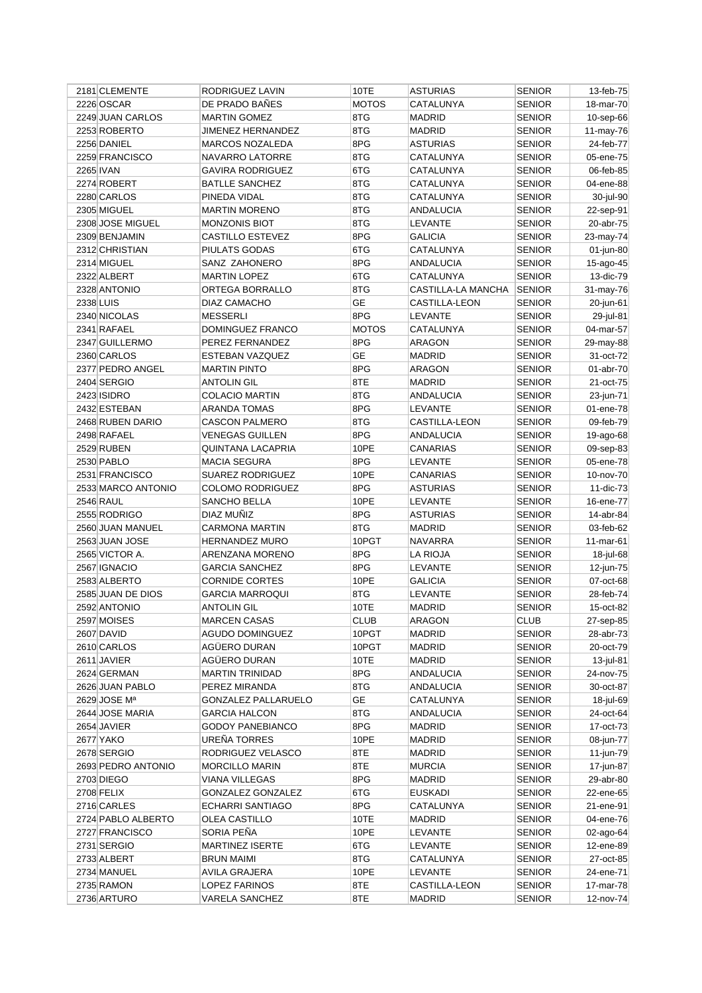| 2181 CLEMENTE                     | RODRIGUEZ LAVIN                            | 10TE         | ASTURIAS                      | <b>SENIOR</b>                  | 13-feb-75              |
|-----------------------------------|--------------------------------------------|--------------|-------------------------------|--------------------------------|------------------------|
| 2226 OSCAR                        | DE PRADO BAÑES                             | <b>MOTOS</b> | CATALUNYA                     | <b>SENIOR</b>                  | 18-mar-70              |
| 2249 JUAN CARLOS                  | <b>MARTIN GOMEZ</b>                        | 8TG          | <b>MADRID</b>                 | <b>SENIOR</b>                  | 10-sep-66              |
| 2253 ROBERTO                      | JIMENEZ HERNANDEZ                          | 8TG          | <b>MADRID</b>                 | <b>SENIOR</b>                  | 11-may-76              |
| 2256 DANIEL                       | MARCOS NOZALEDA                            | 8PG          | <b>ASTURIAS</b>               | <b>SENIOR</b>                  | 24-feb-77              |
| 2259 FRANCISCO                    | NAVARRO LATORRE                            | 8TG          | CATALUNYA                     | <b>SENIOR</b>                  | 05-ene-75              |
| <b>2265 IVAN</b>                  | <b>GAVIRA RODRIGUEZ</b>                    | 6TG          | CATALUNYA                     | <b>SENIOR</b>                  | 06-feb-85              |
| 2274 ROBERT                       | <b>BATLLE SANCHEZ</b>                      | 8TG          | CATALUNYA                     | <b>SENIOR</b>                  | 04-ene-88              |
| 2280 CARLOS                       | PINEDA VIDAL                               | 8TG          | CATALUNYA                     | <b>SENIOR</b>                  | 30-jul-90              |
| 2305 MIGUEL                       | <b>MARTIN MORENO</b>                       | 8TG          | ANDALUCIA                     | <b>SENIOR</b>                  | 22-sep-91              |
| 2308 JOSE MIGUEL                  | <b>MONZONIS BIOT</b>                       | 8TG          | LEVANTE                       | <b>SENIOR</b>                  | 20-abr-75              |
| 2309 BENJAMIN                     | <b>CASTILLO ESTEVEZ</b>                    | 8PG          | <b>GALICIA</b>                | <b>SENIOR</b>                  | 23-may-74              |
| 2312 CHRISTIAN                    | PIULATS GODAS                              | 6TG          | CATALUNYA                     | <b>SENIOR</b>                  | 01-jun-80              |
| 2314 MIGUEL                       | SANZ ZAHONERO                              | 8PG          | ANDALUCIA                     | <b>SENIOR</b>                  | 15-ago-45              |
| 2322 ALBERT                       | <b>MARTIN LOPEZ</b>                        | 6TG          | CATALUNYA                     | <b>SENIOR</b>                  | 13-dic-79              |
| 2328 ANTONIO                      | ORTEGA BORRALLO                            | 8TG          | CASTILLA-LA MANCHA            | <b>SENIOR</b>                  | 31-may-76              |
| 2338 LUIS                         | DIAZ CAMACHO                               | <b>GE</b>    | CASTILLA-LEON                 | <b>SENIOR</b>                  | 20-jun-61              |
| 2340 NICOLAS                      | <b>MESSERLI</b>                            | 8PG          | LEVANTE                       | <b>SENIOR</b>                  | 29-jul-81              |
| 2341 RAFAEL                       | DOMINGUEZ FRANCO                           | <b>MOTOS</b> | CATALUNYA                     | <b>SENIOR</b>                  | 04-mar-57              |
| 2347 GUILLERMO                    | PEREZ FERNANDEZ                            | 8PG          | <b>ARAGON</b>                 | <b>SENIOR</b>                  | 29-may-88              |
| 2360 CARLOS                       | ESTEBAN VAZQUEZ                            | GЕ           | <b>MADRID</b>                 | <b>SENIOR</b>                  | 31-oct-72              |
| 2377 PEDRO ANGEL                  | <b>MARTIN PINTO</b>                        | 8PG          | <b>ARAGON</b>                 | <b>SENIOR</b>                  | 01-abr-70              |
| 2404 SERGIO                       | ANTOLIN GIL                                | 8TE          | <b>MADRID</b>                 | <b>SENIOR</b>                  | 21-oct-75              |
| 2423 ISIDRO                       | <b>COLACIO MARTIN</b>                      | 8TG          | <b>ANDALUCIA</b>              | <b>SENIOR</b>                  | 23-jun-71              |
| 2432 ESTEBAN                      | ARANDA TOMAS                               | 8PG          | LEVANTE                       | <b>SENIOR</b>                  | 01-ene-78              |
| 2468 RUBEN DARIO                  | <b>CASCON PALMERO</b>                      | 8TG          | <b>CASTILLA-LEON</b>          | <b>SENIOR</b>                  | 09-feb-79              |
| 2498 RAFAEL                       | <b>VENEGAS GUILLEN</b>                     | 8PG          | ANDALUCIA                     | <b>SENIOR</b>                  | 19-ago-68              |
| 2529 RUBEN                        | <b>QUINTANA LACAPRIA</b>                   | 10PE         | CANARIAS                      | <b>SENIOR</b>                  | 09-sep-83              |
| 2530 PABLO                        | MACIA SEGURA                               | 8PG          | LEVANTE                       | <b>SENIOR</b>                  | 05-ene-78              |
| 2531 FRANCISCO                    | <b>SUAREZ RODRIGUEZ</b>                    | 10PE         | CANARIAS                      | <b>SENIOR</b>                  | 10-nov-70              |
| 2533 MARCO ANTONIO                | <b>COLOMO RODRIGUEZ</b>                    | 8PG          | <b>ASTURIAS</b>               | <b>SENIOR</b>                  | 11-dic-73              |
| <b>2546 RAUL</b>                  | SANCHO BELLA                               | 10PE         | LEVANTE                       | <b>SENIOR</b>                  | 16-ene-77              |
| 2555 RODRIGO                      | DIAZ MUÑIZ                                 | 8PG          | <b>ASTURIAS</b>               | <b>SENIOR</b>                  | 14-abr-84              |
| 2560 JUAN MANUEL                  | CARMONA MARTIN                             | 8TG          | <b>MADRID</b>                 | <b>SENIOR</b>                  | 03-feb-62              |
| 2563 JUAN JOSE                    | <b>HERNANDEZ MURO</b>                      | 10PGT        | <b>NAVARRA</b>                | <b>SENIOR</b>                  | 11-mar-61              |
| 2565 VICTOR A.                    | ARENZANA MORENO                            | 8PG          | <b>LA RIOJA</b>               | <b>SENIOR</b>                  | 18-jul-68              |
| 2567 IGNACIO                      | <b>GARCIA SANCHEZ</b>                      | 8PG          | LEVANTE                       | <b>SENIOR</b>                  | 12-jun-75              |
| 2583 ALBERTO                      | <b>CORNIDE CORTES</b>                      | 10PE         | <b>GALICIA</b>                | <b>SENIOR</b>                  | 07-oct-68              |
| 2585 JUAN DE DIOS                 | <b>GARCIA MARROQUI</b>                     | 8TG          | LEVANTE                       | <b>SENIOR</b>                  | 28-feb-74              |
| 2592 ANTONIO                      | <b>ANTOLIN GIL</b>                         | 10TE         | <b>MADRID</b>                 | <b>SENIOR</b>                  | 15-oct-82              |
| 2597 MOISES                       | <b>MARCEN CASAS</b>                        | <b>CLUB</b>  | ARAGON                        | <b>CLUB</b>                    | 27-sep-85              |
|                                   | <b>AGUDO DOMINGUEZ</b>                     | 10PGT        | <b>MADRID</b>                 | <b>SENIOR</b>                  |                        |
| 2607 DAVID<br>2610 CARLOS         | AGÜERO DURAN                               | 10PGT        |                               | <b>SENIOR</b>                  | 28-abr-73<br>20-oct-79 |
| 2611 JAVIER                       | AGÜERO DURAN                               | 10TE         | MADRID<br><b>MADRID</b>       | <b>SENIOR</b>                  | 13-jul-81              |
| 2624 GERMAN                       | <b>MARTIN TRINIDAD</b>                     | 8PG          |                               | <b>SENIOR</b>                  | 24-nov-75              |
| 2626 JUAN PABLO                   | PEREZ MIRANDA                              | 8TG          | ANDALUCIA<br><b>ANDALUCIA</b> |                                |                        |
| 2629 JOSE Mª                      | GONZALEZ PALLARUELO                        | GE           |                               | <b>SENIOR</b>                  | 30-oct-87              |
| 2644 JOSE MARIA                   | <b>GARCIA HALCON</b>                       | 8TG          | CATALUNYA<br><b>ANDALUCIA</b> | <b>SENIOR</b><br><b>SENIOR</b> | 18-jul-69<br>24-oct-64 |
| 2654 JAVIER                       |                                            | 8PG          |                               |                                |                        |
| 2677 YAKO                         | <b>GODOY PANEBIANCO</b><br>UREÑA TORRES    | 10PE         | MADRID<br>MADRID              | <b>SENIOR</b><br><b>SENIOR</b> | 17-oct-73<br>08-jun-77 |
|                                   |                                            |              |                               |                                |                        |
| 2678 SERGIO<br>2693 PEDRO ANTONIO | RODRIGUEZ VELASCO<br><b>MORCILLO MARIN</b> | 8TE<br>8TE   | MADRID                        | <b>SENIOR</b>                  | 11-jun-79              |
|                                   |                                            |              | <b>MURCIA</b>                 | <b>SENIOR</b>                  | 17-jun-87              |
| 2703 DIEGO                        | VIANA VILLEGAS                             | 8PG          | <b>MADRID</b>                 | <b>SENIOR</b>                  | 29-abr-80              |
| 2708 FELIX                        | GONZALEZ GONZALEZ                          | 6TG          | EUSKADI                       | <b>SENIOR</b>                  | 22-ene-65              |
| 2716 CARLES                       | ECHARRI SANTIAGO                           | 8PG          | CATALUNYA                     | <b>SENIOR</b>                  | 21-ene-91              |
| 2724 PABLO ALBERTO                | OLEA CASTILLO                              | 10TE         | MADRID                        | <b>SENIOR</b>                  | 04-ene-76              |
| 2727 FRANCISCO                    | SORIA PEÑA                                 | 10PE         | <b>LEVANTE</b>                | <b>SENIOR</b>                  | 02-ago-64              |
| 2731 SERGIO                       | <b>MARTINEZ ISERTE</b>                     | 6TG          | LEVANTE                       | <b>SENIOR</b>                  | 12-ene-89              |
| 2733 ALBERT                       | <b>BRUN MAIMI</b>                          | 8TG          | CATALUNYA                     | <b>SENIOR</b>                  | 27-oct-85              |
| 2734 MANUEL                       | AVILA GRAJERA                              | 10PE         | LEVANTE                       | <b>SENIOR</b>                  | 24-ene-71              |
| 2735 RAMON                        | LOPEZ FARINOS                              | 8TE          | CASTILLA-LEON                 | <b>SENIOR</b>                  | 17-mar-78              |
| 2736 ARTURO                       | VARELA SANCHEZ                             | 8TE          | MADRID                        | <b>SENIOR</b>                  | 12-nov-74              |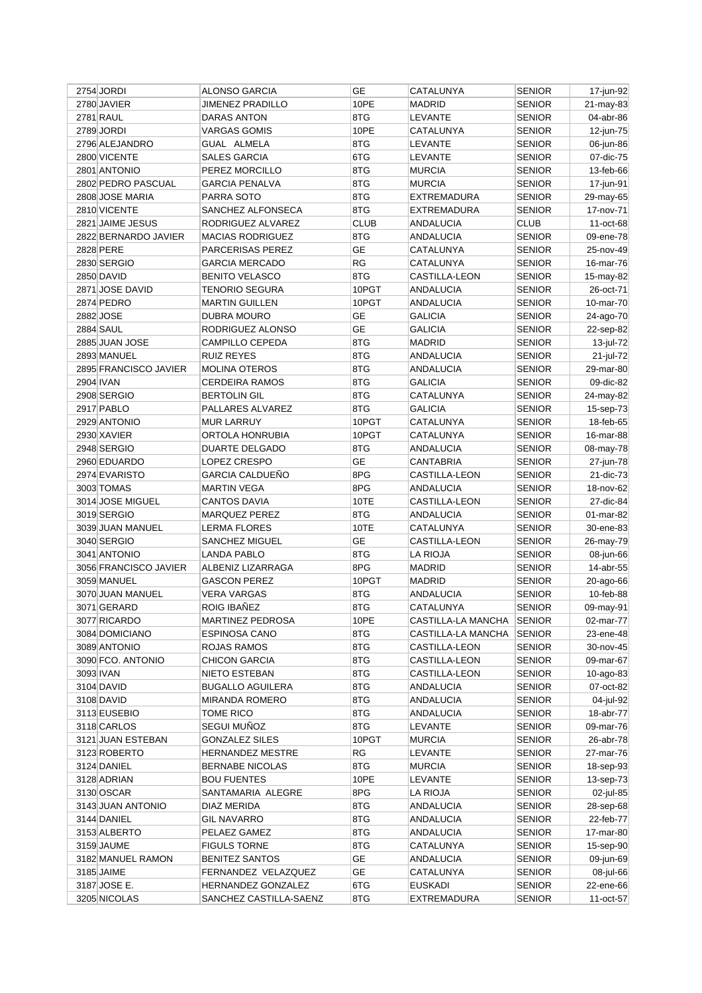| 2754 JORDI            | <b>ALONSO GARCIA</b>    | GE          | CATALUNYA                  | <b>SENIOR</b>                  | 17-jun-92    |
|-----------------------|-------------------------|-------------|----------------------------|--------------------------------|--------------|
| 2780 JAVIER           | <b>JIMENEZ PRADILLO</b> | 10PE        | <b>MADRID</b>              | <b>SENIOR</b>                  | 21-may-83    |
| 2781 RAUL             | <b>DARAS ANTON</b>      | 8TG         | LEVANTE                    | <b>SENIOR</b>                  | 04-abr-86    |
| 2789 JORDI            | <b>VARGAS GOMIS</b>     | 10PE        | CATALUNYA                  | <b>SENIOR</b>                  | 12-jun-75    |
| 2796 ALEJANDRO        | GUAL ALMELA             | 8TG         | LEVANTE                    | <b>SENIOR</b>                  | 06-jun-86    |
| 2800 VICENTE          | <b>SALES GARCIA</b>     | 6TG         | LEVANTE                    | <b>SENIOR</b>                  | 07-dic-75    |
| 2801 ANTONIO          | PEREZ MORCILLO          | 8TG         | <b>MURCIA</b>              | <b>SENIOR</b>                  | 13-feb-66    |
| 2802 PEDRO PASCUAL    | <b>GARCIA PENALVA</b>   | 8TG         | <b>MURCIA</b>              | <b>SENIOR</b>                  | 17-jun-91    |
| 2808 JOSE MARIA       | PARRA SOTO              | 8TG         | EXTREMADURA                | <b>SENIOR</b>                  | 29-may-65    |
| 2810 VICENTE          | SANCHEZ ALFONSECA       | 8TG         | <b>EXTREMADURA</b>         | <b>SENIOR</b>                  | 17-nov-71    |
| 2821 JAIME JESUS      | RODRIGUEZ ALVAREZ       | <b>CLUB</b> | <b>ANDALUCIA</b>           | <b>CLUB</b>                    | 11-oct-68    |
| 2822 BERNARDO JAVIER  | <b>MACIAS RODRIGUEZ</b> | 8TG         | <b>ANDALUCIA</b>           | <b>SENIOR</b>                  | 09-ene-78    |
| 2828 PERE             | PARCERISAS PEREZ        | GE          | CATALUNYA                  | <b>SENIOR</b>                  | 25-nov-49    |
| 2830 SERGIO           | <b>GARCIA MERCADO</b>   | RG          | CATALUNYA                  | <b>SENIOR</b>                  | 16-mar-76    |
| 2850 DAVID            | <b>BENITO VELASCO</b>   | 8TG         | CASTILLA-LEON              | <b>SENIOR</b>                  | 15-may-82    |
| 2871 JOSE DAVID       | TENORIO SEGURA          | 10PGT       | ANDALUCIA                  | <b>SENIOR</b>                  | 26-oct-71    |
| 2874 PEDRO            | <b>MARTIN GUILLEN</b>   | 10PGT       | ANDALUCIA                  | <b>SENIOR</b>                  | 10-mar-70    |
| 2882 JOSE             | <b>DUBRA MOURO</b>      | <b>GE</b>   | <b>GALICIA</b>             | <b>SENIOR</b>                  | 24-ago-70    |
| <b>2884 SAUL</b>      | RODRIGUEZ ALONSO        | <b>GE</b>   | <b>GALICIA</b>             | <b>SENIOR</b>                  | 22-sep-82    |
| 2885 JUAN JOSE        | <b>CAMPILLO CEPEDA</b>  | 8TG         | <b>MADRID</b>              | <b>SENIOR</b>                  | 13-jul-72    |
| 2893 MANUEL           | <b>RUIZ REYES</b>       | 8TG         | ANDALUCIA                  | <b>SENIOR</b>                  | 21-jul-72    |
| 2895 FRANCISCO JAVIER | <b>MOLINA OTEROS</b>    | 8TG         | <b>ANDALUCIA</b>           | <b>SENIOR</b>                  | 29-mar-80    |
| 2904 IVAN             | <b>CERDEIRA RAMOS</b>   | 8TG         | GALICIA                    | <b>SENIOR</b>                  | 09-dic-82    |
| 2908 SERGIO           | <b>BERTOLIN GIL</b>     | 8TG         | CATALUNYA                  | <b>SENIOR</b>                  | 24-may-82    |
| 2917 PABLO            | PALLARES ALVAREZ        | 8TG         | GALICIA                    | <b>SENIOR</b>                  | 15-sep-73    |
| 2929 ANTONIO          | <b>MUR LARRUY</b>       | 10PGT       | CATALUNYA                  | <b>SENIOR</b>                  | 18-feb-65    |
| 2930 XAVIER           | ORTOLA HONRUBIA         | 10PGT       | CATALUNYA                  | <b>SENIOR</b>                  | 16-mar-88    |
| 2948 SERGIO           | <b>DUARTE DELGADO</b>   | 8TG         | <b>ANDALUCIA</b>           | <b>SENIOR</b>                  | 08-may-78    |
| 2960 EDUARDO          | LOPEZ CRESPO            | <b>GE</b>   | CANTABRIA                  | <b>SENIOR</b>                  | 27-jun-78    |
| 2974 EVARISTO         | <b>GARCIA CALDUEÑO</b>  | 8PG         | CASTILLA-LEON              | <b>SENIOR</b>                  |              |
| 3003 TOMAS            | <b>MARTIN VEGA</b>      | 8PG         |                            |                                | 21-dic-73    |
| 3014 JOSE MIGUEL      | <b>CANTOS DAVIA</b>     | 10TE        | ANDALUCIA<br>CASTILLA-LEON | <b>SENIOR</b><br><b>SENIOR</b> | 18-nov-62    |
|                       |                         | 8TG         |                            |                                | 27-dic-84    |
| 3019 SERGIO           | <b>MARQUEZ PEREZ</b>    | 10TE        | <b>ANDALUCIA</b>           | <b>SENIOR</b>                  | 01-mar-82    |
| 3039 JUAN MANUEL      | <b>LERMA FLORES</b>     | <b>GE</b>   | CATALUNYA                  | <b>SENIOR</b>                  | 30-ene-83    |
| 3040 SERGIO           | <b>SANCHEZ MIGUEL</b>   | 8TG         | CASTILLA-LEON              | <b>SENIOR</b>                  | 26-may-79    |
| 3041 ANTONIO          | <b>LANDA PABLO</b>      | 8PG         | <b>LA RIOJA</b>            | <b>SENIOR</b>                  | 08-jun-66    |
| 3056 FRANCISCO JAVIER | ALBENIZ LIZARRAGA       |             | <b>MADRID</b>              | <b>SENIOR</b>                  | 14-abr-55    |
| 3059 MANUEL           | <b>GASCON PEREZ</b>     | 10PGT       | <b>MADRID</b>              | <b>SENIOR</b>                  | 20-ago-66    |
| 3070 JUAN MANUEL      | VERA VARGAS             | 8TG         | <b>ANDALUCIA</b>           | <b>SENIOR</b>                  | 10-feb-88    |
| 3071 GERARD           | <b>ROIG IBANEZ</b>      | 8TG         | CATALUNYA                  | <b>SENIOR</b>                  | 09-may-91    |
| 3077 RICARDO          | <b>MARTINEZ PEDROSA</b> | 10PE        | CASTILLA-LA MANCHA         | <b>SENIOR</b>                  | 02-mar-77    |
| 3084 DOMICIANO        | <b>ESPINOSA CANO</b>    | 8TG         | CASTILLA-LA MANCHA         | <b>SENIOR</b>                  | 23-ene-48    |
| 3089 ANTONIO          | ROJAS RAMOS             | 8TG         | CASTILLA-LEON              | SENIOR                         | 30-nov-45    |
| 3090 FCO, ANTONIO     | <b>CHICON GARCIA</b>    | 8TG         | CASTILLA-LEON              | SENIOR                         | 09-mar-67    |
| 3093 IVAN             | NIETO ESTEBAN           | 8TG         | CASTILLA-LEON              | <b>SENIOR</b>                  | $10$ -ago-83 |
| 3104 DAVID            | <b>BUGALLO AGUILERA</b> | 8TG         | ANDALUCIA                  | SENIOR                         | 07-oct-82    |
| 3108 DAVID            | <b>MIRANDA ROMERO</b>   | 8TG         | <b>ANDALUCIA</b>           | <b>SENIOR</b>                  | 04-jul-92    |
| 3113 EUSEBIO          | TOME RICO               | 8TG         | ANDALUCIA                  | <b>SENIOR</b>                  | 18-abr-77    |
| 3118 CARLOS           | SEGUI MUÑOZ             | 8TG         | LEVANTE                    | <b>SENIOR</b>                  | 09-mar-76    |
| 3121 JUAN ESTEBAN     | <b>GONZALEZ SILES</b>   | 10PGT       | MURCIA                     | <b>SENIOR</b>                  | 26-abr-78    |
| 3123 ROBERTO          | HERNANDEZ MESTRE        | RG          | LEVANTE                    | <b>SENIOR</b>                  | 27-mar-76    |
| 3124 DANIEL           | <b>BERNABE NICOLAS</b>  | 8TG         | <b>MURCIA</b>              | SENIOR                         | 18-sep-93    |
| 3128 ADRIAN           | <b>BOU FUENTES</b>      | 10PE        | LEVANTE                    | SENIOR                         | 13-sep-73    |
| 3130 OSCAR            | SANTAMARIA ALEGRE       | 8PG         | LA RIOJA                   | SENIOR                         | 02-jul-85    |
| 3143 JUAN ANTONIO     | DIAZ MERIDA             | 8TG         | ANDALUCIA                  | <b>SENIOR</b>                  | 28-sep-68    |
| 3144 DANIEL           | <b>GIL NAVARRO</b>      | 8TG         | ANDALUCIA                  | <b>SENIOR</b>                  | 22-feb-77    |
| 3153 ALBERTO          | PELAEZ GAMEZ            | 8TG         | ANDALUCIA                  | <b>SENIOR</b>                  | 17-mar-80    |
| 3159 JAUME            | <b>FIGULS TORNE</b>     | 8TG         | CATALUNYA                  | <b>SENIOR</b>                  | 15-sep-90    |
| 3182 MANUEL RAMON     | <b>BENITEZ SANTOS</b>   | GE          | ANDALUCIA                  | <b>SENIOR</b>                  | 09-jun-69    |
| 3185 JAIME            | FERNANDEZ VELAZQUEZ     | GE          | CATALUNYA                  | SENIOR                         | 08-jul-66    |
| 3187 JOSE E.          | HERNANDEZ GONZALEZ      | 6TG         | <b>EUSKADI</b>             | <b>SENIOR</b>                  | 22-ene-66    |
| 3205 NICOLAS          | SANCHEZ CASTILLA-SAENZ  | 8TG         | EXTREMADURA                | <b>SENIOR</b>                  | 11-oct-57    |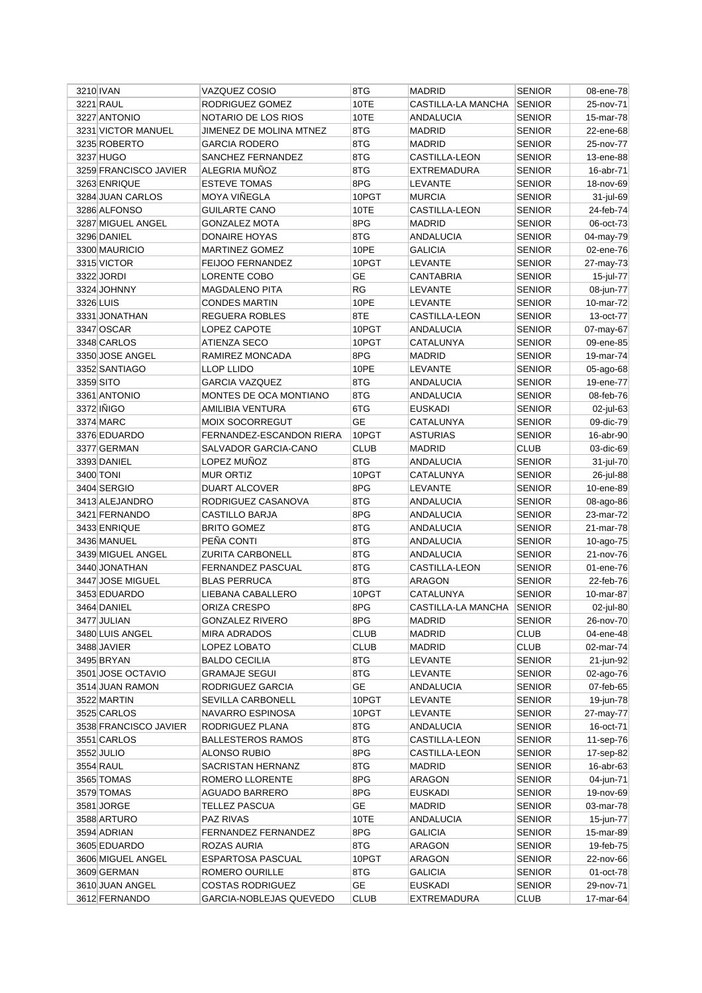| 3210 IVAN             | VAZQUEZ COSIO            | 8TG         | <b>MADRID</b>        | <b>SENIOR</b> | 08-ene-78    |
|-----------------------|--------------------------|-------------|----------------------|---------------|--------------|
| 3221 RAUL             | RODRIGUEZ GOMEZ          | 10TE        | CASTILLA-LA MANCHA   | <b>SENIOR</b> | 25-nov-71    |
| 3227 ANTONIO          | NOTARIO DE LOS RIOS      | 10TE        | <b>ANDALUCIA</b>     | <b>SENIOR</b> | 15-mar-78    |
| 3231 VICTOR MANUEL    | JIMENEZ DE MOLINA MTNEZ  | 8TG         | <b>MADRID</b>        | <b>SENIOR</b> | 22-ene-68    |
| 3235 ROBERTO          | <b>GARCIA RODERO</b>     | 8TG         | <b>MADRID</b>        | <b>SENIOR</b> | 25-nov-77    |
| 3237 HUGO             | SANCHEZ FERNANDEZ        | 8TG         | CASTILLA-LEON        | <b>SENIOR</b> | 13-ene-88    |
| 3259 FRANCISCO JAVIER | ALEGRIA MUÑOZ            | 8TG         | EXTREMADURA          | <b>SENIOR</b> | 16-abr-71    |
| 3263 ENRIQUE          | <b>ESTEVE TOMAS</b>      | 8PG         | LEVANTE              | <b>SENIOR</b> | 18-nov-69    |
| 3284 JUAN CARLOS      | MOYA VIÑEGLA             | 10PGT       | <b>MURCIA</b>        | <b>SENIOR</b> | 31-jul-69    |
| 3286 ALFONSO          | <b>GUILARTE CANO</b>     | 10TE        | <b>CASTILLA-LEON</b> | <b>SENIOR</b> | 24-feb-74    |
| 3287 MIGUEL ANGEL     | <b>GONZALEZ MOTA</b>     | 8PG         | <b>MADRID</b>        | <b>SENIOR</b> | 06-oct-73    |
| 3296 DANIEL           | DONAIRE HOYAS            | 8TG         | ANDALUCIA            | <b>SENIOR</b> | 04-may-79    |
| 3300 MAURICIO         | <b>MARTINEZ GOMEZ</b>    | 10PE        | <b>GALICIA</b>       | <b>SENIOR</b> | 02-ene-76    |
| 3315 VICTOR           | <b>FEIJOO FERNANDEZ</b>  | 10PGT       | LEVANTE              | <b>SENIOR</b> | 27-may-73    |
| 3322 JORDI            | LORENTE COBO             | GЕ          | CANTABRIA            | <b>SENIOR</b> | 15-jul-77    |
| 3324 JOHNNY           | MAGDALENO PITA           | RG          | LEVANTE              | <b>SENIOR</b> | 08-jun-77    |
| 3326 LUIS             | <b>CONDES MARTIN</b>     | 10PE        | LEVANTE              | <b>SENIOR</b> | 10-mar-72    |
| 3331 JONATHAN         | REGUERA ROBLES           | 8TE         | CASTILLA-LEON        | <b>SENIOR</b> | 13-oct-77    |
| 3347 OSCAR            | LOPEZ CAPOTE             | 10PGT       | <b>ANDALUCIA</b>     | <b>SENIOR</b> | 07-may-67    |
| 3348 CARLOS           | ATIENZA SECO             | 10PGT       | CATALUNYA            | <b>SENIOR</b> | 09-ene-85    |
| 3350 JOSE ANGEL       | RAMIREZ MONCADA          | 8PG         | <b>MADRID</b>        | <b>SENIOR</b> | 19-mar-74    |
| 3352 SANTIAGO         | <b>LLOP LLIDO</b>        | 10PE        | <b>LEVANTE</b>       | <b>SENIOR</b> | 05-ago-68    |
| 3359 SITO             | <b>GARCIA VAZQUEZ</b>    | 8TG         | ANDALUCIA            | <b>SENIOR</b> | 19-ene-77    |
| 3361 ANTONIO          | MONTES DE OCA MONTIANO   | 8TG         | <b>ANDALUCIA</b>     |               |              |
| 3372 IÑIGO            |                          |             |                      | <b>SENIOR</b> | 08-feb-76    |
|                       | AMILIBIA VENTURA         | 6TG         | <b>EUSKADI</b>       | <b>SENIOR</b> | 02-jul-63    |
| 3374 MARC             | <b>MOIX SOCORREGUT</b>   | <b>GE</b>   | CATALUNYA            | <b>SENIOR</b> | 09-dic-79    |
| 3376 EDUARDO          | FERNANDEZ-ESCANDON RIERA | 10PGT       | <b>ASTURIAS</b>      | <b>SENIOR</b> | 16-abr-90    |
| 3377 GERMAN           | SALVADOR GARCIA-CANO     | <b>CLUB</b> | <b>MADRID</b>        | <b>CLUB</b>   | 03-dic-69    |
| 3393 DANIEL           | LOPEZ MUÑOZ              | 8TG         | ANDALUCIA            | <b>SENIOR</b> | 31-jul-70    |
| 3400 TONI             | <b>MUR ORTIZ</b>         | 10PGT       | CATALUNYA            | <b>SENIOR</b> | 26-jul-88    |
| 3404 SERGIO           | DUART ALCOVER            | 8PG         | LEVANTE              | <b>SENIOR</b> | 10-ene-89    |
| 3413 ALEJANDRO        | RODRIGUEZ CASANOVA       | 8TG         | ANDALUCIA            | <b>SENIOR</b> | 08-ago-86    |
| 3421 FERNANDO         | CASTILLO BARJA           | 8PG         | <b>ANDALUCIA</b>     | <b>SENIOR</b> | 23-mar-72    |
| 3433 ENRIQUE          | <b>BRITO GOMEZ</b>       | 8TG         | <b>ANDALUCIA</b>     | <b>SENIOR</b> | 21-mar-78    |
| 3436 MANUEL           | PEÑA CONTI               | 8TG         | ANDALUCIA            | <b>SENIOR</b> | $10$ -ago-75 |
| 3439 MIGUEL ANGEL     | <b>ZURITA CARBONELL</b>  | 8TG         | <b>ANDALUCIA</b>     | <b>SENIOR</b> | 21-nov-76    |
| 3440 JONATHAN         | <b>FERNANDEZ PASCUAL</b> | 8TG         | <b>CASTILLA-LEON</b> | <b>SENIOR</b> | 01-ene-76    |
| 3447 JOSE MIGUEL      | <b>BLAS PERRUCA</b>      | 8TG         | <b>ARAGON</b>        | <b>SENIOR</b> | 22-feb-76    |
| 3453 EDUARDO          | LIEBANA CABALLERO        | 10PGT       | CATALUNYA            | <b>SENIOR</b> | 10-mar-87    |
| 3464 DANIEL           | ORIZA CRESPO             | 8PG         | CASTILLA-LA MANCHA   | <b>SENIOR</b> | 02-jul-80    |
| 3477 JULIAN           | <b>GONZALEZ RIVERO</b>   | 8PG         | MADRID               | <b>SENIOR</b> | 26-nov-70    |
| 3480 LUIS ANGEL       | <b>MIRA ADRADOS</b>      | <b>CLUB</b> | MADRID               | <b>CLUB</b>   | 04-ene-48    |
| 3488 JAVIER           | LOPEZ LOBATO             | <b>CLUB</b> | MADRID               | <b>CLUB</b>   | 02-mar-74    |
| 3495 BRYAN            | <b>BALDO CECILIA</b>     | 8TG         | LEVANTE              | <b>SENIOR</b> | 21-jun-92    |
| 3501 JOSE OCTAVIO     | <b>GRAMAJE SEGUI</b>     | 8TG         | LEVANTE              | <b>SENIOR</b> | 02-ago-76    |
| 3514 JUAN RAMON       | RODRIGUEZ GARCIA         | GE          | ANDALUCIA            | <b>SENIOR</b> | 07-feb-65    |
| 3522 MARTIN           | SEVILLA CARBONELL        | 10PGT       | LEVANTE              | <b>SENIOR</b> | 19-jun-78    |
| 3525 CARLOS           | NAVARRO ESPINOSA         | 10PGT       | <b>LEVANTE</b>       | <b>SENIOR</b> | 27-may-77    |
| 3538 FRANCISCO JAVIER | RODRIGUEZ PLANA          | 8TG         | ANDALUCIA            | <b>SENIOR</b> | 16-oct-71    |
| 3551 CARLOS           | <b>BALLESTEROS RAMOS</b> | 8TG         | CASTILLA-LEON        | <b>SENIOR</b> | 11-sep-76    |
| 3552 JULIO            | <b>ALONSO RUBIO</b>      | 8PG         | CASTILLA-LEON        | <b>SENIOR</b> | 17-sep-82    |
| 3554 RAUL             | SACRISTAN HERNANZ        | 8TG         | MADRID               | <b>SENIOR</b> | 16-abr-63    |
| 3565 TOMAS            | ROMERO LLORENTE          | 8PG         | <b>ARAGON</b>        | <b>SENIOR</b> | 04-jun-71    |
| 3579 TOMAS            | AGUADO BARRERO           | 8PG         | EUSKADI              | <b>SENIOR</b> | 19-nov-69    |
| 3581 JORGE            | TELLEZ PASCUA            | GE          | MADRID               | <b>SENIOR</b> | 03-mar-78    |
| 3588 ARTURO           | PAZ RIVAS                | 10TE        | <b>ANDALUCIA</b>     | <b>SENIOR</b> | 15-jun-77    |
| 3594 ADRIAN           | FERNANDEZ FERNANDEZ      | 8PG         | <b>GALICIA</b>       | <b>SENIOR</b> | 15-mar-89    |
| 3605 EDUARDO          | ROZAS AURIA              | 8TG         | <b>ARAGON</b>        | <b>SENIOR</b> | 19-feb-75    |
| 3606 MIGUEL ANGEL     | ESPARTOSA PASCUAL        | 10PGT       | ARAGON               | <b>SENIOR</b> | 22-nov-66    |
| 3609 GERMAN           |                          |             |                      |               |              |
|                       | ROMERO OURILLE           | 8TG         | GALICIA              | <b>SENIOR</b> | 01-oct-78    |
| 3610 JUAN ANGEL       | <b>COSTAS RODRIGUEZ</b>  | GE          | <b>EUSKADI</b>       | <b>SENIOR</b> | 29-nov-71    |
| 3612 FERNANDO         | GARCIA-NOBLEJAS QUEVEDO  | CLUB        | EXTREMADURA          | CLUB          | 17-mar-64    |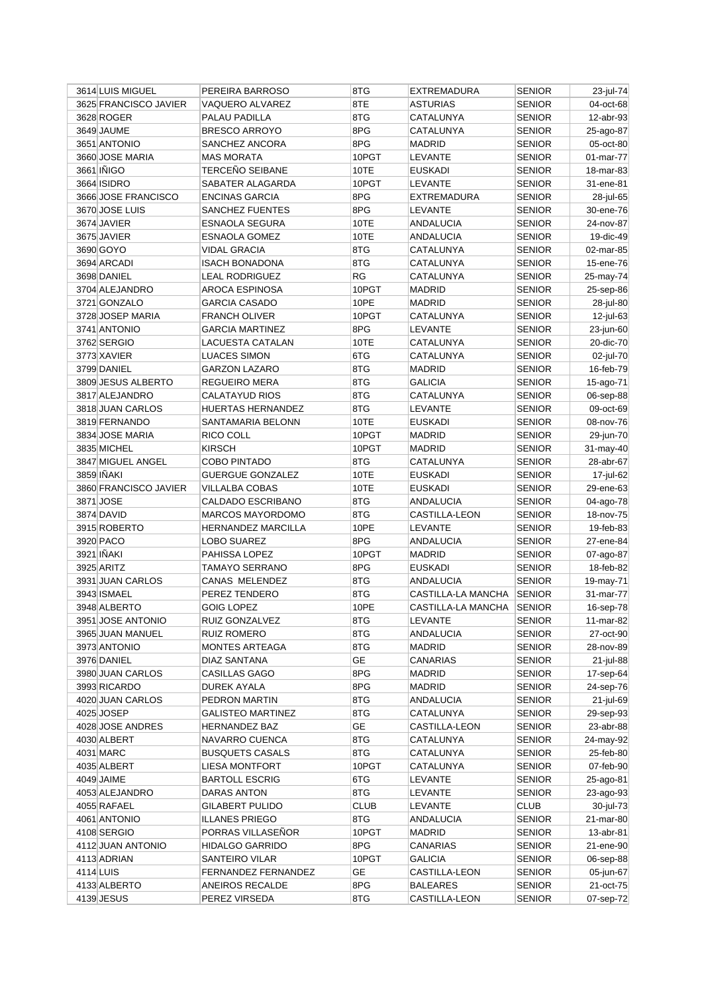| 3614 LUIS MIGUEL      | PEREIRA BARROSO            | 8TG         | <b>EXTREMADURA</b> | <b>SENIOR</b> | 23-jul-74              |
|-----------------------|----------------------------|-------------|--------------------|---------------|------------------------|
| 3625 FRANCISCO JAVIER | VAQUERO ALVAREZ            | 8TE         | <b>ASTURIAS</b>    | <b>SENIOR</b> | 04-oct-68              |
| 3628 ROGER            | PALAU PADILLA              | 8TG         | CATALUNYA          | <b>SENIOR</b> | 12-abr-93              |
| 3649 JAUME            | <b>BRESCO ARROYO</b>       | 8PG         | CATALUNYA          | <b>SENIOR</b> | 25-ago-87              |
| 3651 ANTONIO          | SANCHEZ ANCORA             | 8PG         | <b>MADRID</b>      | <b>SENIOR</b> | 05-oct-80              |
| 3660 JOSE MARIA       | <b>MAS MORATA</b>          | 10PGT       | LEVANTE            | <b>SENIOR</b> | 01-mar-77              |
| 3661 INIGO            | <b>TERCEÑO SEIBANE</b>     | 10TE        | <b>EUSKADI</b>     | <b>SENIOR</b> | 18-mar-83              |
| 3664 ISIDRO           | SABATER ALAGARDA           | 10PGT       | LEVANTE            | <b>SENIOR</b> | 31-ene-81              |
| 3666 JOSE FRANCISCO   | <b>ENCINAS GARCIA</b>      | 8PG         | <b>EXTREMADURA</b> | <b>SENIOR</b> | 28-jul-65              |
| 3670 JOSE LUIS        | <b>SANCHEZ FUENTES</b>     | 8PG         | LEVANTE            | <b>SENIOR</b> | 30-ene-76              |
| 3674 JAVIER           | <b>ESNAOLA SEGURA</b>      | 10TE        | ANDALUCIA          | <b>SENIOR</b> | 24-nov-87              |
| 3675 JAVIER           | <b>ESNAOLA GOMEZ</b>       | 10TE        | <b>ANDALUCIA</b>   | <b>SENIOR</b> | 19-dic-49              |
| 3690 GOYO             | <b>VIDAL GRACIA</b>        | 8TG         | CATALUNYA          | <b>SENIOR</b> | 02-mar-85              |
| 3694 ARCADI           | ISACH BONADONA             | 8TG         | CATALUNYA          | <b>SENIOR</b> | 15-ene-76              |
| 3698 DANIEL           | <b>LEAL RODRIGUEZ</b>      | RG          | CATALUNYA          | <b>SENIOR</b> | 25-may-74              |
| 3704 ALEJANDRO        | AROCA ESPINOSA             | 10PGT       | <b>MADRID</b>      | <b>SENIOR</b> | 25-sep-86              |
| 3721 GONZALO          | <b>GARCIA CASADO</b>       | 10PE        | <b>MADRID</b>      | <b>SENIOR</b> | 28-jul-80              |
| 3728 JOSEP MARIA      | <b>FRANCH OLIVER</b>       | 10PGT       | CATALUNYA          | <b>SENIOR</b> | 12-jul-63              |
| 3741 ANTONIO          |                            | 8PG         | <b>LEVANTE</b>     |               |                        |
| 3762 SERGIO           | <b>GARCIA MARTINEZ</b>     | 10TE        | CATALUNYA          | <b>SENIOR</b> | 23-jun-60<br>20-dic-70 |
|                       | LACUESTA CATALAN           | 6TG         | CATALUNYA          | <b>SENIOR</b> |                        |
| 3773 XAVIER           | <b>LUACES SIMON</b>        |             |                    | <b>SENIOR</b> | 02-jul-70              |
| 3799 DANIEL           | <b>GARZON LAZARO</b>       | 8TG         | <b>MADRID</b>      | <b>SENIOR</b> | 16-feb-79              |
| 3809 JESUS ALBERTO    | <b>REGUEIRO MERA</b>       | 8TG         | GALICIA            | <b>SENIOR</b> | 15-ago-71              |
| 3817 ALEJANDRO        | <b>CALATAYUD RIOS</b>      | 8TG         | CATALUNYA          | <b>SENIOR</b> | 06-sep-88              |
| 3818 JUAN CARLOS      | <b>HUERTAS HERNANDEZ</b>   | 8TG         | LEVANTE            | SENIOR        | 09-oct-69              |
| 3819 FERNANDO         | SANTAMARIA BELONN          | 10TE        | <b>EUSKADI</b>     | <b>SENIOR</b> | 08-nov-76              |
| 3834 JOSE MARIA       | RICO COLL                  | 10PGT       | <b>MADRID</b>      | <b>SENIOR</b> | 29-jun-70              |
| 3835 MICHEL           | <b>KIRSCH</b>              | 10PGT       | <b>MADRID</b>      | <b>SENIOR</b> | 31-may-40              |
| 3847 MIGUEL ANGEL     | <b>COBO PINTADO</b>        | 8TG         | CATALUNYA          | SENIOR        | 28-abr-67              |
| 3859 INAKI            | <b>GUERGUE GONZALEZ</b>    | 10TE        | <b>EUSKADI</b>     | <b>SENIOR</b> | 17-jul-62              |
| 3860 FRANCISCO JAVIER | VILLALBA COBAS             | 10TE        | EUSKADI            | <b>SENIOR</b> | 29-ene-63              |
| 3871 JOSE             | CALDADO ESCRIBANO          | 8TG         | <b>ANDALUCIA</b>   | <b>SENIOR</b> | 04-ago-78              |
| 3874 DAVID            | <b>MARCOS MAYORDOMO</b>    | 8TG         | CASTILLA-LEON      | <b>SENIOR</b> | 18-nov-75              |
| 3915 ROBERTO          | <b>HERNANDEZ MARCILLA</b>  | 10PE        | LEVANTE            | <b>SENIOR</b> | 19-feb-83              |
| 3920 PACO             | LOBO SUAREZ                | 8PG         | ANDALUCIA          | <b>SENIOR</b> | 27-ene-84              |
| 3921 IÑAKI            | PAHISSA LOPEZ              | 10PGT       | <b>MADRID</b>      | <b>SENIOR</b> | 07-ago-87              |
| 3925 ARITZ            | TAMAYO SERRANO             | 8PG         | <b>EUSKADI</b>     | <b>SENIOR</b> | 18-feb-82              |
| 3931 JUAN CARLOS      | <b>CANAS MELENDEZ</b>      | 8TG         | ANDALUCIA          | <b>SENIOR</b> | 19-may-71              |
| 3943 ISMAEL           | PEREZ TENDERO              | 8TG         | CASTILLA-LA MANCHA | <b>SENIOR</b> | 31-mar-77              |
| 3948 ALBERTO          | <b>GOIG LOPEZ</b>          | 10PE        | CASTILLA-LA MANCHA | <b>SENIOR</b> | 16-sep-78              |
| 3951 JOSE ANTONIO     | RUIZ GONZALVEZ             | 8TG         | LEVANTE            | <b>SENIOR</b> | 11-mar-82              |
| 3965 JUAN MANUEL      | <b>RUIZ ROMERO</b>         | 8TG         | ANDALUCIA          | <b>SENIOR</b> | 27-oct-90              |
| 3973 ANTONIO          | <b>MONTES ARTEAGA</b>      | 8TG         | <b>MADRID</b>      | <b>SENIOR</b> | 28-nov-89              |
| 3976 DANIEL           | <b>DIAZ SANTANA</b>        | GE          | <b>CANARIAS</b>    | SENIOR        | 21-jul-88              |
| 3980 JUAN CARLOS      | CASILLAS GAGO              | 8PG         | <b>MADRID</b>      | <b>SENIOR</b> | 17-sep-64              |
| 3993 RICARDO          | <b>DUREK AYALA</b>         | 8PG         | MADRID             | SENIOR        | 24-sep-76              |
| 4020 JUAN CARLOS      | PEDRON MARTIN              | 8TG         | ANDALUCIA          | <b>SENIOR</b> | 21-jul-69              |
| 4025 JOSEP            | <b>GALISTEO MARTINEZ</b>   | 8TG         | CATALUNYA          | <b>SENIOR</b> | 29-sep-93              |
| 4028 JOSE ANDRES      | <b>HERNANDEZ BAZ</b>       | GE          | CASTILLA-LEON      | <b>SENIOR</b> | 23-abr-88              |
| 4030 ALBERT           | NAVARRO CUENCA             | 8TG         | CATALUNYA          | <b>SENIOR</b> | 24-may-92              |
| 4031 MARC             | <b>BUSQUETS CASALS</b>     | 8TG         | CATALUNYA          | <b>SENIOR</b> | 25-feb-80              |
| 4035 ALBERT           | <b>LIESA MONTFORT</b>      | 10PGT       | CATALUNYA          | SENIOR        | 07-feb-90              |
| 4049 JAIME            | <b>BARTOLL ESCRIG</b>      | 6TG         | LEVANTE            | <b>SENIOR</b> | 25-ago-81              |
| 4053 ALEJANDRO        |                            | 8TG         |                    |               | 23-ago-93              |
|                       | DARAS ANTON                |             | LEVANTE            | SENIOR        |                        |
| 4055 RAFAEL           | <b>GILABERT PULIDO</b>     | <b>CLUB</b> | LEVANTE            | <b>CLUB</b>   | 30-jul-73              |
| 4061 ANTONIO          | <b>ILLANES PRIEGO</b>      | 8TG         | ANDALUCIA          | <b>SENIOR</b> | 21-mar-80              |
| 4108 SERGIO           | PORRAS VILLASEÑOR          | 10PGT       | <b>MADRID</b>      | <b>SENIOR</b> | 13-abr-81              |
| 4112 JUAN ANTONIO     | <b>HIDALGO GARRIDO</b>     | 8PG         | CANARIAS           | <b>SENIOR</b> | 21-ene-90              |
| 4113 ADRIAN           | SANTEIRO VILAR             | 10PGT       | <b>GALICIA</b>     | <b>SENIOR</b> | 06-sep-88              |
| 4114 LUIS             | <b>FERNANDEZ FERNANDEZ</b> | <b>GE</b>   | CASTILLA-LEON      | SENIOR        | 05-jun-67              |
| 4133 ALBERTO          | ANEIROS RECALDE            | 8PG         | <b>BALEARES</b>    | <b>SENIOR</b> | 21-oct-75              |
| 4139 JESUS            | PEREZ VIRSEDA              | 8TG         | CASTILLA-LEON      | <b>SENIOR</b> | 07-sep-72              |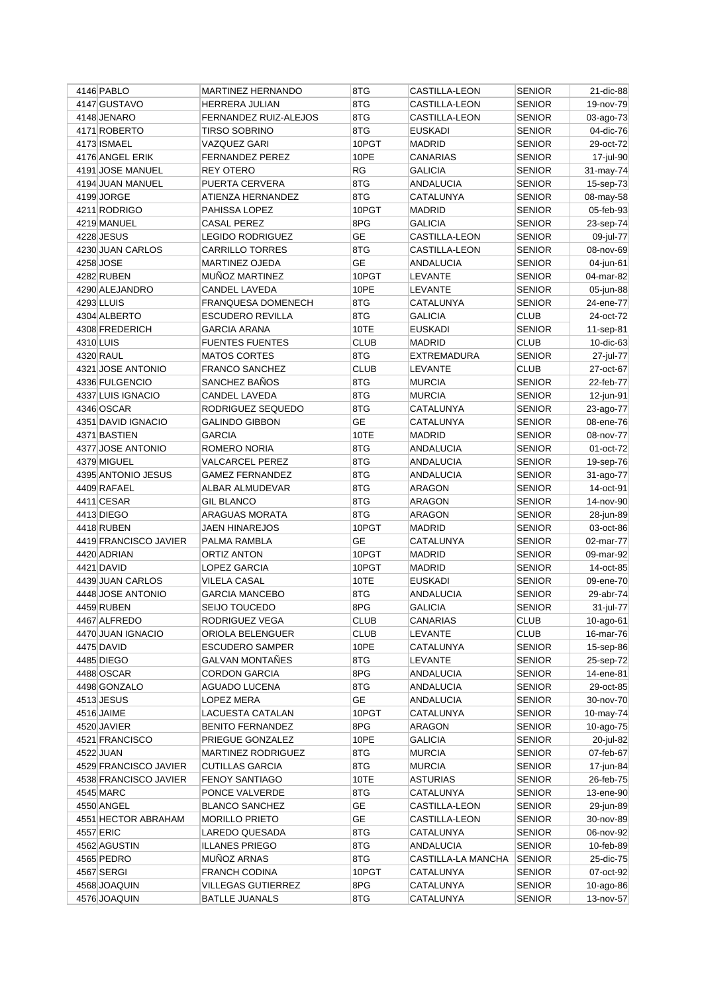| 4146 PABLO                      | <b>MARTINEZ HERNANDO</b>                       | 8TG         | CASTILLA-LEON               | <b>SENIOR</b>                  | 21-dic-88              |
|---------------------------------|------------------------------------------------|-------------|-----------------------------|--------------------------------|------------------------|
| 4147 GUSTAVO                    | <b>HERRERA JULIAN</b>                          | 8TG         | <b>CASTILLA-LEON</b>        | <b>SENIOR</b>                  | 19-nov-79              |
| 4148 JENARO                     | FERNANDEZ RUIZ-ALEJOS                          | 8TG         | CASTILLA-LEON               | <b>SENIOR</b>                  | 03-ago-73              |
| 4171 ROBERTO                    | <b>TIRSO SOBRINO</b>                           | 8TG         | <b>EUSKADI</b>              | <b>SENIOR</b>                  | 04-dic-76              |
| 4173 ISMAEL                     | <b>VAZQUEZ GARI</b>                            | 10PGT       | <b>MADRID</b>               | <b>SENIOR</b>                  | 29-oct-72              |
| 4176 ANGEL ERIK                 | <b>FERNANDEZ PEREZ</b>                         | 10PE        | CANARIAS                    | <b>SENIOR</b>                  | 17-jul-90              |
| 4191 JOSE MANUEL                | <b>REY OTERO</b>                               | <b>RG</b>   | <b>GALICIA</b>              | <b>SENIOR</b>                  | 31-may-74              |
| 4194 JUAN MANUEL                | PUERTA CERVERA                                 | 8TG         | ANDALUCIA                   | <b>SENIOR</b>                  | 15-sep-73              |
| 4199 JORGE                      | ATIENZA HERNANDEZ                              | 8TG         | CATALUNYA                   | <b>SENIOR</b>                  | 08-may-58              |
| 4211 RODRIGO                    | PAHISSA LOPEZ                                  | 10PGT       | <b>MADRID</b>               | <b>SENIOR</b>                  | 05-feb-93              |
| 4219 MANUEL                     | CASAL PEREZ                                    | 8PG         | <b>GALICIA</b>              | <b>SENIOR</b>                  | 23-sep-74              |
| 4228 JESUS                      | <b>LEGIDO RODRIGUEZ</b>                        | <b>GE</b>   | CASTILLA-LEON               | <b>SENIOR</b>                  | 09-jul-77              |
| 4230 JUAN CARLOS                | <b>CARRILLO TORRES</b>                         | 8TG         | CASTILLA-LEON               | <b>SENIOR</b>                  | 08-nov-69              |
| 4258 JOSE                       | <b>MARTINEZ OJEDA</b>                          | <b>GE</b>   | ANDALUCIA                   | <b>SENIOR</b>                  | 04-jun-61              |
| 4282 RUBEN                      | <b>MUNOZ MARTINEZ</b>                          | 10PGT       | LEVANTE                     | <b>SENIOR</b>                  | 04-mar-82              |
| 4290 ALEJANDRO                  | CANDEL LAVEDA                                  | 10PE        | LEVANTE                     | <b>SENIOR</b>                  | 05-jun-88              |
| 4293 LLUIS                      | <b>FRANQUESA DOMENECH</b>                      | 8TG         | CATALUNYA                   | <b>SENIOR</b>                  | 24-ene-77              |
| 4304 ALBERTO                    | <b>ESCUDERO REVILLA</b>                        | 8TG         | <b>GALICIA</b>              | <b>CLUB</b>                    | 24-oct-72              |
| 4308 FREDERICH                  | GARCIA ARANA                                   | 10TE        | <b>EUSKADI</b>              | <b>SENIOR</b>                  | 11-sep-81              |
| 4310 LUIS                       | <b>FUENTES FUENTES</b>                         | <b>CLUB</b> | <b>MADRID</b>               | <b>CLUB</b>                    | 10-dic-63              |
| 4320 RAUL                       | <b>MATOS CORTES</b>                            | 8TG         | <b>EXTREMADURA</b>          | <b>SENIOR</b>                  | 27-jul-77              |
| 4321 JOSE ANTONIO               | <b>FRANCO SANCHEZ</b>                          | <b>CLUB</b> | LEVANTE                     | <b>CLUB</b>                    | 27-oct-67              |
| 4336 FULGENCIO                  | SANCHEZ BAÑOS                                  | 8TG         | <b>MURCIA</b>               | <b>SENIOR</b>                  | 22-feb-77              |
| 4337 LUIS IGNACIO               | CANDEL LAVEDA                                  | 8TG         | <b>MURCIA</b>               | <b>SENIOR</b>                  | 12-jun-91              |
| 4346 OSCAR                      | RODRIGUEZ SEQUEDO                              | 8TG         | CATALUNYA                   | <b>SENIOR</b>                  | 23-ago-77              |
| 4351 DAVID IGNACIO              | <b>GALINDO GIBBON</b>                          | <b>GE</b>   | CATALUNYA                   | <b>SENIOR</b>                  | 08-ene-76              |
| 4371 BASTIEN                    | <b>GARCIA</b>                                  | 10TE        | <b>MADRID</b>               | <b>SENIOR</b>                  | 08-nov-77              |
| 4377 JOSE ANTONIO               | <b>ROMERO NORIA</b>                            | 8TG         | <b>ANDALUCIA</b>            | <b>SENIOR</b>                  | 01-oct-72              |
| 4379 MIGUEL                     | <b>VALCARCEL PEREZ</b>                         | 8TG         | ANDALUCIA                   | <b>SENIOR</b>                  | 19-sep-76              |
| 4395 ANTONIO JESUS              | <b>GAMEZ FERNANDEZ</b>                         | 8TG         | ANDALUCIA                   | <b>SENIOR</b>                  | 31-ago-77              |
| 4409 RAFAEL                     | ALBAR ALMUDEVAR                                | 8TG         | ARAGON                      | <b>SENIOR</b>                  | 14-oct-91              |
| 4411 CESAR                      | <b>GIL BLANCO</b>                              | 8TG         | <b>ARAGON</b>               | <b>SENIOR</b>                  | 14-nov-90              |
| 4413 DIEGO                      | <b>ARAGUAS MORATA</b>                          | 8TG         | ARAGON                      | <b>SENIOR</b>                  | 28-jun-89              |
| 4418 RUBEN                      | <b>JAEN HINAREJOS</b>                          | 10PGT       | <b>MADRID</b>               | <b>SENIOR</b>                  | 03-oct-86              |
| 4419 FRANCISCO JAVIER           | PALMA RAMBLA                                   | <b>GE</b>   | CATALUNYA                   | <b>SENIOR</b>                  | 02-mar-77              |
| 4420 ADRIAN                     | ORTIZ ANTON                                    | 10PGT       | <b>MADRID</b>               | <b>SENIOR</b>                  | 09-mar-92              |
| 4421 DAVID                      | LOPEZ GARCIA                                   | 10PGT       | <b>MADRID</b>               | <b>SENIOR</b>                  | 14-oct-85              |
| 4439 JUAN CARLOS                | VILELA CASAL                                   | 10TE        | <b>EUSKADI</b>              | <b>SENIOR</b>                  | 09-ene-70              |
| 4448 JOSE ANTONIO               | <b>GARCIA MANCEBO</b>                          | 8TG         | <b>ANDALUCIA</b>            | <b>SENIOR</b>                  | 29-abr-74              |
| 4459 RUBEN                      | SEIJO TOUCEDO                                  | 8PG         | <b>GALICIA</b>              | <b>SENIOR</b>                  | 31-jul-77              |
|                                 | RODRIGUEZ VEGA                                 | <b>CLUB</b> |                             | <b>CLUB</b>                    |                        |
| 4467 ALFREDO                    |                                                | <b>CLUB</b> | CANARIAS                    | <b>CLUB</b>                    | 10-ago-61<br>16-mar-76 |
| 4470 JUAN IGNACIO<br>4475 DAVID | ORIOLA BELENGUER                               | 10PE        | LEVANTE<br>CATALUNYA        | <b>SENIOR</b>                  |                        |
|                                 | <b>ESCUDERO SAMPER</b>                         |             |                             |                                | 15-sep-86              |
| 4485 DIEGO<br>4488 OSCAR        | <b>GALVAN MONTAÑES</b><br><b>CORDON GARCIA</b> | 8TG<br>8PG  | LEVANTE<br><b>ANDALUCIA</b> | <b>SENIOR</b><br><b>SENIOR</b> | 25-sep-72              |
|                                 |                                                |             |                             |                                | 14-ene-81              |
| 4498 GONZALO                    | <b>AGUADO LUCENA</b>                           | 8TG         | <b>ANDALUCIA</b>            | <b>SENIOR</b>                  | 29-oct-85              |
| 4513 JESUS                      | LOPEZ MERA<br>LACUESTA CATALAN                 | GE<br>10PGT | <b>ANDALUCIA</b>            | <b>SENIOR</b>                  | 30-nov-70              |
| 4516 JAIME                      |                                                |             | CATALUNYA                   | <b>SENIOR</b>                  | 10-may-74              |
| 4520 JAVIER                     | <b>BENITO FERNANDEZ</b>                        | 8PG         | <b>ARAGON</b>               | <b>SENIOR</b>                  | 10-ago-75              |
| 4521 FRANCISCO                  | PRIEGUE GONZALEZ                               | 10PE        | <b>GALICIA</b>              | <b>SENIOR</b>                  | 20-jul-82              |
| 4522 JUAN                       | MARTINEZ RODRIGUEZ                             | 8TG         | <b>MURCIA</b>               | <b>SENIOR</b>                  | 07-feb-67              |
| 4529 FRANCISCO JAVIER           | <b>CUTILLAS GARCIA</b>                         | 8TG         | <b>MURCIA</b>               | <b>SENIOR</b>                  | 17-jun-84              |
| 4538 FRANCISCO JAVIER           | FENOY SANTIAGO                                 | 10TE        | <b>ASTURIAS</b>             | <b>SENIOR</b>                  | 26-feb-75              |
| 4545 MARC                       | PONCE VALVERDE                                 | 8TG         | CATALUNYA                   | <b>SENIOR</b>                  | 13-ene-90              |
| 4550 ANGEL                      | <b>BLANCO SANCHEZ</b>                          | GE          | CASTILLA-LEON               | <b>SENIOR</b>                  | 29-jun-89              |
| 4551 HECTOR ABRAHAM             | <b>MORILLO PRIETO</b>                          | GE          | CASTILLA-LEON               | SENIOR                         | 30-nov-89              |
| 4557 ERIC                       | LAREDO QUESADA                                 | 8TG         | CATALUNYA                   | <b>SENIOR</b>                  | 06-nov-92              |
| 4562 AGUSTIN                    | <b>ILLANES PRIEGO</b>                          | 8TG         | ANDALUCIA                   | <b>SENIOR</b>                  | 10-feb-89              |
| 4565 PEDRO                      | MUÑOZ ARNAS                                    | 8TG         | CASTILLA-LA MANCHA          | <b>SENIOR</b>                  | 25-dic-75              |
| 4567 SERGI                      | <b>FRANCH CODINA</b>                           | 10PGT       | CATALUNYA                   | <b>SENIOR</b>                  | 07-oct-92              |
| 4568 JOAQUIN                    | <b>VILLEGAS GUTIERREZ</b>                      | 8PG         | CATALUNYA                   | <b>SENIOR</b>                  | $10$ -ago-86           |
| 4576 JOAQUIN                    | <b>BATLLE JUANALS</b>                          | 8TG         | CATALUNYA                   | <b>SENIOR</b>                  | 13-nov-57              |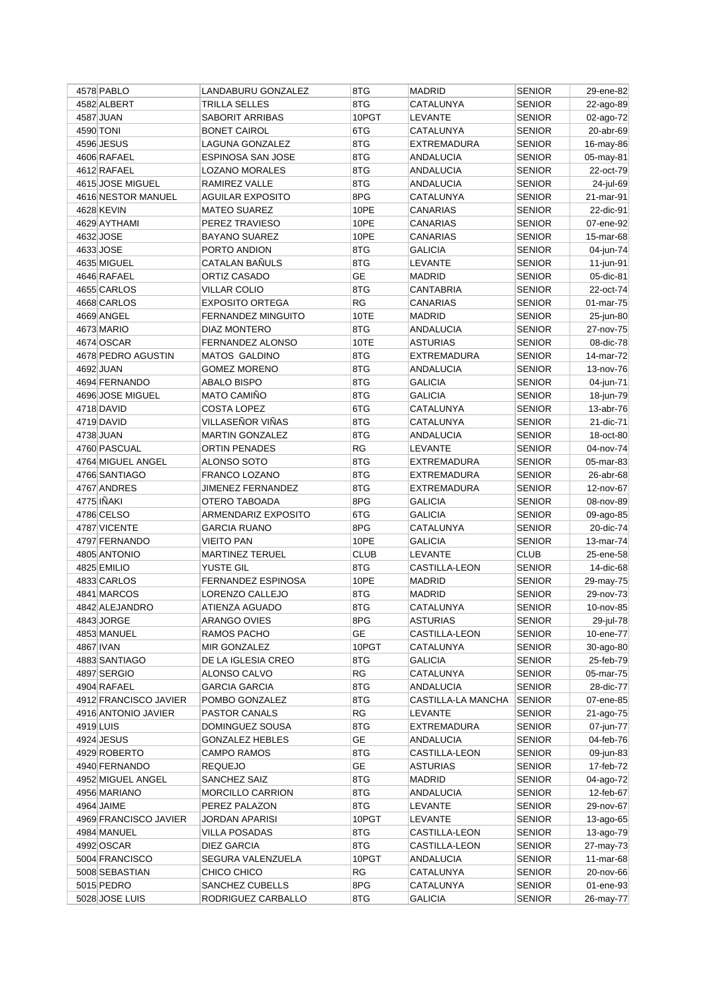| 4578 PABLO                   | LANDABURU GONZALEZ          | 8TG         | <b>MADRID</b>                 | <b>SENIOR</b>                  | 29-ene-82              |
|------------------------------|-----------------------------|-------------|-------------------------------|--------------------------------|------------------------|
| 4582 ALBERT                  | TRILLA SELLES               | 8TG         | CATALUNYA                     | <b>SENIOR</b>                  | 22-ago-89              |
| 4587 JUAN                    | SABORIT ARRIBAS             | 10PGT       | LEVANTE                       | <b>SENIOR</b>                  | 02-ago-72              |
| 4590 TONI                    | <b>BONET CAIROL</b>         | 6TG         | CATALUNYA                     | <b>SENIOR</b>                  | 20-abr-69              |
| 4596 JESUS                   | LAGUNA GONZALEZ             | 8TG         | <b>EXTREMADURA</b>            | <b>SENIOR</b>                  | 16-may-86              |
| 4606 RAFAEL                  | ESPINOSA SAN JOSE           | 8TG         | <b>ANDALUCIA</b>              | <b>SENIOR</b>                  | 05-may-81              |
| 4612 RAFAEL                  | <b>LOZANO MORALES</b>       | 8TG         | ANDALUCIA                     | <b>SENIOR</b>                  | 22-oct-79              |
| 4615 JOSE MIGUEL             | RAMIREZ VALLE               | 8TG         | <b>ANDALUCIA</b>              | <b>SENIOR</b>                  | 24-jul-69              |
| 4616 NESTOR MANUEL           | AGUILAR EXPOSITO            | 8PG         | CATALUNYA                     | <b>SENIOR</b>                  | 21-mar-91              |
| 4628 KEVIN                   | <b>MATEO SUAREZ</b>         | 10PE        | CANARIAS                      | <b>SENIOR</b>                  | 22-dic-91              |
| 4629 AYTHAMI                 | PEREZ TRAVIESO              | 10PE        | CANARIAS                      | <b>SENIOR</b>                  | 07-ene-92              |
| 4632 JOSE                    | <b>BAYANO SUAREZ</b>        | 10PE        | <b>CANARIAS</b>               | <b>SENIOR</b>                  | 15-mar-68              |
| 4633 JOSE                    | PORTO ANDION                | 8TG         | <b>GALICIA</b>                | <b>SENIOR</b>                  | 04-jun-74              |
| 4635 MIGUEL                  | CATALAN BAÑULS              | 8TG         | <b>LEVANTE</b>                | <b>SENIOR</b>                  | 11-jun-91              |
| 4646 RAFAEL                  | ORTIZ CASADO                | GE          | <b>MADRID</b>                 | <b>SENIOR</b>                  | 05-dic-81              |
| 4655 CARLOS                  | <b>VILLAR COLIO</b>         | 8TG         | <b>CANTABRIA</b>              | <b>SENIOR</b>                  | 22-oct-74              |
| 4668 CARLOS                  | <b>EXPOSITO ORTEGA</b>      | RG          | CANARIAS                      | <b>SENIOR</b>                  | 01-mar-75              |
| 4669 ANGEL                   | <b>FERNANDEZ MINGUITO</b>   | 10TE        | <b>MADRID</b>                 | <b>SENIOR</b>                  | 25-jun-80              |
| 4673 MARIO                   | <b>DIAZ MONTERO</b>         | 8TG         | <b>ANDALUCIA</b>              | <b>SENIOR</b>                  | 27-nov-75              |
| 4674 OSCAR                   | FERNANDEZ ALONSO            | 10TE        | <b>ASTURIAS</b>               | <b>SENIOR</b>                  | 08-dic-78              |
| 4678 PEDRO AGUSTIN           | <b>MATOS GALDINO</b>        | 8TG         | <b>EXTREMADURA</b>            | <b>SENIOR</b>                  | 14-mar-72              |
| 4692 JUAN                    | <b>GOMEZ MORENO</b>         | 8TG         | ANDALUCIA                     | <b>SENIOR</b>                  | 13-nov-76              |
| 4694 FERNANDO                | ABALO BISPO                 | 8TG         | <b>GALICIA</b>                | <b>SENIOR</b>                  | 04-jun-71              |
| 4696 JOSE MIGUEL             | <b>MATO CAMIÑO</b>          | 8TG         | <b>GALICIA</b>                | <b>SENIOR</b>                  | 18-jun-79              |
| 4718 DAVID                   | <b>COSTA LOPEZ</b>          | 6TG         | CATALUNYA                     | <b>SENIOR</b>                  | 13-abr-76              |
| 4719 DAVID                   | VILLASEÑOR VIÑAS            | 8TG         | CATALUNYA                     | <b>SENIOR</b>                  | 21-dic-71              |
| 4738 JUAN                    | <b>MARTIN GONZALEZ</b>      | 8TG         | ANDALUCIA                     | <b>SENIOR</b>                  | 18-oct-80              |
| 4760 PASCUAL                 | <b>ORTIN PENADES</b>        | RG          | LEVANTE                       | <b>SENIOR</b>                  | 04-nov-74              |
| 4764 MIGUEL ANGEL            | ALONSO SOTO                 | 8TG         | EXTREMADURA                   | <b>SENIOR</b>                  | 05-mar-83              |
| 4766 SANTIAGO                | FRANCO LOZANO               | 8TG         | <b>EXTREMADURA</b>            | <b>SENIOR</b>                  | 26-abr-68              |
| 4767 ANDRES                  | <b>JIMENEZ FERNANDEZ</b>    | 8TG         | EXTREMADURA                   | <b>SENIOR</b>                  | 12-nov-67              |
| 4775 IÑAKI                   | OTERO TABOADA               | 8PG         | <b>GALICIA</b>                | <b>SENIOR</b>                  | 08-nov-89              |
| 4786 CELSO                   | ARMENDARIZ EXPOSITO         | 6TG         | GALICIA                       | <b>SENIOR</b>                  | 09-ago-85              |
| 4787 VICENTE                 | <b>GARCIA RUANO</b>         | 8PG         | CATALUNYA                     | <b>SENIOR</b>                  | 20-dic-74              |
| 4797 FERNANDO                | <b>VIEITO PAN</b>           | 10PE        | <b>GALICIA</b>                | <b>SENIOR</b>                  | 13-mar-74              |
| 4805 ANTONIO                 | <b>MARTINEZ TERUEL</b>      | <b>CLUB</b> | <b>LEVANTE</b>                | <b>CLUB</b>                    | 25-ene-58              |
| 4825 EMILIO                  | YUSTE GIL                   | 8TG         | <b>CASTILLA-LEON</b>          | <b>SENIOR</b>                  | 14-dic-68              |
| 4833 CARLOS                  | <b>FERNANDEZ ESPINOSA</b>   | 10PE        | <b>MADRID</b>                 | <b>SENIOR</b>                  | 29-may-75              |
| 4841 MARCOS                  | LORENZO CALLEJO             | 8TG         | <b>MADRID</b>                 | <b>SENIOR</b>                  | 29-nov-73              |
| 4842 ALEJANDRO               | ATIENZA AGUADO              | 8TG         | CATALUNYA                     | <b>SENIOR</b>                  | 10-nov-85              |
| 4843 JORGE                   | ARANGO OVIES                | 8PG         | <b>ASTURIAS</b>               | <b>SENIOR</b>                  | 29-jul-78              |
|                              |                             | GE          |                               |                                |                        |
| 4853 MANUEL<br>4867 IVAN     | RAMOS PACHO<br>MIR GONZALEZ | 10PGT       | CASTILLA-LEON<br>CATALUNYA    | <b>SENIOR</b><br><b>SENIOR</b> | 10-ene-77<br>30-ago-80 |
|                              |                             |             |                               |                                |                        |
| 4883 SANTIAGO<br>4897 SERGIO | DE LA IGLESIA CREO          | 8TG<br>RG   | GALICIA<br>CATALUNYA          | <b>SENIOR</b>                  | 25-feb-79<br>05-mar-75 |
| 4904 RAFAEL                  | ALONSO CALVO                | 8TG         |                               | <b>SENIOR</b><br><b>SENIOR</b> |                        |
|                              | <b>GARCIA GARCIA</b>        |             | ANDALUCIA                     |                                | 28-dic-77              |
| 4912 FRANCISCO JAVIER        | POMBO GONZALEZ              | 8TG<br>RG   | CASTILLA-LA MANCHA<br>LEVANTE | <b>SENIOR</b>                  | 07-ene-85              |
| 4916 ANTONIO JAVIER          | PASTOR CANALS               | 8TG         | EXTREMADURA                   | <b>SENIOR</b>                  | 21-ago-75              |
| 4919 LUIS                    | DOMINGUEZ SOUSA             | GE          |                               | <b>SENIOR</b><br><b>SENIOR</b> | 07-jun-77              |
| 4924 JESUS                   | <b>GONZALEZ HEBLES</b>      |             | ANDALUCIA                     |                                | 04-feb-76              |
| 4929 ROBERTO                 | <b>CAMPO RAMOS</b>          | 8TG         | CASTILLA-LEON                 | <b>SENIOR</b>                  | 09-jun-83              |
| 4940 FERNANDO                | <b>REQUEJO</b>              | GE          | ASTURIAS                      | SENIOR                         | 17-feb-72              |
| 4952 MIGUEL ANGEL            | SANCHEZ SAIZ                | 8TG         | <b>MADRID</b>                 | <b>SENIOR</b>                  | 04-ago-72              |
| 4956 MARIANO                 | <b>MORCILLO CARRION</b>     | 8TG         | ANDALUCIA                     | <b>SENIOR</b>                  | 12-feb-67              |
| 4964 JAIME                   | PEREZ PALAZON               | 8TG         | LEVANTE                       | <b>SENIOR</b>                  | 29-nov-67              |
| 4969 FRANCISCO JAVIER        | JORDAN APARISI              | 10PGT       | LEVANTE                       | <b>SENIOR</b>                  | 13-ago-65              |
| 4984 MANUEL                  | <b>VILLA POSADAS</b>        | 8TG         | CASTILLA-LEON                 | <b>SENIOR</b>                  | 13-ago-79              |
| 4992 OSCAR                   | DIEZ GARCIA                 | 8TG         | CASTILLA-LEON                 | <b>SENIOR</b>                  | 27-may-73              |
| 5004 FRANCISCO               | SEGURA VALENZUELA           | 10PGT       | <b>ANDALUCIA</b>              | <b>SENIOR</b>                  | 11-mar-68              |
| 5008 SEBASTIAN               | CHICO CHICO                 | <b>RG</b>   | CATALUNYA                     | SENIOR                         | 20-nov-66              |
| 5015 PEDRO                   | SANCHEZ CUBELLS             | 8PG         | CATALUNYA                     | <b>SENIOR</b>                  | 01-ene-93              |
| 5028 JOSE LUIS               | RODRIGUEZ CARBALLO          | 8TG         | <b>GALICIA</b>                | <b>SENIOR</b>                  | 26-may-77              |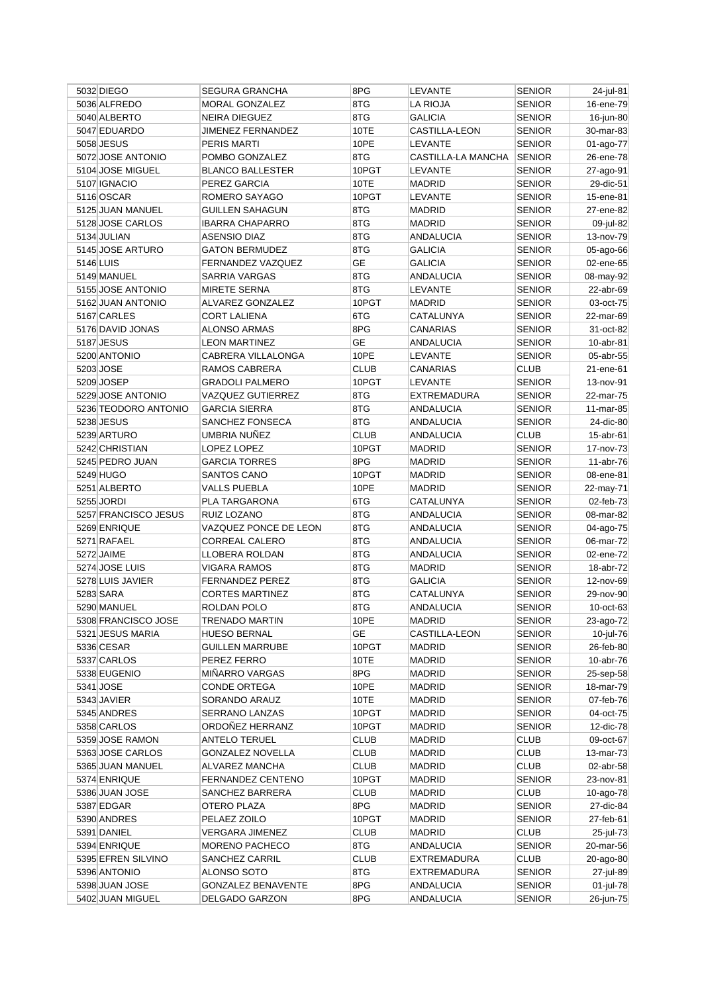| 5032 DIEGO           | <b>SEGURA GRANCHA</b>     | 8PG          | LEVANTE            | <b>SENIOR</b> | 24-jul-81    |
|----------------------|---------------------------|--------------|--------------------|---------------|--------------|
| 5036 ALFREDO         | <b>MORAL GONZALEZ</b>     | 8TG          | LA RIOJA           | <b>SENIOR</b> | 16-ene-79    |
| 5040 ALBERTO         | <b>NEIRA DIEGUEZ</b>      | 8TG          | <b>GALICIA</b>     | <b>SENIOR</b> | 16-jun-80    |
| 5047 EDUARDO         | <b>JIMENEZ FERNANDEZ</b>  | 10TE         | CASTILLA-LEON      | SENIOR        | 30-mar-83    |
| 5058 JESUS           | <b>PERIS MARTI</b>        | 10PE         | <b>LEVANTE</b>     | <b>SENIOR</b> | 01-ago-77    |
| 5072 JOSE ANTONIO    | POMBO GONZALEZ            | 8TG          | CASTILLA-LA MANCHA | <b>SENIOR</b> | 26-ene-78    |
| 5104 JOSE MIGUEL     | <b>BLANCO BALLESTER</b>   | 10PGT        | LEVANTE            | SENIOR        | 27-ago-91    |
| 5107 IGNACIO         | PEREZ GARCIA              | 10TE         | <b>MADRID</b>      | SENIOR        | 29-dic-51    |
| 5116 OSCAR           | ROMERO SAYAGO             | 10PGT        | LEVANTE            | <b>SENIOR</b> | 15-ene-81    |
| 5125 JUAN MANUEL     | <b>GUILLEN SAHAGUN</b>    | 8TG          | <b>MADRID</b>      | SENIOR        | 27-ene-82    |
| 5128 JOSE CARLOS     | <b>IBARRA CHAPARRO</b>    | 8TG          | <b>MADRID</b>      | <b>SENIOR</b> | 09-jul-82    |
| 5134 JULIAN          | <b>ASENSIO DIAZ</b>       | 8TG          | ANDALUCIA          | <b>SENIOR</b> | 13-nov-79    |
| 5145 JOSE ARTURO     | <b>GATON BERMUDEZ</b>     | 8TG          | <b>GALICIA</b>     | <b>SENIOR</b> | 05-ago-66    |
| 5146 LUIS            | FERNANDEZ VAZQUEZ         | GE           | GALICIA            | SENIOR        | 02-ene-65    |
| 5149 MANUEL          | SARRIA VARGAS             | 8TG          | <b>ANDALUCIA</b>   | <b>SENIOR</b> | 08-may-92    |
| 5155 JOSE ANTONIO    | <b>MIRETE SERNA</b>       | 8TG          | LEVANTE            | SENIOR        | 22-abr-69    |
| 5162 JUAN ANTONIO    | ALVAREZ GONZALEZ          | 10PGT        | <b>MADRID</b>      | SENIOR        | 03-oct-75    |
| 5167 CARLES          | <b>CORT LALIENA</b>       | 6TG          | CATALUNYA          | SENIOR        | 22-mar-69    |
| 5176 DAVID JONAS     | <b>ALONSO ARMAS</b>       | 8PG          | <b>CANARIAS</b>    | <b>SENIOR</b> | 31-oct-82    |
| 5187 JESUS           | <b>LEON MARTINEZ</b>      | <b>GE</b>    | <b>ANDALUCIA</b>   | <b>SENIOR</b> | 10-abr-81    |
| 5200 ANTONIO         | CABRERA VILLALONGA        | 10PE         | LEVANTE            | SENIOR        | 05-abr-55    |
| 5203 JOSE            | RAMOS CABRERA             | <b>CLUB</b>  | <b>CANARIAS</b>    | CLUB          | 21-ene-61    |
| 5209 JOSEP           | <b>GRADOLI PALMERO</b>    | 10PGT        | LEVANTE            | SENIOR        | 13-nov-91    |
| 5229 JOSE ANTONIO    | VAZQUEZ GUTIERREZ         | 8TG          | <b>EXTREMADURA</b> | SENIOR        | 22-mar-75    |
| 5236 TEODORO ANTONIO | <b>GARCIA SIERRA</b>      | 8TG          | <b>ANDALUCIA</b>   | <b>SENIOR</b> | 11-mar-85    |
| 5238 JESUS           | SANCHEZ FONSECA           | 8TG          | <b>ANDALUCIA</b>   | <b>SENIOR</b> | 24-dic-80    |
| 5239 ARTURO          | UMBRIA NUÑEZ              | <b>CLUB</b>  | ANDALUCIA          | <b>CLUB</b>   |              |
| 5242 CHRISTIAN       |                           | 10PGT        |                    | <b>SENIOR</b> | $15$ -abr-61 |
|                      | LOPEZ LOPEZ               |              | MADRID             |               | 17-nov-73    |
| 5245 PEDRO JUAN      | <b>GARCIA TORRES</b>      | 8PG<br>10PGT | <b>MADRID</b>      | <b>SENIOR</b> | 11-abr-76    |
| 5249 HUGO            | SANTOS CANO               |              | MADRID             | <b>SENIOR</b> | 08-ene-81    |
| 5251 ALBERTO         | <b>VALLS PUEBLA</b>       | 10PE         | <b>MADRID</b>      | SENIOR        | 22-may-71    |
| 5255 JORDI           | PLA TARGARONA             | 6TG          | CATALUNYA          | SENIOR        | 02-feb-73    |
| 5257 FRANCISCO JESUS | RUIZ LOZANO               | 8TG          | <b>ANDALUCIA</b>   | <b>SENIOR</b> | 08-mar-82    |
| 5269 ENRIQUE         | VAZQUEZ PONCE DE LEON     | 8TG          | ANDALUCIA          | <b>SENIOR</b> | 04-ago-75    |
| 5271 RAFAEL          | <b>CORREAL CALERO</b>     | 8TG          | <b>ANDALUCIA</b>   | <b>SENIOR</b> | 06-mar-72    |
| 5272 JAIME           | LLOBERA ROLDAN            | 8TG          | ANDALUCIA          | <b>SENIOR</b> | 02-ene-72    |
| 5274 JOSE LUIS       | <b>VIGARA RAMOS</b>       | 8TG          | <b>MADRID</b>      | <b>SENIOR</b> | 18-abr-72    |
| 5278 LUIS JAVIER     | <b>FERNANDEZ PEREZ</b>    | 8TG          | <b>GALICIA</b>     | <b>SENIOR</b> | 12-nov-69    |
| 5283 SARA            | <b>CORTES MARTINEZ</b>    | 8TG          | CATALUNYA          | SENIOR        | 29-nov-90    |
| 5290 MANUEL          | ROLDAN POLO               | 8TG          | ANDALUCIA          | <b>SENIOR</b> | 10-oct-63    |
| 5308 FRANCISCO JOSE  | TRENADO MARTIN            | 10PE         | MADRID             | <b>SENIOR</b> | 23-ago-72    |
| 5321 JESUS MARIA     | <b>HUESO BERNAL</b>       | GE           | CASTILLA-LEON      | <b>SENIOR</b> | 10-jul-76    |
| 5336 CESAR           | <b>GUILLEN MARRUBE</b>    | 10PGT        | MADRID             | <b>SENIOR</b> | 26-feb-80    |
| 5337 CARLOS          | PEREZ FERRO               | 10TE         | <b>MADRID</b>      | <b>SENIOR</b> | 10-abr-76    |
| 5338 EUGENIO         | MIÑARRO VARGAS            | 8PG          | <b>MADRID</b>      | <b>SENIOR</b> | 25-sep-58    |
| 5341 JOSE            | <b>CONDE ORTEGA</b>       | 10PE         | <b>MADRID</b>      | <b>SENIOR</b> | 18-mar-79    |
| 5343 JAVIER          | SORANDO ARAUZ             | 10TE         | <b>MADRID</b>      | SENIOR        | 07-feb-76    |
| 5345 ANDRES          | SERRANO LANZAS            | 10PGT        | MADRID             | <b>SENIOR</b> | 04-oct-75    |
| 5358 CARLOS          | ORDOÑEZ HERRANZ           | 10PGT        | MADRID             | <b>SENIOR</b> | 12-dic-78    |
| 5359 JOSE RAMON      | <b>ANTELO TERUEL</b>      | CLUB         | MADRID             | <b>CLUB</b>   | 09-oct-67    |
| 5363 JOSE CARLOS     | <b>GONZALEZ NOVELLA</b>   | <b>CLUB</b>  | <b>MADRID</b>      | <b>CLUB</b>   | 13-mar-73    |
| 5365 JUAN MANUEL     | ALVAREZ MANCHA            | <b>CLUB</b>  | <b>MADRID</b>      | <b>CLUB</b>   | 02-abr-58    |
| 5374 ENRIQUE         | FERNANDEZ CENTENO         | 10PGT        | MADRID             | <b>SENIOR</b> | 23-nov-81    |
| 5386 JUAN JOSE       | SANCHEZ BARRERA           | <b>CLUB</b>  | <b>MADRID</b>      | <b>CLUB</b>   | 10-ago-78    |
| 5387 EDGAR           | OTERO PLAZA               | 8PG          | MADRID             | <b>SENIOR</b> | 27-dic-84    |
| 5390 ANDRES          | PELAEZ ZOILO              | 10PGT        | MADRID             | <b>SENIOR</b> | 27-feb-61    |
| 5391 DANIEL          | <b>VERGARA JIMENEZ</b>    | <b>CLUB</b>  | MADRID             | <b>CLUB</b>   | 25-jul-73    |
| 5394 ENRIQUE         | MORENO PACHECO            | 8TG          | ANDALUCIA          | <b>SENIOR</b> | 20-mar-56    |
| 5395 EFREN SILVINO   | SANCHEZ CARRIL            | <b>CLUB</b>  | EXTREMADURA        | <b>CLUB</b>   | 20-ago-80    |
| 5396 ANTONIO         | ALONSO SOTO               | 8TG          | <b>EXTREMADURA</b> | <b>SENIOR</b> | 27-jul-89    |
| 5398 JUAN JOSE       | <b>GONZALEZ BENAVENTE</b> | 8PG          | <b>ANDALUCIA</b>   | <b>SENIOR</b> | 01-jul-78    |
|                      | DELGADO GARZON            | 8PG          | ANDALUCIA          | SENIOR        | 26-jun-75    |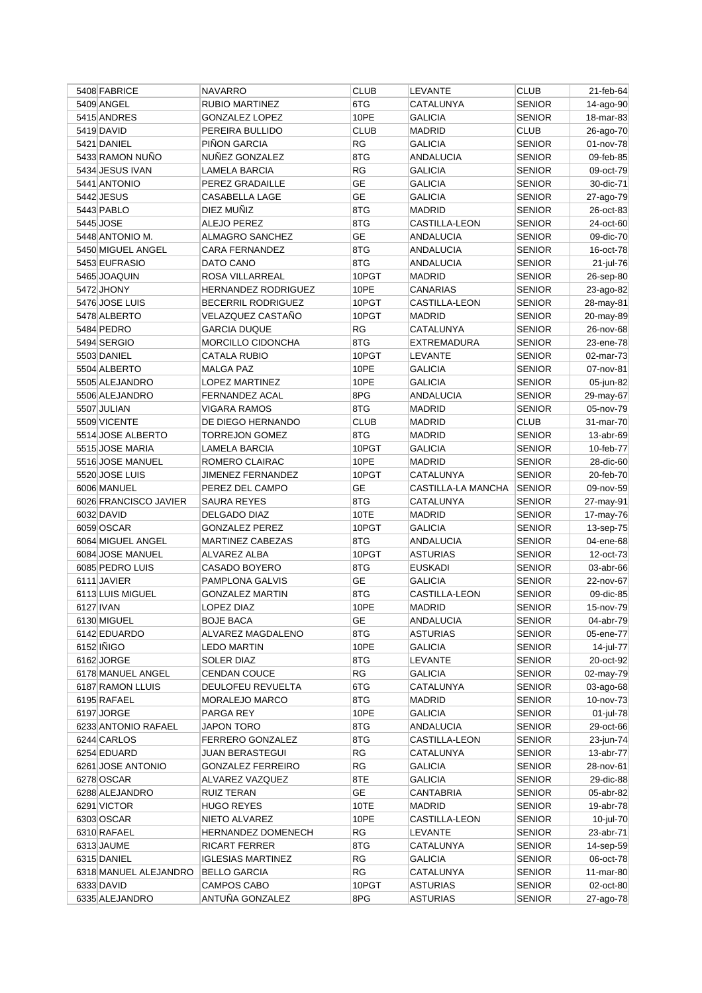| 5408 FABRICE                      | <b>NAVARRO</b>             | <b>CLUB</b> | LEVANTE              | <b>CLUB</b>                    | 21-feb-64              |
|-----------------------------------|----------------------------|-------------|----------------------|--------------------------------|------------------------|
| 5409 ANGEL                        | <b>RUBIO MARTINEZ</b>      | 6TG         | CATALUNYA            | <b>SENIOR</b>                  | 14-ago-90              |
| 5415 ANDRES                       | <b>GONZALEZ LOPEZ</b>      | 10PE        | <b>GALICIA</b>       | <b>SENIOR</b>                  | 18-mar-83              |
| 5419 DAVID                        | PEREIRA BULLIDO            | <b>CLUB</b> | <b>MADRID</b>        | <b>CLUB</b>                    | 26-ago-70              |
| 5421 DANIEL                       | PIÑON GARCIA               | RG          | <b>GALICIA</b>       | <b>SENIOR</b>                  | 01-nov-78              |
| 5433 RAMON NUÑO                   | NUÑEZ GONZALEZ             | 8TG         | <b>ANDALUCIA</b>     | <b>SENIOR</b>                  | 09-feb-85              |
| 5434 JESUS IVAN                   | LAMELA BARCIA              | <b>RG</b>   | <b>GALICIA</b>       | <b>SENIOR</b>                  | 09-oct-79              |
| 5441 ANTONIO                      | PEREZ GRADAILLE            | GE          | <b>GALICIA</b>       | <b>SENIOR</b>                  | 30-dic-71              |
| 5442 JESUS                        | CASABELLA LAGE             | <b>GE</b>   | GALICIA              | <b>SENIOR</b>                  | 27-ago-79              |
| 5443 PABLO                        | DIEZ MUÑIZ                 | 8TG         | <b>MADRID</b>        | <b>SENIOR</b>                  | 26-oct-83              |
| 5445 JOSE                         | ALEJO PEREZ                | 8TG         | <b>CASTILLA-LEON</b> | <b>SENIOR</b>                  | 24-oct-60              |
| 5448 ANTONIO M.                   | ALMAGRO SANCHEZ            | <b>GE</b>   | <b>ANDALUCIA</b>     | <b>SENIOR</b>                  | 09-dic-70              |
| 5450 MIGUEL ANGEL                 | CARA FERNANDEZ             | 8TG         | ANDALUCIA            | <b>SENIOR</b>                  | 16-oct-78              |
| 5453 EUFRASIO                     | DATO CANO                  | 8TG         | <b>ANDALUCIA</b>     | <b>SENIOR</b>                  | 21-jul-76              |
| 5465 JOAQUIN                      | ROSA VILLARREAL            | 10PGT       | <b>MADRID</b>        | <b>SENIOR</b>                  | 26-sep-80              |
| 5472 JHONY                        | <b>HERNANDEZ RODRIGUEZ</b> | 10PE        | CANARIAS             | <b>SENIOR</b>                  | 23-ago-82              |
| 5476 JOSE LUIS                    | <b>BECERRIL RODRIGUEZ</b>  | 10PGT       | CASTILLA-LEON        | <b>SENIOR</b>                  | 28-may-81              |
| 5478 ALBERTO                      | VELAZQUEZ CASTAÑO          | 10PGT       | <b>MADRID</b>        | <b>SENIOR</b>                  | 20-may-89              |
| 5484 PEDRO                        | <b>GARCIA DUQUE</b>        | <b>RG</b>   | CATALUNYA            | <b>SENIOR</b>                  | 26-nov-68              |
| 5494 SERGIO                       | MORCILLO CIDONCHA          | 8TG         | <b>EXTREMADURA</b>   | <b>SENIOR</b>                  | 23-ene-78              |
| 5503 DANIEL                       | <b>CATALA RUBIO</b>        | 10PGT       | <b>LEVANTE</b>       | <b>SENIOR</b>                  | 02-mar-73              |
| 5504 ALBERTO                      | <b>MALGA PAZ</b>           | 10PE        | <b>GALICIA</b>       | <b>SENIOR</b>                  | 07-nov-81              |
| 5505 ALEJANDRO                    | LOPEZ MARTINEZ             | 10PE        | GALICIA              | <b>SENIOR</b>                  | 05-jun-82              |
| 5506 ALEJANDRO                    | FERNANDEZ ACAL             | 8PG         | <b>ANDALUCIA</b>     | <b>SENIOR</b>                  | 29-may-67              |
| 5507 JULIAN                       | VIGARA RAMOS               | 8TG         | <b>MADRID</b>        | <b>SENIOR</b>                  | 05-nov-79              |
| 5509 VICENTE                      | DE DIEGO HERNANDO          | <b>CLUB</b> | <b>MADRID</b>        | <b>CLUB</b>                    | 31-mar-70              |
| 5514 JOSE ALBERTO                 | TORREJON GOMEZ             | 8TG         | <b>MADRID</b>        | <b>SENIOR</b>                  | 13-abr-69              |
| 5515 JOSE MARIA                   | <b>LAMELA BARCIA</b>       | 10PGT       | <b>GALICIA</b>       | <b>SENIOR</b>                  | 10-feb-77              |
| 5516 JOSE MANUEL                  | ROMERO CLAIRAC             | 10PE        | MADRID               | <b>SENIOR</b>                  | 28-dic-60              |
| 5520 JOSE LUIS                    | JIMENEZ FERNANDEZ          | 10PGT       | CATALUNYA            | <b>SENIOR</b>                  | 20-feb-70              |
| 6006 MANUEL                       | PEREZ DEL CAMPO            | GЕ          | CASTILLA-LA MANCHA   | <b>SENIOR</b>                  | 09-nov-59              |
| 6026 FRANCISCO JAVIER             | SAURA REYES                | 8TG         | CATALUNYA            | <b>SENIOR</b>                  | 27-may-91              |
| 6032 DAVID                        | DELGADO DIAZ               | 10TE        | <b>MADRID</b>        | <b>SENIOR</b>                  | 17-may-76              |
| 6059 OSCAR                        | <b>GONZALEZ PEREZ</b>      | 10PGT       | GALICIA              | <b>SENIOR</b>                  | 13-sep-75              |
| 6064 MIGUEL ANGEL                 | MARTINEZ CABEZAS           | 8TG         | <b>ANDALUCIA</b>     | <b>SENIOR</b>                  | 04-ene-68              |
| 6084 JOSE MANUEL                  | ALVAREZ ALBA               | 10PGT       | <b>ASTURIAS</b>      | <b>SENIOR</b>                  | 12-oct-73              |
| 6085 PEDRO LUIS                   | CASADO BOYERO              | 8TG         | <b>EUSKADI</b>       | <b>SENIOR</b>                  | 03-abr-66              |
| 6111 JAVIER                       | PAMPLONA GALVIS            | GЕ          | GALICIA              | <b>SENIOR</b>                  | 22-nov-67              |
| 6113 LUIS MIGUEL                  | <b>GONZALEZ MARTIN</b>     | 8TG         | CASTILLA-LEON        | <b>SENIOR</b>                  | 09-dic-85              |
| 6127 IVAN                         | LOPEZ DIAZ                 | 10PE        | <b>MADRID</b>        | <b>SENIOR</b>                  | 15-nov-79              |
| 6130 MIGUEL                       | <b>BOJE BACA</b>           | GE          | <b>ANDALUCIA</b>     | <b>SENIOR</b>                  | 04-abr-79              |
| 6142 EDUARDO                      | ALVAREZ MAGDALENO          | 8TG         | <b>ASTURIAS</b>      | <b>SENIOR</b>                  | 05-ene-77              |
| 6152 IÑIGO                        |                            | 10PE        | <b>GALICIA</b>       | <b>SENIOR</b>                  |                        |
| 6162 JORGE                        | LEDO MARTIN<br>SOLER DIAZ  | 8TG         | LEVANTE              | <b>SENIOR</b>                  | 14-jul-77<br>20-oct-92 |
|                                   |                            |             |                      |                                |                        |
| 6178 MANUEL ANGEL                 | CENDAN COUCE               | RG<br>6TG   | <b>GALICIA</b>       | <b>SENIOR</b><br><b>SENIOR</b> | 02-may-79              |
| 6187 RAMON LLUIS                  | DEULOFEU REVUELTA          |             | CATALUNYA            |                                | $03$ -ago-68           |
| 6195 RAFAEL                       | <b>MORALEJO MARCO</b>      | 8TG<br>10PE | MADRID               | <b>SENIOR</b>                  | 10-nov-73              |
| 6197 JORGE<br>6233 ANTONIO RAFAEL | PARGA REY<br>JAPON TORO    | 8TG         | GALICIA<br>ANDALUCIA | <b>SENIOR</b><br><b>SENIOR</b> | 01-jul-78<br>29-oct-66 |
|                                   |                            |             |                      |                                |                        |
| 6244 CARLOS                       | <b>FERRERO GONZALEZ</b>    | 8TG         | <b>CASTILLA-LEON</b> | <b>SENIOR</b>                  | 23-jun-74              |
| 6254 EDUARD                       | <b>JUAN BERASTEGUI</b>     | RG          | CATALUNYA            | <b>SENIOR</b>                  | 13-abr-77              |
| 6261 JOSE ANTONIO                 | <b>GONZALEZ FERREIRO</b>   | RG          | GALICIA              | <b>SENIOR</b>                  | 28-nov-61              |
| 6278 OSCAR                        | ALVAREZ VAZQUEZ            | 8TE         | <b>GALICIA</b>       | <b>SENIOR</b>                  | 29-dic-88              |
| 6288 ALEJANDRO                    | RUIZ TERAN                 | GE          | CANTABRIA            | <b>SENIOR</b>                  | 05-abr-82              |
| 6291 VICTOR                       | HUGO REYES                 | 10TE        | MADRID               | <b>SENIOR</b>                  | 19-abr-78              |
| 6303 OSCAR                        | NIETO ALVAREZ              | 10PE        | CASTILLA-LEON        | <b>SENIOR</b>                  | 10-jul-70              |
| 6310 RAFAEL                       | <b>HERNANDEZ DOMENECH</b>  | RG          | <b>LEVANTE</b>       | <b>SENIOR</b>                  | 23-abr-71              |
| 6313 JAUME                        | RICART FERRER              | 8TG         | CATALUNYA            | <b>SENIOR</b>                  | 14-sep-59              |
| 6315 DANIEL                       | <b>IGLESIAS MARTINEZ</b>   | RG          | <b>GALICIA</b>       | <b>SENIOR</b>                  | 06-oct-78              |
| 6318 MANUEL ALEJANDRO             | <b>BELLO GARCIA</b>        | RG          | CATALUNYA            | <b>SENIOR</b>                  | 11-mar-80              |
| 6333 DAVID                        | CAMPOS CABO                | 10PGT       | <b>ASTURIAS</b>      | <b>SENIOR</b>                  | 02-oct-80              |
| 6335 ALEJANDRO                    | ANTUÑA GONZALEZ            | 8PG         | <b>ASTURIAS</b>      | <b>SENIOR</b>                  | 27-ago-78              |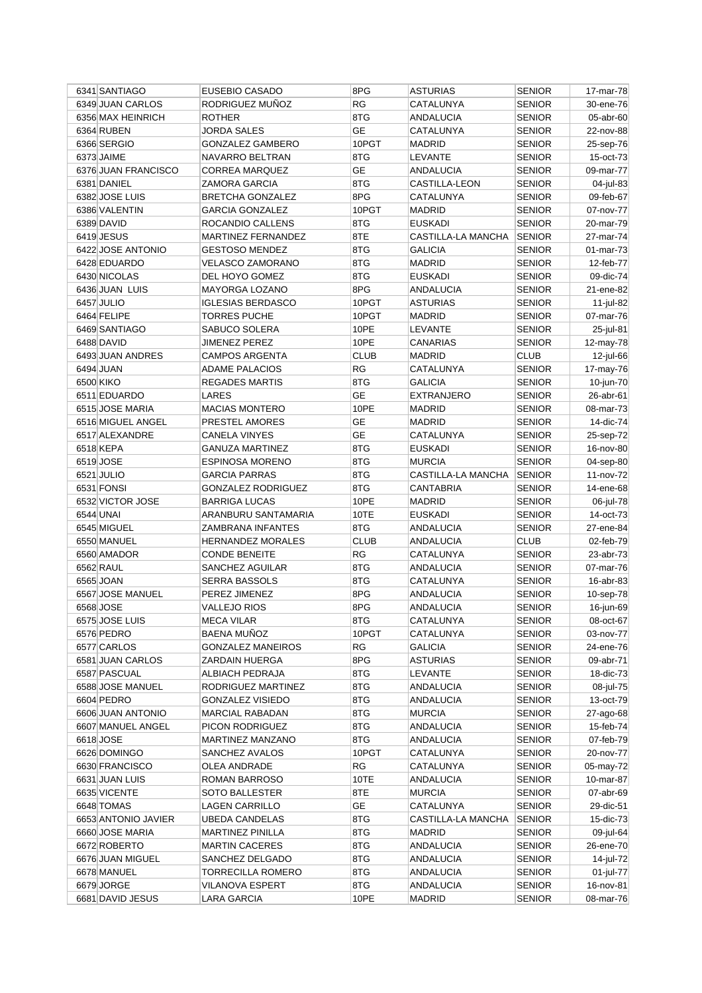| 6341 SANTIAGO       | EUSEBIO CASADO                | 8PG         | <b>ASTURIAS</b>        | <b>SENIOR</b>    | 17-mar-78              |
|---------------------|-------------------------------|-------------|------------------------|------------------|------------------------|
| 6349 JUAN CARLOS    | RODRIGUEZ MUÑOZ               | RG          | CATALUNYA              | SENIOR           | 30-ene-76              |
| 6356 MAX HEINRICH   | <b>ROTHER</b>                 | 8TG         | <b>ANDALUCIA</b>       | SENIOR           | 05-abr-60              |
| 6364 RUBEN          | <b>JORDA SALES</b>            | <b>GE</b>   | CATALUNYA              | <b>SENIOR</b>    | 22-nov-88              |
| 6366 SERGIO         | <b>GONZALEZ GAMBERO</b>       | 10PGT       | <b>MADRID</b>          | SENIOR           | 25-sep-76              |
| 6373 JAIME          | NAVARRO BELTRAN               | 8TG         | LEVANTE                | <b>SENIOR</b>    | 15-oct-73              |
| 6376 JUAN FRANCISCO | <b>CORREA MARQUEZ</b>         | GE          | ANDALUCIA              | SENIOR           | 09-mar-77              |
| 6381 DANIEL         | ZAMORA GARCIA                 | 8TG         | CASTILLA-LEON          | SENIOR           | 04-jul-83              |
| 6382 JOSE LUIS      | <b>BRETCHA GONZALEZ</b>       | 8PG         | CATALUNYA              | SENIOR           | 09-feb-67              |
| 6386 VALENTIN       | <b>GARCIA GONZALEZ</b>        | 10PGT       | <b>MADRID</b>          | <b>SENIOR</b>    | 07-nov-77              |
| 6389 DAVID          | ROCANDIO CALLENS              | 8TG         | EUSKADI                | <b>SENIOR</b>    | 20-mar-79              |
| 6419 JESUS          | MARTINEZ FERNANDEZ            | 8TE         | CASTILLA-LA MANCHA     | <b>SENIOR</b>    | 27-mar-74              |
| 6422 JOSE ANTONIO   | <b>GESTOSO MENDEZ</b>         | 8TG         | <b>GALICIA</b>         | <b>SENIOR</b>    | 01-mar-73              |
| 6428 EDUARDO        | VELASCO ZAMORANO              | 8TG         | <b>MADRID</b>          | <b>SENIOR</b>    | 12-feb-77              |
| 6430 NICOLAS        | DEL HOYO GOMEZ                | 8TG         | EUSKADI                | SENIOR           | 09-dic-74              |
| 6436 JUAN LUIS      | <b>MAYORGA LOZANO</b>         | 8PG         | ANDALUCIA              | SENIOR           | 21-ene-82              |
| 6457 JULIO          | <b>IGLESIAS BERDASCO</b>      | 10PGT       | <b>ASTURIAS</b>        | SENIOR           | 11-jul-82              |
| 6464 FELIPE         | <b>TORRES PUCHE</b>           | 10PGT       | <b>MADRID</b>          | <b>SENIOR</b>    | 07-mar-76              |
| 6469 SANTIAGO       | SABUCO SOLERA                 | 10PE        | LEVANTE                | <b>SENIOR</b>    | 25-jul-81              |
| 6488 DAVID          | JIMENEZ PEREZ                 | 10PE        | <b>CANARIAS</b>        | <b>SENIOR</b>    | 12-may-78              |
| 6493 JUAN ANDRES    | <b>CAMPOS ARGENTA</b>         | <b>CLUB</b> | <b>MADRID</b>          | <b>CLUB</b>      | 12-jul-66              |
| 6494 JUAN           | <b>ADAME PALACIOS</b>         | RG          | CATALUNYA              | SENIOR           | 17-may-76              |
| 6500 KIKO           | <b>REGADES MARTIS</b>         | 8TG         | GALICIA                | SENIOR           | 10-jun-70              |
| 6511 EDUARDO        | LARES                         | <b>GE</b>   | <b>EXTRANJERO</b>      | SENIOR           | 26-abr-61              |
| 6515 JOSE MARIA     | <b>MACIAS MONTERO</b>         | 10PE        | <b>MADRID</b>          | <b>SENIOR</b>    | 08-mar-73              |
| 6516 MIGUEL ANGEL   | PRESTEL AMORES                | GE          | <b>MADRID</b>          | <b>SENIOR</b>    | 14-dic-74              |
| 6517 ALEXANDRE      | <b>CANELA VINYES</b>          | <b>GE</b>   | CATALUNYA              | <b>SENIOR</b>    | 25-sep-72              |
| 6518 KEPA           | <b>GANUZA MARTINEZ</b>        | 8TG         | <b>EUSKADI</b>         | <b>SENIOR</b>    | 16-nov-80              |
| 6519 JOSE           | <b>ESPINOSA MORENO</b>        | 8TG         | <b>MURCIA</b>          | <b>SENIOR</b>    | 04-sep-80              |
| 6521 JULIO          | <b>GARCIA PARRAS</b>          | 8TG         | CASTILLA-LA MANCHA     | <b>SENIOR</b>    | 11-nov-72              |
| 6531 FONSI          | <b>GONZALEZ RODRIGUEZ</b>     | 8TG         | CANTABRIA              | SENIOR           | 14-ene-68              |
| 6532 VICTOR JOSE    | <b>BARRIGA LUCAS</b>          | 10PE        | MADRID                 | SENIOR           | 06-jul-78              |
| 6544 UNAI           | ARANBURU SANTAMARIA           | 10TE        | <b>EUSKADI</b>         | <b>SENIOR</b>    | 14-oct-73              |
| 6545 MIGUEL         | ZAMBRANA INFANTES             | 8TG         | ANDALUCIA              | <b>SENIOR</b>    | 27-ene-84              |
| 6550 MANUEL         | <b>HERNANDEZ MORALES</b>      | <b>CLUB</b> | <b>ANDALUCIA</b>       | <b>CLUB</b>      | 02-feb-79              |
| 6560 AMADOR         | <b>CONDE BENEITE</b>          | RG          | CATALUNYA              | <b>SENIOR</b>    | 23-abr-73              |
| 6562 RAUL           | SANCHEZ AGUILAR               | 8TG         | <b>ANDALUCIA</b>       | <b>SENIOR</b>    | 07-mar-76              |
| 6565 JOAN           | <b>SERRA BASSOLS</b>          | 8TG         | CATALUNYA              | SENIOR           | 16-abr-83              |
| 6567 JOSE MANUEL    | PEREZ JIMENEZ                 | 8PG         | ANDALUCIA              | SENIOR           | 10-sep-78              |
| 6568 JOSE           | <b>VALLEJO RIOS</b>           | 8PG         | ANDALUCIA              | <b>SENIOR</b>    | 16-jun-69              |
| 6575 JOSE LUIS      | <b>MECA VILAR</b>             | 8TG         | CATALUNYA              | <b>SENIOR</b>    | 08-oct-67              |
| 6576 PEDRO          | <b>BAENA MUÑOZ</b>            | 10PGT       | CATALUNYA              | <b>SENIOR</b>    | 03-nov-77              |
| 6577 CARLOS         | <b>GONZALEZ MANEIROS</b>      | RG          | <b>GALICIA</b>         | <b>SENIOR</b>    | 24-ene-76              |
| 6581 JUAN CARLOS    | ZARDAIN HUERGA                | 8PG         | <b>ASTURIAS</b>        | <b>SENIOR</b>    | 09-abr-71              |
| 6587 PASCUAL        | ALBIACH PEDRAJA               | 8TG         | LEVANTE                | <b>SENIOR</b>    | 18-dic-73              |
| 6588 JOSE MANUEL    | RODRIGUEZ MARTINEZ            | 8TG         | ANDALUCIA              | SENIOR           | 08-jul-75              |
| 6604 PEDRO          | <b>GONZALEZ VISIEDO</b>       | 8TG         | <b>ANDALUCIA</b>       | SENIOR           | 13-oct-79              |
| 6606 JUAN ANTONIO   | <b>MARCIAL RABADAN</b>        | 8TG         | <b>MURCIA</b>          | <b>SENIOR</b>    | 27-ago-68              |
| 6607 MANUEL ANGEL   | PICON RODRIGUEZ               | 8TG         | ANDALUCIA              | <b>SENIOR</b>    | 15-feb-74              |
| 6618 JOSE           | MARTINEZ MANZANO              | 8TG         | ANDALUCIA              | <b>SENIOR</b>    | 07-feb-79              |
| 6626 DOMINGO        | SANCHEZ AVALOS                | 10PGT       | CATALUNYA              | <b>SENIOR</b>    | 20-nov-77              |
| 6630 FRANCISCO      |                               | <b>RG</b>   |                        |                  |                        |
| 6631 JUAN LUIS      | OLEA ANDRADE<br>ROMAN BARROSO | 10TE        | CATALUNYA<br>ANDALUCIA | SENIOR<br>SENIOR | 05-may-72<br>10-mar-87 |
|                     |                               | 8TE         |                        |                  |                        |
| 6635 VICENTE        | SOTO BALLESTER                |             | MURCIA                 | SENIOR           | 07-abr-69              |
| 6648 TOMAS          | LAGEN CARRILLO                | GE          | CATALUNYA              | <b>SENIOR</b>    | 29-dic-51              |
| 6653 ANTONIO JAVIER | <b>UBEDA CANDELAS</b>         | 8TG         | CASTILLA-LA MANCHA     | <b>SENIOR</b>    | 15-dic-73              |
| 6660 JOSE MARIA     | <b>MARTINEZ PINILLA</b>       | 8TG         | <b>MADRID</b>          | <b>SENIOR</b>    | 09-jul-64              |
| 6672 ROBERTO        | <b>MARTIN CACERES</b>         | 8TG         | ANDALUCIA              | SENIOR           | 26-ene-70              |
| 6676 JUAN MIGUEL    | SANCHEZ DELGADO               | 8TG         | ANDALUCIA              | <b>SENIOR</b>    | 14-jul-72              |
| 6678 MANUEL         | <b>TORRECILLA ROMERO</b>      | 8TG         | ANDALUCIA              | <b>SENIOR</b>    | 01-jul-77              |
| 6679 JORGE          | VILANOVA ESPERT               | 8TG         | ANDALUCIA              | <b>SENIOR</b>    | 16-nov-81              |
| 6681 DAVID JESUS    | LARA GARCIA                   | 10PE        | MADRID                 | SENIOR           | 08-mar-76              |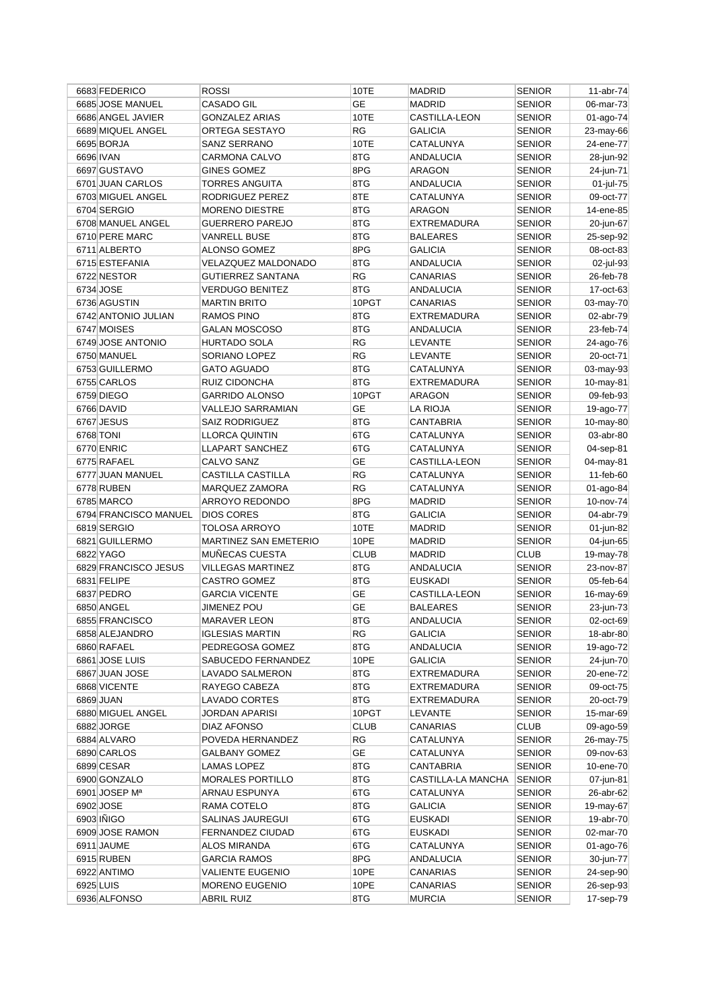| 6683 FEDERICO         | <b>ROSSI</b>             | 10TE        | <b>MADRID</b>        | <b>SENIOR</b> | 11-abr-74 |
|-----------------------|--------------------------|-------------|----------------------|---------------|-----------|
| 6685 JOSE MANUEL      | <b>CASADO GIL</b>        | <b>GE</b>   | <b>MADRID</b>        | <b>SENIOR</b> | 06-mar-73 |
| 6686 ANGEL JAVIER     | <b>GONZALEZ ARIAS</b>    | 10TE        | CASTILLA-LEON        | <b>SENIOR</b> | 01-ago-74 |
| 6689 MIQUEL ANGEL     | ORTEGA SESTAYO           | <b>RG</b>   | <b>GALICIA</b>       | <b>SENIOR</b> | 23-may-66 |
| 6695 BORJA            | SANZ SERRANO             | 10TE        | <b>CATALUNYA</b>     | <b>SENIOR</b> | 24-ene-77 |
| 6696 IVAN             | CARMONA CALVO            | 8TG         | <b>ANDALUCIA</b>     | <b>SENIOR</b> | 28-jun-92 |
| 6697 GUSTAVO          | <b>GINES GOMEZ</b>       | 8PG         | ARAGON               | SENIOR        | 24-jun-71 |
| 6701 JUAN CARLOS      | TORRES ANGUITA           | 8TG         | <b>ANDALUCIA</b>     | <b>SENIOR</b> | 01-jul-75 |
| 6703 MIGUEL ANGEL     | RODRIGUEZ PEREZ          | 8TE         | CATALUNYA            | SENIOR        | 09-oct-77 |
| 6704 SERGIO           | <b>MORENO DIESTRE</b>    | 8TG         | <b>ARAGON</b>        | <b>SENIOR</b> | 14-ene-85 |
|                       |                          | 8TG         |                      | <b>SENIOR</b> |           |
| 6708 MANUEL ANGEL     | <b>GUERRERO PAREJO</b>   | 8TG         | EXTREMADURA          |               | 20-jun-67 |
| 6710 PERE MARC        | <b>VANRELL BUSE</b>      |             | <b>BALEARES</b>      | <b>SENIOR</b> | 25-sep-92 |
| 6711 ALBERTO          | ALONSO GOMEZ             | 8PG         | <b>GALICIA</b>       | <b>SENIOR</b> | 08-oct-83 |
| 6715 ESTEFANIA        | VELAZQUEZ MALDONADO      | 8TG         | <b>ANDALUCIA</b>     | <b>SENIOR</b> | 02-jul-93 |
| 6722 NESTOR           | <b>GUTIERREZ SANTANA</b> | RG          | CANARIAS             | SENIOR        | 26-feb-78 |
| 6734 JOSE             | VERDUGO BENITEZ          | 8TG         | ANDALUCIA            | <b>SENIOR</b> | 17-oct-63 |
| 6736 AGUSTIN          | <b>MARTIN BRITO</b>      | 10PGT       | CANARIAS             | SENIOR        | 03-may-70 |
| 6742 ANTONIO JULIAN   | <b>RAMOS PINO</b>        | 8TG         | <b>EXTREMADURA</b>   | <b>SENIOR</b> | 02-abr-79 |
| 6747 MOISES           | <b>GALAN MOSCOSO</b>     | 8TG         | ANDALUCIA            | <b>SENIOR</b> | 23-feb-74 |
| 6749 JOSE ANTONIO     | <b>HURTADO SOLA</b>      | <b>RG</b>   | LEVANTE              | <b>SENIOR</b> | 24-ago-76 |
| 6750 MANUEL           | SORIANO LOPEZ            | <b>RG</b>   | LEVANTE              | <b>SENIOR</b> | 20-oct-71 |
| 6753 GUILLERMO        | <b>GATO AGUADO</b>       | 8TG         | CATALUNYA            | <b>SENIOR</b> | 03-may-93 |
| 6755 CARLOS           | RUIZ CIDONCHA            | 8TG         | <b>EXTREMADURA</b>   | SENIOR        | 10-may-81 |
| 6759 DIEGO            | <b>GARRIDO ALONSO</b>    | 10PGT       | ARAGON               | <b>SENIOR</b> | 09-feb-93 |
| 6766 DAVID            | <b>VALLEJO SARRAMIAN</b> | <b>GE</b>   | <b>LA RIOJA</b>      | <b>SENIOR</b> | 19-ago-77 |
| 6767 JESUS            | <b>SAIZ RODRIGUEZ</b>    | 8TG         | CANTABRIA            | <b>SENIOR</b> | 10-may-80 |
| 6768 TONI             | <b>LLORCA QUINTIN</b>    | 6TG         | CATALUNYA            | <b>SENIOR</b> | 03-abr-80 |
| 6770 ENRIC            | <b>LLAPART SANCHEZ</b>   | 6TG         | CATALUNYA            | <b>SENIOR</b> | 04-sep-81 |
| 6775 RAFAEL           | CALVO SANZ               | <b>GE</b>   | <b>CASTILLA-LEON</b> | <b>SENIOR</b> | 04-may-81 |
| 6777 JUAN MANUEL      |                          | <b>RG</b>   | CATALUNYA            | SENIOR        | 11-feb-60 |
|                       | CASTILLA CASTILLA        |             |                      |               |           |
| 6778 RUBEN            | MARQUEZ ZAMORA           | <b>RG</b>   | CATALUNYA            | SENIOR        | 01-ago-84 |
| 6785 MARCO            | ARROYO REDONDO           | 8PG         | MADRID               | <b>SENIOR</b> | 10-nov-74 |
| 6794 FRANCISCO MANUEL | <b>DIOS CORES</b>        | 8TG         | <b>GALICIA</b>       | <b>SENIOR</b> | 04-abr-79 |
| 6819 SERGIO           | TOLOSA ARROYO            | 10TE        | <b>MADRID</b>        | <b>SENIOR</b> | 01-jun-82 |
| 6821 GUILLERMO        | MARTINEZ SAN EMETERIO    | 10PE        | <b>MADRID</b>        | <b>SENIOR</b> | 04-jun-65 |
| 6822 YAGO             | MUÑECAS CUESTA           | <b>CLUB</b> | <b>MADRID</b>        | <b>CLUB</b>   | 19-may-78 |
| 6829 FRANCISCO JESUS  | <b>VILLEGAS MARTINEZ</b> | 8TG         | <b>ANDALUCIA</b>     | <b>SENIOR</b> | 23-nov-87 |
| 6831 FELIPE           | <b>CASTRO GOMEZ</b>      | 8TG         | <b>EUSKADI</b>       | SENIOR        | 05-feb-64 |
| 6837 PEDRO            | <b>GARCIA VICENTE</b>    | <b>GE</b>   | CASTILLA-LEON        | SENIOR        | 16-may-69 |
| 6850 ANGEL            | <b>JIMENEZ POU</b>       | <b>GE</b>   | <b>BALEARES</b>      | <b>SENIOR</b> | 23-jun-73 |
| 6855 FRANCISCO        | <b>MARAVER LEON</b>      | 8TG         | <b>ANDALUCIA</b>     | <b>SENIOR</b> | 02-oct-69 |
| 6858 ALEJANDRO        | <b>IGLESIAS MARTIN</b>   | RG          | <b>GALICIA</b>       | <b>SENIOR</b> | 18-abr-80 |
| 6860 RAFAEL           | PEDREGOSA GOMEZ          | 8TG         | <b>ANDALUCIA</b>     | <b>SENIOR</b> | 19-ago-72 |
| 6861 JOSE LUIS        | SABUCEDO FERNANDEZ       | 10PE        | <b>GALICIA</b>       | <b>SENIOR</b> | 24-jun-70 |
| 6867 JUAN JOSE        | <b>LAVADO SALMERON</b>   | 8TG         | <b>EXTREMADURA</b>   | <b>SENIOR</b> | 20-ene-72 |
| 6868 VICENTE          | RAYEGO CABEZA            | 8TG         | EXTREMADURA          | SENIOR        | 09-oct-75 |
| 6869 JUAN             | LAVADO CORTES            | 8TG         | EXTREMADURA          | SENIOR        | 20-oct-79 |
| 6880 MIGUEL ANGEL     | JORDAN APARISI           | 10PGT       | LEVANTE              | <b>SENIOR</b> | 15-mar-69 |
| 6882 JORGE            | <b>DIAZ AFONSO</b>       | <b>CLUB</b> | <b>CANARIAS</b>      | <b>CLUB</b>   | 09-ago-59 |
| 6884 ALVARO           | POVEDA HERNANDEZ         | <b>RG</b>   | CATALUNYA            | <b>SENIOR</b> | 26-may-75 |
| 6890 CARLOS           | <b>GALBANY GOMEZ</b>     | GE          | CATALUNYA            | <b>SENIOR</b> | 09-nov-63 |
| 6899 CESAR            | LAMAS LOPEZ              | 8TG         | CANTABRIA            | <b>SENIOR</b> | 10-ene-70 |
| 6900 GONZALO          | MORALES PORTILLO         | 8TG         | CASTILLA-LA MANCHA   | <b>SENIOR</b> | 07-jun-81 |
| 6901 JOSEP Mª         | ARNAU ESPUNYA            | 6TG         | CATALUNYA            | SENIOR        | 26-abr-62 |
|                       |                          |             |                      |               |           |
| 6902 JOSE             | RAMA COTELO              | 8TG         | <b>GALICIA</b>       | <b>SENIOR</b> | 19-may-67 |
| 6903 IÑIGO            | SALINAS JAUREGUI         | 6TG         | <b>EUSKADI</b>       | <b>SENIOR</b> | 19-abr-70 |
| 6909 JOSE RAMON       | FERNANDEZ CIUDAD         | 6TG         | EUSKADI              | <b>SENIOR</b> | 02-mar-70 |
| 6911 JAUME            | ALOS MIRANDA             | 6TG         | CATALUNYA            | SENIOR        | 01-ago-76 |
| 6915 RUBEN            | <b>GARCIA RAMOS</b>      | 8PG         | <b>ANDALUCIA</b>     | <b>SENIOR</b> | 30-jun-77 |
| 6922 ANTIMO           | <b>VALIENTE EUGENIO</b>  | 10PE        | CANARIAS             | <b>SENIOR</b> | 24-sep-90 |
| 6925 LUIS             | <b>MORENO EUGENIO</b>    | 10PE        | <b>CANARIAS</b>      | <b>SENIOR</b> | 26-sep-93 |
| 6936 ALFONSO          | <b>ABRIL RUIZ</b>        | 8TG         | <b>MURCIA</b>        | <b>SENIOR</b> | 17-sep-79 |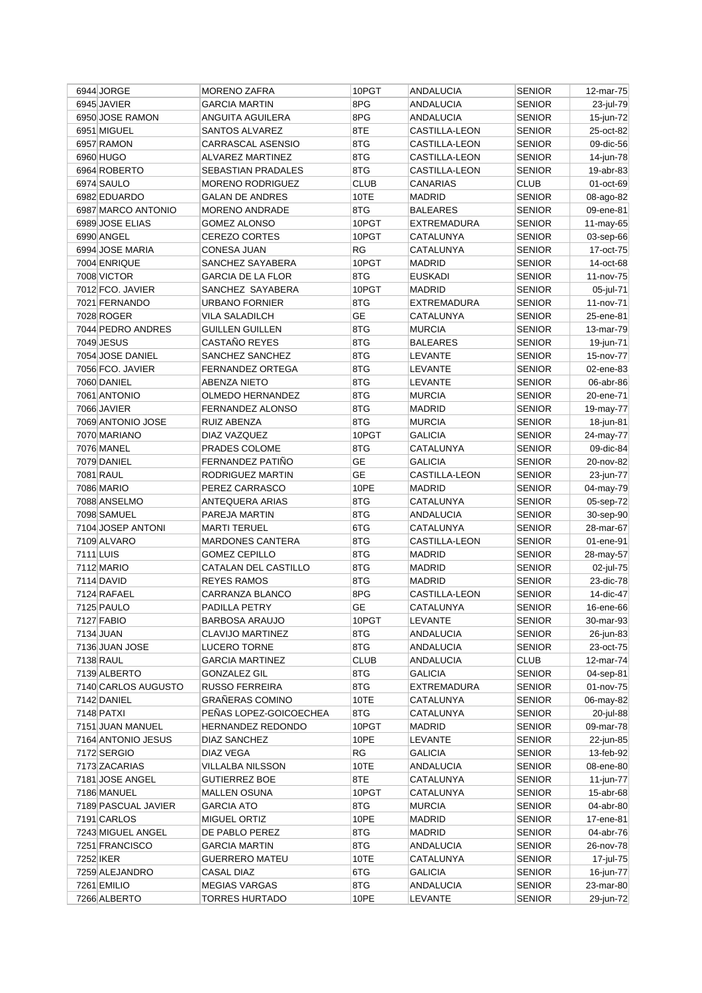|           | 6944 JORGE               | <b>MORENO ZAFRA</b>                  | 10PGT       | ANDALUCIA                      | <b>SENIOR</b>                  | $12$ -mar-75 |
|-----------|--------------------------|--------------------------------------|-------------|--------------------------------|--------------------------------|--------------|
|           | 6945 JAVIER              | <b>GARCIA MARTIN</b>                 | 8PG         | <b>ANDALUCIA</b>               | <b>SENIOR</b>                  | 23-jul-79    |
|           | 6950 JOSE RAMON          | ANGUITA AGUILERA                     | 8PG         | <b>ANDALUCIA</b>               | <b>SENIOR</b>                  | 15-jun-72    |
|           | 6951 MIGUEL              | SANTOS ALVAREZ                       | 8TE         | CASTILLA-LEON                  | <b>SENIOR</b>                  | 25-oct-82    |
|           | 6957 RAMON               | CARRASCAL ASENSIO                    | 8TG         | CASTILLA-LEON                  | <b>SENIOR</b>                  | 09-dic-56    |
|           | 6960 HUGO                | <b>ALVAREZ MARTINEZ</b>              | 8TG         | CASTILLA-LEON                  | <b>SENIOR</b>                  | 14-jun-78    |
|           | 6964 ROBERTO             | SEBASTIAN PRADALES                   | 8TG         | <b>CASTILLA-LEON</b>           | <b>SENIOR</b>                  | 19-abr-83    |
|           | 6974 SAULO               | <b>MORENO RODRIGUEZ</b>              | <b>CLUB</b> | CANARIAS                       | CLUB                           | 01-oct-69    |
|           | 6982 EDUARDO             | <b>GALAN DE ANDRES</b>               | 10TE        | <b>MADRID</b>                  | <b>SENIOR</b>                  | 08-ago-82    |
|           | 6987 MARCO ANTONIO       | <b>MORENO ANDRADE</b>                | 8TG         | <b>BALEARES</b>                | <b>SENIOR</b>                  | 09-ene-81    |
|           | 6989 JOSE ELIAS          | <b>GOMEZ ALONSO</b>                  | 10PGT       | EXTREMADURA                    | <b>SENIOR</b>                  | 11-may-65    |
|           | 6990 ANGEL               | <b>CEREZO CORTES</b>                 | 10PGT       | CATALUNYA                      | <b>SENIOR</b>                  | 03-sep-66    |
|           | 6994 JOSE MARIA          | <b>CONESA JUAN</b>                   | <b>RG</b>   | CATALUNYA                      | <b>SENIOR</b>                  | 17-oct-75    |
|           | 7004 ENRIQUE             | SANCHEZ SAYABERA                     | 10PGT       | <b>MADRID</b>                  | <b>SENIOR</b>                  | 14-oct-68    |
|           | 7008 VICTOR              | <b>GARCIA DE LA FLOR</b>             | 8TG         | <b>EUSKADI</b>                 | <b>SENIOR</b>                  | 11-nov-75    |
|           | 7012 FCO. JAVIER         | SANCHEZ SAYABERA                     | 10PGT       | <b>MADRID</b>                  | <b>SENIOR</b>                  | 05-jul-71    |
|           | 7021 FERNANDO            | <b>URBANO FORNIER</b>                | 8TG         | <b>EXTREMADURA</b>             | <b>SENIOR</b>                  | 11-nov-71    |
|           | 7028 ROGER               | <b>VILA SALADILCH</b>                | <b>GE</b>   | CATALUNYA                      | <b>SENIOR</b>                  | 25-ene-81    |
|           | 7044 PEDRO ANDRES        | <b>GUILLEN GUILLEN</b>               | 8TG         | <b>MURCIA</b>                  | <b>SENIOR</b>                  | 13-mar-79    |
|           | 7049 JESUS               | CASTAÑO REYES                        | 8TG         | <b>BALEARES</b>                | <b>SENIOR</b>                  | 19-jun-71    |
|           | 7054 JOSE DANIEL         | SANCHEZ SANCHEZ                      | 8TG         | LEVANTE                        | <b>SENIOR</b>                  | 15-nov-77    |
|           | 7056 FCO. JAVIER         | FERNANDEZ ORTEGA                     | 8TG         | <b>LEVANTE</b>                 | <b>SENIOR</b>                  | 02-ene-83    |
|           | 7060 DANIEL              | <b>ABENZA NIETO</b>                  | 8TG         | LEVANTE                        | <b>SENIOR</b>                  | 06-abr-86    |
|           | 7061 ANTONIO             | <b>OLMEDO HERNANDEZ</b>              | 8TG         | <b>MURCIA</b>                  | <b>SENIOR</b>                  | 20-ene-71    |
|           | 7066 JAVIER              | <b>FERNANDEZ ALONSO</b>              | 8TG         | <b>MADRID</b>                  | <b>SENIOR</b>                  | 19-may-77    |
|           | 7069 ANTONIO JOSE        | RUIZ ABENZA                          | 8TG         | <b>MURCIA</b>                  | <b>SENIOR</b>                  | 18-jun-81    |
|           | 7070 MARIANO             | DIAZ VAZQUEZ                         | 10PGT       | GALICIA                        | <b>SENIOR</b>                  | 24-may-77    |
|           | <b>7076 MANEL</b>        | PRADES COLOME                        | 8TG         | CATALUNYA                      | <b>SENIOR</b>                  | 09-dic-84    |
|           | 7079 DANIEL              | FERNANDEZ PATIÑO                     | GE          | <b>GALICIA</b>                 | <b>SENIOR</b>                  | 20-nov-82    |
|           | 7081 RAUL                | RODRIGUEZ MARTIN                     | <b>GE</b>   | <b>CASTILLA-LEON</b>           | <b>SENIOR</b>                  | 23-jun-77    |
|           | 7086 MARIO               | PEREZ CARRASCO                       | 10PE        | <b>MADRID</b>                  | <b>SENIOR</b>                  | 04-may-79    |
|           | 7088 ANSELMO             | ANTEQUERA ARIAS                      | 8TG         | CATALUNYA                      | <b>SENIOR</b>                  | 05-sep-72    |
|           | 7098 SAMUEL              |                                      | 8TG         | <b>ANDALUCIA</b>               |                                |              |
|           | 7104 JOSEP ANTONI        | PAREJA MARTIN<br><b>MARTI TERUEL</b> | 6TG         | CATALUNYA                      | <b>SENIOR</b><br><b>SENIOR</b> | 30-sep-90    |
|           | 7109 ALVARO              | <b>MARDONES CANTERA</b>              | 8TG         |                                | <b>SENIOR</b>                  | 28-mar-67    |
| 7111 LUIS |                          | <b>GOMEZ CEPILLO</b>                 | 8TG         | CASTILLA-LEON<br><b>MADRID</b> | <b>SENIOR</b>                  | 01-ene-91    |
|           |                          |                                      |             |                                |                                | 28-may-57    |
|           | 7112 MARIO<br>7114 DAVID | CATALAN DEL CASTILLO                 | 8TG         | <b>MADRID</b>                  | <b>SENIOR</b>                  | 02-jul-75    |
|           | 7124 RAFAEL              | <b>REYES RAMOS</b>                   | 8TG         | <b>MADRID</b>                  | <b>SENIOR</b>                  | 23-dic-78    |
|           |                          | CARRANZA BLANCO                      | 8PG         | CASTILLA-LEON                  | <b>SENIOR</b>                  | 14-dic-47    |
|           | 7125 PAULO               | PADILLA PETRY                        | <b>GE</b>   | CATALUNYA                      | <b>SENIOR</b>                  | 16-ene-66    |
|           | 7127 FABIO               | <b>BARBOSA ARAUJO</b>                | 10PGT       | LEVANTE                        | <b>SENIOR</b>                  | 30-mar-93    |
|           | 7134 JUAN                | CLAVIJO MARTINEZ                     | 8TG         | <b>ANDALUCIA</b>               | <b>SENIOR</b>                  | 26-jun-83    |
|           | 7136 JUAN JOSE           | <b>LUCERO TORNE</b>                  | 8TG         | ANDALUCIA                      | <b>SENIOR</b>                  | 23-oct-75    |
|           | 7138 RAUL                | <b>GARCIA MARTINEZ</b>               | <b>CLUB</b> | <b>ANDALUCIA</b>               | <b>CLUB</b>                    | 12-mar-74    |
|           | 7139 ALBERTO             | <b>GONZALEZ GIL</b>                  | 8TG         | GALICIA                        | <b>SENIOR</b>                  | 04-sep-81    |
|           | 7140 CARLOS AUGUSTO      | <b>RUSSO FERREIRA</b>                | 8TG         | EXTREMADURA                    | <b>SENIOR</b>                  | 01-nov-75    |
|           | 7142 DANIEL              | <b>GRAÑERAS COMINO</b>               | 10TE        | CATALUNYA                      | SENIOR                         | 06-may-82    |
|           | 7148 PATXI               | PEÑAS LOPEZ-GOICOECHEA               | 8TG         | CATALUNYA                      | <b>SENIOR</b>                  | 20-jul-88    |
|           | 7151 JUAN MANUEL         | HERNANDEZ REDONDO                    | 10PGT       | <b>MADRID</b>                  | <b>SENIOR</b>                  | 09-mar-78    |
|           | 7164 ANTONIO JESUS       | DIAZ SANCHEZ                         | 10PE        | LEVANTE                        | <b>SENIOR</b>                  | 22-jun-85    |
|           | 7172 SERGIO              | DIAZ VEGA                            | RG          | <b>GALICIA</b>                 | <b>SENIOR</b>                  | 13-feb-92    |
|           | 7173 ZACARIAS            | VILLALBA NILSSON                     | 10TE        | ANDALUCIA                      | SENIOR                         | 08-ene-80    |
|           | 7181 JOSE ANGEL          | <b>GUTIERREZ BOE</b>                 | 8TE         | CATALUNYA                      | <b>SENIOR</b>                  | 11-jun-77    |
|           | 7186 MANUEL              | <b>MALLEN OSUNA</b>                  | 10PGT       | CATALUNYA                      | <b>SENIOR</b>                  | 15-abr-68    |
|           | 7189 PASCUAL JAVIER      | <b>GARCIA ATO</b>                    | 8TG         | MURCIA                         | <b>SENIOR</b>                  | 04-abr-80    |
|           | 7191 CARLOS              | MIGUEL ORTIZ                         | 10PE        | <b>MADRID</b>                  | <b>SENIOR</b>                  | 17-ene-81    |
|           | 7243 MIGUEL ANGEL        | DE PABLO PEREZ                       | 8TG         | <b>MADRID</b>                  | <b>SENIOR</b>                  | 04-abr-76    |
|           | 7251 FRANCISCO           | <b>GARCIA MARTIN</b>                 | 8TG         | ANDALUCIA                      | <b>SENIOR</b>                  | 26-nov-78    |
|           | 7252 IKER                | <b>GUERRERO MATEU</b>                | 10TE        | CATALUNYA                      | <b>SENIOR</b>                  | 17-jul-75    |
|           | 7259 ALEJANDRO           | CASAL DIAZ                           | 6TG         | GALICIA                        | SENIOR                         | 16-jun-77    |
|           | 7261 EMILIO              | <b>MEGIAS VARGAS</b>                 | 8TG         | <b>ANDALUCIA</b>               | <b>SENIOR</b>                  | 23-mar-80    |
|           | 7266 ALBERTO             | TORRES HURTADO                       | 10PE        | LEVANTE                        | <b>SENIOR</b>                  | 29-jun-72    |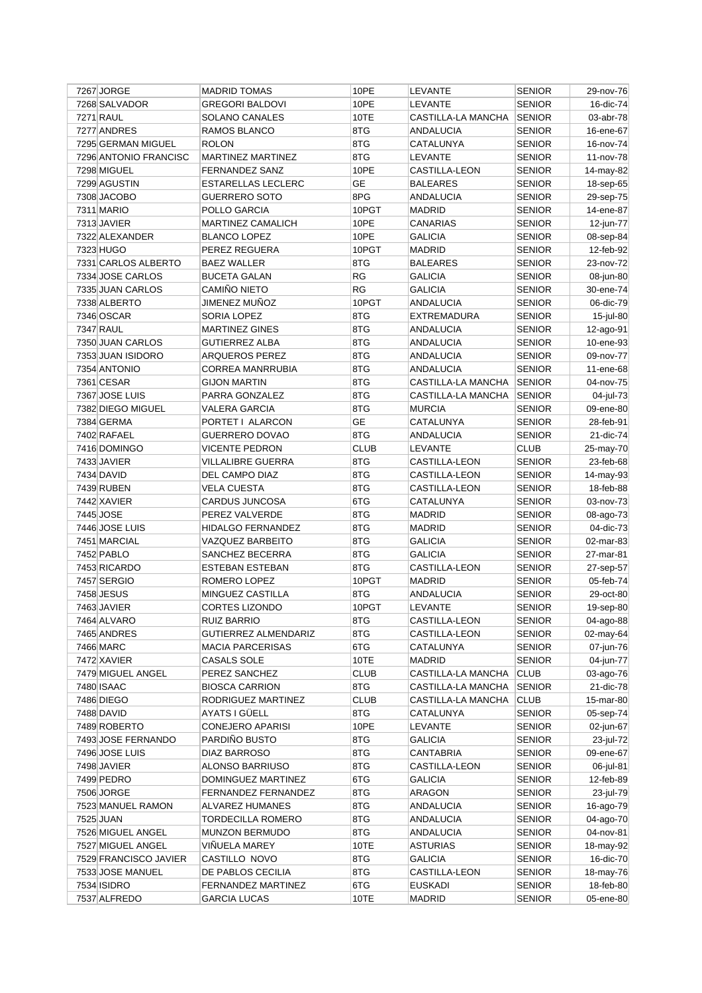| 7267 JORGE            | <b>MADRID TOMAS</b>        | 10PE        | LEVANTE            | <b>SENIOR</b> | 29-nov-76 |
|-----------------------|----------------------------|-------------|--------------------|---------------|-----------|
| 7268 SALVADOR         | <b>GREGORI BALDOVI</b>     | 10PE        | LEVANTE            | <b>SENIOR</b> | 16-dic-74 |
| 7271 RAUL             | SOLANO CANALES             | 10TE        | CASTILLA-LA MANCHA | <b>SENIOR</b> | 03-abr-78 |
| 7277 ANDRES           | RAMOS BLANCO               | 8TG         | <b>ANDALUCIA</b>   | <b>SENIOR</b> | 16-ene-67 |
| 7295 GERMAN MIGUEL    | <b>ROLON</b>               | 8TG         | CATALUNYA          | <b>SENIOR</b> | 16-nov-74 |
| 7296 ANTONIO FRANCISC | <b>MARTINEZ MARTINEZ</b>   | 8TG         | LEVANTE            | <b>SENIOR</b> | 11-nov-78 |
| 7298 MIGUEL           | <b>FERNANDEZ SANZ</b>      | 10PE        | CASTILLA-LEON      | <b>SENIOR</b> | 14-may-82 |
| 7299 AGUSTIN          | <b>ESTARELLAS LECLERC</b>  | GЕ          | <b>BALEARES</b>    | <b>SENIOR</b> | 18-sep-65 |
| 7308 JACOBO           | <b>GUERRERO SOTO</b>       | 8PG         | ANDALUCIA          | <b>SENIOR</b> | 29-sep-75 |
| 7311 MARIO            | POLLO GARCIA               | 10PGT       | <b>MADRID</b>      | <b>SENIOR</b> | 14-ene-87 |
| 7313 JAVIER           | <b>MARTINEZ CAMALICH</b>   | 10PE        | CANARIAS           | <b>SENIOR</b> | 12-jun-77 |
| 7322 ALEXANDER        | <b>BLANCO LOPEZ</b>        | 10PE        | <b>GALICIA</b>     | <b>SENIOR</b> | 08-sep-84 |
| 7323 HUGO             | PEREZ REGUERA              | 10PGT       | MADRID             | <b>SENIOR</b> | 12-feb-92 |
| 7331 CARLOS ALBERTO   | <b>BAEZ WALLER</b>         | 8TG         | <b>BALEARES</b>    | <b>SENIOR</b> | 23-nov-72 |
| 7334 JOSE CARLOS      | <b>BUCETA GALAN</b>        | RG          | <b>GALICIA</b>     | <b>SENIOR</b> | 08-jun-80 |
| 7335 JUAN CARLOS      | CAMIÑO NIETO               | <b>RG</b>   | <b>GALICIA</b>     | <b>SENIOR</b> | 30-ene-74 |
| 7338 ALBERTO          | JIMENEZ MUNOZ              | 10PGT       | ANDALUCIA          | <b>SENIOR</b> | 06-dic-79 |
| 7346 OSCAR            | SORIA LOPEZ                | 8TG         | EXTREMADURA        | <b>SENIOR</b> | 15-jul-80 |
| 7347 RAUL             | <b>MARTINEZ GINES</b>      | 8TG         | <b>ANDALUCIA</b>   | <b>SENIOR</b> | 12-ago-91 |
| 7350 JUAN CARLOS      | <b>GUTIERREZ ALBA</b>      | 8TG         | <b>ANDALUCIA</b>   | <b>SENIOR</b> | 10-ene-93 |
| 7353 JUAN ISIDORO     | ARQUEROS PEREZ             | 8TG         | <b>ANDALUCIA</b>   | <b>SENIOR</b> | 09-nov-77 |
| 7354 ANTONIO          | <b>CORREA MANRRUBIA</b>    | 8TG         | <b>ANDALUCIA</b>   | <b>SENIOR</b> | 11-ene-68 |
| 7361 CESAR            | <b>GIJON MARTIN</b>        | 8TG         | CASTILLA-LA MANCHA | <b>SENIOR</b> | 04-nov-75 |
| 7367 JOSE LUIS        | PARRA GONZALEZ             | 8TG         | CASTILLA-LA MANCHA | <b>SENIOR</b> | 04-jul-73 |
| 7382 DIEGO MIGUEL     | VALERA GARCIA              | 8TG         | <b>MURCIA</b>      | <b>SENIOR</b> | 09-ene-80 |
| 7384 GERMA            | PORTET I ALARCON           | <b>GE</b>   | CATALUNYA          | <b>SENIOR</b> | 28-feb-91 |
| 7402 RAFAEL           | <b>GUERRERO DOVAO</b>      | 8TG         |                    | <b>SENIOR</b> |           |
|                       |                            | <b>CLUB</b> | ANDALUCIA          | <b>CLUB</b>   | 21-dic-74 |
| 7416 DOMINGO          | <b>VICENTE PEDRON</b>      |             | LEVANTE            |               | 25-may-70 |
| 7433 JAVIER           | <b>VILLALIBRE GUERRA</b>   | 8TG<br>8TG  | CASTILLA-LEON      | <b>SENIOR</b> | 23-feb-68 |
| 7434 DAVID            | DEL CAMPO DIAZ             | 8TG         | CASTILLA-LEON      | <b>SENIOR</b> | 14-may-93 |
| 7439 RUBEN            | <b>VELA CUESTA</b>         |             | CASTILLA-LEON      | <b>SENIOR</b> | 18-feb-88 |
| 7442 XAVIER           | CARDUS JUNCOSA             | 6TG         | CATALUNYA          | <b>SENIOR</b> | 03-nov-73 |
| 7445 JOSE             | PEREZ VALVERDE             | 8TG         | <b>MADRID</b>      | <b>SENIOR</b> | 08-ago-73 |
| 7446 JOSE LUIS        | <b>HIDALGO FERNANDEZ</b>   | 8TG         | <b>MADRID</b>      | <b>SENIOR</b> | 04-dic-73 |
| 7451 MARCIAL          | VAZQUEZ BARBEITO           | 8TG         | <b>GALICIA</b>     | <b>SENIOR</b> | 02-mar-83 |
| 7452 PABLO            | SANCHEZ BECERRA            | 8TG         | <b>GALICIA</b>     | <b>SENIOR</b> | 27-mar-81 |
| 7453 RICARDO          | ESTEBAN ESTEBAN            | 8TG         | CASTILLA-LEON      | <b>SENIOR</b> | 27-sep-57 |
| 7457 SERGIO           | ROMERO LOPEZ               | 10PGT       | <b>MADRID</b>      | <b>SENIOR</b> | 05-feb-74 |
| 7458 JESUS            | MINGUEZ CASTILLA           | 8TG         | ANDALUCIA          | <b>SENIOR</b> | 29-oct-80 |
| 7463 JAVIER           | <b>CORTES LIZONDO</b>      | 10PGT       | LEVANTE            | <b>SENIOR</b> | 19-sep-80 |
| 7464 ALVARO           | <b>RUIZ BARRIO</b>         | 8TG         | CASTILLA-LEON      | <b>SENIOR</b> | 04-ago-88 |
| 7465 ANDRES           | GUTIERREZ ALMENDARIZ       | 8TG         | CASTILLA-LEON      | <b>SENIOR</b> | 02-may-64 |
| 7466 MARC             | <b>MACIA PARCERISAS</b>    | 6TG         | CATALUNYA          | <b>SENIOR</b> | 07-jun-76 |
| 7472 XAVIER           | CASALS SOLE                | 10TE        | <b>MADRID</b>      | <b>SENIOR</b> | 04-jun-77 |
| 7479 MIGUEL ANGEL     | PEREZ SANCHEZ              | <b>CLUB</b> | CASTILLA-LA MANCHA | <b>CLUB</b>   | 03-ago-76 |
| 7480 ISAAC            | <b>BIOSCA CARRION</b>      | 8TG         | CASTILLA-LA MANCHA | <b>SENIOR</b> | 21-dic-78 |
| 7486 DIEGO            | RODRIGUEZ MARTINEZ         | <b>CLUB</b> | CASTILLA-LA MANCHA | CLUB          | 15-mar-80 |
| 7488 DAVID            | AYATS I GÜELL              | 8TG         | CATALUNYA          | <b>SENIOR</b> | 05-sep-74 |
| 7489 ROBERTO          | <b>CONEJERO APARISI</b>    | 10PE        | LEVANTE            | <b>SENIOR</b> | 02-jun-67 |
| 7493 JOSE FERNANDO    | PARDIÑO BUSTO              | 8TG         | <b>GALICIA</b>     | <b>SENIOR</b> | 23-jul-72 |
| 7496 JOSE LUIS        | DIAZ BARROSO               | 8TG         | <b>CANTABRIA</b>   | <b>SENIOR</b> | 09-ene-67 |
| 7498 JAVIER           | <b>ALONSO BARRIUSO</b>     | 8TG         | CASTILLA-LEON      | <b>SENIOR</b> | 06-jul-81 |
| 7499 PEDRO            | DOMINGUEZ MARTINEZ         | 6TG         | <b>GALICIA</b>     | <b>SENIOR</b> | 12-feb-89 |
| 7506 JORGE            | <b>FERNANDEZ FERNANDEZ</b> | 8TG         | <b>ARAGON</b>      | <b>SENIOR</b> | 23-jul-79 |
| 7523 MANUEL RAMON     | ALVAREZ HUMANES            | 8TG         | ANDALUCIA          | <b>SENIOR</b> | 16-ago-79 |
| 7525 JUAN             | TORDECILLA ROMERO          | 8TG         | <b>ANDALUCIA</b>   | <b>SENIOR</b> | 04-ago-70 |
| 7526 MIGUEL ANGEL     | <b>MUNZON BERMUDO</b>      | 8TG         | <b>ANDALUCIA</b>   | <b>SENIOR</b> | 04-nov-81 |
| 7527 MIGUEL ANGEL     | VIÑUELA MAREY              | 10TE        | <b>ASTURIAS</b>    | <b>SENIOR</b> | 18-may-92 |
| 7529 FRANCISCO JAVIER | CASTILLO NOVO              | 8TG         | <b>GALICIA</b>     | <b>SENIOR</b> | 16-dic-70 |
| 7533 JOSE MANUEL      | DE PABLOS CECILIA          | 8TG         | CASTILLA-LEON      | <b>SENIOR</b> | 18-may-76 |
| 7534 ISIDRO           | FERNANDEZ MARTINEZ         | 6TG         | <b>EUSKADI</b>     | <b>SENIOR</b> | 18-feb-80 |
| 7537 ALFREDO          | <b>GARCIA LUCAS</b>        | 10TE        | MADRID             | <b>SENIOR</b> | 05-ene-80 |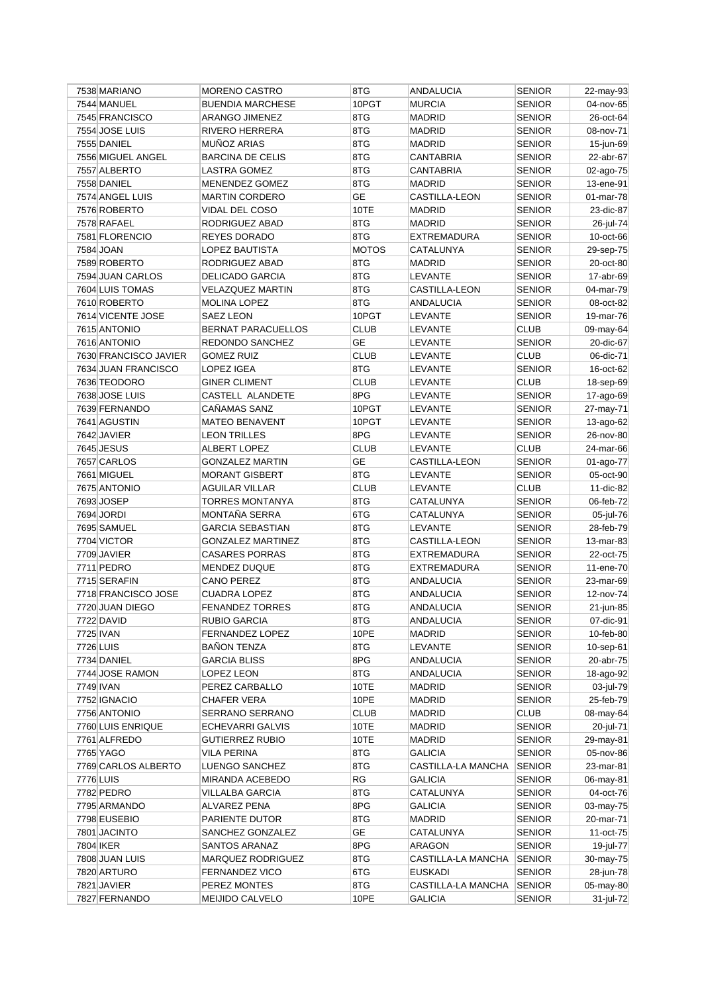| 7538 MARIANO          | <b>MORENO CASTRO</b>      | 8TG          | ANDALUCIA          | <b>SENIOR</b> | 22-may-93    |
|-----------------------|---------------------------|--------------|--------------------|---------------|--------------|
| 7544 MANUEL           | <b>BUENDIA MARCHESE</b>   | 10PGT        | <b>MURCIA</b>      | <b>SENIOR</b> | 04-nov-65    |
| 7545 FRANCISCO        | ARANGO JIMENEZ            | 8TG          | <b>MADRID</b>      | <b>SENIOR</b> | 26-oct-64    |
| 7554 JOSE LUIS        | <b>RIVERO HERRERA</b>     | 8TG          | <b>MADRID</b>      | <b>SENIOR</b> | 08-nov-71    |
| 7555 DANIEL           | <b>MUÑOZ ARIAS</b>        | 8TG          | <b>MADRID</b>      | <b>SENIOR</b> | 15-jun-69    |
| 7556 MIGUEL ANGEL     | <b>BARCINA DE CELIS</b>   | 8TG          | <b>CANTABRIA</b>   | <b>SENIOR</b> | 22-abr-67    |
| 7557 ALBERTO          | <b>LASTRA GOMEZ</b>       | 8TG          | CANTABRIA          | <b>SENIOR</b> | 02-ago-75    |
| 7558 DANIEL           | MENENDEZ GOMEZ            | 8TG          | <b>MADRID</b>      | <b>SENIOR</b> | 13-ene-91    |
| 7574 ANGEL LUIS       | <b>MARTIN CORDERO</b>     | GE           | CASTILLA-LEON      | <b>SENIOR</b> | 01-mar-78    |
| 7576 ROBERTO          | VIDAL DEL COSO            | 10TE         | <b>MADRID</b>      | <b>SENIOR</b> | 23-dic-87    |
| 7578 RAFAEL           | RODRIGUEZ ABAD            | 8TG          | <b>MADRID</b>      | <b>SENIOR</b> | 26-jul-74    |
| 7581 FLORENCIO        | REYES DORADO              | 8TG          | EXTREMADURA        | <b>SENIOR</b> | 10-oct-66    |
| 7584 JOAN             | LOPEZ BAUTISTA            | <b>MOTOS</b> | CATALUNYA          | <b>SENIOR</b> | 29-sep-75    |
| 7589 ROBERTO          | RODRIGUEZ ABAD            | 8TG          | <b>MADRID</b>      | <b>SENIOR</b> | 20-oct-80    |
| 7594 JUAN CARLOS      | DELICADO GARCIA           | 8TG          | LEVANTE            | <b>SENIOR</b> | 17-abr-69    |
| 7604 LUIS TOMAS       | <b>VELAZQUEZ MARTIN</b>   | 8TG          | CASTILLA-LEON      | <b>SENIOR</b> | 04-mar-79    |
| 7610 ROBERTO          | MOLINA LOPEZ              | 8TG          | ANDALUCIA          | <b>SENIOR</b> | 08-oct-82    |
| 7614 VICENTE JOSE     | SAEZ LEON                 | 10PGT        | LEVANTE            | <b>SENIOR</b> | 19-mar-76    |
| 7615 ANTONIO          | <b>BERNAT PARACUELLOS</b> | <b>CLUB</b>  | LEVANTE            | <b>CLUB</b>   | 09-may-64    |
| 7616 ANTONIO          | REDONDO SANCHEZ           | <b>GE</b>    | LEVANTE            | <b>SENIOR</b> | 20-dic-67    |
| 7630 FRANCISCO JAVIER | <b>GOMEZ RUIZ</b>         | <b>CLUB</b>  | LEVANTE            | <b>CLUB</b>   | 06-dic-71    |
| 7634 JUAN FRANCISCO   | <b>LOPEZ IGEA</b>         | 8TG          | LEVANTE            | <b>SENIOR</b> | 16-oct-62    |
| 7636 TEODORO          | <b>GINER CLIMENT</b>      | <b>CLUB</b>  | LEVANTE            | <b>CLUB</b>   | 18-sep-69    |
| 7638 JOSE LUIS        | CASTELL ALANDETE          | 8PG          | LEVANTE            | <b>SENIOR</b> | 17-ago-69    |
| 7639 FERNANDO         | CAÑAMAS SANZ              | 10PGT        | LEVANTE            | <b>SENIOR</b> | 27-may-71    |
| 7641 AGUSTIN          | <b>MATEO BENAVENT</b>     | 10PGT        | LEVANTE            | <b>SENIOR</b> | 13-ago-62    |
| 7642 JAVIER           | <b>LEON TRILLES</b>       | 8PG          |                    | <b>SENIOR</b> |              |
|                       |                           |              | LEVANTE            |               | 26-nov-80    |
| 7645 JESUS            | ALBERT LOPEZ              | <b>CLUB</b>  | LEVANTE            | <b>CLUB</b>   | 24-mar-66    |
| 7657 CARLOS           | <b>GONZALEZ MARTIN</b>    | GE           | CASTILLA-LEON      | <b>SENIOR</b> | 01-ago-77    |
| 7661 MIGUEL           | <b>MORANT GISBERT</b>     | 8TG          | LEVANTE            | <b>SENIOR</b> | 05-oct-90    |
| 7675 ANTONIO          | <b>AGUILAR VILLAR</b>     | <b>CLUB</b>  | LEVANTE            | <b>CLUB</b>   | 11-dic-82    |
| 7693 JOSEP            | <b>TORRES MONTANYA</b>    | 8TG          | CATALUNYA          | <b>SENIOR</b> | 06-feb-72    |
| 7694 JORDI            | MONTAÑA SERRA             | 6TG          | CATALUNYA          | <b>SENIOR</b> | 05-jul-76    |
| 7695 SAMUEL           | <b>GARCIA SEBASTIAN</b>   | 8TG          | LEVANTE            | <b>SENIOR</b> | 28-feb-79    |
| 7704 VICTOR           | <b>GONZALEZ MARTINEZ</b>  | 8TG          | CASTILLA-LEON      | <b>SENIOR</b> | 13-mar-83    |
| 7709 JAVIER           | <b>CASARES PORRAS</b>     | 8TG          | EXTREMADURA        | <b>SENIOR</b> | 22-oct-75    |
| 7711 PEDRO            | <b>MENDEZ DUQUE</b>       | 8TG          | <b>EXTREMADURA</b> | <b>SENIOR</b> | 11-ene-70    |
| 7715 SERAFIN          | <b>CANO PEREZ</b>         | 8TG          | <b>ANDALUCIA</b>   | <b>SENIOR</b> | 23-mar-69    |
| 7718 FRANCISCO JOSE   | <b>CUADRA LOPEZ</b>       | 8TG          | ANDALUCIA          | <b>SENIOR</b> | 12-nov-74    |
| 7720 JUAN DIEGO       | <b>FENANDEZ TORRES</b>    | 8TG          | <b>ANDALUCIA</b>   | <b>SENIOR</b> | 21-jun-85    |
| 7722 DAVID            | <b>RUBIO GARCIA</b>       | 8TG          | ANDALUCIA          | <b>SENIOR</b> | 07-dic-91    |
| 7725 IVAN             | FERNANDEZ LOPEZ           | 10PE         | <b>MADRID</b>      | <b>SENIOR</b> | 10-feb-80    |
| 7726 LUIS             | <b>BAÑON TENZA</b>        | 8TG          | LEVANTE            | <b>SENIOR</b> | $10$ -sep-61 |
| 7734 DANIEL           | <b>GARCIA BLISS</b>       | 8PG          | <b>ANDALUCIA</b>   | <b>SENIOR</b> | 20-abr-75    |
| 7744 JOSE RAMON       | LOPEZ LEON                | 8TG          | <b>ANDALUCIA</b>   | <b>SENIOR</b> | 18-ago-92    |
| 7749 IVAN             | PEREZ CARBALLO            | 10TE         | <b>MADRID</b>      | <b>SENIOR</b> | 03-jul-79    |
| 7752 IGNACIO          | <b>CHAFER VERA</b>        | 10PE         | MADRID             | <b>SENIOR</b> | 25-feb-79    |
| 7756 ANTONIO          | <b>SERRANO SERRANO</b>    | <b>CLUB</b>  | MADRID             | <b>CLUB</b>   | 08-may-64    |
| 7760 LUIS ENRIQUE     | ECHEVARRI GALVIS          | 10TE         | MADRID             | <b>SENIOR</b> | 20-jul-71    |
| 7761 ALFREDO          | <b>GUTIERREZ RUBIO</b>    | 10TE         | MADRID             | <b>SENIOR</b> | 29-may-81    |
| 7765 YAGO             | VILA PERINA               | 8TG          | <b>GALICIA</b>     | <b>SENIOR</b> | 05-nov-86    |
| 7769 CARLOS ALBERTO   | LUENGO SANCHEZ            | 8TG          | CASTILLA-LA MANCHA | <b>SENIOR</b> | 23-mar-81    |
| 7776 LUIS             | MIRANDA ACEBEDO           | RG           | <b>GALICIA</b>     | <b>SENIOR</b> | 06-may-81    |
| 7782 PEDRO            | VILLALBA GARCIA           | 8TG          | CATALUNYA          | <b>SENIOR</b> | 04-oct-76    |
| 7795 ARMANDO          | ALVAREZ PENA              | 8PG          | <b>GALICIA</b>     | <b>SENIOR</b> | 03-may-75    |
| 7798 EUSEBIO          | PARIENTE DUTOR            | 8TG          | MADRID             | <b>SENIOR</b> | 20-mar-71    |
| 7801 JACINTO          | SANCHEZ GONZALEZ          | GE           | CATALUNYA          | <b>SENIOR</b> | 11-oct-75    |
| 7804 IKER             | SANTOS ARANAZ             | 8PG          | <b>ARAGON</b>      | <b>SENIOR</b> | 19-jul-77    |
| 7808 JUAN LUIS        | MARQUEZ RODRIGUEZ         | 8TG          | CASTILLA-LA MANCHA | <b>SENIOR</b> | 30-may-75    |
| 7820 ARTURO           | <b>FERNANDEZ VICO</b>     | 6TG          | <b>EUSKADI</b>     | <b>SENIOR</b> | 28-jun-78    |
| 7821 JAVIER           | PEREZ MONTES              | 8TG          | CASTILLA-LA MANCHA | <b>SENIOR</b> | 05-may-80    |
| 7827 FERNANDO         | MEIJIDO CALVELO           | 10PE         | <b>GALICIA</b>     | <b>SENIOR</b> | 31-jul-72    |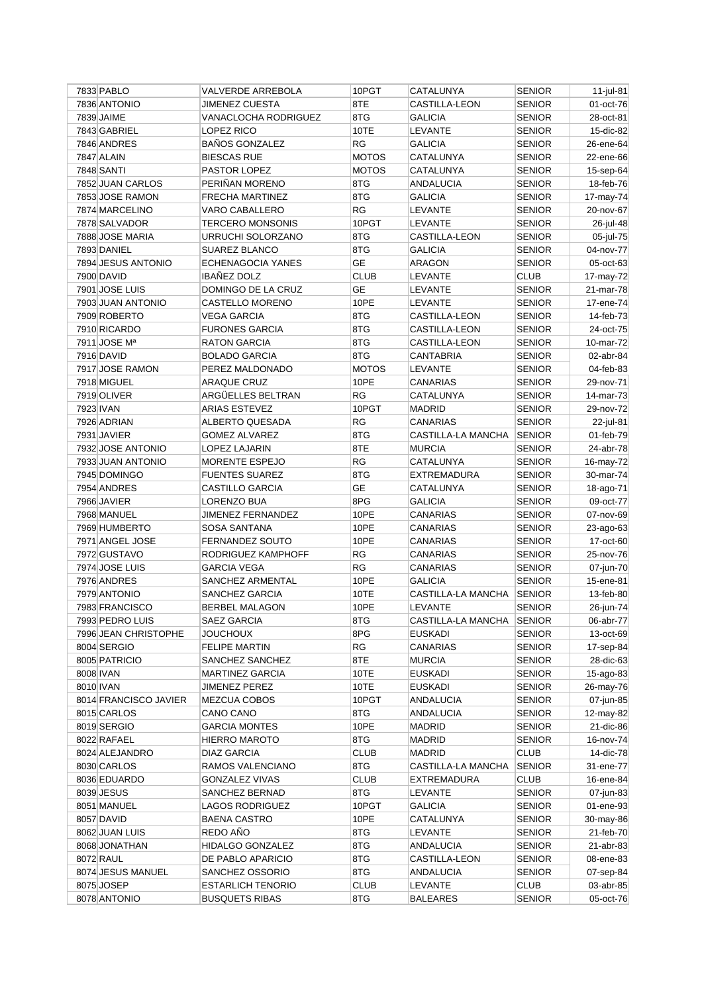| 7833 PABLO            | VALVERDE ARREBOLA               | 10PGT        | CATALUNYA            | <b>SENIOR</b> | $11$ -jul-81 |
|-----------------------|---------------------------------|--------------|----------------------|---------------|--------------|
| 7836 ANTONIO          | <b>JIMENEZ CUESTA</b>           | 8TE          | <b>CASTILLA-LEON</b> | <b>SENIOR</b> | 01-oct-76    |
| 7839 JAIME            | VANACLOCHA RODRIGUEZ            | 8TG          | <b>GALICIA</b>       | <b>SENIOR</b> | 28-oct-81    |
| 7843 GABRIEL          | LOPEZ RICO                      | 10TE         | LEVANTE              | <b>SENIOR</b> | 15-dic-82    |
| 7846 ANDRES           | <b>BAÑOS GONZALEZ</b>           | RG           | <b>GALICIA</b>       | <b>SENIOR</b> | 26-ene-64    |
| 7847 ALAIN            | <b>BIESCAS RUE</b>              | <b>MOTOS</b> | CATALUNYA            | <b>SENIOR</b> | 22-ene-66    |
| 7848 SANTI            | PASTOR LOPEZ                    | <b>MOTOS</b> | CATALUNYA            | <b>SENIOR</b> | 15-sep-64    |
| 7852 JUAN CARLOS      | PERIÑAN MORENO                  | 8TG          | ANDALUCIA            | <b>SENIOR</b> | 18-feb-76    |
| 7853 JOSE RAMON       | FRECHA MARTINEZ                 | 8TG          | <b>GALICIA</b>       | <b>SENIOR</b> | 17-may-74    |
| 7874 MARCELINO        | VARO CABALLERO                  | RG           | LEVANTE              | SENIOR        | 20-nov-67    |
| 7878 SALVADOR         | <b>TERCERO MONSONIS</b>         | 10PGT        | LEVANTE              | <b>SENIOR</b> | 26-jul-48    |
| 7888 JOSE MARIA       | URRUCHI SOLORZANO               | 8TG          | CASTILLA-LEON        | <b>SENIOR</b> | 05-jul-75    |
| 7893 DANIEL           | <b>SUAREZ BLANCO</b>            | 8TG          | <b>GALICIA</b>       | <b>SENIOR</b> | 04-nov-77    |
| 7894 JESUS ANTONIO    | <b>ECHENAGOCIA YANES</b>        | <b>GE</b>    | ARAGON               | <b>SENIOR</b> | 05-oct-63    |
| 7900 DAVID            | <b>IBAÑEZ DOLZ</b>              | <b>CLUB</b>  | LEVANTE              | <b>CLUB</b>   | 17-may-72    |
| 7901 JOSE LUIS        | DOMINGO DE LA CRUZ              | GE           | LEVANTE              | <b>SENIOR</b> | 21-mar-78    |
| 7903 JUAN ANTONIO     | CASTELLO MORENO                 | 10PE         | LEVANTE              | <b>SENIOR</b> | 17-ene-74    |
| 7909 ROBERTO          | VEGA GARCIA                     | 8TG          | CASTILLA-LEON        | SENIOR        | 14-feb-73    |
| 7910 RICARDO          | <b>FURONES GARCIA</b>           | 8TG          | <b>CASTILLA-LEON</b> | <b>SENIOR</b> | 24-oct-75    |
| 7911 JOSE Mª          | <b>RATON GARCIA</b>             | 8TG          | CASTILLA-LEON        | <b>SENIOR</b> | 10-mar-72    |
| 7916 DAVID            | <b>BOLADO GARCIA</b>            | 8TG          | <b>CANTABRIA</b>     | <b>SENIOR</b> | 02-abr-84    |
| 7917 JOSE RAMON       | PEREZ MALDONADO                 | <b>MOTOS</b> | LEVANTE              | <b>SENIOR</b> | 04-feb-83    |
|                       |                                 |              |                      |               |              |
| 7918 MIGUEL           | <b>ARAQUE CRUZ</b>              | 10PE         | CANARIAS             | <b>SENIOR</b> | 29-nov-71    |
| 7919 OLIVER           | ARGÜELLES BELTRAN               | <b>RG</b>    | CATALUNYA            | <b>SENIOR</b> | $14$ -mar-73 |
| 7923 IVAN             | <b>ARIAS ESTEVEZ</b>            | 10PGT        | <b>MADRID</b>        | <b>SENIOR</b> | 29-nov-72    |
| 7926 ADRIAN           | ALBERTO QUESADA                 | <b>RG</b>    | <b>CANARIAS</b>      | <b>SENIOR</b> | 22-jul-81    |
| 7931 JAVIER           | <b>GOMEZ ALVAREZ</b>            | 8TG          | CASTILLA-LA MANCHA   | <b>SENIOR</b> | 01-feb-79    |
| 7932 JOSE ANTONIO     | LOPEZ LAJARIN                   | 8TE          | <b>MURCIA</b>        | <b>SENIOR</b> | 24-abr-78    |
| 7933 JUAN ANTONIO     | MORENTE ESPEJO                  | RG           | CATALUNYA            | <b>SENIOR</b> | 16-may-72    |
| 7945 DOMINGO          | <b>FUENTES SUAREZ</b>           | 8TG          | <b>EXTREMADURA</b>   | <b>SENIOR</b> | 30-mar-74    |
| 7954 ANDRES           | CASTILLO GARCIA                 | <b>GE</b>    | CATALUNYA            | <b>SENIOR</b> | 18-ago-71    |
| 7966 JAVIER           | LORENZO BUA                     | 8PG          | <b>GALICIA</b>       | <b>SENIOR</b> | 09-oct-77    |
| 7968 MANUEL           | <b>JIMENEZ FERNANDEZ</b>        | 10PE         | CANARIAS             | <b>SENIOR</b> | 07-nov-69    |
| 7969 HUMBERTO         | SOSA SANTANA                    | 10PE         | CANARIAS             | <b>SENIOR</b> | 23-ago-63    |
| 7971 ANGEL JOSE       | <b>FERNANDEZ SOUTO</b>          | 10PE         | CANARIAS             | <b>SENIOR</b> | 17-oct-60    |
| 7972 GUSTAVO          | RODRIGUEZ KAMPHOFF              | <b>RG</b>    | <b>CANARIAS</b>      | <b>SENIOR</b> | 25-nov-76    |
| 7974 JOSE LUIS        | <b>GARCIA VEGA</b>              | RG           | CANARIAS             | <b>SENIOR</b> | 07-jun-70    |
| 7976 ANDRES           | SANCHEZ ARMENTAL                | 10PE         | <b>GALICIA</b>       | <b>SENIOR</b> | 15-ene-81    |
| 7979 ANTONIO          | SANCHEZ GARCIA                  | 10TE         | CASTILLA-LA MANCHA   | <b>SENIOR</b> | 13-feb-80    |
| 7983 FRANCISCO        | <b>BERBEL MALAGON</b>           | 10PE         | LEVANTE              | <b>SENIOR</b> | 26-jun-74    |
| 7993 PEDRO LUIS       | SAEZ GARCIA                     | 8TG          | CASTILLA-LA MANCHA   | SENIOR        | 06-abr-77    |
| 7996 JEAN CHRISTOPHE  | <b>JOUCHOUX</b>                 | 8PG          | <b>EUSKADI</b>       | <b>SENIOR</b> | 13-oct-69    |
| 8004 SERGIO           | <b>FELIPE MARTIN</b>            | RG           | CANARIAS             | <b>SENIOR</b> | 17-sep-84    |
| 8005 PATRICIO         | SANCHEZ SANCHEZ                 | 8TE          | <b>MURCIA</b>        | <b>SENIOR</b> | 28-dic-63    |
| 8008 IVAN             | <b>MARTINEZ GARCIA</b>          | 10TE         | <b>EUSKADI</b>       | <b>SENIOR</b> | 15-ago-83    |
| 8010 IVAN             | <b>JIMENEZ PEREZ</b>            | 10TE         | <b>EUSKADI</b>       | SENIOR        | 26-may-76    |
| 8014 FRANCISCO JAVIER | MEZCUA COBOS                    | 10PGT        | <b>ANDALUCIA</b>     | SENIOR        | 07-jun-85    |
| 8015 CARLOS           | CANO CANO                       | 8TG          | ANDALUCIA            | <b>SENIOR</b> | 12-may-82    |
| 8019 SERGIO           | <b>GARCIA MONTES</b>            | 10PE         | <b>MADRID</b>        | <b>SENIOR</b> | 21-dic-86    |
| 8022 RAFAEL           | <b>HIERRO MAROTO</b>            | 8TG          | MADRID               | <b>SENIOR</b> | 16-nov-74    |
| 8024 ALEJANDRO        | <b>DIAZ GARCIA</b>              | <b>CLUB</b>  | MADRID               | <b>CLUB</b>   | 14-dic-78    |
| 8030 CARLOS           | RAMOS VALENCIANO                | 8TG          | CASTILLA-LA MANCHA   | <b>SENIOR</b> | 31-ene-77    |
| 8036 EDUARDO          | <b>GONZALEZ VIVAS</b>           | <b>CLUB</b>  | EXTREMADURA          | <b>CLUB</b>   | 16-ene-84    |
| 8039 JESUS            | SANCHEZ BERNAD                  | 8TG          | LEVANTE              | <b>SENIOR</b> | 07-jun-83    |
| 8051 MANUEL           | LAGOS RODRIGUEZ                 | 10PGT        | GALICIA              | <b>SENIOR</b> | 01-ene-93    |
|                       |                                 |              |                      |               |              |
| 8057 DAVID            | <b>BAENA CASTRO</b><br>REDO AÑO | 10PE         | CATALUNYA            | SENIOR        | 30-may-86    |
| 8062 JUAN LUIS        |                                 | 8TG          | <b>LEVANTE</b>       | <b>SENIOR</b> | 21-feb-70    |
| 8068 JONATHAN         | HIDALGO GONZALEZ                | 8TG          | ANDALUCIA            | <b>SENIOR</b> | 21-abr-83    |
| 8072 RAUL             | DE PABLO APARICIO               | 8TG          | CASTILLA-LEON        | <b>SENIOR</b> | 08-ene-83    |
| 8074 JESUS MANUEL     | SANCHEZ OSSORIO                 | 8TG          | ANDALUCIA            | SENIOR        | 07-sep-84    |
| 8075 JOSEP            | <b>ESTARLICH TENORIO</b>        | <b>CLUB</b>  | <b>LEVANTE</b>       | <b>CLUB</b>   | 03-abr-85    |
| 8078 ANTONIO          | <b>BUSQUETS RIBAS</b>           | 8TG          | BALEARES             | <b>SENIOR</b> | 05-oct-76    |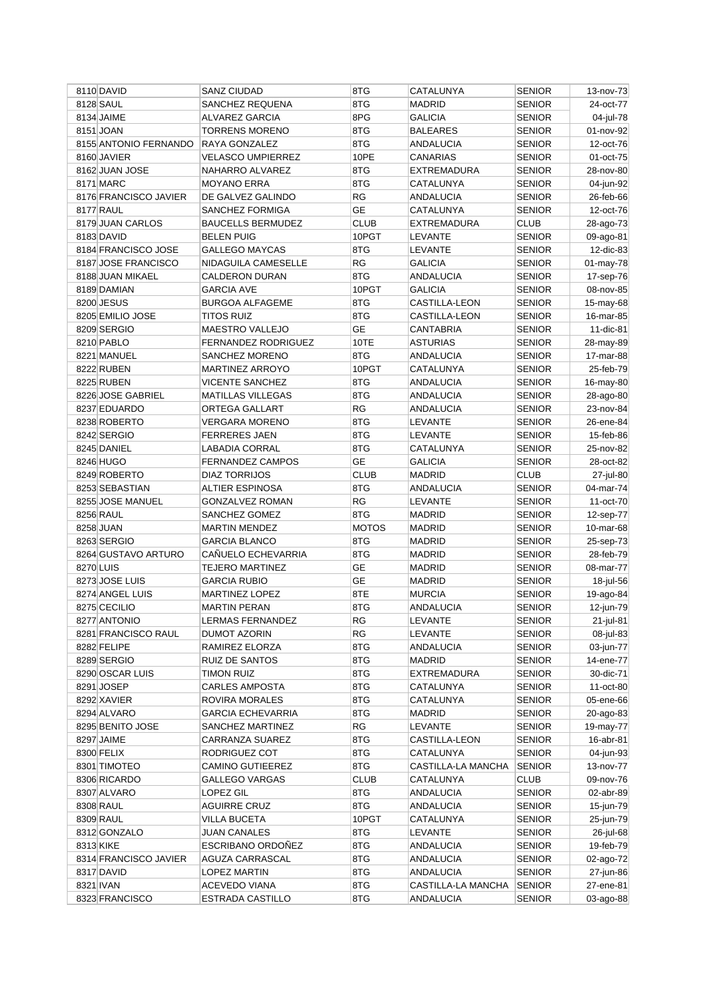| 8110 DAVID                        | SANZ CIUDAD                           | 8TG          | CATALUNYA                      | <b>SENIOR</b> | 13-nov-73              |
|-----------------------------------|---------------------------------------|--------------|--------------------------------|---------------|------------------------|
| 8128 SAUL                         | SANCHEZ REQUENA                       | 8TG          | <b>MADRID</b>                  | <b>SENIOR</b> | 24-oct-77              |
| 8134 JAIME                        | <b>ALVAREZ GARCIA</b>                 | 8PG          | <b>GALICIA</b>                 | <b>SENIOR</b> | 04-jul-78              |
| 8151 JOAN                         | <b>TORRENS MORENO</b>                 | 8TG          | <b>BALEARES</b>                | <b>SENIOR</b> | 01-nov-92              |
| 8155 ANTONIO FERNANDO             | RAYA GONZALEZ                         | 8TG          | <b>ANDALUCIA</b>               | SENIOR        | 12-oct-76              |
| 8160 JAVIER                       | <b>VELASCO UMPIERREZ</b>              | 10PE         | <b>CANARIAS</b>                | <b>SENIOR</b> | 01-oct-75              |
| 8162 JUAN JOSE                    | NAHARRO ALVAREZ                       | 8TG          | <b>EXTREMADURA</b>             | SENIOR        | 28-nov-80              |
| 8171 MARC                         | <b>MOYANO ERRA</b>                    | 8TG          | CATALUNYA                      | SENIOR        | 04-jun-92              |
| 8176 FRANCISCO JAVIER             | DE GALVEZ GALINDO                     | <b>RG</b>    | ANDALUCIA                      | SENIOR        | 26-feb-66              |
| 8177 RAUL                         | SANCHEZ FORMIGA                       | <b>GE</b>    | CATALUNYA                      | <b>SENIOR</b> | 12-oct-76              |
| 8179 JUAN CARLOS                  | <b>BAUCELLS BERMUDEZ</b>              | <b>CLUB</b>  | <b>EXTREMADURA</b>             | <b>CLUB</b>   | 28-ago-73              |
| 8183 DAVID                        | <b>BELEN PUIG</b>                     | 10PGT        | LEVANTE                        | <b>SENIOR</b> | 09-ago-81              |
| 8184 FRANCISCO JOSE               | <b>GALLEGO MAYCAS</b>                 | 8TG          | LEVANTE                        | <b>SENIOR</b> | 12-dic-83              |
| 8187 JOSE FRANCISCO               | NIDAGUILA CAMESELLE                   | RG           | <b>GALICIA</b>                 | SENIOR        | 01-may-78              |
| 8188 JUAN MIKAEL                  | <b>CALDERON DURAN</b>                 | 8TG          | ANDALUCIA                      | SENIOR        | 17-sep-76              |
| 8189 DAMIAN                       | <b>GARCIA AVE</b>                     | 10PGT        | <b>GALICIA</b>                 | SENIOR        | 08-nov-85              |
| 8200 JESUS                        | <b>BURGOA ALFAGEME</b>                | 8TG          | CASTILLA-LEON                  | SENIOR        | 15-may-68              |
| 8205 EMILIO JOSE                  | <b>TITOS RUIZ</b>                     | 8TG          | CASTILLA-LEON                  | <b>SENIOR</b> | 16-mar-85              |
| 8209 SERGIO                       | MAESTRO VALLEJO                       | <b>GE</b>    | CANTABRIA                      | <b>SENIOR</b> | 11-dic-81              |
| 8210 PABLO                        | FERNANDEZ RODRIGUEZ                   | 10TE         | <b>ASTURIAS</b>                | <b>SENIOR</b> | 28-may-89              |
| 8221 MANUEL                       | SANCHEZ MORENO                        | 8TG          | ANDALUCIA                      | SENIOR        | 17-mar-88              |
| 8222 RUBEN                        | <b>MARTINEZ ARROYO</b>                | 10PGT        | CATALUNYA                      | SENIOR        | 25-feb-79              |
| 8225 RUBEN                        | <b>VICENTE SANCHEZ</b>                | 8TG          | ANDALUCIA                      | SENIOR        | 16-may-80              |
| 8226 JOSE GABRIEL                 | <b>MATILLAS VILLEGAS</b>              | 8TG          | <b>ANDALUCIA</b>               | SENIOR        | 28-ago-80              |
| 8237 EDUARDO                      | ORTEGA GALLART                        | <b>RG</b>    | ANDALUCIA                      | <b>SENIOR</b> | 23-nov-84              |
| 8238 ROBERTO                      | <b>VERGARA MORENO</b>                 | 8TG          | LEVANTE                        | <b>SENIOR</b> | 26-ene-84              |
| 8242 SERGIO                       | <b>FERRERES JAEN</b>                  | 8TG          | LEVANTE                        | <b>SENIOR</b> | 15-feb-86              |
| 8245 DANIEL                       | LABADIA CORRAL                        | 8TG          | CATALUNYA                      | <b>SENIOR</b> | 25-nov-82              |
| 8246 HUGO                         | <b>FERNANDEZ CAMPOS</b>               | <b>GE</b>    | GALICIA                        | <b>SENIOR</b> | 28-oct-82              |
| 8249 ROBERTO                      | <b>DIAZ TORRIJOS</b>                  | <b>CLUB</b>  | <b>MADRID</b>                  | CLUB          | 27-jul-80              |
| 8253 SEBASTIAN                    | ALTIER ESPINOSA                       | 8TG          | ANDALUCIA                      | SENIOR        | 04-mar-74              |
| 8255 JOSE MANUEL                  | GONZALVEZ ROMAN                       | RG           | LEVANTE                        | <b>SENIOR</b> | 11-oct-70              |
| 8256 RAUL                         |                                       | 8TG          |                                | <b>SENIOR</b> |                        |
| 8258 JUAN                         | SANCHEZ GOMEZ<br><b>MARTIN MENDEZ</b> | <b>MOTOS</b> | <b>MADRID</b><br><b>MADRID</b> | <b>SENIOR</b> | 12-sep-77<br>10-mar-68 |
| 8263 SERGIO                       | <b>GARCIA BLANCO</b>                  | 8TG          | <b>MADRID</b>                  | <b>SENIOR</b> | 25-sep-73              |
| 8264 GUSTAVO ARTURO               | CAÑUELO ECHEVARRIA                    | 8TG          | <b>MADRID</b>                  |               |                        |
|                                   |                                       | <b>GE</b>    |                                | SENIOR        | 28-feb-79              |
| 8270 LUIS                         | <b>TEJERO MARTINEZ</b>                |              | <b>MADRID</b>                  | <b>SENIOR</b> | 08-mar-77              |
| 8273 JOSE LUIS<br>8274 ANGEL LUIS | <b>GARCIA RUBIO</b>                   | GE           | <b>MADRID</b>                  | SENIOR        | 18-jul-56              |
|                                   | <b>MARTINEZ LOPEZ</b>                 | 8TE<br>8TG   | <b>MURCIA</b>                  | SENIOR        | 19-ago-84              |
| 8275 CECILIO                      | <b>MARTIN PERAN</b>                   |              | <b>ANDALUCIA</b>               | SENIOR        | 12-jun-79              |
| 8277 ANTONIO                      | LERMAS FERNANDEZ                      | RG           | <b>LEVANTE</b>                 | <b>SENIOR</b> | 21-jul-81              |
| 8281 FRANCISCO RAUL               | <b>DUMOT AZORIN</b>                   | RG           | LEVANTE                        | <b>SENIOR</b> | 08-jul-83              |
| 8282 FELIPE                       | RAMIREZ ELORZA                        | 8TG          | <b>ANDALUCIA</b>               | <b>SENIOR</b> | 03-jun-77              |
| 8289 SERGIO                       | RUIZ DE SANTOS                        | 8TG          | <b>MADRID</b>                  | <b>SENIOR</b> | 14-ene-77              |
| 8290 OSCAR LUIS                   | <b>TIMON RUIZ</b>                     | 8TG          | <b>EXTREMADURA</b>             | <b>SENIOR</b> | 30-dic-71              |
| 8291 JOSEP                        | <b>CARLES AMPOSTA</b>                 | 8TG          | CATALUNYA                      | SENIOR        | 11-oct-80              |
| 8292 XAVIER                       | ROVIRA MORALES                        | 8TG          | CATALUNYA                      | SENIOR        | 05-ene-66              |
| 8294 ALVARO                       | <b>GARCIA ECHEVARRIA</b>              | 8TG          | MADRID                         | <b>SENIOR</b> | 20-ago-83              |
| 8295 BENITO JOSE                  | SANCHEZ MARTINEZ                      | RG           | LEVANTE                        | SENIOR        | 19-may-77              |
| 8297 JAIME                        | CARRANZA SUAREZ                       | 8TG          | CASTILLA-LEON                  | <b>SENIOR</b> | 16-abr-81              |
| 8300 FELIX                        | RODRIGUEZ COT                         | 8TG          | CATALUNYA                      | <b>SENIOR</b> | 04-jun-93              |
| 8301 TIMOTEO                      | <b>CAMINO GUTIEEREZ</b>               | 8TG          | CASTILLA-LA MANCHA             | <b>SENIOR</b> | 13-nov-77              |
| 8306 RICARDO                      | <b>GALLEGO VARGAS</b>                 | <b>CLUB</b>  | CATALUNYA                      | <b>CLUB</b>   | 09-nov-76              |
| 8307 ALVARO                       | LOPEZ GIL                             | 8TG          | ANDALUCIA                      | <b>SENIOR</b> | 02-abr-89              |
| 8308 RAUL                         | <b>AGUIRRE CRUZ</b>                   | 8TG          | ANDALUCIA                      | <b>SENIOR</b> | 15-jun-79              |
| 8309 RAUL                         | VILLA BUCETA                          | 10PGT        | CATALUNYA                      | <b>SENIOR</b> | 25-jun-79              |
| 8312 GONZALO                      | <b>JUAN CANALES</b>                   | 8TG          | LEVANTE                        | <b>SENIOR</b> | 26-jul-68              |
| 8313 KIKE                         | ESCRIBANO ORDOÑEZ                     | 8TG          | ANDALUCIA                      | SENIOR        | 19-feb-79              |
| 8314 FRANCISCO JAVIER             | AGUZA CARRASCAL                       | 8TG          | <b>ANDALUCIA</b>               | <b>SENIOR</b> | 02-ago-72              |
| 8317 DAVID                        | <b>LOPEZ MARTIN</b>                   | 8TG          | <b>ANDALUCIA</b>               | <b>SENIOR</b> | 27-jun-86              |
| 8321 IVAN                         | <b>ACEVEDO VIANA</b>                  | 8TG          | CASTILLA-LA MANCHA             | <b>SENIOR</b> | 27-ene-81              |
| 8323 FRANCISCO                    | ESTRADA CASTILLO                      | 8TG          | ANDALUCIA                      | <b>SENIOR</b> | 03-ago-88              |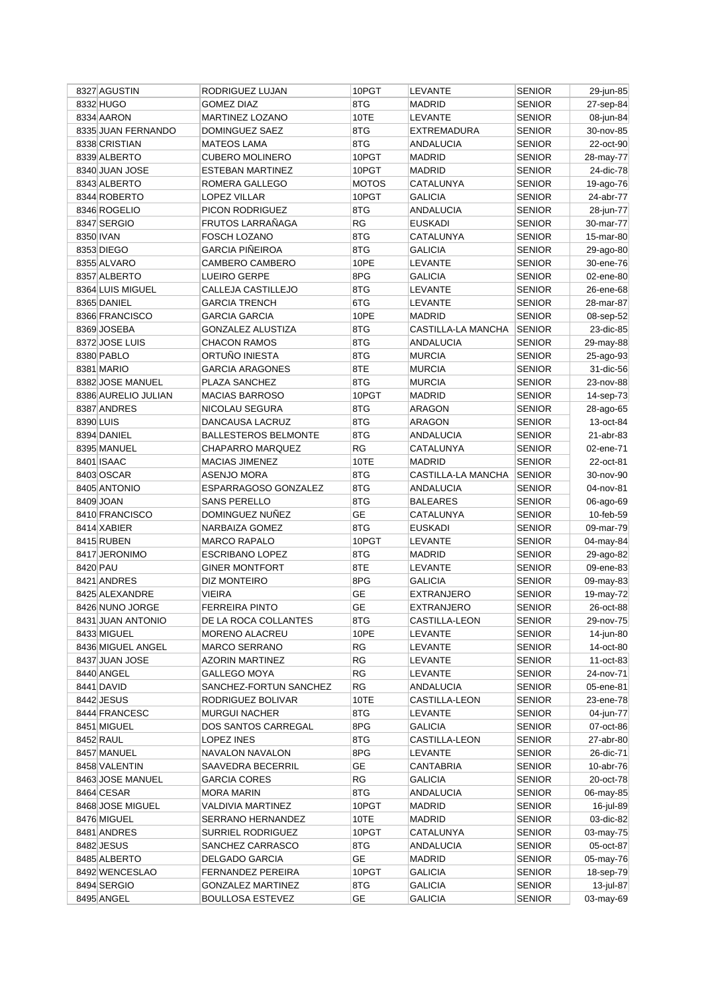|           | 8327 AGUSTIN        | RODRIGUEZ LUJAN             | 10PGT        | LEVANTE            | <b>SENIOR</b> | 29-jun-85 |
|-----------|---------------------|-----------------------------|--------------|--------------------|---------------|-----------|
|           | 8332 HUGO           | <b>GOMEZ DIAZ</b>           | 8TG          | <b>MADRID</b>      | <b>SENIOR</b> | 27-sep-84 |
|           | 8334 AARON          | <b>MARTINEZ LOZANO</b>      | 10TE         | <b>LEVANTE</b>     | <b>SENIOR</b> | 08-jun-84 |
|           | 8335 JUAN FERNANDO  | DOMINGUEZ SAEZ              | 8TG          | EXTREMADURA        | <b>SENIOR</b> | 30-nov-85 |
|           | 8338 CRISTIAN       | <b>MATEOS LAMA</b>          | 8TG          | <b>ANDALUCIA</b>   | <b>SENIOR</b> | 22-oct-90 |
|           | 8339 ALBERTO        | <b>CUBERO MOLINERO</b>      | 10PGT        | <b>MADRID</b>      | SENIOR        | 28-may-77 |
|           | 8340 JUAN JOSE      | <b>ESTEBAN MARTINEZ</b>     | 10PGT        | <b>MADRID</b>      | SENIOR        | 24-dic-78 |
|           | 8343 ALBERTO        | ROMERA GALLEGO              | <b>MOTOS</b> | CATALUNYA          | SENIOR        | 19-ago-76 |
|           | 8344 ROBERTO        | LOPEZ VILLAR                | 10PGT        | <b>GALICIA</b>     | SENIOR        | 24-abr-77 |
|           | 8346 ROGELIO        | PICON RODRIGUEZ             | 8TG          | <b>ANDALUCIA</b>   | SENIOR        | 28-jun-77 |
|           | 8347 SERGIO         | FRUTOS LARRAÑAGA            | <b>RG</b>    | <b>EUSKADI</b>     | <b>SENIOR</b> | 30-mar-77 |
| 8350 IVAN |                     | FOSCH LOZANO                | 8TG          | CATALUNYA          | <b>SENIOR</b> | 15-mar-80 |
|           | 8353 DIEGO          | <b>GARCIA PIÑEIROA</b>      | 8TG          | <b>GALICIA</b>     | <b>SENIOR</b> | 29-ago-80 |
|           | 8355 ALVARO         | <b>CAMBERO CAMBERO</b>      | 10PE         | LEVANTE            | SENIOR        | 30-ene-76 |
|           | 8357 ALBERTO        | LUEIRO GERPE                | 8PG          | GALICIA            | <b>SENIOR</b> | 02-ene-80 |
|           | 8364 LUIS MIGUEL    | CALLEJA CASTILLEJO          | 8TG          | LEVANTE            | SENIOR        | 26-ene-68 |
|           | 8365 DANIEL         | <b>GARCIA TRENCH</b>        | 6TG          | LEVANTE            | <b>SENIOR</b> | 28-mar-87 |
|           | 8366 FRANCISCO      | <b>GARCIA GARCIA</b>        | 10PE         | <b>MADRID</b>      | <b>SENIOR</b> | 08-sep-52 |
|           | 8369 JOSEBA         | <b>GONZALEZ ALUSTIZA</b>    | 8TG          | CASTILLA-LA MANCHA | <b>SENIOR</b> | 23-dic-85 |
|           | 8372 JOSE LUIS      | <b>CHACON RAMOS</b>         | 8TG          | <b>ANDALUCIA</b>   | <b>SENIOR</b> | 29-may-88 |
|           | 8380 PABLO          | ORTUÑO INIESTA              | 8TG          | <b>MURCIA</b>      |               |           |
|           |                     |                             |              |                    | <b>SENIOR</b> | 25-ago-93 |
|           | 8381 MARIO          | <b>GARCIA ARAGONES</b>      | 8TE          | <b>MURCIA</b>      | <b>SENIOR</b> | 31-dic-56 |
|           | 8382 JOSE MANUEL    | PLAZA SANCHEZ               | 8TG          | <b>MURCIA</b>      | SENIOR        | 23-nov-88 |
|           | 8386 AURELIO JULIAN | <b>MACIAS BARROSO</b>       | 10PGT        | MADRID             | <b>SENIOR</b> | 14-sep-73 |
|           | 8387 ANDRES         | NICOLAU SEGURA              | 8TG          | ARAGON             | <b>SENIOR</b> | 28-ago-65 |
| 8390 LUIS |                     | DANCAUSA LACRUZ             | 8TG          | <b>ARAGON</b>      | <b>SENIOR</b> | 13-oct-84 |
|           | 8394 DANIEL         | <b>BALLESTEROS BELMONTE</b> | 8TG          | ANDALUCIA          | <b>SENIOR</b> | 21-abr-83 |
|           | 8395 MANUEL         | CHAPARRO MARQUEZ            | <b>RG</b>    | CATALUNYA          | <b>SENIOR</b> | 02-ene-71 |
|           | 8401 ISAAC          | <b>MACIAS JIMENEZ</b>       | 10TE         | <b>MADRID</b>      | <b>SENIOR</b> | 22-oct-81 |
|           | 8403 OSCAR          | <b>ASENJO MORA</b>          | 8TG          | CASTILLA-LA MANCHA | <b>SENIOR</b> | 30-nov-90 |
|           | 8405 ANTONIO        | ESPARRAGOSO GONZALEZ        | 8TG          | ANDALUCIA          | <b>SENIOR</b> | 04-nov-81 |
|           | 8409 JOAN           | SANS PERELLO                | 8TG          | <b>BALEARES</b>    | <b>SENIOR</b> | 06-ago-69 |
|           | 8410 FRANCISCO      | DOMINGUEZ NUÑEZ             | <b>GE</b>    | CATALUNYA          | <b>SENIOR</b> | 10-feb-59 |
|           | 8414 XABIER         | NARBAIZA GOMEZ              | 8TG          | <b>EUSKADI</b>     | <b>SENIOR</b> | 09-mar-79 |
|           | 8415 RUBEN          | <b>MARCO RAPALO</b>         | 10PGT        | LEVANTE            | <b>SENIOR</b> | 04-may-84 |
|           | 8417 JERONIMO       | <b>ESCRIBANO LOPEZ</b>      | 8TG          | <b>MADRID</b>      | <b>SENIOR</b> | 29-ago-82 |
| 8420 PAU  |                     | <b>GINER MONTFORT</b>       | 8TE          | <b>LEVANTE</b>     | <b>SENIOR</b> | 09-ene-83 |
|           | 8421 ANDRES         | DIZ MONTEIRO                | 8PG          | <b>GALICIA</b>     | <b>SENIOR</b> | 09-may-83 |
|           | 8425 ALEXANDRE      | <b>VIEIRA</b>               | <b>GE</b>    | EXTRANJERO         | SENIOR        | 19-may-72 |
|           | 8426 NUNO JORGE     | <b>FERREIRA PINTO</b>       | <b>GE</b>    | <b>EXTRANJERO</b>  | <b>SENIOR</b> | 26-oct-88 |
|           | 8431 JUAN ANTONIO   | DE LA ROCA COLLANTES        | 8TG          | CASTILLA-LEON      | <b>SENIOR</b> | 29-nov-75 |
|           | 8433 MIGUEL         | MORENO ALACREU              | 10PE         | LEVANTE            | <b>SENIOR</b> | 14-jun-80 |
|           | 8436 MIGUEL ANGEL   | <b>MARCO SERRANO</b>        | <b>RG</b>    | LEVANTE            | <b>SENIOR</b> | 14-oct-80 |
|           | 8437 JUAN JOSE      | <b>AZORIN MARTINEZ</b>      | RG           | LEVANTE            | <b>SENIOR</b> | 11-oct-83 |
|           | 8440 ANGEL          | GALLEGO MOYA                | <b>RG</b>    | LEVANTE            | SENIOR        | 24-nov-71 |
|           | 8441 DAVID          | SANCHEZ-FORTUN SANCHEZ      | <b>RG</b>    | ANDALUCIA          | SENIOR        | 05-ene-81 |
|           | 8442 JESUS          | RODRIGUEZ BOLIVAR           | 10TE         | CASTILLA-LEON      | SENIOR        | 23-ene-78 |
|           | 8444 FRANCESC       | <b>MURGUI NACHER</b>        | 8TG          | LEVANTE            | <b>SENIOR</b> | 04-jun-77 |
|           | 8451 MIGUEL         | DOS SANTOS CARREGAL         | 8PG          | GALICIA            | <b>SENIOR</b> | 07-oct-86 |
|           | 8452 RAUL           | LOPEZ INES                  | 8TG          | CASTILLA-LEON      | <b>SENIOR</b> | 27-abr-80 |
|           | 8457 MANUEL         | NAVALON NAVALON             | 8PG          | LEVANTE            | <b>SENIOR</b> | 26-dic-71 |
|           | 8458 VALENTIN       | SAAVEDRA BECERRIL           | GE           | CANTABRIA          | <b>SENIOR</b> | 10-abr-76 |
|           | 8463 JOSE MANUEL    | <b>GARCIA CORES</b>         | RG           | GALICIA            | SENIOR        | 20-oct-78 |
|           | 8464 CESAR          | MORA MARIN                  | 8TG          | ANDALUCIA          | SENIOR        | 06-may-85 |
|           | 8468 JOSE MIGUEL    |                             | 10PGT        |                    |               |           |
|           |                     | VALDIVIA MARTINEZ           |              | MADRID             | <b>SENIOR</b> | 16-jul-89 |
|           | 8476 MIGUEL         | SERRANO HERNANDEZ           | 10TE         | MADRID             | <b>SENIOR</b> | 03-dic-82 |
|           | 8481 ANDRES         | SURRIEL RODRIGUEZ           | 10PGT        | CATALUNYA          | <b>SENIOR</b> | 03-may-75 |
|           | 8482 JESUS          | SANCHEZ CARRASCO            | 8TG          | ANDALUCIA          | <b>SENIOR</b> | 05-oct-87 |
|           | 8485 ALBERTO        | DELGADO GARCIA              | GE           | <b>MADRID</b>      | <b>SENIOR</b> | 05-may-76 |
|           | 8492 WENCESLAO      | FERNANDEZ PEREIRA           | 10PGT        | GALICIA            | SENIOR        | 18-sep-79 |
|           | 8494 SERGIO         | <b>GONZALEZ MARTINEZ</b>    | 8TG          | <b>GALICIA</b>     | <b>SENIOR</b> | 13-jul-87 |
|           | 8495 ANGEL          | <b>BOULLOSA ESTEVEZ</b>     | GE           | <b>GALICIA</b>     | <b>SENIOR</b> | 03-may-69 |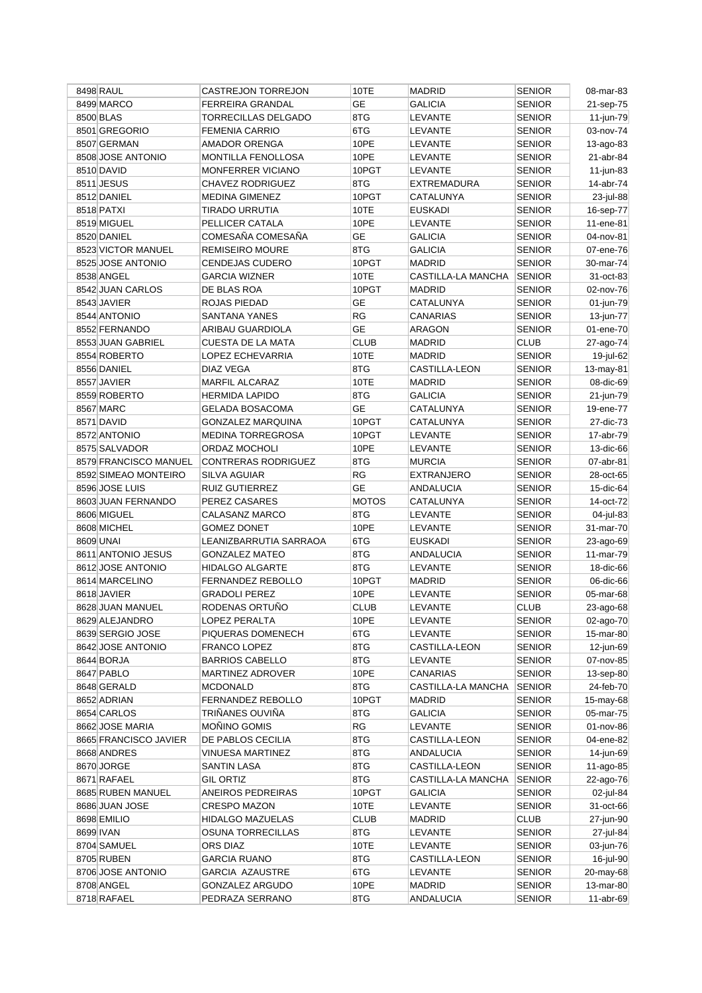| 8498 RAUL             | <b>CASTREJON TORREJON</b> | 10TE         | <b>MADRID</b>        | <b>SENIOR</b> | 08-mar-83         |
|-----------------------|---------------------------|--------------|----------------------|---------------|-------------------|
| 8499 MARCO            | <b>FERREIRA GRANDAL</b>   | <b>GE</b>    | <b>GALICIA</b>       | <b>SENIOR</b> | 21-sep-75         |
| 8500 BLAS             | TORRECILLAS DELGADO       | 8TG          | <b>LEVANTE</b>       | <b>SENIOR</b> | 11-jun-79         |
| 8501 GREGORIO         | <b>FEMENIA CARRIO</b>     | 6TG          | <b>LEVANTE</b>       | <b>SENIOR</b> | 03-nov-74         |
| 8507 GERMAN           | <b>AMADOR ORENGA</b>      | 10PE         | <b>LEVANTE</b>       | <b>SENIOR</b> | 13-ago-83         |
| 8508 JOSE ANTONIO     | MONTILLA FENOLLOSA        | 10PE         | <b>LEVANTE</b>       | <b>SENIOR</b> | 21-abr-84         |
| 8510 DAVID            | MONFERRER VICIANO         | 10PGT        | LEVANTE              | <b>SENIOR</b> | $11$ -jun-83      |
| 8511 JESUS            | <b>CHAVEZ RODRIGUEZ</b>   | 8TG          | EXTREMADURA          | <b>SENIOR</b> | 14-abr-74         |
| 8512 DANIEL           | <b>MEDINA GIMENEZ</b>     | 10PGT        | CATALUNYA            | <b>SENIOR</b> | 23-jul-88         |
| 8518 PATXI            | TIRADO URRUTIA            | 10TE         | <b>EUSKADI</b>       | <b>SENIOR</b> |                   |
|                       |                           |              |                      |               | 16-sep-77         |
| 8519 MIGUEL           | PELLICER CATALA           | 10PE         | LEVANTE              | <b>SENIOR</b> | 11-ene-81         |
| 8520 DANIEL           | COMESAÑA COMESAÑA         | <b>GE</b>    | <b>GALICIA</b>       | <b>SENIOR</b> | 04-nov-81         |
| 8523 VICTOR MANUEL    | <b>REMISEIRO MOURE</b>    | 8TG          | GALICIA              | <b>SENIOR</b> | 07-ene-76         |
| 8525 JOSE ANTONIO     | CENDEJAS CUDERO           | 10PGT        | <b>MADRID</b>        | <b>SENIOR</b> | 30-mar-74         |
| 8538 ANGEL            | <b>GARCIA WIZNER</b>      | 10TE         | CASTILLA-LA MANCHA   | SENIOR        | 31-oct-83         |
| 8542 JUAN CARLOS      | DE BLAS ROA               | 10PGT        | <b>MADRID</b>        | <b>SENIOR</b> | 02-nov-76         |
| 8543 JAVIER           | ROJAS PIEDAD              | GЕ           | CATALUNYA            | <b>SENIOR</b> | 01-jun-79         |
| 8544 ANTONIO          | SANTANA YANES             | RG           | CANARIAS             | <b>SENIOR</b> | 13-jun-77         |
| 8552 FERNANDO         | ARIBAU GUARDIOLA          | <b>GE</b>    | ARAGON               | <b>SENIOR</b> | 01-ene-70         |
| 8553 JUAN GABRIEL     | CUESTA DE LA MATA         | <b>CLUB</b>  | <b>MADRID</b>        | <b>CLUB</b>   | 27-ago-74         |
| 8554 ROBERTO          | LOPEZ ECHEVARRIA          | 10TE         | <b>MADRID</b>        | <b>SENIOR</b> | 19-jul-62         |
| 8556 DANIEL           | DIAZ VEGA                 | 8TG          | <b>CASTILLA-LEON</b> | <b>SENIOR</b> | 13-may-81         |
| 8557 JAVIER           | <b>MARFIL ALCARAZ</b>     | 10TE         | MADRID               | <b>SENIOR</b> | 08-dic-69         |
| 8559 ROBERTO          | <b>HERMIDA LAPIDO</b>     | 8TG          | <b>GALICIA</b>       | <b>SENIOR</b> | 21-jun-79         |
| 8567 MARC             | GELADA BOSACOMA           | <b>GE</b>    | CATALUNYA            | <b>SENIOR</b> | 19-ene-77         |
|                       |                           |              |                      |               |                   |
| 8571 DAVID            | <b>GONZALEZ MARQUINA</b>  | 10PGT        | CATALUNYA            | <b>SENIOR</b> | 27-dic-73         |
| 8572 ANTONIO          | MEDINA TORREGROSA         | 10PGT        | LEVANTE              | <b>SENIOR</b> | 17-abr-79         |
| 8575 SALVADOR         | ORDAZ MOCHOLI             | 10PE         | <b>LEVANTE</b>       | <b>SENIOR</b> | 13-dic-66         |
| 8579 FRANCISCO MANUEL | CONTRERAS RODRIGUEZ       | 8TG          | <b>MURCIA</b>        | <b>SENIOR</b> | 07-abr-81         |
| 8592 SIMEAO MONTEIRO  | SILVA AGUIAR              | RG           | <b>EXTRANJERO</b>    | <b>SENIOR</b> | 28-oct-65         |
| 8596 JOSE LUIS        | <b>RUIZ GUTIERREZ</b>     | <b>GE</b>    | ANDALUCIA            | <b>SENIOR</b> | 15-dic-64         |
| 8603 JUAN FERNANDO    | PEREZ CASARES             | <b>MOTOS</b> | CATALUNYA            | <b>SENIOR</b> | 14-oct-72         |
| 8606 MIGUEL           | CALASANZ MARCO            | 8TG          | LEVANTE              | <b>SENIOR</b> | 04-jul-83         |
| 8608 MICHEL           | <b>GOMEZ DONET</b>        | 10PE         | LEVANTE              | <b>SENIOR</b> | 31-mar-70         |
| 8609 UNAI             | LEANIZBARRUTIA SARRAOA    | 6TG          | <b>EUSKADI</b>       | <b>SENIOR</b> | 23-ago-69         |
| 8611 ANTONIO JESUS    | <b>GONZALEZ MATEO</b>     | 8TG          | <b>ANDALUCIA</b>     | <b>SENIOR</b> | 11-mar-79         |
| 8612 JOSE ANTONIO     | <b>HIDALGO ALGARTE</b>    | 8TG          | <b>LEVANTE</b>       | <b>SENIOR</b> | 18-dic-66         |
| 8614 MARCELINO        | <b>FERNANDEZ REBOLLO</b>  | 10PGT        | MADRID               | <b>SENIOR</b> | 06-dic-66         |
| 8618 JAVIER           | <b>GRADOLI PEREZ</b>      | 10PE         | LEVANTE              | <b>SENIOR</b> | 05-mar-68         |
| 8628 JUAN MANUEL      | RODENAS ORTUÑO            | <b>CLUB</b>  | <b>LEVANTE</b>       | <b>CLUB</b>   | $23$ -ago-68      |
| 8629 ALEJANDRO        | LOPEZ PERALTA             | 10PE         | LEVANTE              | <b>SENIOR</b> | 02-ago-70         |
| 8639 SERGIO JOSE      | PIQUERAS DOMENECH         | 6TG          | <b>LEVANTE</b>       | <b>SENIOR</b> | 15-mar-80         |
| 8642 JOSE ANTONIO     |                           | 8TG          | CASTILLA-LEON        | <b>SENIOR</b> | 12-jun-69         |
|                       | <b>FRANCO LOPEZ</b>       |              |                      |               |                   |
| 8644 BORJA            | <b>BARRIOS CABELLO</b>    | 8TG          | LEVANTE              | <b>SENIOR</b> | 07-nov-85         |
| 8647 PABLO            | MARTINEZ ADROVER          | 10PE         | CANARIAS             | <b>SENIOR</b> | 13-sep-80         |
| 8648 GERALD           | <b>MCDONALD</b>           | 8TG          | CASTILLA-LA MANCHA   | <b>SENIOR</b> | 24-feb-70         |
| 8652 ADRIAN           | FERNANDEZ REBOLLO         | 10PGT        | MADRID               | <b>SENIOR</b> | 15-may-68         |
| 8654 CARLOS           | TRIÑANES OUVIÑA           | 8TG          | GALICIA              | <b>SENIOR</b> | 05-mar-75         |
| 8662 JOSE MARIA       | MOÑINO GOMIS              | RG           | LEVANTE              | <b>SENIOR</b> | 01-nov-86         |
| 8665 FRANCISCO JAVIER | DE PABLOS CECILIA         | 8TG          | <b>CASTILLA-LEON</b> | <b>SENIOR</b> | 04-ene-82         |
| 8668 ANDRES           | VINUESA MARTINEZ          | 8TG          | <b>ANDALUCIA</b>     | <b>SENIOR</b> | 14-jun-69         |
| 8670 JORGE            | SANTIN LASA               | 8TG          | CASTILLA-LEON        | <b>SENIOR</b> | $11 - a$ go $-85$ |
| 8671 RAFAEL           | <b>GIL ORTIZ</b>          | 8TG          | CASTILLA-LA MANCHA   | <b>SENIOR</b> | 22-ago-76         |
| 8685 RUBEN MANUEL     | ANEIROS PEDREIRAS         | 10PGT        | GALICIA              | <b>SENIOR</b> | 02-jul-84         |
| 8686 JUAN JOSE        | <b>CRESPO MAZON</b>       | 10TE         | LEVANTE              | <b>SENIOR</b> | 31-oct-66         |
| 8698 EMILIO           | HIDALGO MAZUELAS          | <b>CLUB</b>  | MADRID               | <b>CLUB</b>   | 27-jun-90         |
| 8699 IVAN             | OSUNA TORRECILLAS         | 8TG          | LEVANTE              | <b>SENIOR</b> | 27-jul-84         |
| 8704 SAMUEL           | ORS DIAZ                  | 10TE         | LEVANTE              | <b>SENIOR</b> | 03-jun-76         |
| 8705 RUBEN            | <b>GARCIA RUANO</b>       | 8TG          | CASTILLA-LEON        | <b>SENIOR</b> | 16-jul-90         |
| 8706 JOSE ANTONIO     | <b>GARCIA AZAUSTRE</b>    | 6TG          | LEVANTE              | SENIOR        | 20-may-68         |
| 8708 ANGEL            | <b>GONZALEZ ARGUDO</b>    | 10PE         | <b>MADRID</b>        | <b>SENIOR</b> | 13-mar-80         |
| 8718 RAFAEL           | PEDRAZA SERRANO           | 8TG          | <b>ANDALUCIA</b>     | <b>SENIOR</b> | 11-abr-69         |
|                       |                           |              |                      |               |                   |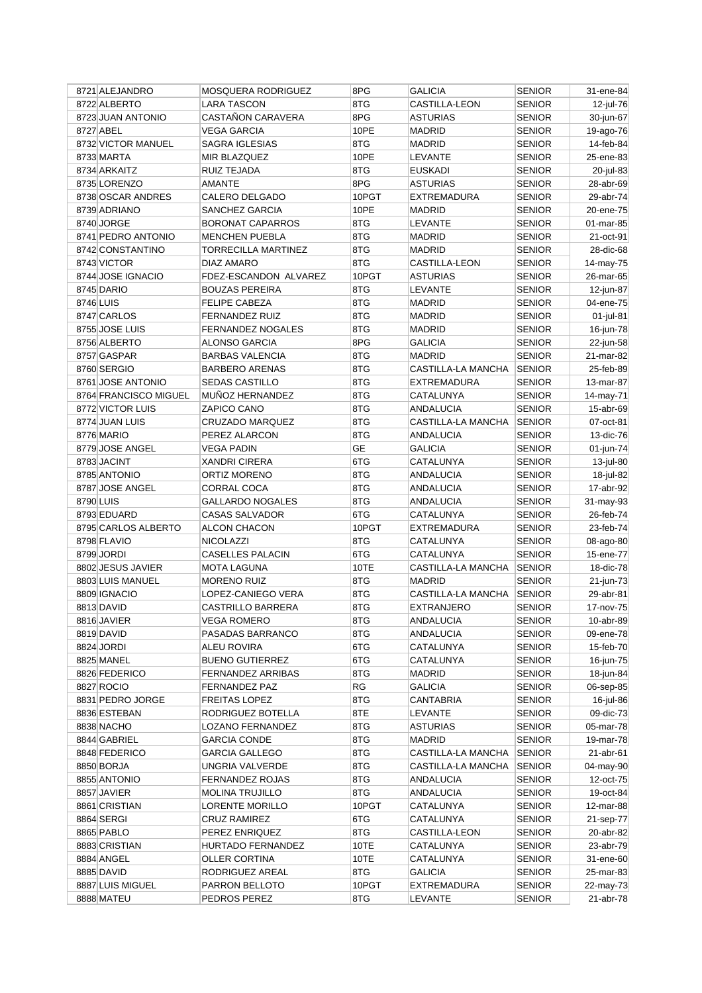|           | 8721 ALEJANDRO        | MOSQUERA RODRIGUEZ       | 8PG       | <b>GALICIA</b>       | <b>SENIOR</b> | 31-ene-84 |
|-----------|-----------------------|--------------------------|-----------|----------------------|---------------|-----------|
|           | 8722 ALBERTO          | <b>LARA TASCON</b>       | 8TG       | <b>CASTILLA-LEON</b> | <b>SENIOR</b> | 12-jul-76 |
|           | 8723 JUAN ANTONIO     | CASTAÑON CARAVERA        | 8PG       | <b>ASTURIAS</b>      | <b>SENIOR</b> | 30-jun-67 |
|           | 8727 ABEL             | <b>VEGA GARCIA</b>       | 10PE      | <b>MADRID</b>        | <b>SENIOR</b> | 19-ago-76 |
|           | 8732 VICTOR MANUEL    | SAGRA IGLESIAS           | 8TG       | <b>MADRID</b>        | <b>SENIOR</b> | 14-feb-84 |
|           | 8733 MARTA            | MIR BLAZQUEZ             | 10PE      | LEVANTE              | <b>SENIOR</b> | 25-ene-83 |
|           | 8734 ARKAITZ          | RUIZ TEJADA              | 8TG       | <b>EUSKADI</b>       | <b>SENIOR</b> | 20-jul-83 |
|           | 8735 LORENZO          | AMANTE                   | 8PG       | <b>ASTURIAS</b>      | <b>SENIOR</b> | 28-abr-69 |
|           | 8738 OSCAR ANDRES     | CALERO DELGADO           | 10PGT     | <b>EXTREMADURA</b>   | <b>SENIOR</b> | 29-abr-74 |
|           | 8739 ADRIANO          | SANCHEZ GARCIA           | 10PE      | <b>MADRID</b>        | <b>SENIOR</b> | 20-ene-75 |
|           | 8740 JORGE            | <b>BORONAT CAPARROS</b>  | 8TG       | LEVANTE              | <b>SENIOR</b> | 01-mar-85 |
|           | 8741 PEDRO ANTONIO    | <b>MENCHEN PUEBLA</b>    | 8TG       | <b>MADRID</b>        | <b>SENIOR</b> | 21-oct-91 |
|           | 8742 CONSTANTINO      | TORRECILLA MARTINEZ      | 8TG       | <b>MADRID</b>        | <b>SENIOR</b> | 28-dic-68 |
|           | 8743 VICTOR           | DIAZ AMARO               | 8TG       | <b>CASTILLA-LEON</b> | <b>SENIOR</b> | 14-may-75 |
|           | 8744 JOSE IGNACIO     | FDEZ-ESCANDON ALVAREZ    | 10PGT     | <b>ASTURIAS</b>      | <b>SENIOR</b> | 26-mar-65 |
|           | 8745 DARIO            | <b>BOUZAS PEREIRA</b>    | 8TG       | LEVANTE              | <b>SENIOR</b> | 12-jun-87 |
| 8746 LUIS |                       | <b>FELIPE CABEZA</b>     | 8TG       | <b>MADRID</b>        | <b>SENIOR</b> | 04-ene-75 |
|           | 8747 CARLOS           | FERNANDEZ RUIZ           | 8TG       | <b>MADRID</b>        | <b>SENIOR</b> | 01-jul-81 |
|           | 8755 JOSE LUIS        | <b>FERNANDEZ NOGALES</b> | 8TG       | <b>MADRID</b>        | <b>SENIOR</b> | 16-jun-78 |
|           | 8756 ALBERTO          | ALONSO GARCIA            | 8PG       | <b>GALICIA</b>       | <b>SENIOR</b> | 22-jun-58 |
|           | 8757 GASPAR           | <b>BARBAS VALENCIA</b>   | 8TG       | <b>MADRID</b>        |               | 21-mar-82 |
|           |                       | <b>BARBERO ARENAS</b>    |           |                      | <b>SENIOR</b> |           |
|           | 8760 SERGIO           |                          | 8TG       | CASTILLA-LA MANCHA   | <b>SENIOR</b> | 25-feb-89 |
|           | 8761 JOSE ANTONIO     | <b>SEDAS CASTILLO</b>    | 8TG       | EXTREMADURA          | <b>SENIOR</b> | 13-mar-87 |
|           | 8764 FRANCISCO MIGUEL | MUÑOZ HERNANDEZ          | 8TG       | CATALUNYA            | <b>SENIOR</b> | 14-may-71 |
|           | 8772 VICTOR LUIS      | ZAPICO CANO              | 8TG       | ANDALUCIA            | <b>SENIOR</b> | 15-abr-69 |
|           | 8774 JUAN LUIS        | CRUZADO MARQUEZ          | 8TG       | CASTILLA-LA MANCHA   | <b>SENIOR</b> | 07-oct-81 |
|           | 8776 MARIO            | PEREZ ALARCON            | 8TG       | ANDALUCIA            | <b>SENIOR</b> | 13-dic-76 |
|           | 8779 JOSE ANGEL       | <b>VEGA PADIN</b>        | <b>GE</b> | <b>GALICIA</b>       | <b>SENIOR</b> | 01-jun-74 |
|           | 8783 JACINT           | <b>XANDRI CIRERA</b>     | 6TG       | CATALUNYA            | <b>SENIOR</b> | 13-jul-80 |
|           | 8785 ANTONIO          | <b>ORTIZ MORENO</b>      | 8TG       | ANDALUCIA            | <b>SENIOR</b> | 18-jul-82 |
|           | 8787 JOSE ANGEL       | CORRAL COCA              | 8TG       | ANDALUCIA            | <b>SENIOR</b> | 17-abr-92 |
| 8790 LUIS |                       | <b>GALLARDO NOGALES</b>  | 8TG       | <b>ANDALUCIA</b>     | <b>SENIOR</b> | 31-may-93 |
|           | 8793 EDUARD           | <b>CASAS SALVADOR</b>    | 6TG       | CATALUNYA            | <b>SENIOR</b> | 26-feb-74 |
|           | 8795 CARLOS ALBERTO   | ALCON CHACON             | 10PGT     | EXTREMADURA          | <b>SENIOR</b> | 23-feb-74 |
|           | 8798 FLAVIO           | <b>NICOLAZZI</b>         | 8TG       | CATALUNYA            | <b>SENIOR</b> | 08-ago-80 |
|           | 8799 JORDI            | <b>CASELLES PALACIN</b>  | 6TG       | CATALUNYA            | <b>SENIOR</b> | 15-ene-77 |
|           | 8802 JESUS JAVIER     | <b>MOTA LAGUNA</b>       | 10TE      | CASTILLA-LA MANCHA   | <b>SENIOR</b> | 18-dic-78 |
|           | 8803 LUIS MANUEL      | <b>MORENO RUIZ</b>       | 8TG       | <b>MADRID</b>        | <b>SENIOR</b> | 21-jun-73 |
|           | 8809 IGNACIO          | LOPEZ-CANIEGO VERA       | 8TG       | CASTILLA-LA MANCHA   | <b>SENIOR</b> | 29-abr-81 |
|           | 8813 DAVID            | <b>CASTRILLO BARRERA</b> | 8TG       | <b>EXTRANJERO</b>    | <b>SENIOR</b> | 17-nov-75 |
|           | 8816 JAVIER           | <b>VEGA ROMERO</b>       | 8TG       | <b>ANDALUCIA</b>     | <b>SENIOR</b> | 10-abr-89 |
|           | 8819 DAVID            | PASADAS BARRANCO         | 8TG       | <b>ANDALUCIA</b>     | <b>SENIOR</b> | 09-ene-78 |
|           | 8824 JORDI            | ALEU ROVIRA              | 6TG       | CATALUNYA            | <b>SENIOR</b> | 15-feb-70 |
|           | 8825 MANEL            | <b>BUENO GUTIERREZ</b>   | 6TG       | CATALUNYA            | SENIOR        | 16-jun-75 |
|           | 8826 FEDERICO         | FERNANDEZ ARRIBAS        | 8TG       | <b>MADRID</b>        | <b>SENIOR</b> | 18-jun-84 |
|           | 8827 ROCIO            | FERNANDEZ PAZ            | RG        | <b>GALICIA</b>       | SENIOR        | 06-sep-85 |
|           | 8831 PEDRO JORGE      | <b>FREITAS LOPEZ</b>     | 8TG       | CANTABRIA            | <b>SENIOR</b> | 16-jul-86 |
|           | 8836 ESTEBAN          | RODRIGUEZ BOTELLA        | 8TE       | LEVANTE              | <b>SENIOR</b> | 09-dic-73 |
|           | 8838 NACHO            | LOZANO FERNANDEZ         | 8TG       | <b>ASTURIAS</b>      | <b>SENIOR</b> | 05-mar-78 |
|           | 8844 GABRIEL          | <b>GARCIA CONDE</b>      | 8TG       | MADRID               | <b>SENIOR</b> | 19-mar-78 |
|           | 8848 FEDERICO         | <b>GARCIA GALLEGO</b>    | 8TG       | CASTILLA-LA MANCHA   | <b>SENIOR</b> | 21-abr-61 |
|           | 8850 BORJA            | UNGRIA VALVERDE          | 8TG       | CASTILLA-LA MANCHA   | <b>SENIOR</b> | 04-may-90 |
|           | 8855 ANTONIO          | FERNANDEZ ROJAS          | 8TG       | ANDALUCIA            | <b>SENIOR</b> | 12-oct-75 |
|           | 8857 JAVIER           | <b>MOLINA TRUJILLO</b>   | 8TG       | ANDALUCIA            | <b>SENIOR</b> | 19-oct-84 |
|           | 8861 CRISTIAN         | LORENTE MORILLO          | 10PGT     | CATALUNYA            | <b>SENIOR</b> | 12-mar-88 |
|           | 8864 SERGI            | <b>CRUZ RAMIREZ</b>      | 6TG       | CATALUNYA            | <b>SENIOR</b> | 21-sep-77 |
|           | 8865 PABLO            | PEREZ ENRIQUEZ           | 8TG       | CASTILLA-LEON        | <b>SENIOR</b> | 20-abr-82 |
|           | 8883 CRISTIAN         | HURTADO FERNANDEZ        | 10TE      | CATALUNYA            | <b>SENIOR</b> | 23-abr-79 |
|           | 8884 ANGEL            | <b>OLLER CORTINA</b>     | 10TE      | CATALUNYA            | <b>SENIOR</b> | 31-ene-60 |
|           | 8885 DAVID            | RODRIGUEZ AREAL          | 8TG       | GALICIA              | SENIOR        | 25-mar-83 |
|           | 8887 LUIS MIGUEL      | PARRON BELLOTO           | 10PGT     | <b>EXTREMADURA</b>   | <b>SENIOR</b> | 22-may-73 |
|           | 8888 MATEU            | PEDROS PEREZ             | 8TG       | LEVANTE              | <b>SENIOR</b> | 21-abr-78 |
|           |                       |                          |           |                      |               |           |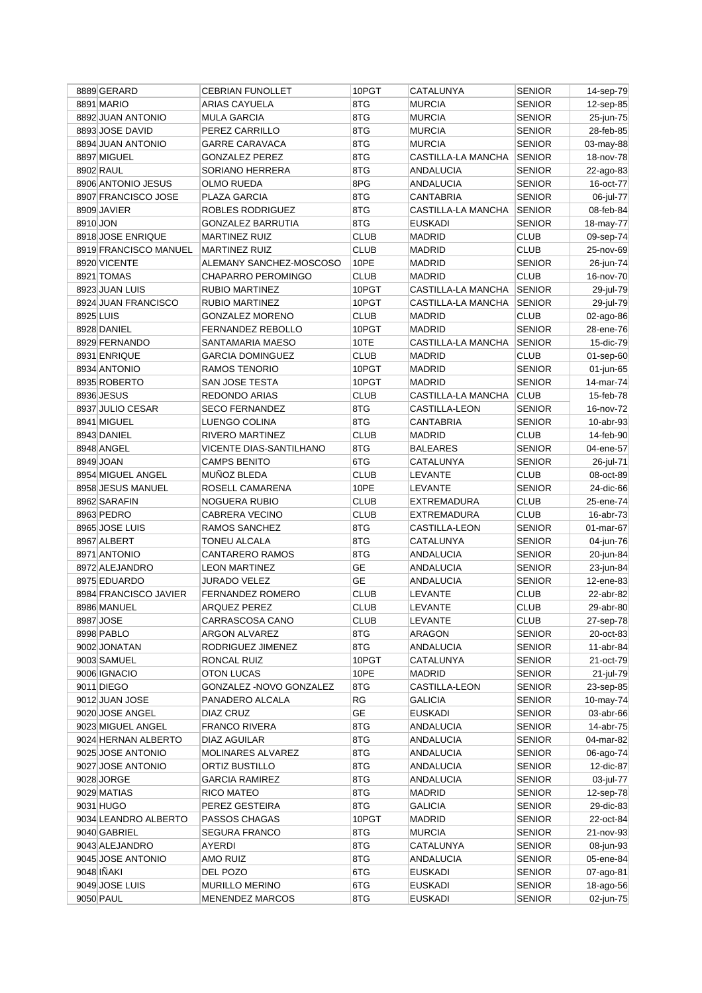|          | 8889 GERARD                 | <b>CEBRIAN FUNOLLET</b>                         | 10PGT       | CATALUNYA          | <b>SENIOR</b> | 14-sep-79    |
|----------|-----------------------------|-------------------------------------------------|-------------|--------------------|---------------|--------------|
|          | 8891 MARIO                  | ARIAS CAYUELA                                   | 8TG         | <b>MURCIA</b>      | <b>SENIOR</b> | 12-sep-85    |
|          | 8892 JUAN ANTONIO           | <b>MULA GARCIA</b>                              | 8TG         | <b>MURCIA</b>      | <b>SENIOR</b> | 25-jun-75    |
|          | 8893 JOSE DAVID             | PEREZ CARRILLO                                  | 8TG         | <b>MURCIA</b>      | <b>SENIOR</b> | 28-feb-85    |
|          | 8894 JUAN ANTONIO           | <b>GARRE CARAVACA</b>                           | 8TG         | <b>MURCIA</b>      | <b>SENIOR</b> | 03-may-88    |
|          | 8897 MIGUEL                 | <b>GONZALEZ PEREZ</b>                           | 8TG         | CASTILLA-LA MANCHA | <b>SENIOR</b> | 18-nov-78    |
|          | 8902 RAUL                   | SORIANO HERRERA                                 | 8TG         | <b>ANDALUCIA</b>   | <b>SENIOR</b> | 22-ago-83    |
|          | 8906 ANTONIO JESUS          | OLMO RUEDA                                      | 8PG         | ANDALUCIA          | <b>SENIOR</b> | 16-oct-77    |
|          | 8907 FRANCISCO JOSE         | PLAZA GARCIA                                    | 8TG         | CANTABRIA          | <b>SENIOR</b> | 06-jul-77    |
|          | 8909 JAVIER                 | ROBLES RODRIGUEZ                                | 8TG         | CASTILLA-LA MANCHA | <b>SENIOR</b> | 08-feb-84    |
| 8910 JON |                             | <b>GONZALEZ BARRUTIA</b>                        | 8TG         | <b>EUSKADI</b>     | <b>SENIOR</b> | 18-may-77    |
|          | 8918 JOSE ENRIQUE           | <b>MARTINEZ RUIZ</b>                            | <b>CLUB</b> | MADRID             | <b>CLUB</b>   | 09-sep-74    |
|          | 8919 FRANCISCO MANUEL       | <b>MARTINEZ RUIZ</b>                            | <b>CLUB</b> | <b>MADRID</b>      | <b>CLUB</b>   | 25-nov-69    |
|          | 8920 VICENTE                | ALEMANY SANCHEZ-MOSCOSO                         | 10PE        | <b>MADRID</b>      | <b>SENIOR</b> | 26-jun-74    |
|          | 8921 TOMAS                  | CHAPARRO PEROMINGO                              | <b>CLUB</b> | <b>MADRID</b>      | <b>CLUB</b>   | 16-nov-70    |
|          | 8923 JUAN LUIS              | <b>RUBIO MARTINEZ</b>                           | 10PGT       | CASTILLA-LA MANCHA | <b>SENIOR</b> | 29-jul-79    |
|          | 8924 JUAN FRANCISCO         | <b>RUBIO MARTINEZ</b>                           | 10PGT       | CASTILLA-LA MANCHA | <b>SENIOR</b> | 29-jul-79    |
|          | 8925 LUIS                   | <b>GONZALEZ MORENO</b>                          | <b>CLUB</b> | <b>MADRID</b>      | <b>CLUB</b>   | 02-ago-86    |
|          | 8928 DANIEL                 | FERNANDEZ REBOLLO                               | 10PGT       | <b>MADRID</b>      | <b>SENIOR</b> | 28-ene-76    |
|          | 8929 FERNANDO               | SANTAMARIA MAESO                                | 10TE        | CASTILLA-LA MANCHA | <b>SENIOR</b> | 15-dic-79    |
|          | 8931 ENRIQUE                | <b>GARCIA DOMINGUEZ</b>                         | <b>CLUB</b> | <b>MADRID</b>      | <b>CLUB</b>   | 01-sep-60    |
|          | 8934 ANTONIO                | RAMOS TENORIO                                   | 10PGT       | <b>MADRID</b>      | <b>SENIOR</b> | 01-jun-65    |
|          | 8935 ROBERTO                | SAN JOSE TESTA                                  | 10PGT       | <b>MADRID</b>      | <b>SENIOR</b> | 14-mar-74    |
|          | 8936 JESUS                  | REDONDO ARIAS                                   | <b>CLUB</b> | CASTILLA-LA MANCHA | <b>CLUB</b>   | 15-feb-78    |
|          | 8937 JULIO CESAR            | <b>SECO FERNANDEZ</b>                           | 8TG         | CASTILLA-LEON      | <b>SENIOR</b> | 16-nov-72    |
|          | 8941 MIGUEL                 | LUENGO COLINA                                   | 8TG         | <b>CANTABRIA</b>   | <b>SENIOR</b> | 10-abr-93    |
|          | 8943 DANIEL                 | RIVERO MARTINEZ                                 | <b>CLUB</b> | <b>MADRID</b>      | <b>CLUB</b>   | 14-feb-90    |
|          | 8948 ANGEL                  | VICENTE DIAS-SANTILHANO                         | 8TG         | <b>BALEARES</b>    | <b>SENIOR</b> | 04-ene-57    |
|          | 8949 JOAN                   | <b>CAMPS BENITO</b>                             | 6TG         | CATALUNYA          | <b>SENIOR</b> | 26-jul-71    |
|          | 8954 MIGUEL ANGEL           | MUÑOZ BLEDA                                     | <b>CLUB</b> | LEVANTE            | <b>CLUB</b>   | 08-oct-89    |
|          | 8958 JESUS MANUEL           | ROSELL CAMARENA                                 | 10PE        | LEVANTE            | <b>SENIOR</b> | 24-dic-66    |
|          |                             |                                                 |             |                    |               |              |
|          |                             |                                                 |             |                    |               |              |
|          | 8962 SARAFIN                | NOGUERA RUBIO                                   | <b>CLUB</b> | EXTREMADURA        | <b>CLUB</b>   | 25-ene-74    |
|          | 8963 PEDRO                  | <b>CABRERA VECINO</b>                           | <b>CLUB</b> | EXTREMADURA        | <b>CLUB</b>   | 16-abr-73    |
|          | 8965 JOSE LUIS              | RAMOS SANCHEZ                                   | 8TG         | CASTILLA-LEON      | <b>SENIOR</b> | 01-mar-67    |
|          | 8967 ALBERT                 | TONEU ALCALA                                    | 8TG         | CATALUNYA          | <b>SENIOR</b> | 04-jun-76    |
|          | 8971 ANTONIO                | <b>CANTARERO RAMOS</b>                          | 8TG         | <b>ANDALUCIA</b>   | <b>SENIOR</b> | 20-jun-84    |
|          | 8972 ALEJANDRO              | <b>LEON MARTINEZ</b>                            | <b>GE</b>   | ANDALUCIA          | <b>SENIOR</b> | 23-jun-84    |
|          | 8975 EDUARDO                | <b>JURADO VELEZ</b>                             | <b>GE</b>   | ANDALUCIA          | <b>SENIOR</b> | 12-ene-83    |
|          | 8984 FRANCISCO JAVIER       | <b>FERNANDEZ ROMERO</b>                         | <b>CLUB</b> | LEVANTE            | CLUB          | 22-abr-82    |
|          | 8986 MANUEL                 | <b>ARQUEZ PEREZ</b>                             | <b>CLUB</b> | LEVANTE            | <b>CLUB</b>   | 29-abr-80    |
|          | 8987 JOSE                   | CARRASCOSA CANO                                 | <b>CLUB</b> | LEVANTE            | <b>CLUB</b>   | 27-sep-78    |
|          | 8998 PABLO                  | ARGON ALVAREZ                                   | 8TG         | <b>ARAGON</b>      | <b>SENIOR</b> | 20-oct-83    |
|          | 9002 JONATAN                | RODRIGUEZ JIMENEZ                               | 8TG         | <b>ANDALUCIA</b>   | <b>SENIOR</b> | $11$ -abr-84 |
|          | 9003 SAMUEL                 | RONCAL RUIZ                                     | 10PGT       | CATALUNYA          | <b>SENIOR</b> | 21-oct-79    |
|          | 9006 IGNACIO                | <b>OTON LUCAS</b>                               | 10PE        | MADRID             | <b>SENIOR</b> | 21-jul-79    |
|          | 9011 DIEGO                  | GONZALEZ - NOVO GONZALEZ                        | 8TG         | CASTILLA-LEON      | <b>SENIOR</b> | 23-sep-85    |
|          | 9012 JUAN JOSE              | PANADERO ALCALA                                 | RG          | GALICIA            | <b>SENIOR</b> | 10-may-74    |
|          | 9020 JOSE ANGEL             | DIAZ CRUZ                                       | GE          | EUSKADI            | <b>SENIOR</b> | 03-abr-66    |
|          | 9023 MIGUEL ANGEL           | <b>FRANCO RIVERA</b>                            | 8TG         | ANDALUCIA          | <b>SENIOR</b> | 14-abr-75    |
|          | 9024 HERNAN ALBERTO         | DIAZ AGUILAR                                    | 8TG         | ANDALUCIA          | <b>SENIOR</b> | 04-mar-82    |
|          | 9025 JOSE ANTONIO           | MOLINARES ALVAREZ                               | 8TG         | ANDALUCIA          | <b>SENIOR</b> | 06-ago-74    |
|          | 9027 JOSE ANTONIO           | ORTIZ BUSTILLO                                  | 8TG         | ANDALUCIA          | <b>SENIOR</b> | 12-dic-87    |
|          | 9028 JORGE                  | <b>GARCIA RAMIREZ</b>                           | 8TG         | ANDALUCIA          | <b>SENIOR</b> | 03-jul-77    |
|          | 9029 MATIAS                 | RICO MATEO                                      | 8TG         | MADRID             | <b>SENIOR</b> | 12-sep-78    |
|          | 9031 HUGO                   | PEREZ GESTEIRA                                  | 8TG         | <b>GALICIA</b>     | <b>SENIOR</b> | 29-dic-83    |
|          | 9034 LEANDRO ALBERTO        | PASSOS CHAGAS                                   | 10PGT       | MADRID             | <b>SENIOR</b> | 22-oct-84    |
|          | 9040 GABRIEL                | <b>SEGURA FRANCO</b>                            | 8TG         | <b>MURCIA</b>      | <b>SENIOR</b> | 21-nov-93    |
|          | 9043 ALEJANDRO              | AYERDI                                          | 8TG         | CATALUNYA          | <b>SENIOR</b> | 08-jun-93    |
|          | 9045 JOSE ANTONIO           | AMO RUIZ                                        | 8TG         | ANDALUCIA          | <b>SENIOR</b> | 05-ene-84    |
|          | 9048 IÑAKI                  | DEL POZO                                        | 6TG         | EUSKADI            | <b>SENIOR</b> | 07-ago-81    |
|          | 9049 JOSE LUIS<br>9050 PAUL | <b>MURILLO MERINO</b><br><b>MENENDEZ MARCOS</b> | 6TG<br>8TG  | <b>EUSKADI</b>     | <b>SENIOR</b> | 18-ago-56    |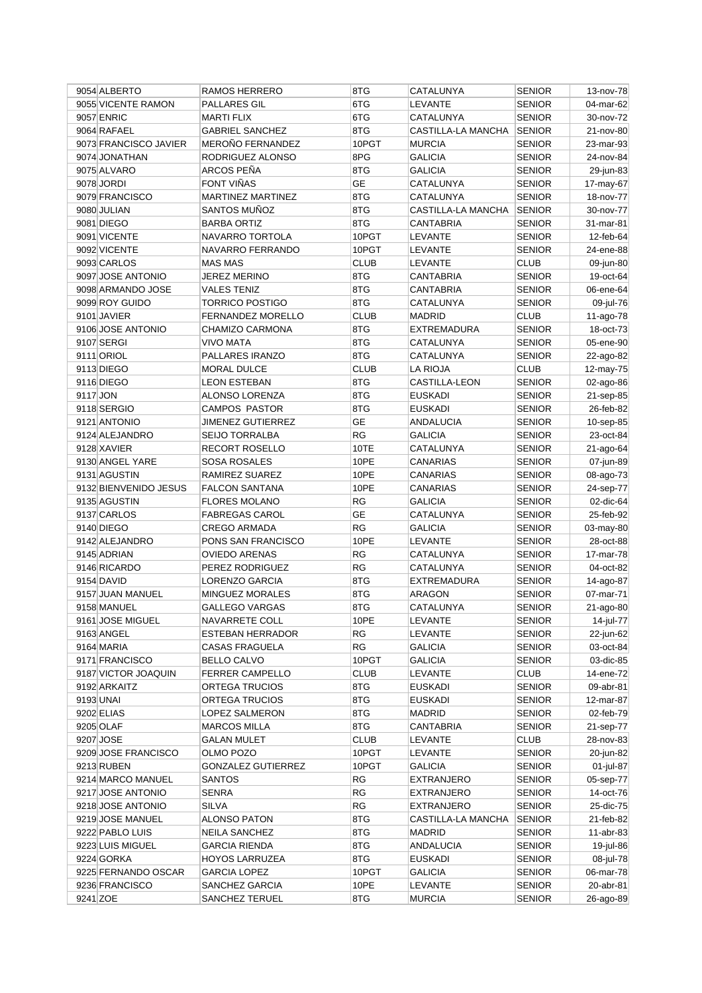|          | 9054 ALBERTO          | RAMOS HERRERO             | 8TG         | CATALUNYA          | <b>SENIOR</b> | 13-nov-78 |
|----------|-----------------------|---------------------------|-------------|--------------------|---------------|-----------|
|          | 9055 VICENTE RAMON    | PALLARES GIL              | 6TG         | <b>LEVANTE</b>     | <b>SENIOR</b> | 04-mar-62 |
|          | 9057 ENRIC            | <b>MARTI FLIX</b>         | 6TG         | CATALUNYA          | <b>SENIOR</b> | 30-nov-72 |
|          | 9064 RAFAEL           | <b>GABRIEL SANCHEZ</b>    | 8TG         | CASTILLA-LA MANCHA | <b>SENIOR</b> | 21-nov-80 |
|          | 9073 FRANCISCO JAVIER | MEROÑO FERNANDEZ          | 10PGT       | <b>MURCIA</b>      | <b>SENIOR</b> | 23-mar-93 |
|          | 9074 JONATHAN         | RODRIGUEZ ALONSO          | 8PG         | <b>GALICIA</b>     | <b>SENIOR</b> | 24-nov-84 |
|          | 9075 ALVARO           | ARCOS PEÑA                | 8TG         | GALICIA            | <b>SENIOR</b> | 29-jun-83 |
|          | 9078 JORDI            | FONT VIÑAS                | GE          | CATALUNYA          | <b>SENIOR</b> | 17-may-67 |
|          | 9079 FRANCISCO        | MARTINEZ MARTINEZ         | 8TG         | CATALUNYA          | <b>SENIOR</b> | 18-nov-77 |
|          | 9080 JULIAN           | SANTOS MUÑOZ              | 8TG         | CASTILLA-LA MANCHA | <b>SENIOR</b> |           |
|          |                       |                           |             |                    |               | 30-nov-77 |
|          | 9081 DIEGO            | <b>BARBA ORTIZ</b>        | 8TG         | CANTABRIA          | <b>SENIOR</b> | 31-mar-81 |
|          | 9091 VICENTE          | NAVARRO TORTOLA           | 10PGT       | <b>LEVANTE</b>     | <b>SENIOR</b> | 12-feb-64 |
|          | 9092 VICENTE          | NAVARRO FERRANDO          | 10PGT       | <b>LEVANTE</b>     | <b>SENIOR</b> | 24-ene-88 |
|          | 9093 CARLOS           | <b>MAS MAS</b>            | <b>CLUB</b> | <b>LEVANTE</b>     | <b>CLUB</b>   | 09-jun-80 |
|          | 9097 JOSE ANTONIO     | JEREZ MERINO              | 8TG         | CANTABRIA          | <b>SENIOR</b> | 19-oct-64 |
|          | 9098 ARMANDO JOSE     | VALES TENIZ               | 8TG         | CANTABRIA          | <b>SENIOR</b> | 06-ene-64 |
|          | 9099 ROY GUIDO        | <b>TORRICO POSTIGO</b>    | 8TG         | CATALUNYA          | <b>SENIOR</b> | 09-jul-76 |
|          | 9101 JAVIER           | <b>FERNANDEZ MORELLO</b>  | <b>CLUB</b> | <b>MADRID</b>      | <b>CLUB</b>   | 11-ago-78 |
|          | 9106 JOSE ANTONIO     | CHAMIZO CARMONA           | 8TG         | <b>EXTREMADURA</b> | <b>SENIOR</b> | 18-oct-73 |
|          | 9107 SERGI            | <b>VIVO MATA</b>          | 8TG         | CATALUNYA          | <b>SENIOR</b> | 05-ene-90 |
|          | 9111 ORIOL            | PALLARES IRANZO           | 8TG         | CATALUNYA          | <b>SENIOR</b> | 22-ago-82 |
|          | 9113 DIEGO            | <b>MORAL DULCE</b>        | <b>CLUB</b> | <b>LA RIOJA</b>    | <b>CLUB</b>   | 12-may-75 |
|          | 9116 DIEGO            | <b>LEON ESTEBAN</b>       | 8TG         | CASTILLA-LEON      | <b>SENIOR</b> | 02-ago-86 |
| 9117 JON |                       | ALONSO LORENZA            | 8TG         | <b>EUSKADI</b>     | <b>SENIOR</b> | 21-sep-85 |
|          | 9118 SERGIO           | <b>CAMPOS PASTOR</b>      | 8TG         | <b>EUSKADI</b>     | <b>SENIOR</b> | 26-feb-82 |
|          | 9121 ANTONIO          | <b>JIMENEZ GUTIERREZ</b>  | <b>GE</b>   | <b>ANDALUCIA</b>   | <b>SENIOR</b> | 10-sep-85 |
|          | 9124 ALEJANDRO        | SEIJO TORRALBA            | <b>RG</b>   | <b>GALICIA</b>     | <b>SENIOR</b> |           |
|          |                       |                           |             |                    |               | 23-oct-84 |
|          | 9128 XAVIER           | RECORT ROSELLO            | 10TE        | <b>CATALUNYA</b>   | <b>SENIOR</b> | 21-ago-64 |
|          | 9130 ANGEL YARE       | SOSA ROSALES              | 10PE        | CANARIAS           | <b>SENIOR</b> | 07-jun-89 |
|          | 9131 AGUSTIN          | RAMIREZ SUAREZ            | 10PE        | CANARIAS           | <b>SENIOR</b> | 08-ago-73 |
|          | 9132 BIENVENIDO JESUS | <b>FALCON SANTANA</b>     | 10PE        | CANARIAS           | <b>SENIOR</b> | 24-sep-77 |
|          | 9135 AGUSTIN          | <b>FLORES MOLANO</b>      | RG          | <b>GALICIA</b>     | <b>SENIOR</b> | 02-dic-64 |
|          | 9137 CARLOS           | <b>FABREGAS CAROL</b>     | <b>GE</b>   | CATALUNYA          | <b>SENIOR</b> | 25-feb-92 |
|          | 9140 DIEGO            | <b>CREGO ARMADA</b>       | <b>RG</b>   | <b>GALICIA</b>     | <b>SENIOR</b> | 03-may-80 |
|          | 9142 ALEJANDRO        | PONS SAN FRANCISCO        | 10PE        | <b>LEVANTE</b>     | <b>SENIOR</b> | 28-oct-88 |
|          | 9145 ADRIAN           | <b>OVIEDO ARENAS</b>      | <b>RG</b>   | CATALUNYA          | <b>SENIOR</b> | 17-mar-78 |
|          | 9146 RICARDO          | PEREZ RODRIGUEZ           | <b>RG</b>   | CATALUNYA          | <b>SENIOR</b> | 04-oct-82 |
|          | 9154 DAVID            | LORENZO GARCIA            | 8TG         | <b>EXTREMADURA</b> | <b>SENIOR</b> | 14-ago-87 |
|          | 9157 JUAN MANUEL      | MINGUEZ MORALES           | 8TG         | <b>ARAGON</b>      | <b>SENIOR</b> | 07-mar-71 |
|          | 9158 MANUEL           | <b>GALLEGO VARGAS</b>     | 8TG         | CATALUNYA          | <b>SENIOR</b> | 21-ago-80 |
|          | 9161 JOSE MIGUEL      | NAVARRETE COLL            | 10PE        | LEVANTE            | <b>SENIOR</b> | 14-jul-77 |
|          | 9163 ANGEL            | <b>ESTEBAN HERRADOR</b>   | RG          | LEVANTE            | <b>SENIOR</b> | 22-jun-62 |
|          | 9164 MARIA            | <b>CASAS FRAGUELA</b>     | RG          | <b>GALICIA</b>     | <b>SENIOR</b> | 03-oct-84 |
|          | 9171 FRANCISCO        | <b>BELLO CALVO</b>        | 10PGT       | <b>GALICIA</b>     | <b>SENIOR</b> | 03-dic-85 |
|          |                       |                           |             |                    |               |           |
|          | 9187 VICTOR JOAQUIN   | FERRER CAMPELLO           | <b>CLUB</b> | LEVANTE            | <b>CLUB</b>   | 14-ene-72 |
|          | 9192 ARKAITZ          | ORTEGA TRUCIOS            | 8TG         | <b>EUSKADI</b>     | <b>SENIOR</b> | 09-abr-81 |
|          | 9193 UNAI             | ORTEGA TRUCIOS            | 8TG         | <b>EUSKADI</b>     | <b>SENIOR</b> | 12-mar-87 |
|          | 9202 ELIAS            | LOPEZ SALMERON            | 8TG         | MADRID             | <b>SENIOR</b> | 02-feb-79 |
|          | 9205 OLAF             | <b>MARCOS MILLA</b>       | 8TG         | <b>CANTABRIA</b>   | <b>SENIOR</b> | 21-sep-77 |
|          | 9207 JOSE             | <b>GALAN MULET</b>        | <b>CLUB</b> | LEVANTE            | <b>CLUB</b>   | 28-nov-83 |
|          | 9209 JOSE FRANCISCO   | OLMO POZO                 | 10PGT       | LEVANTE            | <b>SENIOR</b> | 20-jun-82 |
|          | 9213 RUBEN            | <b>GONZALEZ GUTIERREZ</b> | 10PGT       | GALICIA            | <b>SENIOR</b> | 01-jul-87 |
|          | 9214 MARCO MANUEL     | SANTOS                    | RG          | <b>EXTRANJERO</b>  | <b>SENIOR</b> | 05-sep-77 |
|          | 9217 JOSE ANTONIO     | SENRA                     | RG          | <b>EXTRANJERO</b>  | <b>SENIOR</b> | 14-oct-76 |
|          | 9218 JOSE ANTONIO     | <b>SILVA</b>              | RG          | <b>EXTRANJERO</b>  | <b>SENIOR</b> | 25-dic-75 |
|          | 9219 JOSE MANUEL      | ALONSO PATON              | 8TG         | CASTILLA-LA MANCHA | <b>SENIOR</b> | 21-feb-82 |
|          | 9222 PABLO LUIS       | NEILA SANCHEZ             | 8TG         | <b>MADRID</b>      | <b>SENIOR</b> | 11-abr-83 |
|          | 9223 LUIS MIGUEL      | <b>GARCIA RIENDA</b>      | 8TG         | ANDALUCIA          | <b>SENIOR</b> | 19-jul-86 |
|          | 9224 GORKA            | HOYOS LARRUZEA            | 8TG         | <b>EUSKADI</b>     | <b>SENIOR</b> | 08-jul-78 |
|          | 9225 FERNANDO OSCAR   | <b>GARCIA LOPEZ</b>       | 10PGT       | GALICIA            | <b>SENIOR</b> | 06-mar-78 |
|          | 9236 FRANCISCO        | SANCHEZ GARCIA            | 10PE        | <b>LEVANTE</b>     | <b>SENIOR</b> | 20-abr-81 |
| 9241 ZOE |                       | SANCHEZ TERUEL            | 8TG         | <b>MURCIA</b>      | <b>SENIOR</b> | 26-ago-89 |
|          |                       |                           |             |                    |               |           |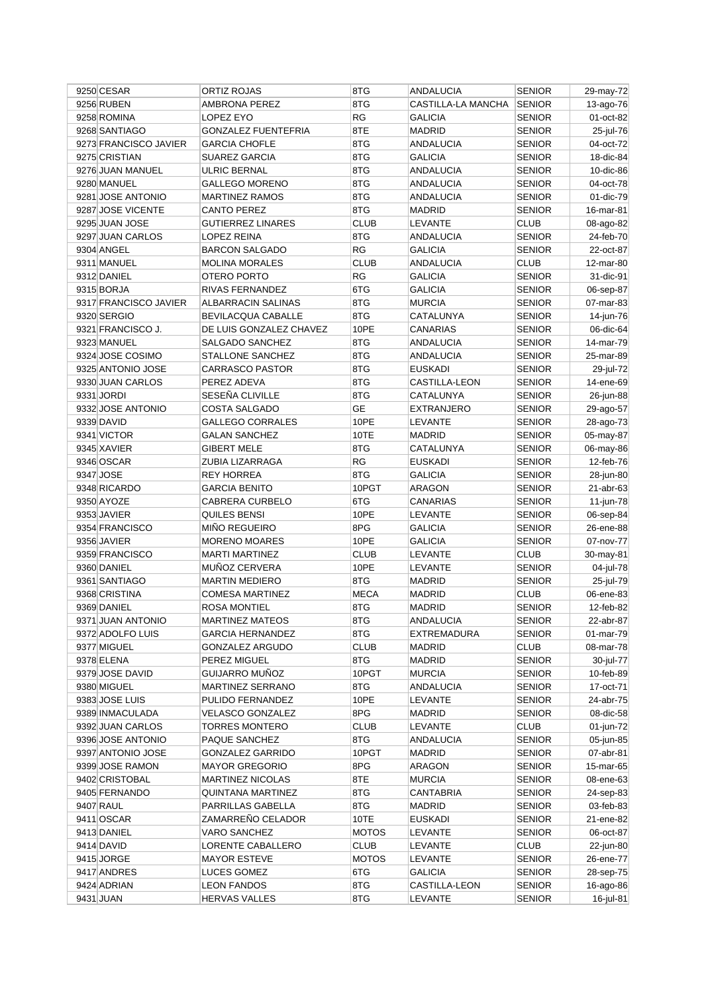| 9250 CESAR                        | ORTIZ ROJAS                | 8TG          | ANDALUCIA          | <b>SENIOR</b>    | 29-may-72              |
|-----------------------------------|----------------------------|--------------|--------------------|------------------|------------------------|
| 9256 RUBEN                        | AMBRONA PEREZ              | 8TG          | CASTILLA-LA MANCHA | <b>SENIOR</b>    | 13-ago-76              |
| 9258 ROMINA                       | LOPEZ EYO                  | <b>RG</b>    | <b>GALICIA</b>     | <b>SENIOR</b>    | 01-oct-82              |
| 9268 SANTIAGO                     | <b>GONZALEZ FUENTEFRIA</b> | 8TE          | <b>MADRID</b>      | <b>SENIOR</b>    | 25-jul-76              |
| 9273 FRANCISCO JAVIER             | <b>GARCIA CHOFLE</b>       | 8TG          | <b>ANDALUCIA</b>   | <b>SENIOR</b>    | 04-oct-72              |
| 9275 CRISTIAN                     | SUAREZ GARCIA              | 8TG          | <b>GALICIA</b>     | <b>SENIOR</b>    | 18-dic-84              |
| 9276 JUAN MANUEL                  | ULRIC BERNAL               | 8TG          | ANDALUCIA          | SENIOR           | 10-dic-86              |
| 9280 MANUEL                       | <b>GALLEGO MORENO</b>      | 8TG          | <b>ANDALUCIA</b>   | SENIOR           | 04-oct-78              |
| 9281 JOSE ANTONIO                 | <b>MARTINEZ RAMOS</b>      | 8TG          | ANDALUCIA          | SENIOR           | 01-dic-79              |
| 9287 JOSE VICENTE                 | <b>CANTO PEREZ</b>         | 8TG          | <b>MADRID</b>      | <b>SENIOR</b>    | 16-mar-81              |
| 9295 JUAN JOSE                    | <b>GUTIERREZ LINARES</b>   | <b>CLUB</b>  | <b>LEVANTE</b>     | <b>CLUB</b>      | 08-ago-82              |
| 9297 JUAN CARLOS                  | LOPEZ REINA                | 8TG          | <b>ANDALUCIA</b>   | <b>SENIOR</b>    | 24-feb-70              |
| 9304 ANGEL                        | <b>BARCON SALGADO</b>      | <b>RG</b>    | <b>GALICIA</b>     | <b>SENIOR</b>    | 22-oct-87              |
| 9311 MANUEL                       | <b>MOLINA MORALES</b>      | <b>CLUB</b>  | <b>ANDALUCIA</b>   | CLUB             | 12-mar-80              |
|                                   | OTERO PORTO                | RG           |                    | <b>SENIOR</b>    |                        |
| 9312 DANIEL                       |                            |              | GALICIA            |                  | 31-dic-91              |
| 9315 BORJA                        | RIVAS FERNANDEZ            | 6TG          | <b>GALICIA</b>     | <b>SENIOR</b>    | 06-sep-87              |
| 9317 FRANCISCO JAVIER             | ALBARRACIN SALINAS         | 8TG          | MURCIA             | SENIOR           | 07-mar-83              |
| 9320 SERGIO                       | BEVILACQUA CABALLE         | 8TG          | CATALUNYA          | <b>SENIOR</b>    | 14-jun-76              |
| 9321 FRANCISCO J.                 | DE LUIS GONZALEZ CHAVEZ    | 10PE         | CANARIAS           | SENIOR           | 06-dic-64              |
| 9323 MANUEL                       | SALGADO SANCHEZ            | 8TG          | <b>ANDALUCIA</b>   | <b>SENIOR</b>    | 14-mar-79              |
| 9324 JOSE COSIMO                  | STALLONE SANCHEZ           | 8TG          | <b>ANDALUCIA</b>   | SENIOR           | 25-mar-89              |
| 9325 ANTONIO JOSE                 | <b>CARRASCO PASTOR</b>     | 8TG          | <b>EUSKADI</b>     | SENIOR           | 29-jul-72              |
| 9330 JUAN CARLOS                  | PEREZ ADEVA                | 8TG          | CASTILLA-LEON      | SENIOR           | 14-ene-69              |
| 9331 JORDI                        | SESEÑA CLIVILLE            | 8TG          | CATALUNYA          | SENIOR           | 26-jun-88              |
| 9332 JOSE ANTONIO                 | COSTA SALGADO              | GE           | EXTRANJERO         | SENIOR           | 29-ago-57              |
| 9339 DAVID                        | <b>GALLEGO CORRALES</b>    | 10PE         | <b>LEVANTE</b>     | SENIOR           | 28-ago-73              |
| 9341 VICTOR                       | <b>GALAN SANCHEZ</b>       | 10TE         | <b>MADRID</b>      | <b>SENIOR</b>    | 05-may-87              |
| 9345 XAVIER                       | <b>GIBERT MELE</b>         | 8TG          | CATALUNYA          | <b>SENIOR</b>    | 06-may-86              |
| 9346 OSCAR                        | ZUBIA LIZARRAGA            | RG           | <b>EUSKADI</b>     | SENIOR           | 12-feb-76              |
| 9347 JOSE                         | <b>REY HORREA</b>          | 8TG          | GALICIA            | SENIOR           | 28-jun-80              |
| 9348 RICARDO                      | <b>GARCIA BENITO</b>       | 10PGT        | ARAGON             | SENIOR           | 21-abr-63              |
| 9350 AYOZE                        | <b>CABRERA CURBELO</b>     | 6TG          | CANARIAS           | SENIOR           | 11-jun-78              |
| 9353 JAVIER                       | QUILES BENSI               | 10PE         | LEVANTE            | <b>SENIOR</b>    | 06-sep-84              |
| 9354 FRANCISCO                    | <b>MIÑO REGUEIRO</b>       | 8PG          | <b>GALICIA</b>     | SENIOR           | 26-ene-88              |
| 9356 JAVIER                       | <b>MORENO MOARES</b>       | 10PE         | <b>GALICIA</b>     | <b>SENIOR</b>    | 07-nov-77              |
| 9359 FRANCISCO                    | <b>MARTI MARTINEZ</b>      | <b>CLUB</b>  | <b>LEVANTE</b>     | CLUB             | 30-may-81              |
| 9360 DANIEL                       | MUÑOZ CERVERA              | 10PE         | <b>LEVANTE</b>     | <b>SENIOR</b>    | 04-jul-78              |
| 9361 SANTIAGO                     | <b>MARTIN MEDIERO</b>      | 8TG          | <b>MADRID</b>      | SENIOR           | 25-jul-79              |
| 9368 CRISTINA                     | <b>COMESA MARTINEZ</b>     | <b>MECA</b>  | <b>MADRID</b>      | <b>CLUB</b>      | 06-ene-83              |
| 9369 DANIEL                       | <b>ROSA MONTIEL</b>        | 8TG          | <b>MADRID</b>      | <b>SENIOR</b>    | 12-feb-82              |
| 9371 JUAN ANTONIO                 | <b>MARTINEZ MATEOS</b>     | 8TG          | <b>ANDALUCIA</b>   | <b>SENIOR</b>    | 22-abr-87              |
| 9372 ADOLFO LUIS                  | <b>GARCIA HERNANDEZ</b>    | 8TG          | EXTREMADURA        | <b>SENIOR</b>    | $01$ -mar-79           |
| 9377 MIGUEL                       | GONZALEZ ARGUDO            | <b>CLUB</b>  | MADRID             | <b>CLUB</b>      | 08-mar-78              |
| 9378 ELENA                        | PEREZ MIGUEL               | 8TG          | <b>MADRID</b>      | <b>SENIOR</b>    | 30-jul-77              |
| 9379 JOSE DAVID                   | GUIJARRO MUÑOZ             | 10PGT        | <b>MURCIA</b>      |                  |                        |
| 9380 MIGUEL                       | <b>MARTINEZ SERRANO</b>    | 8TG          | ANDALUCIA          | SENIOR<br>SENIOR | 10-feb-89<br>17-oct-71 |
|                                   |                            |              |                    |                  |                        |
| 9383 JOSE LUIS<br>9389 INMACULADA | PULIDO FERNANDEZ           | 10PE<br>8PG  | LEVANTE            | <b>SENIOR</b>    | 24-abr-75              |
|                                   | VELASCO GONZALEZ           |              | MADRID             | SENIOR           | 08-dic-58              |
| 9392 JUAN CARLOS                  | TORRES MONTERO             | <b>CLUB</b>  | LEVANTE            | <b>CLUB</b>      | 01-jun-72              |
| 9396 JOSE ANTONIO                 | PAQUE SANCHEZ              | 8TG          | ANDALUCIA          | <b>SENIOR</b>    | 05-jun-85              |
| 9397 ANTONIO JOSE                 | <b>GONZALEZ GARRIDO</b>    | 10PGT        | <b>MADRID</b>      | SENIOR           | 07-abr-81              |
| 9399 JOSE RAMON                   | <b>MAYOR GREGORIO</b>      | 8PG          | <b>ARAGON</b>      | SENIOR           | 15-mar-65              |
| 9402 CRISTOBAL                    | <b>MARTINEZ NICOLAS</b>    | 8TE          | <b>MURCIA</b>      | <b>SENIOR</b>    | 08-ene-63              |
| 9405 FERNANDO                     | QUINTANA MARTINEZ          | 8TG          | CANTABRIA          | <b>SENIOR</b>    | 24-sep-83              |
| 9407 RAUL                         | PARRILLAS GABELLA          | 8TG          | MADRID             | <b>SENIOR</b>    | 03-feb-83              |
| 9411 OSCAR                        | ZAMARREÑO CELADOR          | 10TE         | EUSKADI            | SENIOR           | 21-ene-82              |
| 9413 DANIEL                       | VARO SANCHEZ               | <b>MOTOS</b> | LEVANTE            | <b>SENIOR</b>    | 06-oct-87              |
| 9414 DAVID                        | LORENTE CABALLERO          | <b>CLUB</b>  | LEVANTE            | <b>CLUB</b>      | 22-jun-80              |
| 9415 JORGE                        | <b>MAYOR ESTEVE</b>        | <b>MOTOS</b> | LEVANTE            | <b>SENIOR</b>    | 26-ene-77              |
| 9417 ANDRES                       | LUCES GOMEZ                | 6TG          | GALICIA            | SENIOR           | 28-sep-75              |
| 9424 ADRIAN                       | <b>LEON FANDOS</b>         | 8TG          | CASTILLA-LEON      | SENIOR           | 16-ago-86              |
| 9431 JUAN                         | <b>HERVAS VALLES</b>       | 8TG          | LEVANTE            | <b>SENIOR</b>    | 16-jul-81              |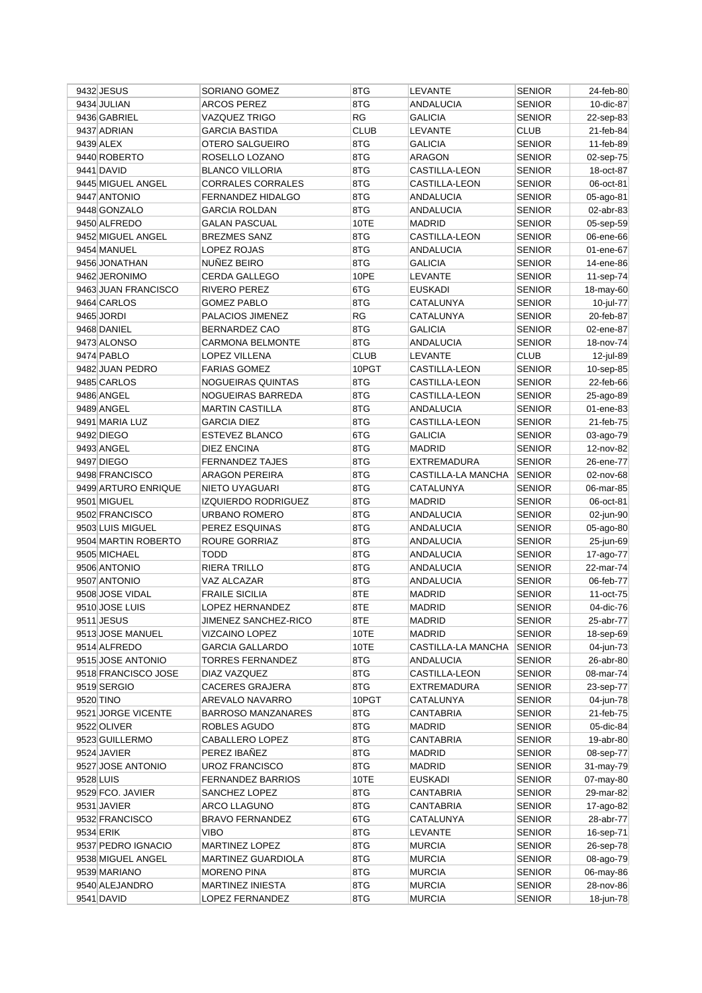| 9432 JESUS          | SORIANO GOMEZ                         | 8TG         | LEVANTE                             | <b>SENIOR</b>                  | 24-feb-80              |
|---------------------|---------------------------------------|-------------|-------------------------------------|--------------------------------|------------------------|
| 9434 JULIAN         | ARCOS PEREZ                           | 8TG         | <b>ANDALUCIA</b>                    | <b>SENIOR</b>                  | 10-dic-87              |
| 9436 GABRIEL        | VAZQUEZ TRIGO                         | <b>RG</b>   | <b>GALICIA</b>                      | <b>SENIOR</b>                  | 22-sep-83              |
| 9437 ADRIAN         | <b>GARCIA BASTIDA</b>                 | <b>CLUB</b> | <b>LEVANTE</b>                      | <b>CLUB</b>                    | 21-feb-84              |
| 9439 ALEX           | OTERO SALGUEIRO                       | 8TG         | <b>GALICIA</b>                      | <b>SENIOR</b>                  | 11-feb-89              |
| 9440 ROBERTO        | ROSELLO LOZANO                        | 8TG         | <b>ARAGON</b>                       | <b>SENIOR</b>                  | 02-sep-75              |
| 9441 DAVID          | <b>BLANCO VILLORIA</b>                | 8TG         | CASTILLA-LEON                       | <b>SENIOR</b>                  | 18-oct-87              |
| 9445 MIGUEL ANGEL   | CORRALES CORRALES                     | 8TG         | CASTILLA-LEON                       | <b>SENIOR</b>                  | 06-oct-81              |
| 9447 ANTONIO        | FERNANDEZ HIDALGO                     | 8TG         | ANDALUCIA                           | <b>SENIOR</b>                  | 05-ago-81              |
| 9448 GONZALO        | <b>GARCIA ROLDAN</b>                  | 8TG         | <b>ANDALUCIA</b>                    | <b>SENIOR</b>                  | 02-abr-83              |
| 9450 ALFREDO        | <b>GALAN PASCUAL</b>                  | 10TE        | <b>MADRID</b>                       | <b>SENIOR</b>                  | 05-sep-59              |
| 9452 MIGUEL ANGEL   | <b>BREZMES SANZ</b>                   | 8TG         | CASTILLA-LEON                       | <b>SENIOR</b>                  | 06-ene-66              |
| 9454 MANUEL         | LOPEZ ROJAS                           | 8TG         | <b>ANDALUCIA</b>                    | <b>SENIOR</b>                  | 01-ene-67              |
| 9456 JONATHAN       | NUÑEZ BEIRO                           | 8TG         | <b>GALICIA</b>                      | <b>SENIOR</b>                  | 14-ene-86              |
| 9462 JERONIMO       | CERDA GALLEGO                         | 10PE        | <b>LEVANTE</b>                      | <b>SENIOR</b>                  | 11-sep-74              |
| 9463 JUAN FRANCISCO | RIVERO PEREZ                          | 6TG         | <b>EUSKADI</b>                      | <b>SENIOR</b>                  | 18-may-60              |
| 9464 CARLOS         | <b>GOMEZ PABLO</b>                    | 8TG         | CATALUNYA                           | <b>SENIOR</b>                  | 10-jul-77              |
| 9465 JORDI          | PALACIOS JIMENEZ                      | <b>RG</b>   | CATALUNYA                           | <b>SENIOR</b>                  | 20-feb-87              |
| 9468 DANIEL         | BERNARDEZ CAO                         | 8TG         | <b>GALICIA</b>                      | <b>SENIOR</b>                  | 02-ene-87              |
| 9473 ALONSO         | <b>CARMONA BELMONTE</b>               | 8TG         | ANDALUCIA                           | <b>SENIOR</b>                  | 18-nov-74              |
| 9474 PABLO          | <b>LOPEZ VILLENA</b>                  | <b>CLUB</b> | <b>LEVANTE</b>                      | <b>CLUB</b>                    | 12-jul-89              |
| 9482 JUAN PEDRO     | <b>FARIAS GOMEZ</b>                   | 10PGT       | CASTILLA-LEON                       | <b>SENIOR</b>                  | 10-sep-85              |
| 9485 CARLOS         | NOGUEIRAS QUINTAS                     | 8TG         | CASTILLA-LEON                       | <b>SENIOR</b>                  | 22-feb-66              |
| 9486 ANGEL          | NOGUEIRAS BARREDA                     | 8TG         | CASTILLA-LEON                       | <b>SENIOR</b>                  | 25-ago-89              |
| 9489 ANGEL          | <b>MARTIN CASTILLA</b>                | 8TG         | <b>ANDALUCIA</b>                    | <b>SENIOR</b>                  | 01-ene-83              |
| 9491 MARIA LUZ      | <b>GARCIA DIEZ</b>                    | 8TG         | <b>CASTILLA-LEON</b>                | <b>SENIOR</b>                  | 21-feb-75              |
| 9492 DIEGO          | ESTEVEZ BLANCO                        | 6TG         |                                     |                                |                        |
| 9493 ANGEL          |                                       | 8TG         | <b>GALICIA</b>                      | <b>SENIOR</b><br><b>SENIOR</b> | 03-ago-79              |
| 9497 DIEGO          | DIEZ ENCINA<br><b>FERNANDEZ TAJES</b> | 8TG         | <b>MADRID</b><br><b>EXTREMADURA</b> | <b>SENIOR</b>                  | 12-nov-82<br>26-ene-77 |
|                     | <b>ARAGON PEREIRA</b>                 |             |                                     |                                |                        |
| 9498 FRANCISCO      |                                       | 8TG         | CASTILLA-LA MANCHA                  | <b>SENIOR</b>                  | 02-nov-68              |
| 9499 ARTURO ENRIQUE | NIETO UYAGUARI                        | 8TG         | CATALUNYA                           | <b>SENIOR</b>                  | 06-mar-85              |
|                     |                                       |             |                                     |                                |                        |
| 9501 MIGUEL         | <b>IZQUIERDO RODRIGUEZ</b>            | 8TG         | <b>MADRID</b>                       | <b>SENIOR</b>                  | 06-oct-81              |
| 9502 FRANCISCO      | URBANO ROMERO                         | 8TG         | <b>ANDALUCIA</b>                    | <b>SENIOR</b>                  | 02-jun-90              |
| 9503 LUIS MIGUEL    | PEREZ ESQUINAS                        | 8TG         | <b>ANDALUCIA</b>                    | <b>SENIOR</b>                  | 05-ago-80              |
| 9504 MARTIN ROBERTO | ROURE GORRIAZ                         | 8TG         | ANDALUCIA                           | <b>SENIOR</b>                  | 25-jun-69              |
| 9505 MICHAEL        | <b>TODD</b>                           | 8TG         | <b>ANDALUCIA</b>                    | <b>SENIOR</b>                  | 17-ago-77              |
| 9506 ANTONIO        | RIERA TRILLO                          | 8TG         | <b>ANDALUCIA</b>                    | <b>SENIOR</b>                  | 22-mar-74              |
| 9507 ANTONIO        | VAZ ALCAZAR                           | 8TG         | <b>ANDALUCIA</b>                    | <b>SENIOR</b>                  | 06-feb-77              |
| 9508 JOSE VIDAL     | <b>FRAILE SICILIA</b>                 | 8TE         | <b>MADRID</b>                       | <b>SENIOR</b>                  | 11-oct-75              |
| 9510 JOSE LUIS      | <b>LOPEZ HERNANDEZ</b>                | 8TE         | <b>MADRID</b>                       | <b>SENIOR</b>                  | 04-dic-76              |
| $9511$ JESUS        | JIMENEZ SANCHEZ-RICO                  | 8TE         | MADRID                              | <b>SENIOR</b>                  | 25-abr-77              |
| 9513 JOSE MANUEL    | VIZCAINO LOPEZ                        | 10TE        | MADRID                              | <b>SENIOR</b>                  | 18-sep-69              |
| 9514 ALFREDO        | <b>GARCIA GALLARDO</b>                | 10TE        | CASTILLA-LA MANCHA                  | SENIOR                         | 04-jun-73              |
| 9515 JOSE ANTONIO   | <b>TORRES FERNANDEZ</b>               | 8TG         | <b>ANDALUCIA</b>                    | <b>SENIOR</b>                  | 26-abr-80              |
| 9518 FRANCISCO JOSE | DIAZ VAZQUEZ                          | 8TG         | CASTILLA-LEON                       | <b>SENIOR</b>                  | 08-mar-74              |
| 9519 SERGIO         | <b>CACERES GRAJERA</b>                | 8TG         | <b>EXTREMADURA</b>                  | <b>SENIOR</b>                  | 23-sep-77              |
| 9520 TINO           | AREVALO NAVARRO                       | 10PGT       | CATALUNYA                           | <b>SENIOR</b>                  | 04-jun-78              |
| 9521 JORGE VICENTE  | <b>BARROSO MANZANARES</b>             | 8TG         | CANTABRIA                           | <b>SENIOR</b>                  | 21-feb-75              |
| 9522 OLIVER         | ROBLES AGUDO                          | 8TG         | <b>MADRID</b>                       | <b>SENIOR</b>                  | 05-dic-84              |
| 9523 GUILLERMO      | CABALLERO LOPEZ                       | 8TG         | CANTABRIA                           | <b>SENIOR</b>                  | 19-abr-80              |
| 9524 JAVIER         | PEREZ IBAÑEZ                          | 8TG         | <b>MADRID</b>                       | <b>SENIOR</b>                  | 08-sep-77              |
| 9527 JOSE ANTONIO   | UROZ FRANCISCO                        | 8TG         | <b>MADRID</b>                       | <b>SENIOR</b>                  | 31-may-79              |
| 9528 LUIS           | FERNANDEZ BARRIOS                     | 10TE        | <b>EUSKADI</b>                      | <b>SENIOR</b>                  | 07-may-80              |
| 9529 FCO. JAVIER    | SANCHEZ LOPEZ                         | 8TG         | CANTABRIA                           | <b>SENIOR</b>                  | 29-mar-82              |
| 9531 JAVIER         | ARCO LLAGUNO                          | 8TG         | CANTABRIA                           | <b>SENIOR</b>                  | 17-ago-82              |
| 9532 FRANCISCO      | <b>BRAVO FERNANDEZ</b>                | 6TG         | CATALUNYA                           | <b>SENIOR</b>                  | 28-abr-77              |
| 9534 ERIK           | VIBO                                  | 8TG         | LEVANTE                             | <b>SENIOR</b>                  | 16-sep-71              |
| 9537 PEDRO IGNACIO  | MARTINEZ LOPEZ                        | 8TG         | <b>MURCIA</b>                       | <b>SENIOR</b>                  | 26-sep-78              |
| 9538 MIGUEL ANGEL   | MARTINEZ GUARDIOLA                    | 8TG         | <b>MURCIA</b>                       | <b>SENIOR</b>                  | 08-ago-79              |
| 9539 MARIANO        | MORENO PINA                           | 8TG         | <b>MURCIA</b>                       | <b>SENIOR</b>                  | 06-may-86              |
| 9540 ALEJANDRO      | MARTINEZ INIESTA                      | 8TG         | <b>MURCIA</b>                       | <b>SENIOR</b>                  | 28-nov-86              |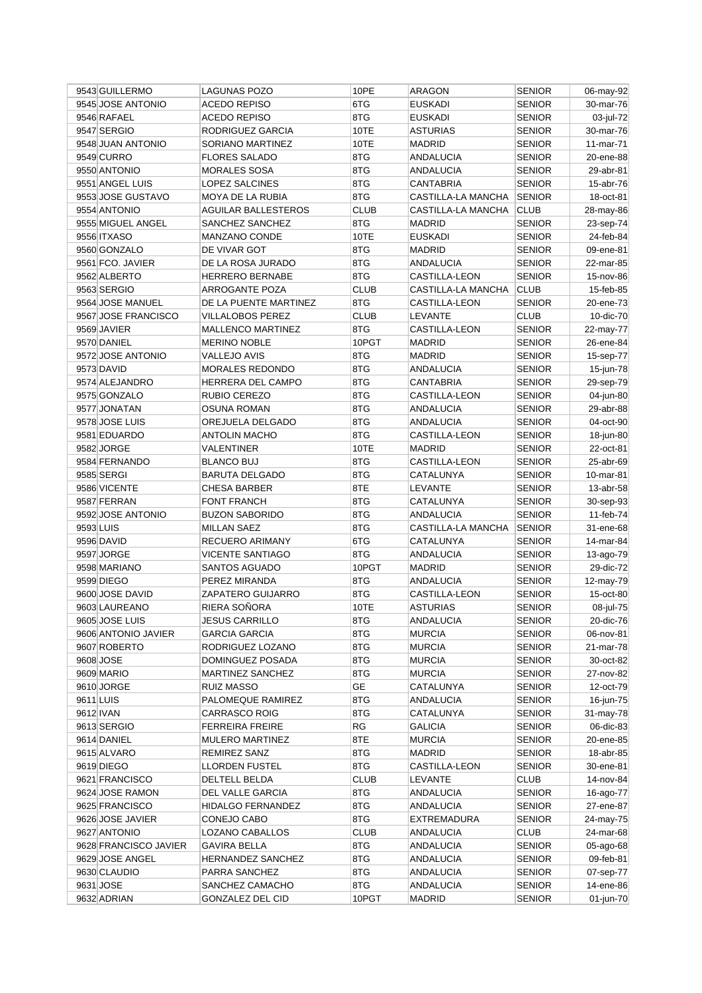|           | 9543 GUILLERMO        | LAGUNAS POZO               | 10PE        | ARAGON             | <b>SENIOR</b> | 06-may-92 |
|-----------|-----------------------|----------------------------|-------------|--------------------|---------------|-----------|
|           | 9545 JOSE ANTONIO     | <b>ACEDO REPISO</b>        | 6TG         | <b>EUSKADI</b>     | <b>SENIOR</b> | 30-mar-76 |
|           | 9546 RAFAEL           | <b>ACEDO REPISO</b>        | 8TG         | <b>EUSKADI</b>     | <b>SENIOR</b> | 03-jul-72 |
|           | 9547 SERGIO           | RODRIGUEZ GARCIA           | 10TE        | <b>ASTURIAS</b>    | <b>SENIOR</b> | 30-mar-76 |
|           | 9548 JUAN ANTONIO     | SORIANO MARTINEZ           | 10TE        | <b>MADRID</b>      | <b>SENIOR</b> | 11-mar-71 |
|           | 9549 CURRO            | <b>FLORES SALADO</b>       | 8TG         | <b>ANDALUCIA</b>   | <b>SENIOR</b> | 20-ene-88 |
|           | 9550 ANTONIO          | <b>MORALES SOSA</b>        | 8TG         | ANDALUCIA          | <b>SENIOR</b> | 29-abr-81 |
|           | 9551 ANGEL LUIS       | LOPEZ SALCINES             | 8TG         | CANTABRIA          | <b>SENIOR</b> | 15-abr-76 |
|           | 9553 JOSE GUSTAVO     | MOYA DE LA RUBIA           | 8TG         | CASTILLA-LA MANCHA | <b>SENIOR</b> | 18-oct-81 |
|           | 9554 ANTONIO          | <b>AGUILAR BALLESTEROS</b> | <b>CLUB</b> | CASTILLA-LA MANCHA | <b>CLUB</b>   | 28-may-86 |
|           | 9555 MIGUEL ANGEL     | SANCHEZ SANCHEZ            | 8TG         | <b>MADRID</b>      | <b>SENIOR</b> | 23-sep-74 |
|           | 9556 ITXASO           | <b>MANZANO CONDE</b>       | 10TE        | <b>EUSKADI</b>     | <b>SENIOR</b> | 24-feb-84 |
|           | 9560 GONZALO          | DE VIVAR GOT               | 8TG         | <b>MADRID</b>      | <b>SENIOR</b> | 09-ene-81 |
|           | 9561 FCO. JAVIER      | DE LA ROSA JURADO          | 8TG         | <b>ANDALUCIA</b>   | <b>SENIOR</b> | 22-mar-85 |
|           | 9562 ALBERTO          | <b>HERRERO BERNABE</b>     | 8TG         | CASTILLA-LEON      | <b>SENIOR</b> | 15-nov-86 |
|           | 9563 SERGIO           | ARROGANTE POZA             | <b>CLUB</b> | CASTILLA-LA MANCHA | <b>CLUB</b>   | 15-feb-85 |
|           | 9564 JOSE MANUEL      | DE LA PUENTE MARTINEZ      | 8TG         | CASTILLA-LEON      | <b>SENIOR</b> | 20-ene-73 |
|           | 9567 JOSE FRANCISCO   | <b>VILLALOBOS PEREZ</b>    | <b>CLUB</b> | <b>LEVANTE</b>     | <b>CLUB</b>   | 10-dic-70 |
|           | 9569 JAVIER           | <b>MALLENCO MARTINEZ</b>   | 8TG         | CASTILLA-LEON      | <b>SENIOR</b> | 22-may-77 |
|           | 9570 DANIEL           | <b>MERINO NOBLE</b>        | 10PGT       | <b>MADRID</b>      | <b>SENIOR</b> | 26-ene-84 |
|           | 9572 JOSE ANTONIO     | <b>VALLEJO AVIS</b>        | 8TG         | <b>MADRID</b>      | <b>SENIOR</b> | 15-sep-77 |
|           | 9573 DAVID            | <b>MORALES REDONDO</b>     | 8TG         | ANDALUCIA          | <b>SENIOR</b> | 15-jun-78 |
|           | 9574 ALEJANDRO        | HERRERA DEL CAMPO          | 8TG         | CANTABRIA          | <b>SENIOR</b> | 29-sep-79 |
|           | 9575 GONZALO          | RUBIO CEREZO               | 8TG         | CASTILLA-LEON      | <b>SENIOR</b> | 04-jun-80 |
|           | 9577 JONATAN          | <b>OSUNA ROMAN</b>         | 8TG         | <b>ANDALUCIA</b>   | <b>SENIOR</b> | 29-abr-88 |
|           | 9578 JOSE LUIS        | OREJUELA DELGADO           | 8TG         | <b>ANDALUCIA</b>   | <b>SENIOR</b> | 04-oct-90 |
|           | 9581 EDUARDO          | <b>ANTOLIN MACHO</b>       | 8TG         | CASTILLA-LEON      | <b>SENIOR</b> | 18-jun-80 |
|           | 9582 JORGE            | VALENTINER                 | 10TE        | <b>MADRID</b>      | <b>SENIOR</b> | 22-oct-81 |
|           | 9584 FERNANDO         | <b>BLANCO BUJ</b>          | 8TG         | CASTILLA-LEON      | SENIOR        | 25-abr-69 |
|           | 9585 SERGI            | <b>BARUTA DELGADO</b>      | 8TG         | CATALUNYA          | <b>SENIOR</b> | 10-mar-81 |
|           | 9586 VICENTE          | <b>CHESA BARBER</b>        | 8TE         | LEVANTE            | <b>SENIOR</b> | 13-abr-58 |
|           | 9587 FERRAN           | <b>FONT FRANCH</b>         | 8TG         | CATALUNYA          | <b>SENIOR</b> | 30-sep-93 |
|           | 9592 JOSE ANTONIO     | <b>BUZON SABORIDO</b>      | 8TG         | ANDALUCIA          | <b>SENIOR</b> | 11-feb-74 |
| 9593 LUIS |                       | <b>MILLAN SAEZ</b>         | 8TG         | CASTILLA-LA MANCHA | SENIOR        | 31-ene-68 |
|           | 9596 DAVID            | RECUERO ARIMANY            | 6TG         | CATALUNYA          | <b>SENIOR</b> | 14-mar-84 |
|           | 9597 JORGE            | <b>VICENTE SANTIAGO</b>    | 8TG         | ANDALUCIA          | <b>SENIOR</b> | 13-ago-79 |
|           | 9598 MARIANO          | SANTOS AGUADO              | 10PGT       | <b>MADRID</b>      | <b>SENIOR</b> | 29-dic-72 |
|           | 9599 DIEGO            | PEREZ MIRANDA              | 8TG         | <b>ANDALUCIA</b>   | <b>SENIOR</b> | 12-may-79 |
|           | 9600 JOSE DAVID       | ZAPATERO GUIJARRO          | 8TG         | CASTILLA-LEON      | <b>SENIOR</b> | 15-oct-80 |
|           | 9603 LAUREANO         | RIERA SOÑORA               | 10TE        | <b>ASTURIAS</b>    | <b>SENIOR</b> | 08-jul-75 |
|           | 9605 JOSE LUIS        | JESUS CARRILLO             | 8TG         | <b>ANDALUCIA</b>   | <b>SENIOR</b> | 20-dic-76 |
|           | 9606 ANTONIO JAVIER   | <b>GARCIA GARCIA</b>       | 8TG         | <b>MURCIA</b>      | <b>SENIOR</b> | 06-nov-81 |
|           | 9607 ROBERTO          | RODRIGUEZ LOZANO           | 8TG         | <b>MURCIA</b>      | <b>SENIOR</b> | 21-mar-78 |
|           | 9608 JOSE             | DOMINGUEZ POSADA           | 8TG         | <b>MURCIA</b>      | <b>SENIOR</b> | 30-oct-82 |
|           | 9609 MARIO            | MARTINEZ SANCHEZ           | 8TG         | <b>MURCIA</b>      | <b>SENIOR</b> | 27-nov-82 |
|           | 9610 JORGE            | <b>RUIZ MASSO</b>          | GE          | CATALUNYA          | SENIOR        | 12-oct-79 |
| 9611 LUIS |                       | PALOMEQUE RAMIREZ          | 8TG         | ANDALUCIA          | <b>SENIOR</b> | 16-jun-75 |
|           | 9612 IVAN             | <b>CARRASCO ROIG</b>       | 8TG         | CATALUNYA          | <b>SENIOR</b> | 31-may-78 |
|           | 9613 SERGIO           | <b>FERREIRA FREIRE</b>     | RG          | GALICIA            | <b>SENIOR</b> | 06-dic-83 |
|           | 9614 DANIEL           | <b>MULERO MARTINEZ</b>     | 8TE         | <b>MURCIA</b>      | <b>SENIOR</b> | 20-ene-85 |
|           | 9615 ALVARO           | <b>REMIREZ SANZ</b>        | 8TG         | MADRID             | <b>SENIOR</b> | 18-abr-85 |
|           | 9619 DIEGO            | <b>LLORDEN FUSTEL</b>      | 8TG         | CASTILLA-LEON      | SENIOR        | 30-ene-81 |
|           | 9621 FRANCISCO        | DELTELL BELDA              | <b>CLUB</b> | LEVANTE            | <b>CLUB</b>   | 14-nov-84 |
|           | 9624 JOSE RAMON       | DEL VALLE GARCIA           | 8TG         | ANDALUCIA          | <b>SENIOR</b> | 16-ago-77 |
|           | 9625 FRANCISCO        | <b>HIDALGO FERNANDEZ</b>   | 8TG         | ANDALUCIA          | <b>SENIOR</b> | 27-ene-87 |
|           | 9626 JOSE JAVIER      | CONEJO CABO                | 8TG         | EXTREMADURA        | <b>SENIOR</b> | 24-may-75 |
|           | 9627 ANTONIO          | LOZANO CABALLOS            | <b>CLUB</b> | ANDALUCIA          | <b>CLUB</b>   | 24-mar-68 |
|           | 9628 FRANCISCO JAVIER | <b>GAVIRA BELLA</b>        | 8TG         | ANDALUCIA          | <b>SENIOR</b> | 05-ago-68 |
|           | 9629 JOSE ANGEL       | <b>HERNANDEZ SANCHEZ</b>   | 8TG         | ANDALUCIA          | <b>SENIOR</b> | 09-feb-81 |
|           | 9630 CLAUDIO          | PARRA SANCHEZ              | 8TG         | ANDALUCIA          | SENIOR        | 07-sep-77 |
|           | 9631 JOSE             | SANCHEZ CAMACHO            | 8TG         | ANDALUCIA          | <b>SENIOR</b> | 14-ene-86 |
|           | 9632 ADRIAN           | <b>GONZALEZ DEL CID</b>    | 10PGT       | <b>MADRID</b>      | <b>SENIOR</b> | 01-jun-70 |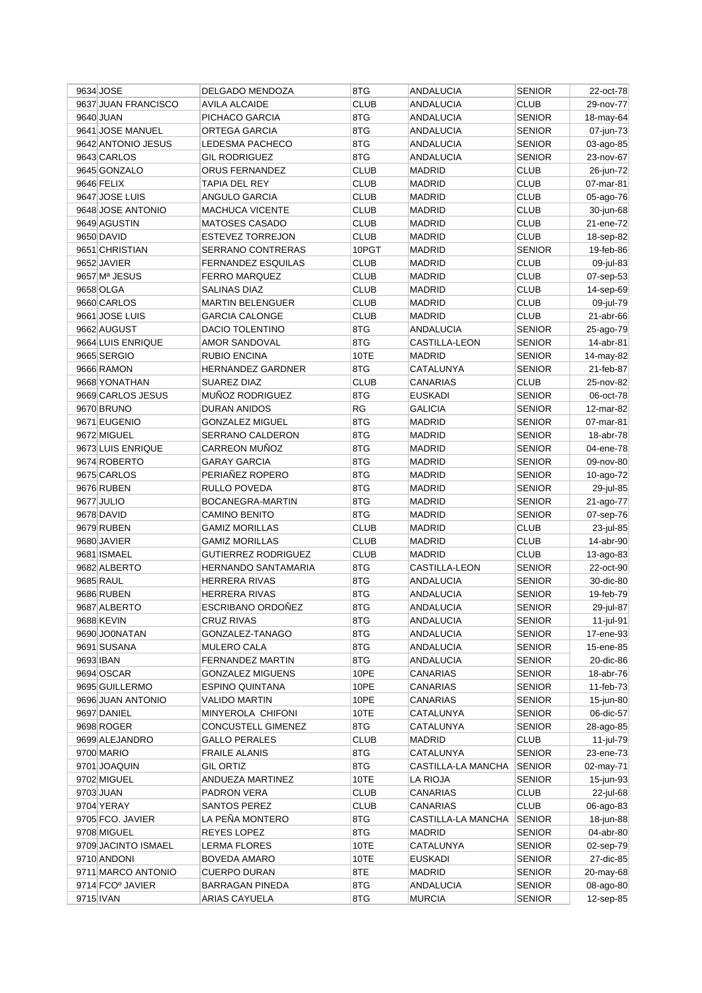|           | 9634 JOSE           | DELGADO MENDOZA            | 8TG         | ANDALUCIA          | <b>SENIOR</b> | 22-oct-78 |
|-----------|---------------------|----------------------------|-------------|--------------------|---------------|-----------|
|           | 9637 JUAN FRANCISCO | <b>AVILA ALCAIDE</b>       | <b>CLUB</b> | <b>ANDALUCIA</b>   | <b>CLUB</b>   | 29-nov-77 |
|           | 9640 JUAN           | PICHACO GARCIA             | 8TG         | <b>ANDALUCIA</b>   | <b>SENIOR</b> | 18-may-64 |
|           | 9641 JOSE MANUEL    | ORTEGA GARCIA              | 8TG         | <b>ANDALUCIA</b>   | <b>SENIOR</b> | 07-jun-73 |
|           | 9642 ANTONIO JESUS  | <b>LEDESMA PACHECO</b>     | 8TG         | <b>ANDALUCIA</b>   | <b>SENIOR</b> | 03-ago-85 |
|           | 9643 CARLOS         | <b>GIL RODRIGUEZ</b>       | 8TG         | <b>ANDALUCIA</b>   | <b>SENIOR</b> | 23-nov-67 |
|           | 9645 GONZALO        | ORUS FERNANDEZ             | <b>CLUB</b> | <b>MADRID</b>      | <b>CLUB</b>   | 26-jun-72 |
|           | 9646 FELIX          | TAPIA DEL REY              | <b>CLUB</b> | <b>MADRID</b>      | <b>CLUB</b>   | 07-mar-81 |
|           | 9647 JOSE LUIS      | ANGULO GARCIA              | <b>CLUB</b> | MADRID             | <b>CLUB</b>   | 05-ago-76 |
|           | 9648 JOSE ANTONIO   | <b>MACHUCA VICENTE</b>     | <b>CLUB</b> | MADRID             | CLUB          | 30-jun-68 |
|           | 9649 AGUSTIN        | MATOSES CASADO             | <b>CLUB</b> | MADRID             | <b>CLUB</b>   | 21-ene-72 |
|           | 9650 DAVID          | ESTEVEZ TORREJON           | <b>CLUB</b> | MADRID             | <b>CLUB</b>   | 18-sep-82 |
|           | 9651 CHRISTIAN      | SERRANO CONTRERAS          | 10PGT       | MADRID             | <b>SENIOR</b> | 19-feb-86 |
|           | 9652 JAVIER         | FERNANDEZ ESQUILAS         | <b>CLUB</b> | MADRID             | <b>CLUB</b>   | 09-jul-83 |
|           | 9657 Mª JESUS       | <b>FERRO MARQUEZ</b>       | <b>CLUB</b> | <b>MADRID</b>      | <b>CLUB</b>   | 07-sep-53 |
|           | 9658 OLGA           | SALINAS DIAZ               | <b>CLUB</b> | MADRID             | <b>CLUB</b>   | 14-sep-69 |
|           | 9660 CARLOS         | <b>MARTIN BELENGUER</b>    | <b>CLUB</b> | MADRID             | <b>CLUB</b>   | 09-jul-79 |
|           | 9661 JOSE LUIS      | <b>GARCIA CALONGE</b>      | <b>CLUB</b> | <b>MADRID</b>      | <b>CLUB</b>   | 21-abr-66 |
|           | 9662 AUGUST         | <b>DACIO TOLENTINO</b>     | 8TG         | <b>ANDALUCIA</b>   | <b>SENIOR</b> | 25-ago-79 |
|           | 9664 LUIS ENRIQUE   | AMOR SANDOVAL              | 8TG         | CASTILLA-LEON      | <b>SENIOR</b> | 14-abr-81 |
|           | 9665 SERGIO         | RUBIO ENCINA               | 10TE        | <b>MADRID</b>      | <b>SENIOR</b> | 14-may-82 |
|           | 9666 RAMON          | <b>HERNANDEZ GARDNER</b>   | 8TG         | CATALUNYA          | <b>SENIOR</b> | 21-feb-87 |
|           | 9668 YONATHAN       | SUAREZ DIAZ                | <b>CLUB</b> | <b>CANARIAS</b>    | <b>CLUB</b>   |           |
|           | 9669 CARLOS JESUS   |                            |             |                    |               | 25-nov-82 |
|           |                     | MUÑOZ RODRIGUEZ            | 8TG         | EUSKADI            | <b>SENIOR</b> | 06-oct-78 |
|           | 9670 BRUNO          | DURAN ANIDOS               | RG          | <b>GALICIA</b>     | <b>SENIOR</b> | 12-mar-82 |
|           | 9671 EUGENIO        | <b>GONZALEZ MIGUEL</b>     | 8TG         | MADRID             | <b>SENIOR</b> | 07-mar-81 |
|           | 9672 MIGUEL         | SERRANO CALDERON           | 8TG         | MADRID             | <b>SENIOR</b> | 18-abr-78 |
|           | 9673 LUIS ENRIQUE   | CARREON MUÑOZ              | 8TG         | MADRID             | <b>SENIOR</b> | 04-ene-78 |
|           | 9674 ROBERTO        | <b>GARAY GARCIA</b>        | 8TG         | <b>MADRID</b>      | <b>SENIOR</b> | 09-nov-80 |
|           | 9675 CARLOS         | PERIAÑEZ ROPERO            | 8TG         | MADRID             | <b>SENIOR</b> | 10-ago-72 |
|           | 9676 RUBEN          | RULLO POVEDA               | 8TG         | <b>MADRID</b>      | <b>SENIOR</b> | 29-jul-85 |
|           | 9677 JULIO          | BOCANEGRA-MARTIN           | 8TG         | MADRID             | <b>SENIOR</b> | 21-ago-77 |
|           | 9678 DAVID          | <b>CAMINO BENITO</b>       | 8TG         | MADRID             | <b>SENIOR</b> | 07-sep-76 |
|           | 9679 RUBEN          | <b>GAMIZ MORILLAS</b>      | <b>CLUB</b> | <b>MADRID</b>      | <b>CLUB</b>   | 23-jul-85 |
|           | 9680 JAVIER         | <b>GAMIZ MORILLAS</b>      | <b>CLUB</b> | MADRID             | <b>CLUB</b>   | 14-abr-90 |
|           | 9681 ISMAEL         | <b>GUTIERREZ RODRIGUEZ</b> | <b>CLUB</b> | <b>MADRID</b>      | <b>CLUB</b>   | 13-ago-83 |
|           | 9682 ALBERTO        | HERNANDO SANTAMARIA        | 8TG         | CASTILLA-LEON      | <b>SENIOR</b> | 22-oct-90 |
|           | 9685 RAUL           | <b>HERRERA RIVAS</b>       | 8TG         | <b>ANDALUCIA</b>   | <b>SENIOR</b> | 30-dic-80 |
|           | 9686 RUBEN          | <b>HERRERA RIVAS</b>       | 8TG         | ANDALUCIA          | <b>SENIOR</b> | 19-feb-79 |
|           | 9687 ALBERTO        | <b>ESCRIBANO ORDONEZ</b>   | 8TG         | ANDALUCIA          | <b>SENIOR</b> | 29-jul-87 |
|           | 9688 KEVIN          | <b>CRUZ RIVAS</b>          | 8TG         | ANDALUCIA          | <b>SENIOR</b> | 11-jul-91 |
|           | 9690 JO0NATAN       | GONZALEZ-TANAGO            | 8TG         | <b>ANDALUCIA</b>   | <b>SENIOR</b> | 17-ene-93 |
|           | 9691 SUSANA         | MULERO CALA                | 8TG         | <b>ANDALUCIA</b>   | <b>SENIOR</b> | 15-ene-85 |
| 9693 IBAN |                     | FERNANDEZ MARTIN           | 8TG         | <b>ANDALUCIA</b>   | <b>SENIOR</b> | 20-dic-86 |
|           | 9694 OSCAR          | <b>GONZALEZ MIGUENS</b>    | 10PE        | CANARIAS           | <b>SENIOR</b> | 18-abr-76 |
|           | 9695 GUILLERMO      | <b>ESPINO QUINTANA</b>     | 10PE        | CANARIAS           | <b>SENIOR</b> | 11-feb-73 |
|           | 9696 JUAN ANTONIO   | VALIDO MARTIN              | 10PE        | CANARIAS           | <b>SENIOR</b> | 15-jun-80 |
|           | 9697 DANIEL         | MINYEROLA CHIFONI          | 10TE        | CATALUNYA          | <b>SENIOR</b> | 06-dic-57 |
|           | 9698 ROGER          | CONCUSTELL GIMENEZ         | 8TG         | CATALUNYA          | <b>SENIOR</b> | 28-ago-85 |
|           | 9699 ALEJANDRO      | <b>GALLO PERALES</b>       | <b>CLUB</b> | MADRID             | <b>CLUB</b>   | 11-jul-79 |
|           | 9700 MARIO          | <b>FRAILE ALANIS</b>       | 8TG         | CATALUNYA          | <b>SENIOR</b> | 23-ene-73 |
|           | 9701 JOAQUIN        | <b>GIL ORTIZ</b>           | 8TG         | CASTILLA-LA MANCHA | <b>SENIOR</b> | 02-may-71 |
|           | 9702 MIGUEL         | ANDUEZA MARTINEZ           | 10TE        | LA RIOJA           | <b>SENIOR</b> | 15-jun-93 |
|           | 9703 JUAN           | PADRON VERA                | <b>CLUB</b> | CANARIAS           | <b>CLUB</b>   | 22-jul-68 |
|           | 9704 YERAY          | SANTOS PEREZ               | <b>CLUB</b> | CANARIAS           | <b>CLUB</b>   | 06-ago-83 |
|           | 9705 FCO. JAVIER    | LA PEÑA MONTERO            | 8TG         | CASTILLA-LA MANCHA | <b>SENIOR</b> | 18-jun-88 |
|           | 9708 MIGUEL         | REYES LOPEZ                | 8TG         | MADRID             | <b>SENIOR</b> | 04-abr-80 |
|           | 9709 JACINTO ISMAEL | LERMA FLORES               | 10TE        | CATALUNYA          | <b>SENIOR</b> | 02-sep-79 |
|           | 9710 ANDONI         | BOVEDA AMARO               | 10TE        | EUSKADI            | <b>SENIOR</b> | 27-dic-85 |
|           | 9711 MARCO ANTONIO  | <b>CUERPO DURAN</b>        | 8TE         | MADRID             | <b>SENIOR</b> | 20-may-68 |
|           | 9714 FCO° JAVIER    | BARRAGAN PINEDA            | 8TG         | ANDALUCIA          | <b>SENIOR</b> | 08-ago-80 |
|           |                     |                            | 8TG         |                    |               |           |
|           | 9715 IVAN           | ARIAS CAYUELA              |             | <b>MURCIA</b>      | <b>SENIOR</b> | 12-sep-85 |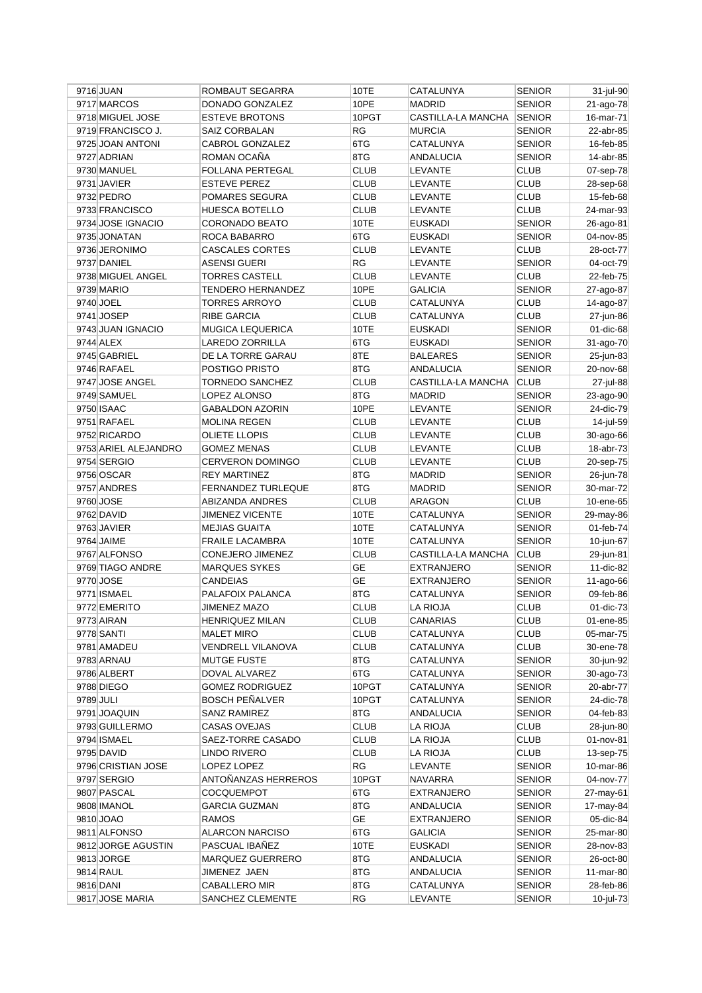|           | 9716 JUAN            | ROMBAUT SEGARRA           | 10TE        | CATALUNYA          | <b>SENIOR</b> | 31-jul-90    |
|-----------|----------------------|---------------------------|-------------|--------------------|---------------|--------------|
|           | 9717 MARCOS          | DONADO GONZALEZ           | 10PE        | <b>MADRID</b>      | <b>SENIOR</b> | 21-ago-78    |
|           | 9718 MIGUEL JOSE     | <b>ESTEVE BROTONS</b>     | 10PGT       | CASTILLA-LA MANCHA | <b>SENIOR</b> | 16-mar-71    |
|           | 9719 FRANCISCO J.    | SAIZ CORBALAN             | RG          | <b>MURCIA</b>      | <b>SENIOR</b> | 22-abr-85    |
|           | 9725 JOAN ANTONI     | <b>CABROL GONZALEZ</b>    | 6TG         | CATALUNYA          | <b>SENIOR</b> | 16-feb-85    |
|           | 9727 ADRIAN          | ROMAN OCAÑA               | 8TG         | <b>ANDALUCIA</b>   | <b>SENIOR</b> | 14-abr-85    |
|           | 9730 MANUEL          | FOLLANA PERTEGAL          | CLUB        | LEVANTE            | <b>CLUB</b>   | 07-sep-78    |
|           | 9731 JAVIER          | <b>ESTEVE PEREZ</b>       | <b>CLUB</b> | LEVANTE            | CLUB          | 28-sep-68    |
|           | 9732 PEDRO           | POMARES SEGURA            | <b>CLUB</b> | LEVANTE            | <b>CLUB</b>   | 15-feb-68    |
|           | 9733 FRANCISCO       | HUESCA BOTELLO            | <b>CLUB</b> | LEVANTE            | <b>CLUB</b>   | 24-mar-93    |
|           | 9734 JOSE IGNACIO    | CORONADO BEATO            | 10TE        | <b>EUSKADI</b>     | <b>SENIOR</b> | 26-ago-81    |
|           | 9735 JONATAN         | ROCA BABARRO              | 6TG         | EUSKADI            | <b>SENIOR</b> | 04-nov-85    |
|           | 9736 JERONIMO        | <b>CASCALES CORTES</b>    | <b>CLUB</b> | LEVANTE            | <b>CLUB</b>   | 28-oct-77    |
|           | 9737 DANIEL          | <b>ASENSI GUERI</b>       | RG          | LEVANTE            | <b>SENIOR</b> | 04-oct-79    |
|           | 9738 MIGUEL ANGEL    | <b>TORRES CASTELL</b>     | <b>CLUB</b> | <b>LEVANTE</b>     | CLUB          | 22-feb-75    |
|           | 9739 MARIO           | TENDERO HERNANDEZ         | 10PE        | <b>GALICIA</b>     | <b>SENIOR</b> | 27-ago-87    |
|           | 9740 JOEL            | TORRES ARROYO             | <b>CLUB</b> | CATALUNYA          | <b>CLUB</b>   | 14-ago-87    |
|           | 9741 JOSEP           | RIBE GARCIA               | <b>CLUB</b> | CATALUNYA          | <b>CLUB</b>   | 27-jun-86    |
|           | 9743 JUAN IGNACIO    | MUGICA LEQUERICA          | 10TE        | <b>EUSKADI</b>     | <b>SENIOR</b> | 01-dic-68    |
|           | 9744 ALEX            | LAREDO ZORRILLA           | 6TG         | <b>EUSKADI</b>     | <b>SENIOR</b> | 31-ago-70    |
|           | 9745 GABRIEL         | DE LA TORRE GARAU         | 8TE         | <b>BALEARES</b>    | <b>SENIOR</b> | 25-jun-83    |
|           | 9746 RAFAEL          | POSTIGO PRISTO            | 8TG         | <b>ANDALUCIA</b>   | <b>SENIOR</b> | 20-nov-68    |
|           | 9747 JOSE ANGEL      | <b>TORNEDO SANCHEZ</b>    | <b>CLUB</b> | CASTILLA-LA MANCHA | <b>CLUB</b>   | 27-jul-88    |
|           | 9749 SAMUEL          | LOPEZ ALONSO              | 8TG         | <b>MADRID</b>      | <b>SENIOR</b> | 23-ago-90    |
|           | 9750 ISAAC           | <b>GABALDON AZORIN</b>    | 10PE        | LEVANTE            | <b>SENIOR</b> | 24-dic-79    |
|           | 9751 RAFAEL          | <b>MOLINA REGEN</b>       | <b>CLUB</b> | LEVANTE            | <b>CLUB</b>   | 14-jul-59    |
|           | 9752 RICARDO         | <b>OLIETE LLOPIS</b>      | <b>CLUB</b> | LEVANTE            | <b>CLUB</b>   | 30-ago-66    |
|           | 9753 ARIEL ALEJANDRO | <b>GOMEZ MENAS</b>        | <b>CLUB</b> | LEVANTE            | <b>CLUB</b>   | 18-abr-73    |
|           | 9754 SERGIO          | CERVERON DOMINGO          | <b>CLUB</b> | LEVANTE            | <b>CLUB</b>   | 20-sep-75    |
|           | 9756 OSCAR           | <b>REY MARTINEZ</b>       | 8TG         | <b>MADRID</b>      | <b>SENIOR</b> | 26-jun-78    |
|           | 9757 ANDRES          | <b>FERNANDEZ TURLEQUE</b> | 8TG         | <b>MADRID</b>      | <b>SENIOR</b> | 30-mar-72    |
|           | 9760 JOSE            | ABIZANDA ANDRES           | <b>CLUB</b> | ARAGON             | CLUB          | 10-ene-65    |
|           | 9762 DAVID           | JIMENEZ VICENTE           | 10TE        | CATALUNYA          | <b>SENIOR</b> | 29-may-86    |
|           | 9763 JAVIER          | <b>MEJIAS GUAITA</b>      | 10TE        | CATALUNYA          | <b>SENIOR</b> | 01-feb-74    |
|           | 9764 JAIME           | <b>FRAILE LACAMBRA</b>    | 10TE        | CATALUNYA          | <b>SENIOR</b> | 10-jun-67    |
|           | 9767 ALFONSO         | <b>CONEJERO JIMENEZ</b>   | <b>CLUB</b> | CASTILLA-LA MANCHA | <b>CLUB</b>   | 29-jun-81    |
|           | 9769 TIAGO ANDRE     | <b>MARQUES SYKES</b>      | GE          | <b>EXTRANJERO</b>  | <b>SENIOR</b> | 11-dic-82    |
|           | 9770 JOSE            | <b>CANDEIAS</b>           | <b>GE</b>   | EXTRANJERO         | <b>SENIOR</b> | 11-ago-66    |
|           | 9771 ISMAEL          | PALAFOIX PALANCA          | 8TG         | CATALUNYA          | <b>SENIOR</b> | 09-feb-86    |
|           | 9772 EMERITO         | JIMENEZ MAZO              | <b>CLUB</b> | LA RIOJA           | <b>CLUB</b>   | 01-dic-73    |
|           | 9773 AIRAN           | <b>HENRIQUEZ MILAN</b>    | <b>CLUB</b> | CANARIAS           | <b>CLUB</b>   | 01-ene-85    |
|           | 9778 SANTI           | <b>MALET MIRO</b>         | <b>CLUB</b> | CATALUNYA          | <b>CLUB</b>   | 05-mar-75    |
|           | 9781 AMADEU          | VENDRELL VILANOVA         | <b>CLUB</b> | CATALUNYA          | <b>CLUB</b>   | 30-ene-78    |
|           | 9783 ARNAU           | <b>MUTGE FUSTE</b>        | 8TG         | CATALUNYA          | <b>SENIOR</b> | 30-jun-92    |
|           | 9786 ALBERT          | DOVAL ALVAREZ             | 6TG         | CATALUNYA          | <b>SENIOR</b> | 30-ago-73    |
|           | 9788 DIEGO           | <b>GOMEZ RODRIGUEZ</b>    | 10PGT       | CATALUNYA          | <b>SENIOR</b> | 20-abr-77    |
| 9789 JULI |                      | <b>BOSCH PENALVER</b>     | 10PGT       | CATALUNYA          | SENIOR        | 24-dic-78    |
|           | 9791 JOAQUIN         | SANZ RAMIREZ              | 8TG         | ANDALUCIA          | <b>SENIOR</b> | 04-feb-83    |
|           | 9793 GUILLERMO       | <b>CASAS OVEJAS</b>       | <b>CLUB</b> | LA RIOJA           | <b>CLUB</b>   | 28-jun-80    |
|           | 9794 ISMAEL          | SAEZ-TORRE CASADO         | <b>CLUB</b> | <b>LA RIOJA</b>    | <b>CLUB</b>   | $01$ -nov-81 |
|           | 9795 DAVID           | LINDO RIVERO              | <b>CLUB</b> | LA RIOJA           | <b>CLUB</b>   | 13-sep-75    |
|           | 9796 CRISTIAN JOSE   | LOPEZ LOPEZ               | RG          | LEVANTE            | <b>SENIOR</b> | 10-mar-86    |
|           | 9797 SERGIO          | ANTOÑANZAS HERREROS       | 10PGT       | <b>NAVARRA</b>     | <b>SENIOR</b> | 04-nov-77    |
|           | 9807 PASCAL          | <b>COCQUEMPOT</b>         | 6TG         | <b>EXTRANJERO</b>  | <b>SENIOR</b> | 27-may-61    |
|           | 9808 IMANOL          | <b>GARCIA GUZMAN</b>      | 8TG         | ANDALUCIA          | SENIOR        | 17-may-84    |
|           | 9810 JOAO            | <b>RAMOS</b>              | GE          | EXTRANJERO         | <b>SENIOR</b> | 05-dic-84    |
|           | 9811 ALFONSO         | <b>ALARCON NARCISO</b>    | 6TG         | GALICIA            | <b>SENIOR</b> | 25-mar-80    |
|           | 9812 JORGE AGUSTIN   | PASCUAL IBAÑEZ            | 10TE        | <b>EUSKADI</b>     | <b>SENIOR</b> | 28-nov-83    |
|           | 9813 JORGE           | MARQUEZ GUERRERO          | 8TG         | ANDALUCIA          | <b>SENIOR</b> | 26-oct-80    |
|           | 9814 RAUL            | JIMENEZ JAEN              | 8TG         | <b>ANDALUCIA</b>   | <b>SENIOR</b> | 11-mar-80    |
|           | 9816 DANI            | CABALLERO MIR             | 8TG         | CATALUNYA          | <b>SENIOR</b> | 28-feb-86    |
|           | 9817 JOSE MARIA      | SANCHEZ CLEMENTE          | RG          | LEVANTE            | <b>SENIOR</b> | 10-jul-73    |
|           |                      |                           |             |                    |               |              |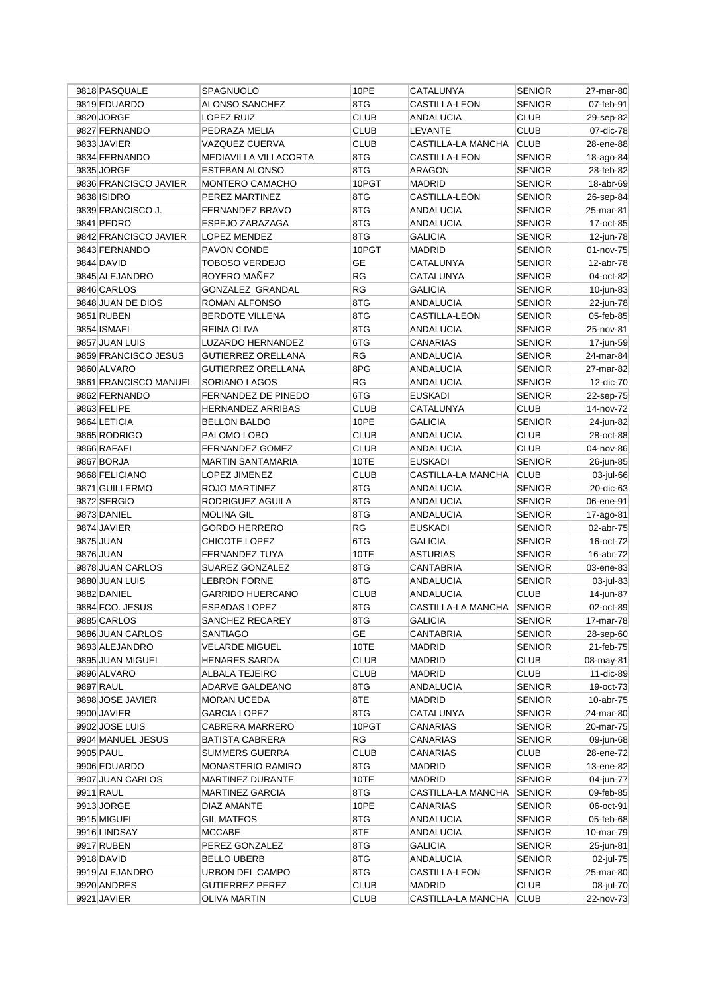| 9818 PASQUALE         | SPAGNUOLO                 | 10PE        | CATALUNYA                 | <b>SENIOR</b> | 27-mar-80 |
|-----------------------|---------------------------|-------------|---------------------------|---------------|-----------|
| 9819 EDUARDO          | <b>ALONSO SANCHEZ</b>     | 8TG         | <b>CASTILLA-LEON</b>      | <b>SENIOR</b> | 07-feb-91 |
| 9820 JORGE            | LOPEZ RUIZ                | <b>CLUB</b> | ANDALUCIA                 | <b>CLUB</b>   | 29-sep-82 |
| 9827 FERNANDO         | PEDRAZA MELIA             | <b>CLUB</b> | <b>LEVANTE</b>            | <b>CLUB</b>   | 07-dic-78 |
| 9833 JAVIER           | VAZQUEZ CUERVA            | <b>CLUB</b> | <b>CASTILLA-LA MANCHA</b> | <b>CLUB</b>   | 28-ene-88 |
| 9834 FERNANDO         | MEDIAVILLA VILLACORTA     | 8TG         | CASTILLA-LEON             | <b>SENIOR</b> | 18-ago-84 |
| 9835 JORGE            | ESTEBAN ALONSO            | 8TG         | ARAGON                    | <b>SENIOR</b> | 28-feb-82 |
| 9836 FRANCISCO JAVIER | MONTERO CAMACHO           | 10PGT       | MADRID                    | <b>SENIOR</b> | 18-abr-69 |
| 9838 ISIDRO           | PEREZ MARTINEZ            | 8TG         | CASTILLA-LEON             | <b>SENIOR</b> | 26-sep-84 |
| 9839 FRANCISCO J.     | FERNANDEZ BRAVO           | 8TG         | ANDALUCIA                 | <b>SENIOR</b> | 25-mar-81 |
| 9841 PEDRO            | ESPEJO ZARAZAGA           | 8TG         | ANDALUCIA                 | <b>SENIOR</b> | 17-oct-85 |
| 9842 FRANCISCO JAVIER | LOPEZ MENDEZ              | 8TG         | <b>GALICIA</b>            | <b>SENIOR</b> | 12-jun-78 |
| 9843 FERNANDO         | PAVON CONDE               | 10PGT       | <b>MADRID</b>             | <b>SENIOR</b> | 01-nov-75 |
| 9844 DAVID            | TOBOSO VERDEJO            | GЕ          | CATALUNYA                 | <b>SENIOR</b> | 12-abr-78 |
| 9845 ALEJANDRO        | <b>BOYERO MAÑEZ</b>       | <b>RG</b>   | CATALUNYA                 | <b>SENIOR</b> | 04-oct-82 |
| 9846 CARLOS           | GONZALEZ GRANDAL          | <b>RG</b>   | <b>GALICIA</b>            | <b>SENIOR</b> | 10-jun-83 |
| 9848 JUAN DE DIOS     | ROMAN ALFONSO             | 8TG         | <b>ANDALUCIA</b>          | <b>SENIOR</b> | 22-jun-78 |
| 9851 RUBEN            | <b>BERDOTE VILLENA</b>    | 8TG         | CASTILLA-LEON             | <b>SENIOR</b> | 05-feb-85 |
| 9854 ISMAEL           | REINA OLIVA               | 8TG         | <b>ANDALUCIA</b>          | <b>SENIOR</b> | 25-nov-81 |
| 9857 JUAN LUIS        | LUZARDO HERNANDEZ         | 6TG         | CANARIAS                  | <b>SENIOR</b> | 17-jun-59 |
| 9859 FRANCISCO JESUS  | <b>GUTIERREZ ORELLANA</b> | <b>RG</b>   | ANDALUCIA                 | <b>SENIOR</b> | 24-mar-84 |
| 9860 ALVARO           | <b>GUTIERREZ ORELLANA</b> | 8PG         | ANDALUCIA                 | <b>SENIOR</b> | 27-mar-82 |
| 9861 FRANCISCO MANUEL | SORIANO LAGOS             | RG          | ANDALUCIA                 | <b>SENIOR</b> | 12-dic-70 |
| 9862 FERNANDO         | FERNANDEZ DE PINEDO       | 6TG         | <b>EUSKADI</b>            | <b>SENIOR</b> | 22-sep-75 |
| 9863 FELIPE           | <b>HERNANDEZ ARRIBAS</b>  | <b>CLUB</b> | CATALUNYA                 | <b>CLUB</b>   | 14-nov-72 |
| 9864 LETICIA          | <b>BELLON BALDO</b>       | 10PE        | <b>GALICIA</b>            | <b>SENIOR</b> | 24-jun-82 |
| 9865 RODRIGO          | PALOMO LOBO               | <b>CLUB</b> | <b>ANDALUCIA</b>          | <b>CLUB</b>   | 28-oct-88 |
| 9866 RAFAEL           | <b>FERNANDEZ GOMEZ</b>    | <b>CLUB</b> | ANDALUCIA                 | <b>CLUB</b>   | 04-nov-86 |
| 9867 BORJA            | <b>MARTIN SANTAMARIA</b>  | 10TE        | <b>EUSKADI</b>            | <b>SENIOR</b> | 26-jun-85 |
| 9868 FELICIANO        | LOPEZ JIMENEZ             | CLUB        |                           |               |           |
| 9871 GUILLERMO        |                           | 8TG         | CASTILLA-LA MANCHA        | <b>CLUB</b>   | 03-jul-66 |
|                       | ROJO MARTINEZ             | 8TG         | ANDALUCIA                 | <b>SENIOR</b> | 20-dic-63 |
| 9872 SERGIO           | RODRIGUEZ AGUILA          | 8TG         | ANDALUCIA                 | <b>SENIOR</b> | 06-ene-91 |
| 9873 DANIEL           | <b>MOLINA GIL</b>         | <b>RG</b>   | <b>ANDALUCIA</b>          | <b>SENIOR</b> | 17-ago-81 |
| 9874 JAVIER           | <b>GORDO HERRERO</b>      |             | <b>EUSKADI</b>            | <b>SENIOR</b> | 02-abr-75 |
| 9875 JUAN             | CHICOTE LOPEZ             | 6TG         | <b>GALICIA</b>            | <b>SENIOR</b> | 16-oct-72 |
| 9876 JUAN             | FERNANDEZ TUYA            | 10TE        | <b>ASTURIAS</b>           | <b>SENIOR</b> | 16-abr-72 |
| 9878 JUAN CARLOS      | SUAREZ GONZALEZ           | 8TG         | <b>CANTABRIA</b>          | <b>SENIOR</b> | 03-ene-83 |
| 9880 JUAN LUIS        | <b>LEBRON FORNE</b>       | 8TG         | ANDALUCIA                 | <b>SENIOR</b> | 03-jul-83 |
| 9882 DANIEL           | <b>GARRIDO HUERCANO</b>   | <b>CLUB</b> | <b>ANDALUCIA</b>          | <b>CLUB</b>   | 14-jun-87 |
| 9884 FCO. JESUS       | <b>ESPADAS LOPEZ</b>      | 8TG         | CASTILLA-LA MANCHA        | <b>SENIOR</b> | 02-oct-89 |
| 9885 CARLOS           | SANCHEZ RECAREY           | 8TG         | <b>GALICIA</b>            | <b>SENIOR</b> | 17-mar-78 |
| 9886 JUAN CARLOS      | SANTIAGO                  | GE          | CANTABRIA                 | <b>SENIOR</b> | 28-sep-60 |
| 9893 ALEJANDRO        | <b>VELARDE MIGUEL</b>     | 10TE        | MADRID                    | <b>SENIOR</b> | 21-feb-75 |
| 9895 JUAN MIGUEL      | <b>HENARES SARDA</b>      | <b>CLUB</b> | MADRID                    | <b>CLUB</b>   | 08-may-81 |
| 9896 ALVARO           | ALBALA TEJEIRO            | <b>CLUB</b> | MADRID                    | <b>CLUB</b>   | 11-dic-89 |
| 9897 RAUL             | ADARVE GALDEANO           | 8TG         | ANDALUCIA                 | <b>SENIOR</b> | 19-oct-73 |
| 9898 JOSE JAVIER      | <b>MORAN UCEDA</b>        | 8TE         | MADRID                    | <b>SENIOR</b> | 10-abr-75 |
| 9900 JAVIER           | <b>GARCIA LOPEZ</b>       | 8TG         | CATALUNYA                 | <b>SENIOR</b> | 24-mar-80 |
| 9902 JOSE LUIS        | CABRERA MARRERO           | 10PGT       | CANARIAS                  | <b>SENIOR</b> | 20-mar-75 |
| 9904 MANUEL JESUS     | BATISTA CABRERA           | RG          | CANARIAS                  | <b>SENIOR</b> | 09-jun-68 |
| 9905 PAUL             | <b>SUMMERS GUERRA</b>     | <b>CLUB</b> | CANARIAS                  | <b>CLUB</b>   | 28-ene-72 |
| 9906 EDUARDO          | MONASTERIO RAMIRO         | 8TG         | MADRID                    | <b>SENIOR</b> | 13-ene-82 |
| 9907 JUAN CARLOS      | MARTINEZ DURANTE          | 10TE        | MADRID                    | <b>SENIOR</b> | 04-jun-77 |
| 9911 RAUL             | MARTINEZ GARCIA           | 8TG         | CASTILLA-LA MANCHA        | <b>SENIOR</b> | 09-feb-85 |
| 9913 JORGE            | DIAZ AMANTE               | 10PE        | CANARIAS                  | <b>SENIOR</b> | 06-oct-91 |
| 9915 MIGUEL           | <b>GIL MATEOS</b>         | 8TG         | ANDALUCIA                 | <b>SENIOR</b> | 05-feb-68 |
| 9916 LINDSAY          | <b>MCCABE</b>             | 8TE         | ANDALUCIA                 | <b>SENIOR</b> | 10-mar-79 |
| 9917 RUBEN            | PEREZ GONZALEZ            | 8TG         | <b>GALICIA</b>            | <b>SENIOR</b> | 25-jun-81 |
| 9918 DAVID            | BELLO UBERB               | 8TG         | ANDALUCIA                 | <b>SENIOR</b> | 02-jul-75 |
| 9919 ALEJANDRO        | URBON DEL CAMPO           | 8TG         | CASTILLA-LEON             | <b>SENIOR</b> | 25-mar-80 |
| 9920 ANDRES           | <b>GUTIERREZ PEREZ</b>    | <b>CLUB</b> | MADRID                    | <b>CLUB</b>   | 08-jul-70 |
| 9921 JAVIER           | <b>OLIVA MARTIN</b>       | <b>CLUB</b> | CASTILLA-LA MANCHA        | <b>CLUB</b>   | 22-nov-73 |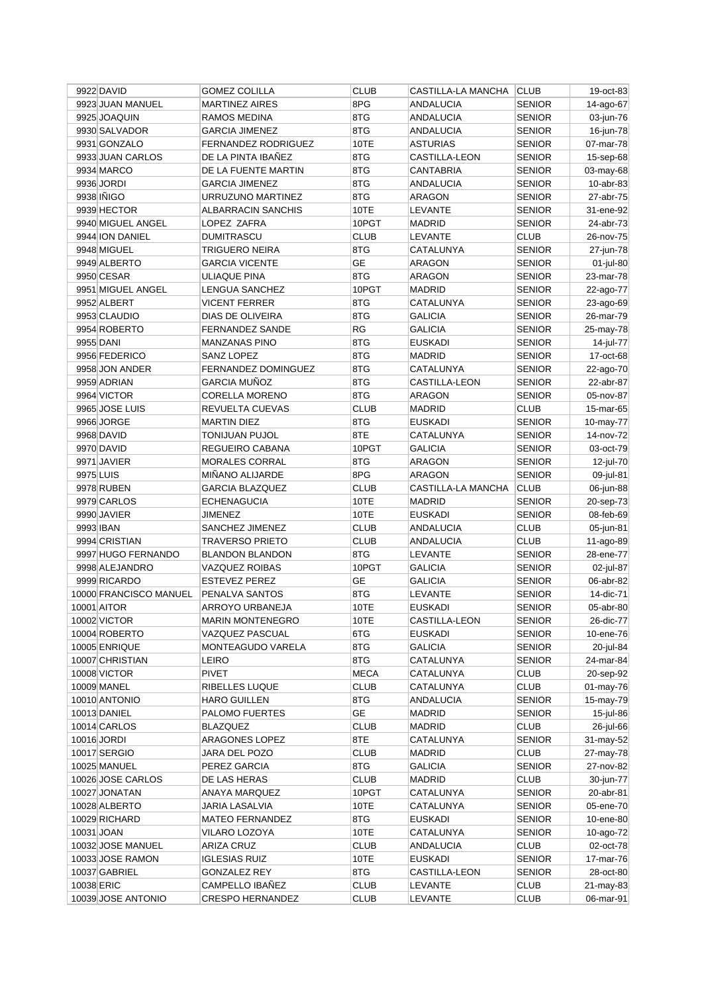|            | 9922 DAVID             | <b>GOMEZ COLILLA</b>       | <b>CLUB</b> | <b>CASTILLA-LA MANCHA</b> | <b>CLUB</b>   | 19-oct-83 |
|------------|------------------------|----------------------------|-------------|---------------------------|---------------|-----------|
|            | 9923 JUAN MANUEL       | <b>MARTINEZ AIRES</b>      | 8PG         | <b>ANDALUCIA</b>          | <b>SENIOR</b> | 14-ago-67 |
|            | 9925 JOAQUIN           | RAMOS MEDINA               | 8TG         | <b>ANDALUCIA</b>          | <b>SENIOR</b> | 03-jun-76 |
|            | 9930 SALVADOR          | <b>GARCIA JIMENEZ</b>      | 8TG         | <b>ANDALUCIA</b>          | <b>SENIOR</b> | 16-jun-78 |
|            | 9931 GONZALO           | <b>FERNANDEZ RODRIGUEZ</b> | 10TE        | <b>ASTURIAS</b>           | <b>SENIOR</b> | 07-mar-78 |
|            | 9933 JUAN CARLOS       | DE LA PINTA IBAÑEZ         | 8TG         | CASTILLA-LEON             | <b>SENIOR</b> | 15-sep-68 |
|            | 9934 MARCO             | DE LA FUENTE MARTIN        | 8TG         | CANTABRIA                 | <b>SENIOR</b> | 03-may-68 |
|            | 9936 JORDI             | <b>GARCIA JIMENEZ</b>      | 8TG         | <b>ANDALUCIA</b>          | <b>SENIOR</b> | 10-abr-83 |
|            | 9938 IÑIGO             | URRUZUNO MARTINEZ          | 8TG         | ARAGON                    | <b>SENIOR</b> | 27-abr-75 |
|            | 9939 HECTOR            | ALBARRACIN SANCHIS         | 10TE        | LEVANTE                   | <b>SENIOR</b> | 31-ene-92 |
|            | 9940 MIGUEL ANGEL      | LOPEZ ZAFRA                | 10PGT       | <b>MADRID</b>             | <b>SENIOR</b> | 24-abr-73 |
|            | 9944 ION DANIEL        | <b>DUMITRASCU</b>          | <b>CLUB</b> | <b>LEVANTE</b>            | <b>CLUB</b>   | 26-nov-75 |
|            | 9948 MIGUEL            | <b>TRIGUERO NEIRA</b>      | 8TG         | CATALUNYA                 | <b>SENIOR</b> | 27-jun-78 |
|            | 9949 ALBERTO           | <b>GARCIA VICENTE</b>      | <b>GE</b>   | <b>ARAGON</b>             | <b>SENIOR</b> | 01-jul-80 |
|            | 9950 CESAR             | ULIAQUE PINA               | 8TG         | ARAGON                    | <b>SENIOR</b> | 23-mar-78 |
|            | 9951 MIGUEL ANGEL      | LENGUA SANCHEZ             | 10PGT       | <b>MADRID</b>             | <b>SENIOR</b> | 22-ago-77 |
|            | 9952 ALBERT            | <b>VICENT FERRER</b>       | 8TG         | CATALUNYA                 | <b>SENIOR</b> | 23-ago-69 |
|            | 9953 CLAUDIO           | DIAS DE OLIVEIRA           | 8TG         | <b>GALICIA</b>            | <b>SENIOR</b> | 26-mar-79 |
|            | 9954 ROBERTO           | <b>FERNANDEZ SANDE</b>     | RG          | <b>GALICIA</b>            | <b>SENIOR</b> | 25-may-78 |
|            | 9955 DANI              | <b>MANZANAS PINO</b>       | 8TG         | <b>EUSKADI</b>            | <b>SENIOR</b> | 14-jul-77 |
|            | 9956 FEDERICO          | <b>SANZ LOPEZ</b>          | 8TG         | <b>MADRID</b>             | <b>SENIOR</b> | 17-oct-68 |
|            | 9958 JON ANDER         | <b>FERNANDEZ DOMINGUEZ</b> | 8TG         | CATALUNYA                 | <b>SENIOR</b> | 22-ago-70 |
|            | 9959 ADRIAN            | <b>GARCIA MUÑOZ</b>        | 8TG         | CASTILLA-LEON             | SENIOR        | 22-abr-87 |
|            | 9964 VICTOR            | <b>CORELLA MORENO</b>      | 8TG         | ARAGON                    | <b>SENIOR</b> | 05-nov-87 |
|            | 9965 JOSE LUIS         | REVUELTA CUEVAS            | <b>CLUB</b> |                           | <b>CLUB</b>   |           |
|            |                        |                            |             | <b>MADRID</b>             |               | 15-mar-65 |
|            | 9966 JORGE             | <b>MARTIN DIEZ</b>         | 8TG         | EUSKADI                   | <b>SENIOR</b> | 10-may-77 |
|            | 9968 DAVID             | <b>TONIJUAN PUJOL</b>      | 8TE         | CATALUNYA                 | <b>SENIOR</b> | 14-nov-72 |
|            | 9970 DAVID             | REGUEIRO CABANA            | 10PGT       | <b>GALICIA</b>            | <b>SENIOR</b> | 03-oct-79 |
|            | 9971 JAVIER            | MORALES CORRAL             | 8TG         | <b>ARAGON</b>             | <b>SENIOR</b> | 12-jul-70 |
|            | 9975 LUIS              | MIÑANO ALIJARDE            | 8PG         | <b>ARAGON</b>             | <b>SENIOR</b> | 09-jul-81 |
|            | 9978 RUBEN             | <b>GARCIA BLAZQUEZ</b>     | <b>CLUB</b> | CASTILLA-LA MANCHA        | <b>CLUB</b>   | 06-jun-88 |
|            | 9979 CARLOS            | <b>ECHENAGUCIA</b>         | 10TE        | <b>MADRID</b>             | <b>SENIOR</b> | 20-sep-73 |
|            | 9990 JAVIER            | JIMENEZ                    | 10TE        | <b>EUSKADI</b>            | <b>SENIOR</b> | 08-feb-69 |
|            | 9993 IBAN              | SANCHEZ JIMENEZ            | <b>CLUB</b> | ANDALUCIA                 | <b>CLUB</b>   | 05-jun-81 |
|            | 9994 CRISTIAN          | <b>TRAVERSO PRIETO</b>     | <b>CLUB</b> | <b>ANDALUCIA</b>          | <b>CLUB</b>   | 11-ago-89 |
|            | 9997 HUGO FERNANDO     | <b>BLANDON BLANDON</b>     | 8TG         | LEVANTE                   | <b>SENIOR</b> | 28-ene-77 |
|            | 9998 ALEJANDRO         | VAZQUEZ ROIBAS             | 10PGT       | <b>GALICIA</b>            | <b>SENIOR</b> | 02-jul-87 |
|            | 9999 RICARDO           | <b>ESTEVEZ PEREZ</b>       | GE          | <b>GALICIA</b>            | <b>SENIOR</b> | 06-abr-82 |
|            | 10000 FRANCISCO MANUEL | PENALVA SANTOS             | 8TG         | LEVANTE                   | <b>SENIOR</b> | 14-dic-71 |
|            | 10001 AITOR            | ARROYO URBANEJA            | 10TE        | <b>EUSKADI</b>            | <b>SENIOR</b> | 05-abr-80 |
|            | 10002 VICTOR           | <b>MARIN MONTENEGRO</b>    | 10TE        | CASTILLA-LEON             | <b>SENIOR</b> | 26-dic-77 |
|            | 10004 ROBERTO          | VAZQUEZ PASCUAL            | 6TG         | EUSKADI                   | <b>SENIOR</b> | 10-ene-76 |
|            | 10005 ENRIQUE          | MONTEAGUDO VARELA          | 8TG         | <b>GALICIA</b>            | SENIOR        | 20-jul-84 |
|            | 10007 CHRISTIAN        | <b>LEIRO</b>               | 8TG         | CATALUNYA                 | <b>SENIOR</b> | 24-mar-84 |
|            | 10008 VICTOR           | <b>PIVET</b>               | <b>MECA</b> | CATALUNYA                 | <b>CLUB</b>   | 20-sep-92 |
|            | 10009 MANEL            | RIBELLES LUQUE             | <b>CLUB</b> | CATALUNYA                 | <b>CLUB</b>   | 01-may-76 |
|            | 10010 ANTONIO          | <b>HARO GUILLEN</b>        | 8TG         | ANDALUCIA                 | <b>SENIOR</b> | 15-may-79 |
|            | 10013 DANIEL           | PALOMO FUERTES             | GE          | MADRID                    | <b>SENIOR</b> | 15-jul-86 |
|            | 10014 CARLOS           | <b>BLAZQUEZ</b>            | <b>CLUB</b> | <b>MADRID</b>             | <b>CLUB</b>   | 26-jul-66 |
|            | 10016 JORDI            | ARAGONES LOPEZ             | 8TE         | CATALUNYA                 | <b>SENIOR</b> | 31-may-52 |
|            | 10017 SERGIO           | JARA DEL POZO              | <b>CLUB</b> | <b>MADRID</b>             | <b>CLUB</b>   | 27-may-78 |
|            | 10025 MANUEL           | PEREZ GARCIA               | 8TG         | <b>GALICIA</b>            | <b>SENIOR</b> | 27-nov-82 |
|            | 10026 JOSE CARLOS      | DE LAS HERAS               | <b>CLUB</b> | <b>MADRID</b>             | <b>CLUB</b>   | 30-jun-77 |
|            | 10027 JONATAN          | ANAYA MARQUEZ              | 10PGT       | CATALUNYA                 | <b>SENIOR</b> | 20-abr-81 |
|            | 10028 ALBERTO          | JARIA LASALVIA             | 10TE        | CATALUNYA                 | SENIOR        | 05-ene-70 |
|            | 10029 RICHARD          | <b>MATEO FERNANDEZ</b>     | 8TG         | EUSKADI                   | <b>SENIOR</b> | 10-ene-80 |
| 10031 JOAN |                        | VILARO LOZOYA              | 10TE        | CATALUNYA                 | <b>SENIOR</b> | 10-ago-72 |
|            | 10032 JOSE MANUEL      | <b>ARIZA CRUZ</b>          | <b>CLUB</b> | ANDALUCIA                 | <b>CLUB</b>   | 02-oct-78 |
|            | 10033 JOSE RAMON       | <b>IGLESIAS RUIZ</b>       | 10TE        | <b>EUSKADI</b>            | <b>SENIOR</b> | 17-mar-76 |
|            | 10037 GABRIEL          | <b>GONZALEZ REY</b>        | 8TG         | CASTILLA-LEON             | SENIOR        | 28-oct-80 |
| 10038 ERIC |                        | CAMPELLO IBAÑEZ            | <b>CLUB</b> | LEVANTE                   | <b>CLUB</b>   | 21-may-83 |
|            | 10039 JOSE ANTONIO     | <b>CRESPO HERNANDEZ</b>    | <b>CLUB</b> | LEVANTE                   | <b>CLUB</b>   | 06-mar-91 |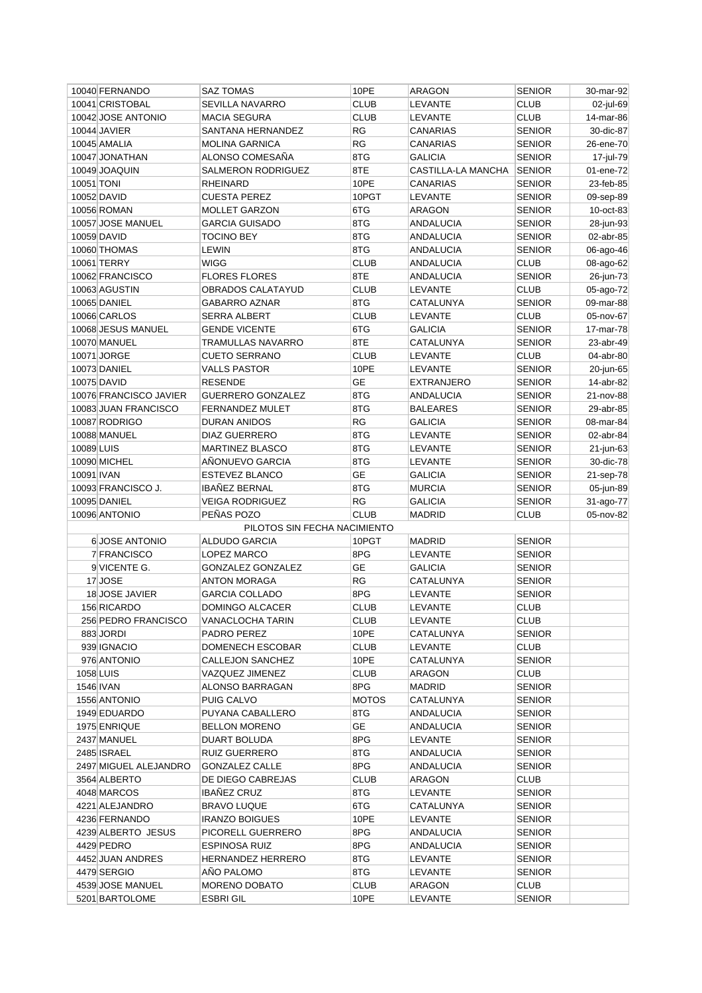|            | 10040 FERNANDO                     | <b>SAZ TOMAS</b>                         | 10PE                | ARAGON             | <b>SENIOR</b>         | 30-mar-92 |
|------------|------------------------------------|------------------------------------------|---------------------|--------------------|-----------------------|-----------|
|            | 10041 CRISTOBAL                    | SEVILLA NAVARRO                          | <b>CLUB</b>         | LEVANTE            | <b>CLUB</b>           | 02-jul-69 |
|            | 10042 JOSE ANTONIO                 | <b>MACIA SEGURA</b>                      | <b>CLUB</b>         | LEVANTE            | <b>CLUB</b>           | 14-mar-86 |
|            | 10044 JAVIER                       | SANTANA HERNANDEZ                        | RG                  | <b>CANARIAS</b>    | <b>SENIOR</b>         | 30-dic-87 |
|            | 10045 AMALIA                       | <b>MOLINA GARNICA</b>                    | RG                  | <b>CANARIAS</b>    | <b>SENIOR</b>         | 26-ene-70 |
|            | 10047 JONATHAN                     | ALONSO COMESAÑA                          | 8TG                 | <b>GALICIA</b>     | <b>SENIOR</b>         | 17-jul-79 |
|            | 10049 JOAQUIN                      | <b>SALMERON RODRIGUEZ</b>                | 8TE                 | CASTILLA-LA MANCHA | <b>SENIOR</b>         | 01-ene-72 |
| 10051 TONI |                                    | RHEINARD                                 | 10PE                | CANARIAS           | <b>SENIOR</b>         | 23-feb-85 |
|            | 10052 DAVID                        | <b>CUESTA PEREZ</b>                      | 10PGT               | LEVANTE            | <b>SENIOR</b>         | 09-sep-89 |
|            | <b>10056 ROMAN</b>                 | <b>MOLLET GARZON</b>                     | 6TG                 | ARAGON             | <b>SENIOR</b>         | 10-oct-83 |
|            | 10057 JOSE MANUEL                  | <b>GARCIA GUISADO</b>                    | 8TG                 | ANDALUCIA          | <b>SENIOR</b>         | 28-jun-93 |
|            | 10059 DAVID                        | <b>TOCINO BEY</b>                        | 8TG                 | <b>ANDALUCIA</b>   | <b>SENIOR</b>         | 02-abr-85 |
|            | 10060 THOMAS                       | <b>LEWIN</b>                             | 8TG                 | <b>ANDALUCIA</b>   | <b>SENIOR</b>         | 06-ago-46 |
|            | 10061 TERRY                        | WIGG                                     | <b>CLUB</b>         | ANDALUCIA          | <b>CLUB</b>           | 08-ago-62 |
|            | 10062 FRANCISCO                    | <b>FLORES FLORES</b>                     | 8TE                 | ANDALUCIA          | <b>SENIOR</b>         | 26-jun-73 |
|            | 10063 AGUSTIN                      | OBRADOS CALATAYUD                        | <b>CLUB</b>         | LEVANTE            | <b>CLUB</b>           | 05-ago-72 |
|            | 10065 DANIEL                       | <b>GABARRO AZNAR</b>                     | 8TG                 | CATALUNYA          | <b>SENIOR</b>         | 09-mar-88 |
|            | 10066 CARLOS                       | <b>SERRA ALBERT</b>                      | <b>CLUB</b>         | LEVANTE            | <b>CLUB</b>           | 05-nov-67 |
|            | 10068 JESUS MANUEL                 | <b>GENDE VICENTE</b>                     | 6TG                 | <b>GALICIA</b>     | <b>SENIOR</b>         | 17-mar-78 |
|            | 10070 MANUEL                       | <b>TRAMULLAS NAVARRO</b>                 | 8TE                 | CATALUNYA          | <b>SENIOR</b>         | 23-abr-49 |
|            | 10071 JORGE                        | <b>CUETO SERRANO</b>                     | <b>CLUB</b>         | <b>LEVANTE</b>     | <b>CLUB</b>           | 04-abr-80 |
|            | 10073 DANIEL                       | <b>VALLS PASTOR</b>                      | 10PE                | LEVANTE            | <b>SENIOR</b>         |           |
|            |                                    |                                          |                     |                    | <b>SENIOR</b>         | 20-jun-65 |
|            | 10075 DAVID                        | <b>RESENDE</b>                           | GE                  | <b>EXTRANJERO</b>  |                       | 14-abr-82 |
|            | 10076 FRANCISCO JAVIER             | <b>GUERRERO GONZALEZ</b>                 | 8TG                 | ANDALUCIA          | <b>SENIOR</b>         | 21-nov-88 |
|            | 10083 JUAN FRANCISCO               | <b>FERNANDEZ MULET</b>                   | 8TG                 | <b>BALEARES</b>    | <b>SENIOR</b>         | 29-abr-85 |
|            | 10087 RODRIGO                      | <b>DURAN ANIDOS</b>                      | RG                  | <b>GALICIA</b>     | <b>SENIOR</b>         | 08-mar-84 |
|            | 10088 MANUEL                       | <b>DIAZ GUERRERO</b>                     | 8TG                 | <b>LEVANTE</b>     | <b>SENIOR</b>         | 02-abr-84 |
| 10089 LUIS |                                    | <b>MARTINEZ BLASCO</b>                   | 8TG                 | LEVANTE            | <b>SENIOR</b>         | 21-jun-63 |
|            | 10090 MICHEL                       | AÑONUEVO GARCIA                          | 8TG                 | LEVANTE            | <b>SENIOR</b>         | 30-dic-78 |
| 10091 IVAN |                                    | ESTEVEZ BLANCO                           | <b>GE</b>           | <b>GALICIA</b>     | <b>SENIOR</b>         | 21-sep-78 |
|            | 10093 FRANCISCO J.                 | <b>IBANEZ BERNAL</b>                     | 8TG                 | <b>MURCIA</b>      | <b>SENIOR</b>         | 05-jun-89 |
|            | 10095 DANIEL                       | VEIGA RODRIGUEZ                          | RG                  | <b>GALICIA</b>     | <b>SENIOR</b>         | 31-ago-77 |
|            | 10096 ANTONIO                      | PEÑAS POZO                               | <b>CLUB</b>         | <b>MADRID</b>      | <b>CLUB</b>           | 05-nov-82 |
|            |                                    | PILOTOS SIN FECHA NACIMIENTO             |                     |                    |                       |           |
|            | 6 JOSE ANTONIO                     | ALDUDO GARCIA                            | 10PGT               | <b>MADRID</b>      | <b>SENIOR</b>         |           |
|            | 7 FRANCISCO                        | LOPEZ MARCO                              | 8PG                 | LEVANTE            | <b>SENIOR</b>         |           |
|            | 9 VICENTE G.                       | <b>GONZALEZ GONZALEZ</b>                 | <b>GE</b>           |                    | <b>SENIOR</b>         |           |
|            |                                    |                                          |                     | <b>GALICIA</b>     |                       |           |
|            | 17 JOSE                            | ANTON MORAGA                             | RG                  | CATALUNYA          | <b>SENIOR</b>         |           |
|            | 18 JOSE JAVIER                     | <b>GARCIA COLLADO</b>                    | 8PG                 | LEVANTE            | <b>SENIOR</b>         |           |
|            | 156 RICARDO                        | DOMINGO ALCACER                          | <b>CLUB</b>         | LEVANTE            | <b>CLUB</b>           |           |
|            | 256 PEDRO FRANCISCO                | VANACLOCHA TARIN                         | <b>CLUB</b>         | LEVANTE            | <b>CLUB</b>           |           |
|            | 883 JORDI                          | PADRO PEREZ                              | 10PE                | CATALUNYA          | <b>SENIOR</b>         |           |
|            | 939 IGNACIO                        | DOMENECH ESCOBAR                         | <b>CLUB</b>         | LEVANTE            | <b>CLUB</b>           |           |
|            | 976 ANTONIO                        | CALLEJON SANCHEZ                         | 10PE                | CATALUNYA          | <b>SENIOR</b>         |           |
|            | 1058 LUIS                          | VAZQUEZ JIMENEZ                          | <b>CLUB</b>         | ARAGON             | CLUB                  |           |
|            | 1546 IVAN                          | ALONSO BARRAGAN                          | 8PG                 | MADRID             | <b>SENIOR</b>         |           |
|            | 1556 ANTONIO                       | <b>PUIG CALVO</b>                        |                     |                    | <b>SENIOR</b>         |           |
|            |                                    |                                          | <b>MOTOS</b>        | CATALUNYA          |                       |           |
|            | 1949 EDUARDO                       | PUYANA CABALLERO                         | 8TG                 | ANDALUCIA          | <b>SENIOR</b>         |           |
|            | 1975 ENRIQUE                       | <b>BELLON MORENO</b>                     | GE                  | ANDALUCIA          | <b>SENIOR</b>         |           |
|            | 2437 MANUEL                        | DUART BOLUDA                             | 8PG                 | LEVANTE            | <b>SENIOR</b>         |           |
|            | 2485 ISRAEL                        | <b>RUIZ GUERRERO</b>                     | 8TG                 | ANDALUCIA          | <b>SENIOR</b>         |           |
|            | 2497 MIGUEL ALEJANDRO              | GONZALEZ CALLE                           | 8PG                 | ANDALUCIA          | <b>SENIOR</b>         |           |
|            | 3564 ALBERTO                       | DE DIEGO CABREJAS                        | <b>CLUB</b>         | ARAGON             | CLUB                  |           |
|            | 4048 MARCOS                        | <b>IBAÑEZ CRUZ</b>                       | 8TG                 | LEVANTE            | <b>SENIOR</b>         |           |
|            | 4221 ALEJANDRO                     | <b>BRAVO LUQUE</b>                       | 6TG                 | CATALUNYA          | <b>SENIOR</b>         |           |
|            | 4236 FERNANDO                      | <b>IRANZO BOIGUES</b>                    | 10PE                | LEVANTE            | <b>SENIOR</b>         |           |
|            | 4239 ALBERTO JESUS                 | PICORELL GUERRERO                        | 8PG                 | ANDALUCIA          | <b>SENIOR</b>         |           |
|            | 4429 PEDRO                         | <b>ESPINOSA RUIZ</b>                     | 8PG                 | ANDALUCIA          | <b>SENIOR</b>         |           |
|            | 4452 JUAN ANDRES                   | HERNANDEZ HERRERO                        | 8TG                 | LEVANTE            | <b>SENIOR</b>         |           |
|            | 4479 SERGIO                        | AÑO PALOMO                               | 8TG                 | LEVANTE            | <b>SENIOR</b>         |           |
|            | 4539 JOSE MANUEL<br>5201 BARTOLOME | <b>MORENO DOBATO</b><br><b>ESBRI GIL</b> | <b>CLUB</b><br>10PE | ARAGON<br>LEVANTE  | CLUB<br><b>SENIOR</b> |           |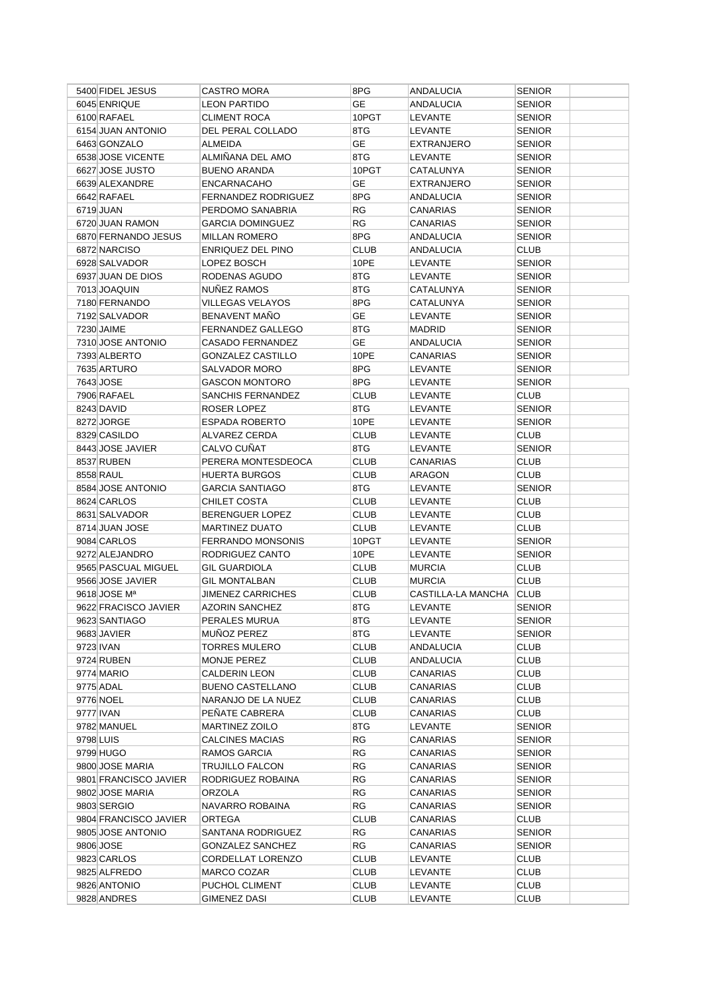|           | 5400 FIDEL JESUS         | CASTRO MORA                | 8PG         | <b>ANDALUCIA</b>   | <b>SENIOR</b> |
|-----------|--------------------------|----------------------------|-------------|--------------------|---------------|
|           | 6045 ENRIQUE             | <b>LEON PARTIDO</b>        | <b>GE</b>   | ANDALUCIA          | <b>SENIOR</b> |
|           | 6100 RAFAEL              | <b>CLIMENT ROCA</b>        | 10PGT       | <b>LEVANTE</b>     | <b>SENIOR</b> |
|           | 6154 JUAN ANTONIO        | DEL PERAL COLLADO          | 8TG         | LEVANTE            | <b>SENIOR</b> |
|           | 6463 GONZALO             | ALMEIDA                    | <b>GE</b>   | <b>EXTRANJERO</b>  | <b>SENIOR</b> |
|           | 6538 JOSE VICENTE        | ALMIÑANA DEL AMO           | 8TG         | LEVANTE            | <b>SENIOR</b> |
|           | 6627 JOSE JUSTO          | <b>BUENO ARANDA</b>        | 10PGT       | CATALUNYA          | <b>SENIOR</b> |
|           | 6639 ALEXANDRE           | <b>ENCARNACAHO</b>         | GЕ          | <b>EXTRANJERO</b>  | <b>SENIOR</b> |
|           | 6642 RAFAEL              | <b>FERNANDEZ RODRIGUEZ</b> | 8PG         | ANDALUCIA          | <b>SENIOR</b> |
|           | 6719 JUAN                | PERDOMO SANABRIA           | RG          | <b>CANARIAS</b>    | <b>SENIOR</b> |
|           | 6720 JUAN RAMON          | <b>GARCIA DOMINGUEZ</b>    | RG          | CANARIAS           | <b>SENIOR</b> |
|           | 6870 FERNANDO JESUS      | <b>MILLAN ROMERO</b>       | 8PG         | ANDALUCIA          | <b>SENIOR</b> |
|           | 6872 NARCISO             | ENRIQUEZ DEL PINO          | <b>CLUB</b> | ANDALUCIA          | <b>CLUB</b>   |
|           | 6928 SALVADOR            | LOPEZ BOSCH                | 10PE        | LEVANTE            | <b>SENIOR</b> |
|           | 6937 JUAN DE DIOS        | RODENAS AGUDO              | 8TG         | LEVANTE            | <b>SENIOR</b> |
|           | 7013 JOAQUIN             | NUNEZ RAMOS                | 8TG         | CATALUNYA          | <b>SENIOR</b> |
|           | 7180 FERNANDO            | VILLEGAS VELAYOS           | 8PG         | CATALUNYA          | <b>SENIOR</b> |
|           | 7192 SALVADOR            | BENAVENT MAÑO              | GЕ          | LEVANTE            | <b>SENIOR</b> |
|           | 7230 JAIME               | FERNANDEZ GALLEGO          | 8TG         | <b>MADRID</b>      | <b>SENIOR</b> |
|           | 7310 JOSE ANTONIO        | <b>CASADO FERNANDEZ</b>    | <b>GE</b>   | ANDALUCIA          | <b>SENIOR</b> |
|           | 7393 ALBERTO             | <b>GONZALEZ CASTILLO</b>   | 10PE        | <b>CANARIAS</b>    | <b>SENIOR</b> |
|           | 7635 ARTURO              | SALVADOR MORO              | 8PG         | <b>LEVANTE</b>     | <b>SENIOR</b> |
|           | 7643 JOSE                | <b>GASCON MONTORO</b>      | 8PG         | LEVANTE            | <b>SENIOR</b> |
|           | 7906 RAFAEL              | SANCHIS FERNANDEZ          | <b>CLUB</b> | LEVANTE            | <b>CLUB</b>   |
|           | 8243 DAVID               | ROSER LOPEZ                | 8TG         | LEVANTE            | <b>SENIOR</b> |
|           | 8272 JORGE               | <b>ESPADA ROBERTO</b>      | 10PE        | LEVANTE            | <b>SENIOR</b> |
|           | 8329 CASILDO             | ALVAREZ CERDA              | <b>CLUB</b> | LEVANTE            | <b>CLUB</b>   |
|           | 8443 JOSE JAVIER         | CALVO CUÑAT                | 8TG         | LEVANTE            | <b>SENIOR</b> |
|           | 8537 RUBEN               | PERERA MONTESDEOCA         | <b>CLUB</b> | <b>CANARIAS</b>    | <b>CLUB</b>   |
|           | 8558 RAUL                | <b>HUERTA BURGOS</b>       | <b>CLUB</b> | ARAGON             | <b>CLUB</b>   |
|           | 8584 JOSE ANTONIO        | <b>GARCIA SANTIAGO</b>     | 8TG         | LEVANTE            | <b>SENIOR</b> |
|           | 8624 CARLOS              | CHILET COSTA               | <b>CLUB</b> | LEVANTE            | <b>CLUB</b>   |
|           | 8631 SALVADOR            | <b>BERENGUER LOPEZ</b>     | <b>CLUB</b> | LEVANTE            | <b>CLUB</b>   |
|           | 8714 JUAN JOSE           | <b>MARTINEZ DUATO</b>      | <b>CLUB</b> | LEVANTE            | <b>CLUB</b>   |
|           | 9084 CARLOS              | <b>FERRANDO MONSONIS</b>   | 10PGT       | LEVANTE            | <b>SENIOR</b> |
|           | 9272 ALEJANDRO           | RODRIGUEZ CANTO            | 10PE        | LEVANTE            | <b>SENIOR</b> |
|           | 9565 PASCUAL MIGUEL      | <b>GIL GUARDIOLA</b>       | <b>CLUB</b> | <b>MURCIA</b>      | <b>CLUB</b>   |
|           | 9566 JOSE JAVIER         | <b>GIL MONTALBAN</b>       | <b>CLUB</b> | <b>MURCIA</b>      | <b>CLUB</b>   |
|           | 9618 JOSE M <sup>a</sup> | <b>JIMENEZ CARRICHES</b>   | CLUB        | CASTILLA-LA MANCHA | <b>CLUB</b>   |
|           | 9622 FRACISCO JAVIER     | <b>AZORIN SANCHEZ</b>      | 8TG         | <b>LEVANTE</b>     | <b>SENIOR</b> |
|           | 9623 SANTIAGO            | PERALES MURUA              | 8TG         | LEVANTE            | <b>SENIOR</b> |
|           | 9683 JAVIER              | MUÑOZ PEREZ                | 8TG         | LEVANTE            | <b>SENIOR</b> |
|           | 9723 IVAN                | <b>TORRES MULERO</b>       | <b>CLUB</b> | ANDALUCIA          | <b>CLUB</b>   |
|           | 9724 RUBEN               | MONJE PEREZ                | <b>CLUB</b> | <b>ANDALUCIA</b>   | <b>CLUB</b>   |
|           | 9774 MARIO               | <b>CALDERIN LEON</b>       | <b>CLUB</b> | CANARIAS           | <b>CLUB</b>   |
|           | 9775 ADAL                | <b>BUENO CASTELLANO</b>    | <b>CLUB</b> | CANARIAS           | <b>CLUB</b>   |
|           | 9776 NOEL                | NARANJO DE LA NUEZ         | CLUB        | CANARIAS           | <b>CLUB</b>   |
|           | 9777 IVAN                | PENATE CABRERA             | <b>CLUB</b> | CANARIAS           | <b>CLUB</b>   |
|           | 9782 MANUEL              | <b>MARTINEZ ZOILO</b>      | 8TG         | LEVANTE            | <b>SENIOR</b> |
| 9798 LUIS |                          | <b>CALCINES MACIAS</b>     | RG          | <b>CANARIAS</b>    | <b>SENIOR</b> |
|           | 9799 HUGO                | RAMOS GARCIA               | RG          | CANARIAS           | <b>SENIOR</b> |
|           | 9800 JOSE MARIA          | <b>TRUJILLO FALCON</b>     | <b>RG</b>   | CANARIAS           | <b>SENIOR</b> |
|           | 9801 FRANCISCO JAVIER    | RODRIGUEZ ROBAINA          | <b>RG</b>   | CANARIAS           | <b>SENIOR</b> |
|           | 9802 JOSE MARIA          | ORZOLA                     | <b>RG</b>   | CANARIAS           | <b>SENIOR</b> |
|           | 9803 SERGIO              | NAVARRO ROBAINA            | <b>RG</b>   | CANARIAS           | <b>SENIOR</b> |
|           | 9804 FRANCISCO JAVIER    | ORTEGA                     | <b>CLUB</b> | CANARIAS           | <b>CLUB</b>   |
|           | 9805 JOSE ANTONIO        | SANTANA RODRIGUEZ          | RG          | CANARIAS           | <b>SENIOR</b> |
|           | 9806 JOSE                | <b>GONZALEZ SANCHEZ</b>    | RG          | CANARIAS           | <b>SENIOR</b> |
|           | 9823 CARLOS              | CORDELLAT LORENZO          | <b>CLUB</b> | LEVANTE            | <b>CLUB</b>   |
|           | 9825 ALFREDO             | MARCO COZAR                | <b>CLUB</b> | LEVANTE            | <b>CLUB</b>   |
|           | 9826 ANTONIO             | PUCHOL CLIMENT             | <b>CLUB</b> | LEVANTE            | <b>CLUB</b>   |
|           | 9828 ANDRES              | GIMENEZ DASI               | CLUB        | LEVANTE            | <b>CLUB</b>   |
|           |                          |                            |             |                    |               |